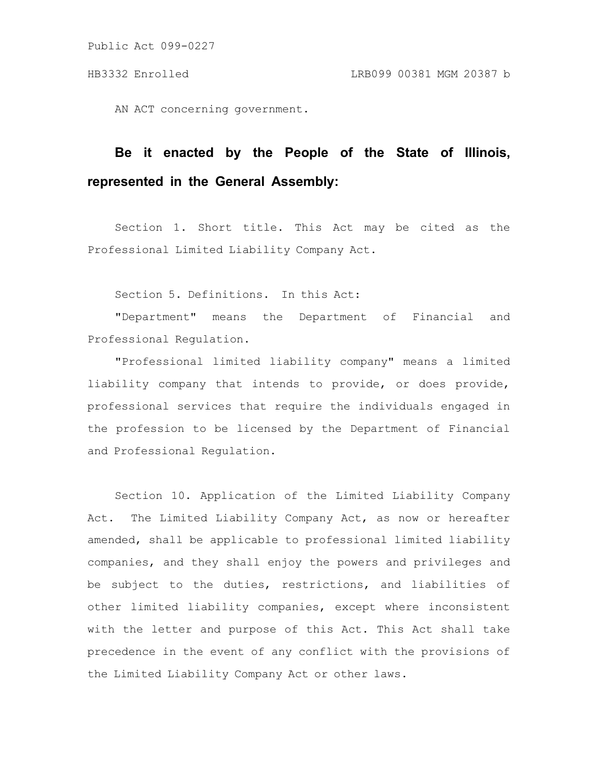AN ACT concerning government.

# **Be it enacted by the People of the State of Illinois, represented in the General Assembly:**

Section 1. Short title. This Act may be cited as the Professional Limited Liability Company Act.

Section 5. Definitions. In this Act:

"Department" means the Department of Financial and Professional Regulation.

"Professional limited liability company" means a limited liability company that intends to provide, or does provide, professional services that require the individuals engaged in the profession to be licensed by the Department of Financial and Professional Regulation.

Section 10. Application of the Limited Liability Company Act. The Limited Liability Company Act, as now or hereafter amended, shall be applicable to professional limited liability companies, and they shall enjoy the powers and privileges and be subject to the duties, restrictions, and liabilities of other limited liability companies, except where inconsistent with the letter and purpose of this Act. This Act shall take precedence in the event of any conflict with the provisions of the Limited Liability Company Act or other laws.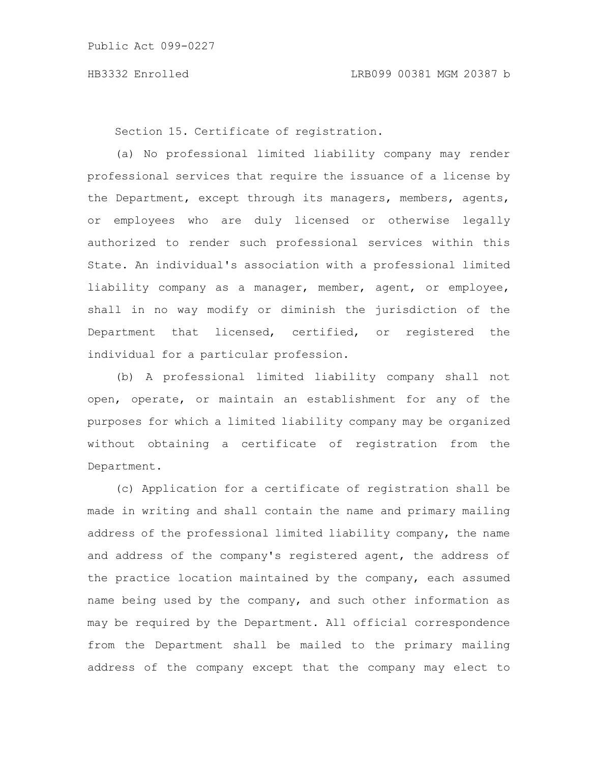Section 15. Certificate of registration.

(a) No professional limited liability company may render professional services that require the issuance of a license by the Department, except through its managers, members, agents, or employees who are duly licensed or otherwise legally authorized to render such professional services within this State. An individual's association with a professional limited liability company as a manager, member, agent, or employee, shall in no way modify or diminish the jurisdiction of the Department that licensed, certified, or registered the individual for a particular profession.

(b) A professional limited liability company shall not open, operate, or maintain an establishment for any of the purposes for which a limited liability company may be organized without obtaining a certificate of registration from the Department.

(c) Application for a certificate of registration shall be made in writing and shall contain the name and primary mailing address of the professional limited liability company, the name and address of the company's registered agent, the address of the practice location maintained by the company, each assumed name being used by the company, and such other information as may be required by the Department. All official correspondence from the Department shall be mailed to the primary mailing address of the company except that the company may elect to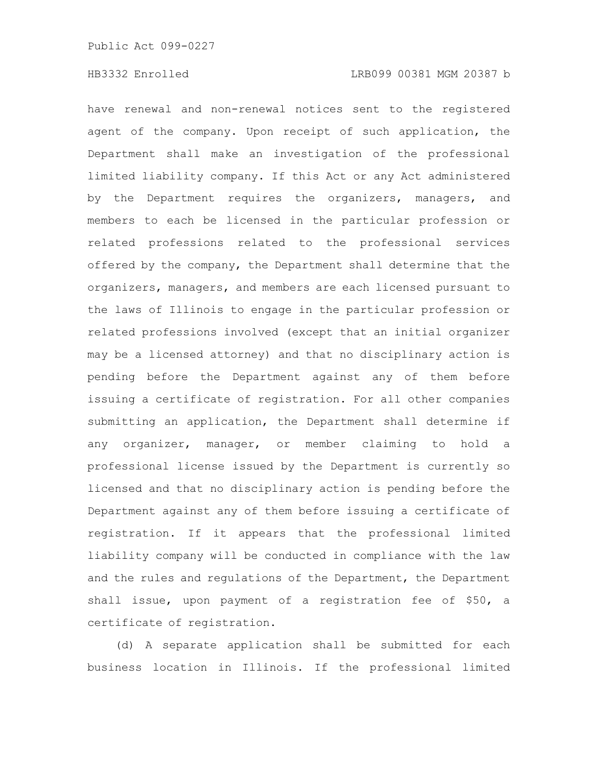have renewal and non-renewal notices sent to the registered agent of the company. Upon receipt of such application, the Department shall make an investigation of the professional limited liability company. If this Act or any Act administered by the Department requires the organizers, managers, and members to each be licensed in the particular profession or related professions related to the professional services offered by the company, the Department shall determine that the organizers, managers, and members are each licensed pursuant to the laws of Illinois to engage in the particular profession or related professions involved (except that an initial organizer may be a licensed attorney) and that no disciplinary action is pending before the Department against any of them before issuing a certificate of registration. For all other companies submitting an application, the Department shall determine if any organizer, manager, or member claiming to hold a professional license issued by the Department is currently so licensed and that no disciplinary action is pending before the Department against any of them before issuing a certificate of registration. If it appears that the professional limited liability company will be conducted in compliance with the law and the rules and regulations of the Department, the Department shall issue, upon payment of a registration fee of \$50, a certificate of registration.

(d) A separate application shall be submitted for each business location in Illinois. If the professional limited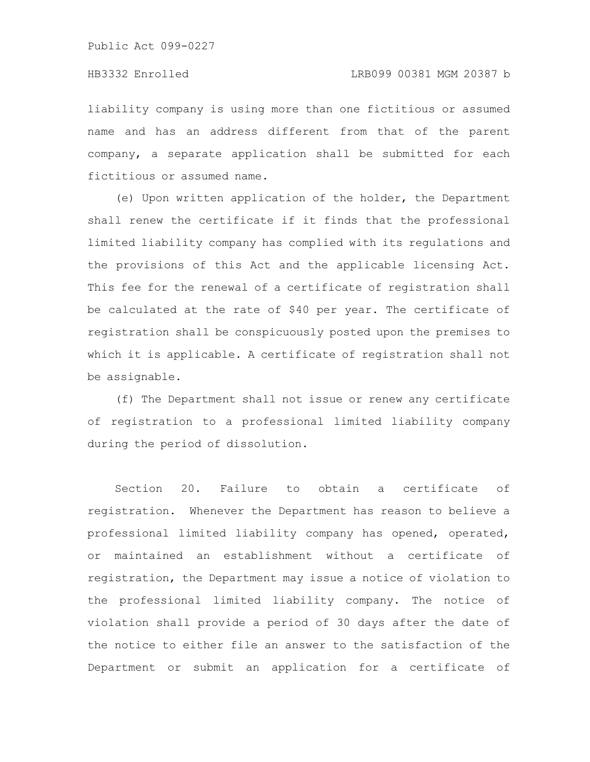liability company is using more than one fictitious or assumed name and has an address different from that of the parent company, a separate application shall be submitted for each fictitious or assumed name.

(e) Upon written application of the holder, the Department shall renew the certificate if it finds that the professional limited liability company has complied with its regulations and the provisions of this Act and the applicable licensing Act. This fee for the renewal of a certificate of registration shall be calculated at the rate of \$40 per year. The certificate of registration shall be conspicuously posted upon the premises to which it is applicable. A certificate of registration shall not be assignable.

(f) The Department shall not issue or renew any certificate of registration to a professional limited liability company during the period of dissolution.

Section 20. Failure to obtain a certificate of registration. Whenever the Department has reason to believe a professional limited liability company has opened, operated, or maintained an establishment without a certificate of registration, the Department may issue a notice of violation to the professional limited liability company. The notice of violation shall provide a period of 30 days after the date of the notice to either file an answer to the satisfaction of the Department or submit an application for a certificate of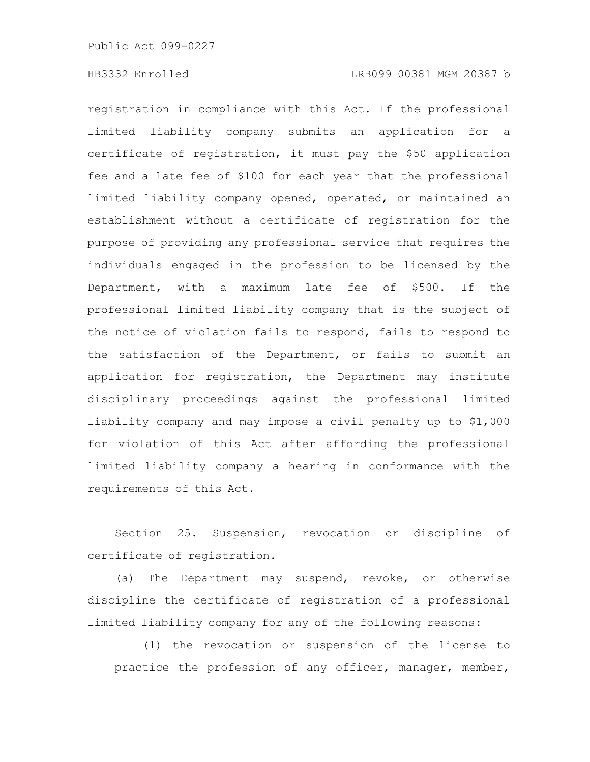# HB3332 Enrolled LRB099 00381 MGM 20387 b

registration in compliance with this Act. If the professional limited liability company submits an application for a certificate of registration, it must pay the \$50 application fee and a late fee of \$100 for each year that the professional limited liability company opened, operated, or maintained an establishment without a certificate of registration for the purpose of providing any professional service that requires the individuals engaged in the profession to be licensed by the Department, with a maximum late fee of \$500. If the professional limited liability company that is the subject of the notice of violation fails to respond, fails to respond to the satisfaction of the Department, or fails to submit an application for registration, the Department may institute disciplinary proceedings against the professional limited liability company and may impose a civil penalty up to \$1,000 for violation of this Act after affording the professional limited liability company a hearing in conformance with the requirements of this Act.

Section 25. Suspension, revocation or discipline of certificate of registration.

(a) The Department may suspend, revoke, or otherwise discipline the certificate of registration of a professional limited liability company for any of the following reasons:

(1) the revocation or suspension of the license to practice the profession of any officer, manager, member,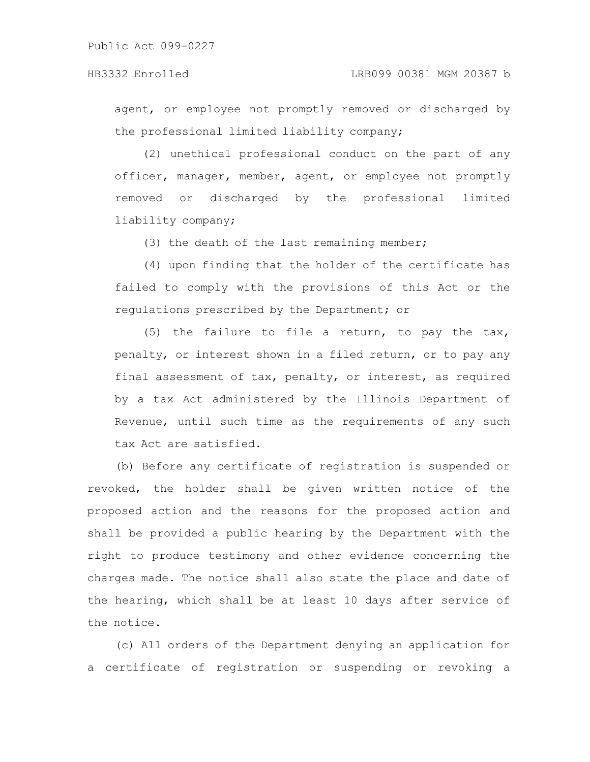agent, or employee not promptly removed or discharged by the professional limited liability company;

(2) unethical professional conduct on the part of any officer, manager, member, agent, or employee not promptly removed or discharged by the professional limited liability company;

(3) the death of the last remaining member;

(4) upon finding that the holder of the certificate has failed to comply with the provisions of this Act or the regulations prescribed by the Department; or

(5) the failure to file a return, to pay the tax, penalty, or interest shown in a filed return, or to pay any final assessment of tax, penalty, or interest, as required by a tax Act administered by the Illinois Department of Revenue, until such time as the requirements of any such tax Act are satisfied.

(b) Before any certificate of registration is suspended or revoked, the holder shall be given written notice of the proposed action and the reasons for the proposed action and shall be provided a public hearing by the Department with the right to produce testimony and other evidence concerning the charges made. The notice shall also state the place and date of the hearing, which shall be at least 10 days after service of the notice.

(c) All orders of the Department denying an application for a certificate of registration or suspending or revoking a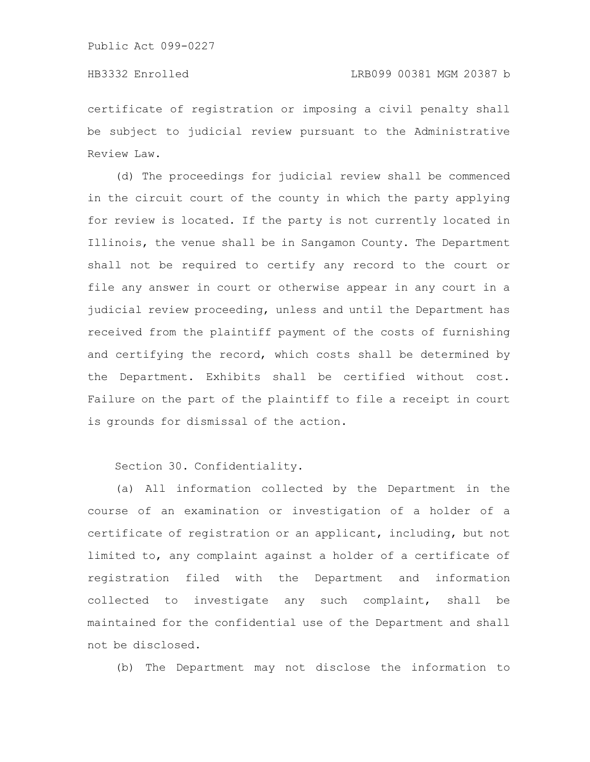# HB3332 Enrolled LRB099 00381 MGM 20387 b

certificate of registration or imposing a civil penalty shall be subject to judicial review pursuant to the Administrative Review Law.

(d) The proceedings for judicial review shall be commenced in the circuit court of the county in which the party applying for review is located. If the party is not currently located in Illinois, the venue shall be in Sangamon County. The Department shall not be required to certify any record to the court or file any answer in court or otherwise appear in any court in a judicial review proceeding, unless and until the Department has received from the plaintiff payment of the costs of furnishing and certifying the record, which costs shall be determined by the Department. Exhibits shall be certified without cost. Failure on the part of the plaintiff to file a receipt in court is grounds for dismissal of the action.

Section 30. Confidentiality.

(a) All information collected by the Department in the course of an examination or investigation of a holder of a certificate of registration or an applicant, including, but not limited to, any complaint against a holder of a certificate of registration filed with the Department and information collected to investigate any such complaint, shall be maintained for the confidential use of the Department and shall not be disclosed.

(b) The Department may not disclose the information to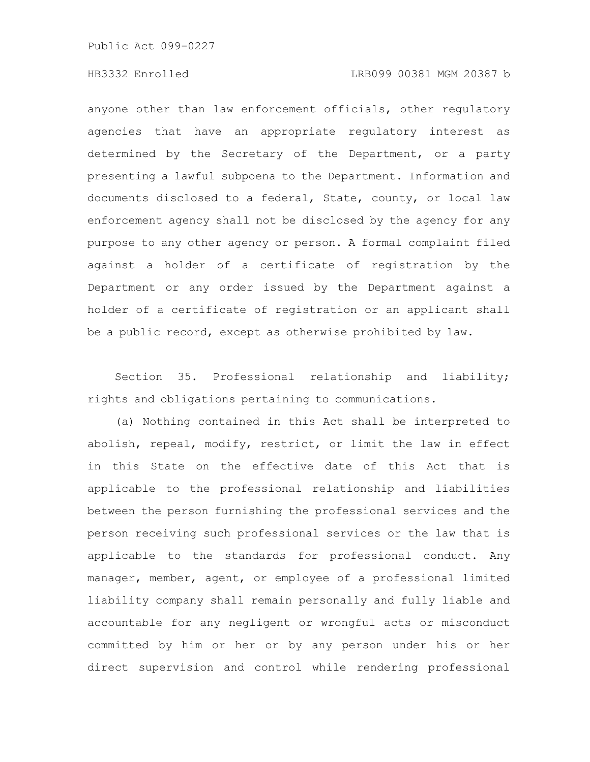### HB3332 Enrolled LRB099 00381 MGM 20387 b

anyone other than law enforcement officials, other regulatory agencies that have an appropriate regulatory interest as determined by the Secretary of the Department, or a party presenting a lawful subpoena to the Department. Information and documents disclosed to a federal, State, county, or local law enforcement agency shall not be disclosed by the agency for any purpose to any other agency or person. A formal complaint filed against a holder of a certificate of registration by the Department or any order issued by the Department against a holder of a certificate of registration or an applicant shall be a public record, except as otherwise prohibited by law.

Section 35. Professional relationship and liability; rights and obligations pertaining to communications.

(a) Nothing contained in this Act shall be interpreted to abolish, repeal, modify, restrict, or limit the law in effect in this State on the effective date of this Act that is applicable to the professional relationship and liabilities between the person furnishing the professional services and the person receiving such professional services or the law that is applicable to the standards for professional conduct. Any manager, member, agent, or employee of a professional limited liability company shall remain personally and fully liable and accountable for any negligent or wrongful acts or misconduct committed by him or her or by any person under his or her direct supervision and control while rendering professional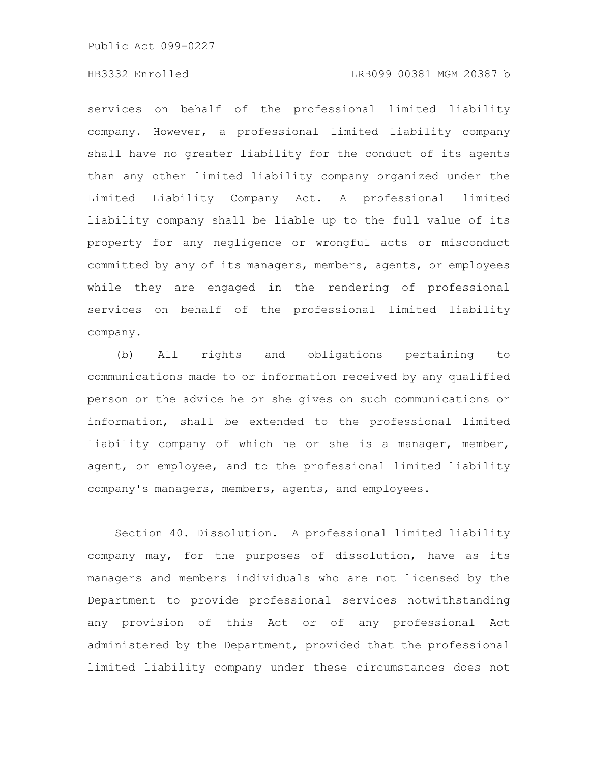# HB3332 Enrolled LRB099 00381 MGM 20387 b

services on behalf of the professional limited liability company. However, a professional limited liability company shall have no greater liability for the conduct of its agents than any other limited liability company organized under the Limited Liability Company Act. A professional limited liability company shall be liable up to the full value of its property for any negligence or wrongful acts or misconduct committed by any of its managers, members, agents, or employees while they are engaged in the rendering of professional services on behalf of the professional limited liability company.

(b) All rights and obligations pertaining to communications made to or information received by any qualified person or the advice he or she gives on such communications or information, shall be extended to the professional limited liability company of which he or she is a manager, member, agent, or employee, and to the professional limited liability company's managers, members, agents, and employees.

Section 40. Dissolution. A professional limited liability company may, for the purposes of dissolution, have as its managers and members individuals who are not licensed by the Department to provide professional services notwithstanding any provision of this Act or of any professional Act administered by the Department, provided that the professional limited liability company under these circumstances does not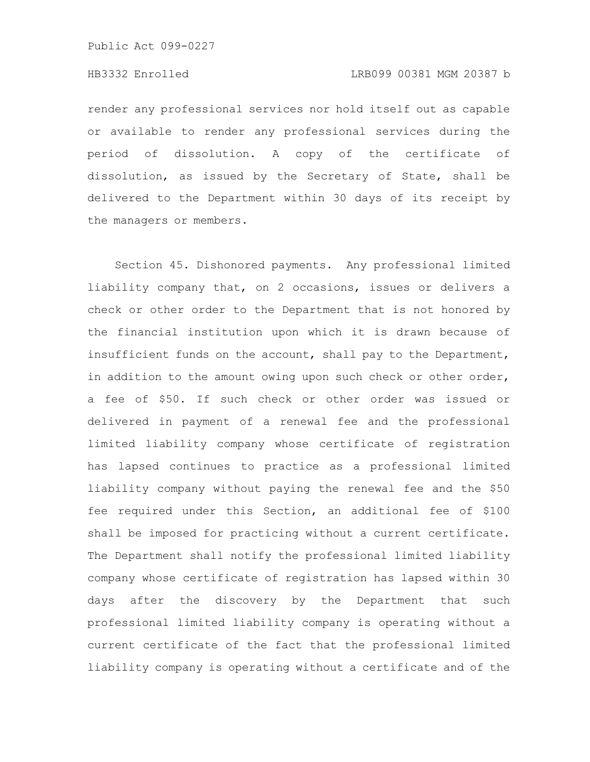### HB3332 Enrolled LRB099 00381 MGM 20387 b

render any professional services nor hold itself out as capable or available to render any professional services during the period of dissolution. A copy of the certificate of dissolution, as issued by the Secretary of State, shall be delivered to the Department within 30 days of its receipt by the managers or members.

Section 45. Dishonored payments. Any professional limited liability company that, on 2 occasions, issues or delivers a check or other order to the Department that is not honored by the financial institution upon which it is drawn because of insufficient funds on the account, shall pay to the Department, in addition to the amount owing upon such check or other order, a fee of \$50. If such check or other order was issued or delivered in payment of a renewal fee and the professional limited liability company whose certificate of registration has lapsed continues to practice as a professional limited liability company without paying the renewal fee and the \$50 fee required under this Section, an additional fee of \$100 shall be imposed for practicing without a current certificate. The Department shall notify the professional limited liability company whose certificate of registration has lapsed within 30 days after the discovery by the Department that such professional limited liability company is operating without a current certificate of the fact that the professional limited liability company is operating without a certificate and of the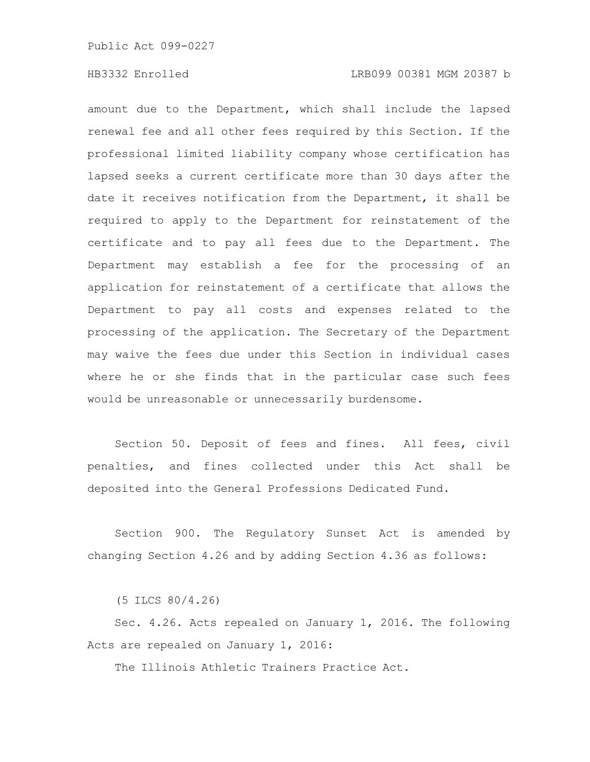amount due to the Department, which shall include the lapsed renewal fee and all other fees required by this Section. If the professional limited liability company whose certification has lapsed seeks a current certificate more than 30 days after the date it receives notification from the Department, it shall be required to apply to the Department for reinstatement of the certificate and to pay all fees due to the Department. The Department may establish a fee for the processing of an application for reinstatement of a certificate that allows the Department to pay all costs and expenses related to the processing of the application. The Secretary of the Department may waive the fees due under this Section in individual cases where he or she finds that in the particular case such fees would be unreasonable or unnecessarily burdensome.

Section 50. Deposit of fees and fines. All fees, civil penalties, and fines collected under this Act shall be deposited into the General Professions Dedicated Fund.

Section 900. The Regulatory Sunset Act is amended by changing Section 4.26 and by adding Section 4.36 as follows:

(5 ILCS 80/4.26)

Sec. 4.26. Acts repealed on January 1, 2016. The following Acts are repealed on January 1, 2016:

The Illinois Athletic Trainers Practice Act.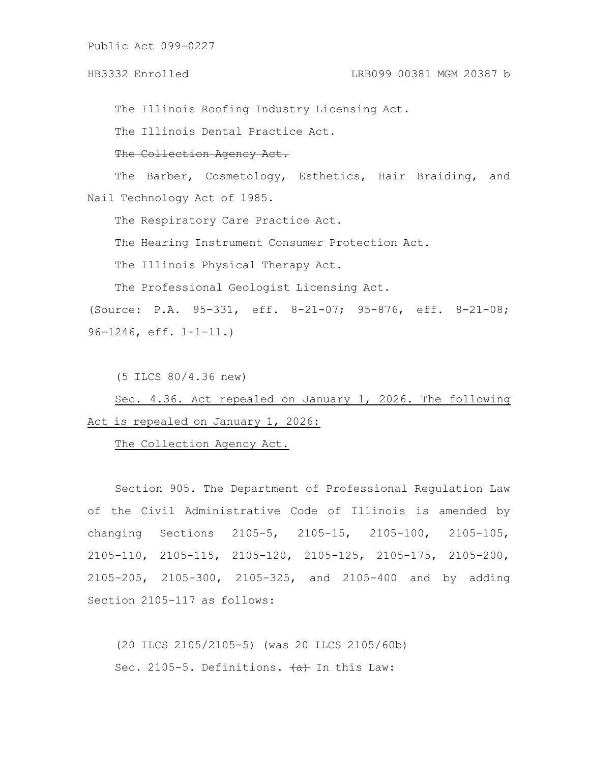### HB3332 Enrolled LRB099 00381 MGM 20387 b

The Illinois Roofing Industry Licensing Act.

The Illinois Dental Practice Act.

#### The Collection Agency Act.

The Barber, Cosmetology, Esthetics, Hair Braiding, and Nail Technology Act of 1985.

The Respiratory Care Practice Act.

The Hearing Instrument Consumer Protection Act.

The Illinois Physical Therapy Act.

The Professional Geologist Licensing Act.

(Source: P.A. 95-331, eff. 8-21-07; 95-876, eff. 8-21-08; 96-1246, eff. 1-1-11.)

(5 ILCS 80/4.36 new)

Sec. 4.36. Act repealed on January 1, 2026. The following Act is repealed on January 1, 2026:

The Collection Agency Act.

Section 905. The Department of Professional Regulation Law of the Civil Administrative Code of Illinois is amended by changing Sections 2105-5, 2105-15, 2105-100, 2105-105, 2105-110, 2105-115, 2105-120, 2105-125, 2105-175, 2105-200, 2105-205, 2105-300, 2105-325, and 2105-400 and by adding Section 2105-117 as follows:

(20 ILCS 2105/2105-5) (was 20 ILCS 2105/60b) Sec. 2105-5. Definitions.  $\overline{a}$  In this Law: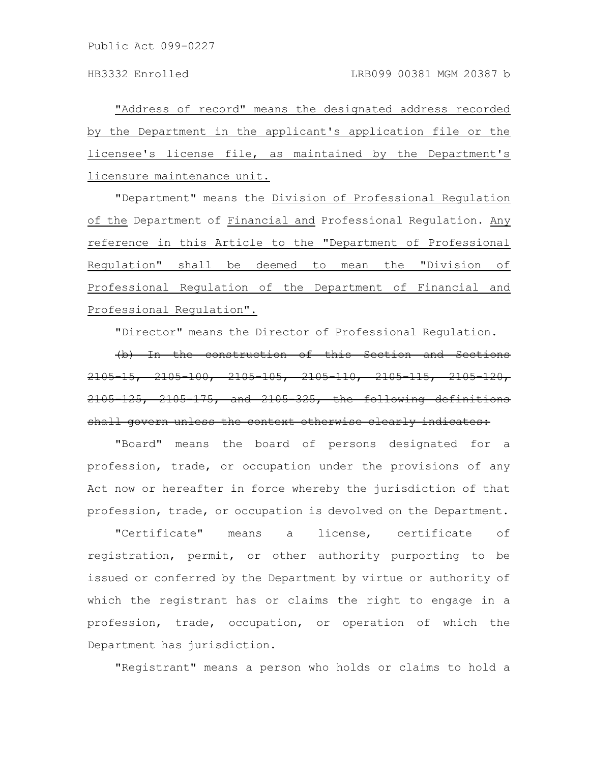"Address of record" means the designated address recorded by the Department in the applicant's application file or the licensee's license file, as maintained by the Department's licensure maintenance unit.

"Department" means the Division of Professional Regulation of the Department of Financial and Professional Regulation. Any reference in this Article to the "Department of Professional Regulation" shall be deemed to mean the "Division of Professional Regulation of the Department of Financial and Professional Regulation".

"Director" means the Director of Professional Regulation.

(b) In the construction of this Section and Sections 2105-15, 2105-100, 2105-105, 2105-110, 2105-115, 2105-120, 2105-125, 2105-175, and 2105-325, the following definitions shall govern unless the context otherwise clearly indicates:

"Board" means the board of persons designated for a profession, trade, or occupation under the provisions of any Act now or hereafter in force whereby the jurisdiction of that profession, trade, or occupation is devolved on the Department.

"Certificate" means a license, certificate of registration, permit, or other authority purporting to be issued or conferred by the Department by virtue or authority of which the registrant has or claims the right to engage in a profession, trade, occupation, or operation of which the Department has jurisdiction.

"Registrant" means a person who holds or claims to hold a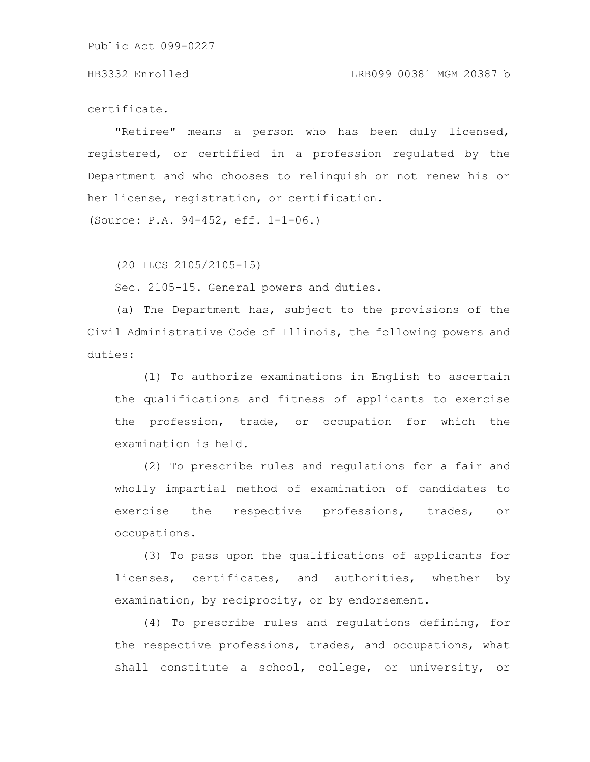#### HB3332 Enrolled LRB099 00381 MGM 20387 b

certificate.

"Retiree" means a person who has been duly licensed, registered, or certified in a profession regulated by the Department and who chooses to relinquish or not renew his or her license, registration, or certification.

(Source: P.A. 94-452, eff. 1-1-06.)

(20 ILCS 2105/2105-15)

Sec. 2105-15. General powers and duties.

(a) The Department has, subject to the provisions of the Civil Administrative Code of Illinois, the following powers and duties:

(1) To authorize examinations in English to ascertain the qualifications and fitness of applicants to exercise the profession, trade, or occupation for which the examination is held.

(2) To prescribe rules and regulations for a fair and wholly impartial method of examination of candidates to exercise the respective professions, trades, or occupations.

(3) To pass upon the qualifications of applicants for licenses, certificates, and authorities, whether by examination, by reciprocity, or by endorsement.

(4) To prescribe rules and regulations defining, for the respective professions, trades, and occupations, what shall constitute a school, college, or university, or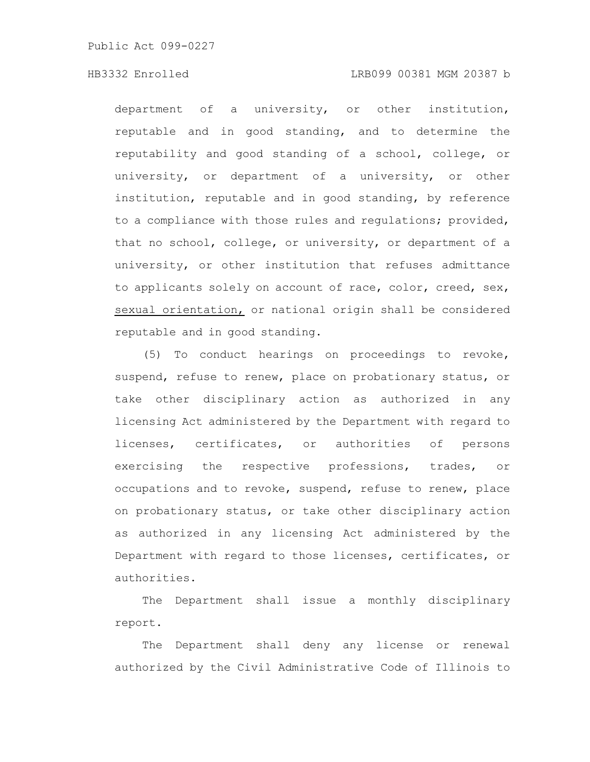# HB3332 Enrolled LRB099 00381 MGM 20387 b

department of a university, or other institution, reputable and in good standing, and to determine the reputability and good standing of a school, college, or university, or department of a university, or other institution, reputable and in good standing, by reference to a compliance with those rules and regulations; provided, that no school, college, or university, or department of a university, or other institution that refuses admittance to applicants solely on account of race, color, creed, sex, sexual orientation, or national origin shall be considered reputable and in good standing.

(5) To conduct hearings on proceedings to revoke, suspend, refuse to renew, place on probationary status, or take other disciplinary action as authorized in any licensing Act administered by the Department with regard to licenses, certificates, or authorities of persons exercising the respective professions, trades, or occupations and to revoke, suspend, refuse to renew, place on probationary status, or take other disciplinary action as authorized in any licensing Act administered by the Department with regard to those licenses, certificates, or authorities.

The Department shall issue a monthly disciplinary report.

The Department shall deny any license or renewal authorized by the Civil Administrative Code of Illinois to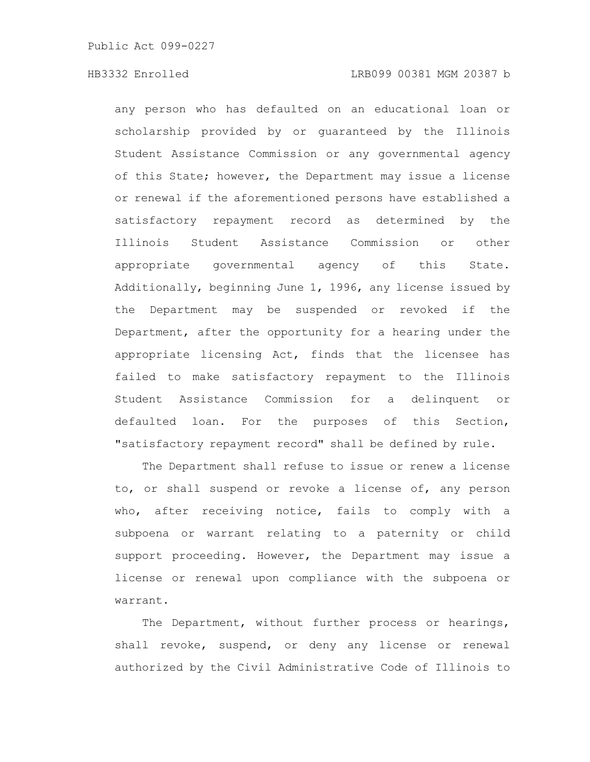any person who has defaulted on an educational loan or scholarship provided by or guaranteed by the Illinois Student Assistance Commission or any governmental agency of this State; however, the Department may issue a license or renewal if the aforementioned persons have established a satisfactory repayment record as determined by the Illinois Student Assistance Commission or other appropriate governmental agency of this State. Additionally, beginning June 1, 1996, any license issued by the Department may be suspended or revoked if the Department, after the opportunity for a hearing under the appropriate licensing Act, finds that the licensee has failed to make satisfactory repayment to the Illinois Student Assistance Commission for a delinquent or defaulted loan. For the purposes of this Section, "satisfactory repayment record" shall be defined by rule.

The Department shall refuse to issue or renew a license to, or shall suspend or revoke a license of, any person who, after receiving notice, fails to comply with a subpoena or warrant relating to a paternity or child support proceeding. However, the Department may issue a license or renewal upon compliance with the subpoena or warrant.

The Department, without further process or hearings, shall revoke, suspend, or deny any license or renewal authorized by the Civil Administrative Code of Illinois to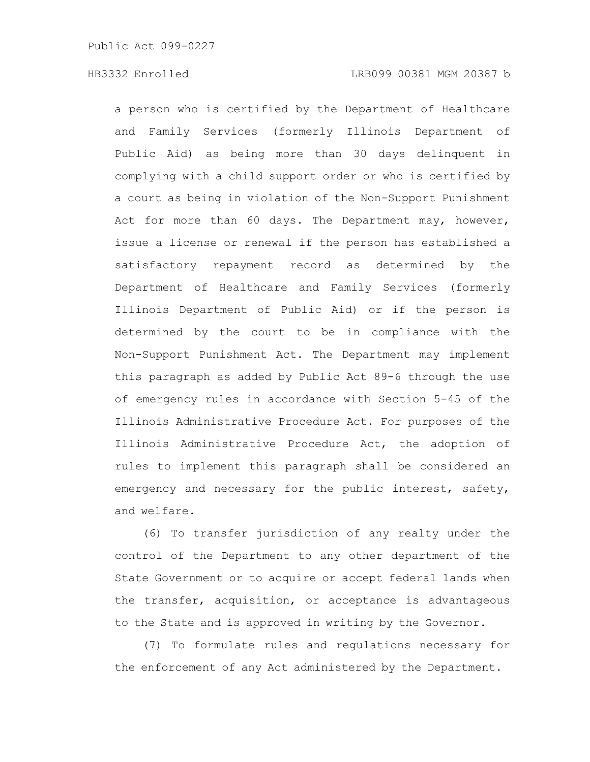### HB3332 Enrolled LRB099 00381 MGM 20387 b

a person who is certified by the Department of Healthcare and Family Services (formerly Illinois Department of Public Aid) as being more than 30 days delinquent in complying with a child support order or who is certified by a court as being in violation of the Non-Support Punishment Act for more than 60 days. The Department may, however, issue a license or renewal if the person has established a satisfactory repayment record as determined by the Department of Healthcare and Family Services (formerly Illinois Department of Public Aid) or if the person is determined by the court to be in compliance with the Non-Support Punishment Act. The Department may implement this paragraph as added by Public Act 89-6 through the use of emergency rules in accordance with Section 5-45 of the Illinois Administrative Procedure Act. For purposes of the Illinois Administrative Procedure Act, the adoption of rules to implement this paragraph shall be considered an emergency and necessary for the public interest, safety, and welfare.

(6) To transfer jurisdiction of any realty under the control of the Department to any other department of the State Government or to acquire or accept federal lands when the transfer, acquisition, or acceptance is advantageous to the State and is approved in writing by the Governor.

(7) To formulate rules and regulations necessary for the enforcement of any Act administered by the Department.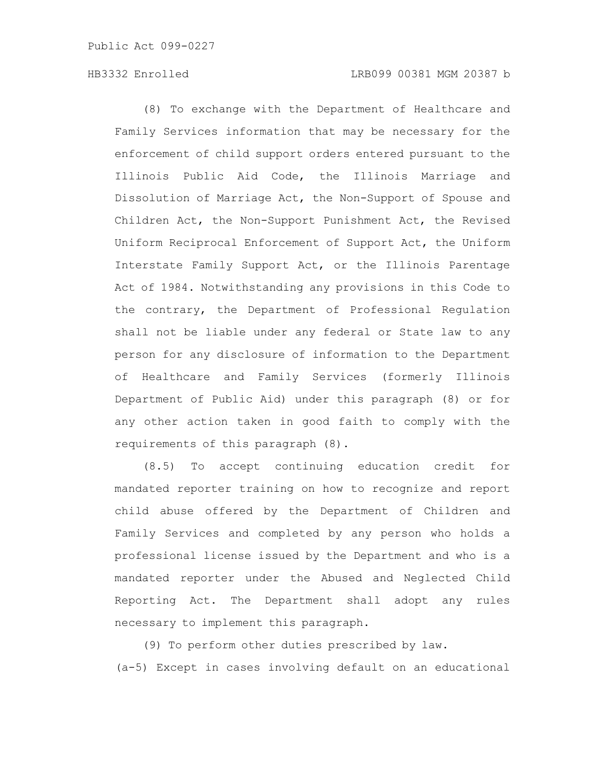# HB3332 Enrolled LRB099 00381 MGM 20387 b

(8) To exchange with the Department of Healthcare and Family Services information that may be necessary for the enforcement of child support orders entered pursuant to the Illinois Public Aid Code, the Illinois Marriage and Dissolution of Marriage Act, the Non-Support of Spouse and Children Act, the Non-Support Punishment Act, the Revised Uniform Reciprocal Enforcement of Support Act, the Uniform Interstate Family Support Act, or the Illinois Parentage Act of 1984. Notwithstanding any provisions in this Code to the contrary, the Department of Professional Regulation shall not be liable under any federal or State law to any person for any disclosure of information to the Department of Healthcare and Family Services (formerly Illinois Department of Public Aid) under this paragraph (8) or for any other action taken in good faith to comply with the requirements of this paragraph (8).

(8.5) To accept continuing education credit for mandated reporter training on how to recognize and report child abuse offered by the Department of Children and Family Services and completed by any person who holds a professional license issued by the Department and who is a mandated reporter under the Abused and Neglected Child Reporting Act. The Department shall adopt any rules necessary to implement this paragraph.

(9) To perform other duties prescribed by law. (a-5) Except in cases involving default on an educational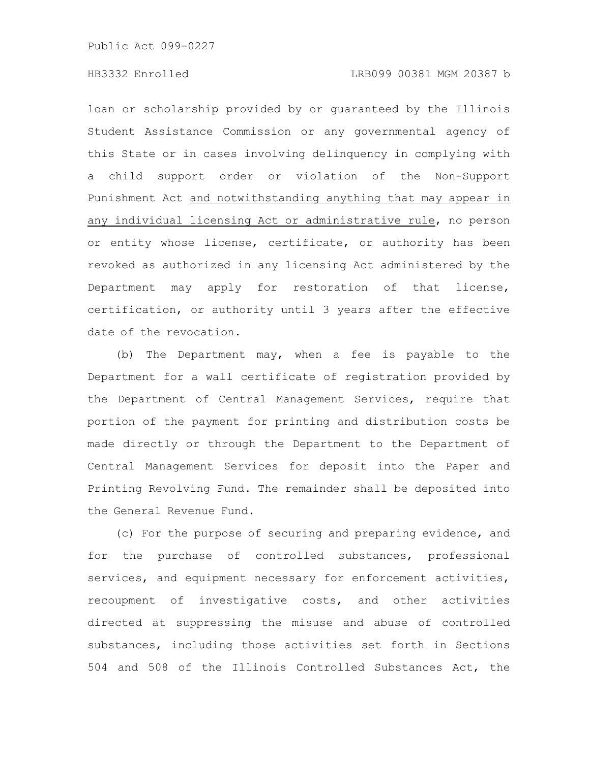# HB3332 Enrolled LRB099 00381 MGM 20387 b

loan or scholarship provided by or guaranteed by the Illinois Student Assistance Commission or any governmental agency of this State or in cases involving delinquency in complying with a child support order or violation of the Non-Support Punishment Act and notwithstanding anything that may appear in any individual licensing Act or administrative rule, no person or entity whose license, certificate, or authority has been revoked as authorized in any licensing Act administered by the Department may apply for restoration of that license, certification, or authority until 3 years after the effective date of the revocation.

(b) The Department may, when a fee is payable to the Department for a wall certificate of registration provided by the Department of Central Management Services, require that portion of the payment for printing and distribution costs be made directly or through the Department to the Department of Central Management Services for deposit into the Paper and Printing Revolving Fund. The remainder shall be deposited into the General Revenue Fund.

(c) For the purpose of securing and preparing evidence, and for the purchase of controlled substances, professional services, and equipment necessary for enforcement activities, recoupment of investigative costs, and other activities directed at suppressing the misuse and abuse of controlled substances, including those activities set forth in Sections 504 and 508 of the Illinois Controlled Substances Act, the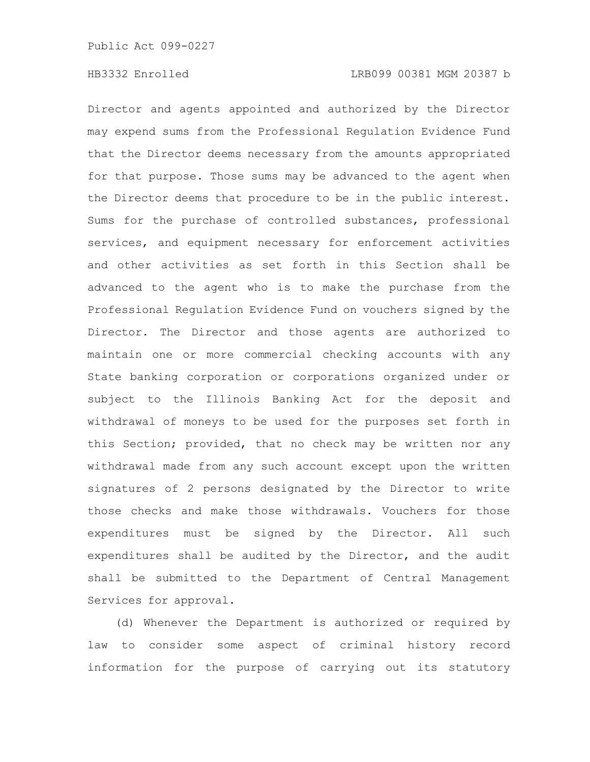Director and agents appointed and authorized by the Director may expend sums from the Professional Regulation Evidence Fund that the Director deems necessary from the amounts appropriated for that purpose. Those sums may be advanced to the agent when the Director deems that procedure to be in the public interest. Sums for the purchase of controlled substances, professional services, and equipment necessary for enforcement activities and other activities as set forth in this Section shall be advanced to the agent who is to make the purchase from the Professional Regulation Evidence Fund on vouchers signed by the Director. The Director and those agents are authorized to maintain one or more commercial checking accounts with any State banking corporation or corporations organized under or subject to the Illinois Banking Act for the deposit and withdrawal of moneys to be used for the purposes set forth in this Section; provided, that no check may be written nor any withdrawal made from any such account except upon the written signatures of 2 persons designated by the Director to write those checks and make those withdrawals. Vouchers for those expenditures must be signed by the Director. All such expenditures shall be audited by the Director, and the audit shall be submitted to the Department of Central Management Services for approval.

(d) Whenever the Department is authorized or required by law to consider some aspect of criminal history record information for the purpose of carrying out its statutory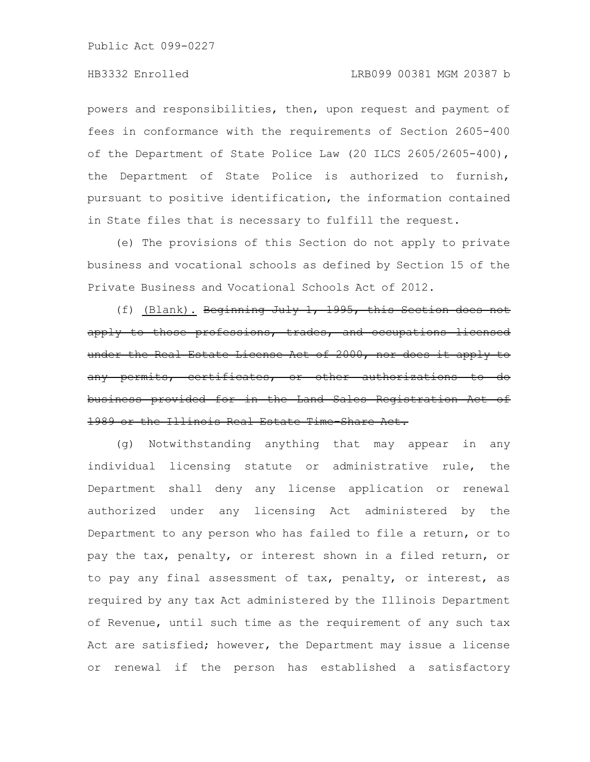powers and responsibilities, then, upon request and payment of fees in conformance with the requirements of Section 2605-400 of the Department of State Police Law (20 ILCS 2605/2605-400), the Department of State Police is authorized to furnish, pursuant to positive identification, the information contained in State files that is necessary to fulfill the request.

(e) The provisions of this Section do not apply to private business and vocational schools as defined by Section 15 of the Private Business and Vocational Schools Act of 2012.

(f) (Blank). Beginning July 1, 1995, this Section does not apply to those professions, trades, and occupations under the Real Estate License Act of 2000, nor does any permits, certificates, or other authorizat business provided for in the Land Sales Registration Act of 1989 or the Illinois Real Estate Time-Share Act.

(g) Notwithstanding anything that may appear in any individual licensing statute or administrative rule, the Department shall deny any license application or renewal authorized under any licensing Act administered by the Department to any person who has failed to file a return, or to pay the tax, penalty, or interest shown in a filed return, or to pay any final assessment of tax, penalty, or interest, as required by any tax Act administered by the Illinois Department of Revenue, until such time as the requirement of any such tax Act are satisfied; however, the Department may issue a license or renewal if the person has established a satisfactory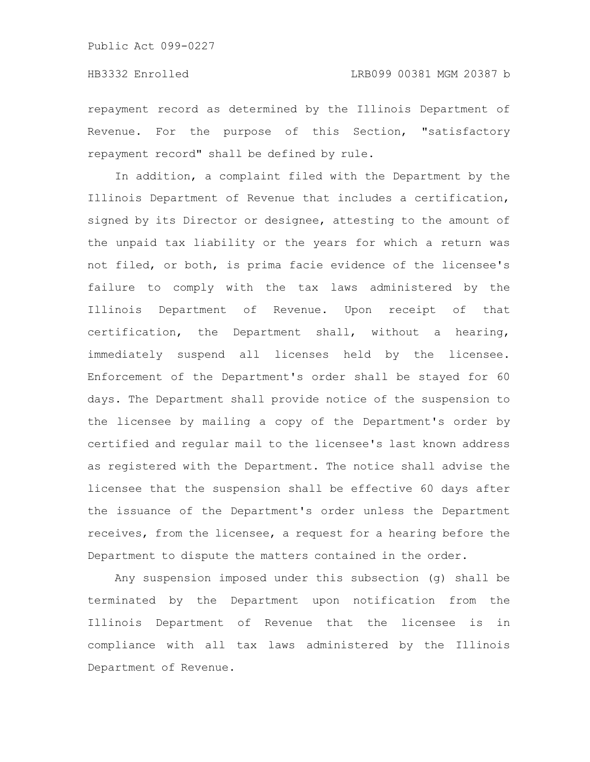repayment record as determined by the Illinois Department of Revenue. For the purpose of this Section, "satisfactory repayment record" shall be defined by rule.

In addition, a complaint filed with the Department by the Illinois Department of Revenue that includes a certification, signed by its Director or designee, attesting to the amount of the unpaid tax liability or the years for which a return was not filed, or both, is prima facie evidence of the licensee's failure to comply with the tax laws administered by the Illinois Department of Revenue. Upon receipt of that certification, the Department shall, without a hearing, immediately suspend all licenses held by the licensee. Enforcement of the Department's order shall be stayed for 60 days. The Department shall provide notice of the suspension to the licensee by mailing a copy of the Department's order by certified and regular mail to the licensee's last known address as registered with the Department. The notice shall advise the licensee that the suspension shall be effective 60 days after the issuance of the Department's order unless the Department receives, from the licensee, a request for a hearing before the Department to dispute the matters contained in the order.

Any suspension imposed under this subsection (g) shall be terminated by the Department upon notification from the Illinois Department of Revenue that the licensee is in compliance with all tax laws administered by the Illinois Department of Revenue.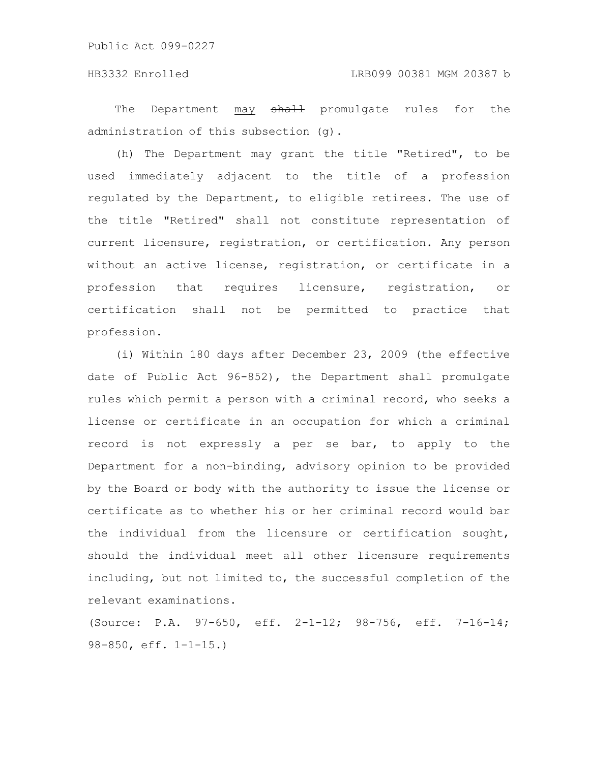The Department may shall promulgate rules for the administration of this subsection (g).

(h) The Department may grant the title "Retired", to be used immediately adjacent to the title of a profession regulated by the Department, to eligible retirees. The use of the title "Retired" shall not constitute representation of current licensure, registration, or certification. Any person without an active license, registration, or certificate in a profession that requires licensure, registration, or certification shall not be permitted to practice that profession.

(i) Within 180 days after December 23, 2009 (the effective date of Public Act 96-852), the Department shall promulgate rules which permit a person with a criminal record, who seeks a license or certificate in an occupation for which a criminal record is not expressly a per se bar, to apply to the Department for a non-binding, advisory opinion to be provided by the Board or body with the authority to issue the license or certificate as to whether his or her criminal record would bar the individual from the licensure or certification sought, should the individual meet all other licensure requirements including, but not limited to, the successful completion of the relevant examinations.

(Source: P.A. 97-650, eff. 2-1-12; 98-756, eff. 7-16-14; 98-850, eff. 1-1-15.)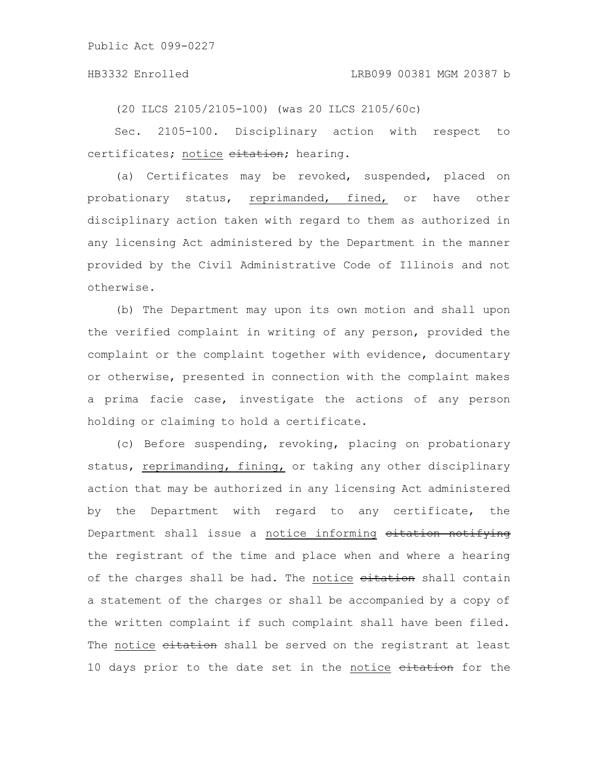(20 ILCS 2105/2105-100) (was 20 ILCS 2105/60c)

Sec. 2105-100. Disciplinary action with respect to certificates; notice eitation; hearing.

(a) Certificates may be revoked, suspended, placed on probationary status, reprimanded, fined, or have other disciplinary action taken with regard to them as authorized in any licensing Act administered by the Department in the manner provided by the Civil Administrative Code of Illinois and not otherwise.

(b) The Department may upon its own motion and shall upon the verified complaint in writing of any person, provided the complaint or the complaint together with evidence, documentary or otherwise, presented in connection with the complaint makes a prima facie case, investigate the actions of any person holding or claiming to hold a certificate.

(c) Before suspending, revoking, placing on probationary status, reprimanding, fining, or taking any other disciplinary action that may be authorized in any licensing Act administered by the Department with regard to any certificate, the Department shall issue a notice informing eitation notifying the registrant of the time and place when and where a hearing of the charges shall be had. The notice eitation shall contain a statement of the charges or shall be accompanied by a copy of the written complaint if such complaint shall have been filed. The notice eitation shall be served on the registrant at least 10 days prior to the date set in the notice eitation for the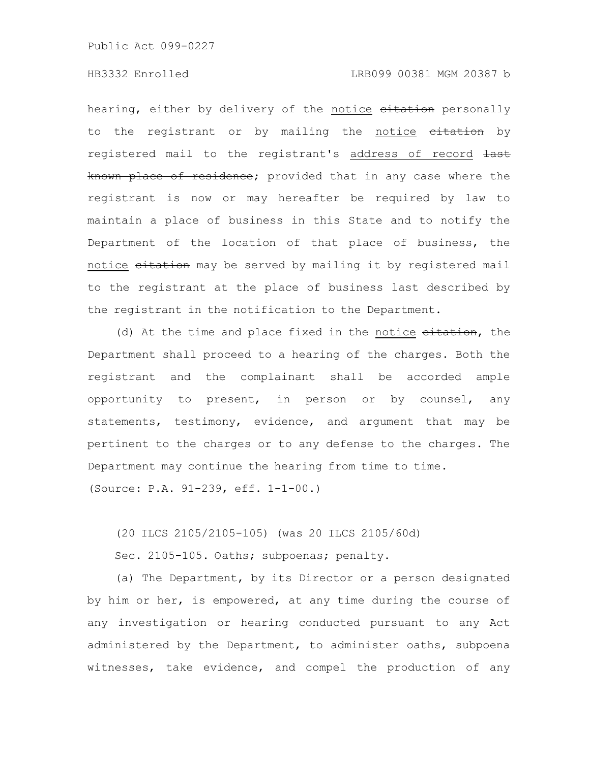### HB3332 Enrolled LRB099 00381 MGM 20387 b

hearing, either by delivery of the notice eitation personally to the registrant or by mailing the notice eitation by registered mail to the registrant's address of record last known place of residence; provided that in any case where the registrant is now or may hereafter be required by law to maintain a place of business in this State and to notify the Department of the location of that place of business, the notice citation may be served by mailing it by registered mail to the registrant at the place of business last described by the registrant in the notification to the Department.

(d) At the time and place fixed in the notice eitation, the Department shall proceed to a hearing of the charges. Both the registrant and the complainant shall be accorded ample opportunity to present, in person or by counsel, any statements, testimony, evidence, and argument that may be pertinent to the charges or to any defense to the charges. The Department may continue the hearing from time to time. (Source: P.A. 91-239, eff. 1-1-00.)

(20 ILCS 2105/2105-105) (was 20 ILCS 2105/60d)

Sec. 2105-105. Oaths; subpoenas; penalty.

(a) The Department, by its Director or a person designated by him or her, is empowered, at any time during the course of any investigation or hearing conducted pursuant to any Act administered by the Department, to administer oaths, subpoena witnesses, take evidence, and compel the production of any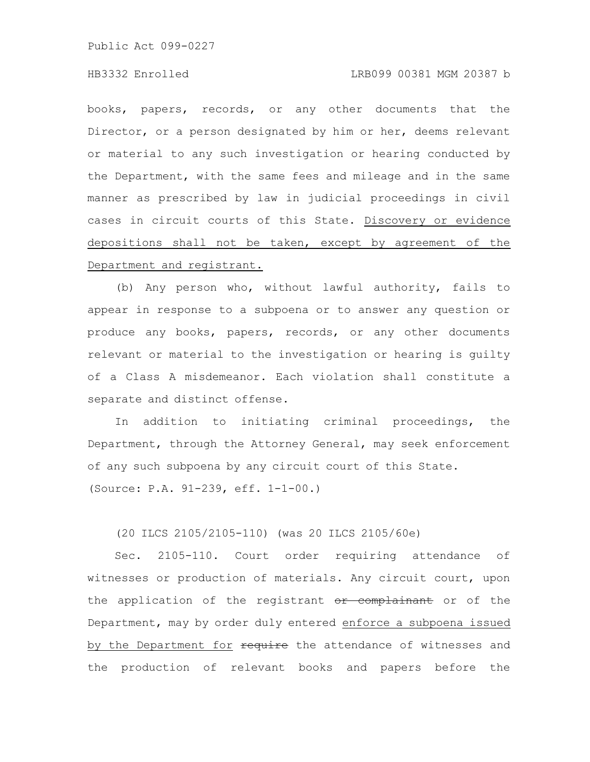# HB3332 Enrolled LRB099 00381 MGM 20387 b

books, papers, records, or any other documents that the Director, or a person designated by him or her, deems relevant or material to any such investigation or hearing conducted by the Department, with the same fees and mileage and in the same manner as prescribed by law in judicial proceedings in civil cases in circuit courts of this State. Discovery or evidence depositions shall not be taken, except by agreement of the Department and registrant.

(b) Any person who, without lawful authority, fails to appear in response to a subpoena or to answer any question or produce any books, papers, records, or any other documents relevant or material to the investigation or hearing is guilty of a Class A misdemeanor. Each violation shall constitute a separate and distinct offense.

In addition to initiating criminal proceedings, the Department, through the Attorney General, may seek enforcement of any such subpoena by any circuit court of this State. (Source: P.A. 91-239, eff. 1-1-00.)

(20 ILCS 2105/2105-110) (was 20 ILCS 2105/60e)

Sec. 2105-110. Court order requiring attendance of witnesses or production of materials. Any circuit court, upon the application of the registrant or complainant or of the Department, may by order duly entered enforce a subpoena issued by the Department for require the attendance of witnesses and the production of relevant books and papers before the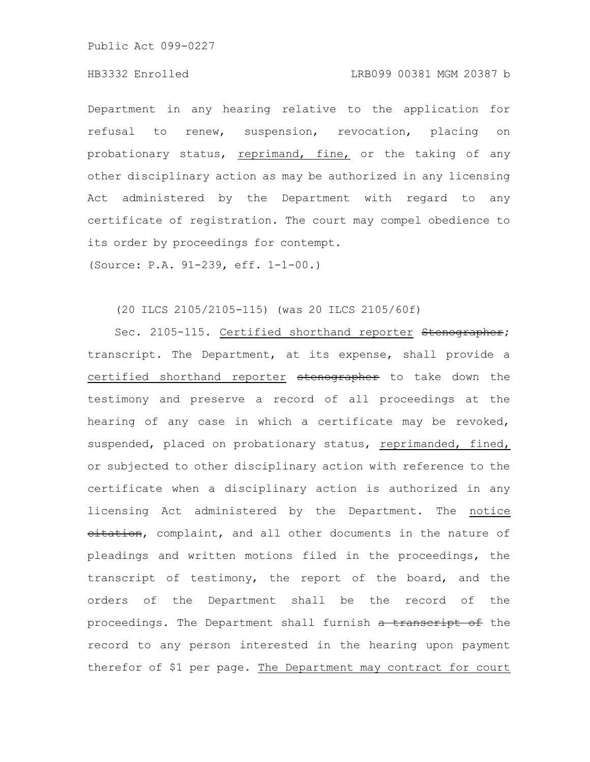### HB3332 Enrolled LRB099 00381 MGM 20387 b

Department in any hearing relative to the application for refusal to renew, suspension, revocation, placing on probationary status, reprimand, fine, or the taking of any other disciplinary action as may be authorized in any licensing Act administered by the Department with regard to any certificate of registration. The court may compel obedience to its order by proceedings for contempt.

(Source: P.A. 91-239, eff. 1-1-00.)

# (20 ILCS 2105/2105-115) (was 20 ILCS 2105/60f)

Sec. 2105-115. Certified shorthand reporter Stenographer; transcript. The Department, at its expense, shall provide a certified shorthand reporter stenographer to take down the testimony and preserve a record of all proceedings at the hearing of any case in which a certificate may be revoked, suspended, placed on probationary status, reprimanded, fined, or subjected to other disciplinary action with reference to the certificate when a disciplinary action is authorized in any licensing Act administered by the Department. The notice eitation, complaint, and all other documents in the nature of pleadings and written motions filed in the proceedings, the transcript of testimony, the report of the board, and the orders of the Department shall be the record of the proceedings. The Department shall furnish a transcript of the record to any person interested in the hearing upon payment therefor of \$1 per page. The Department may contract for court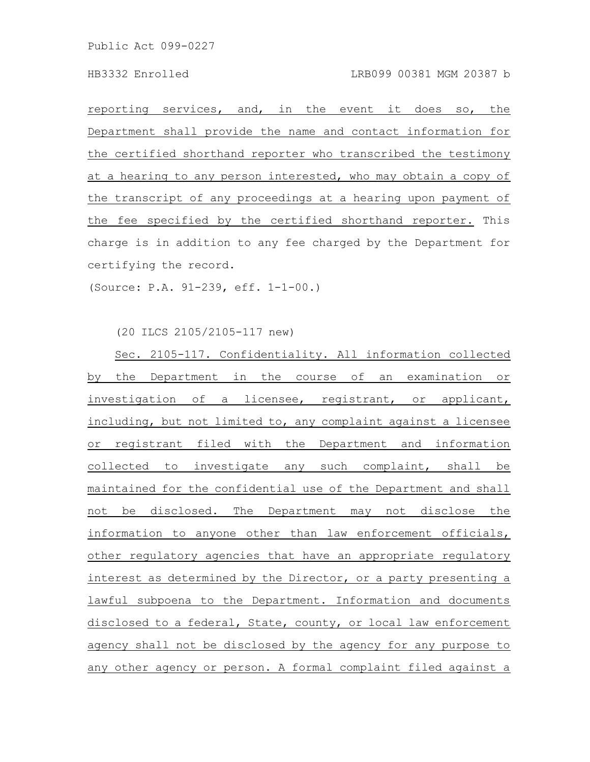reporting services, and, in the event it does so, the Department shall provide the name and contact information for the certified shorthand reporter who transcribed the testimony at a hearing to any person interested, who may obtain a copy of the transcript of any proceedings at a hearing upon payment of the fee specified by the certified shorthand reporter. This charge is in addition to any fee charged by the Department for certifying the record.

(Source: P.A. 91-239, eff. 1-1-00.)

(20 ILCS 2105/2105-117 new)

Sec. 2105-117. Confidentiality. All information collected by the Department in the course of an examination or investigation of a licensee, registrant, or applicant, including, but not limited to, any complaint against a licensee or registrant filed with the Department and information collected to investigate any such complaint, shall be maintained for the confidential use of the Department and shall not be disclosed. The Department may not disclose the information to anyone other than law enforcement officials, other regulatory agencies that have an appropriate regulatory interest as determined by the Director, or a party presenting a lawful subpoena to the Department. Information and documents disclosed to a federal, State, county, or local law enforcement agency shall not be disclosed by the agency for any purpose to any other agency or person. A formal complaint filed against a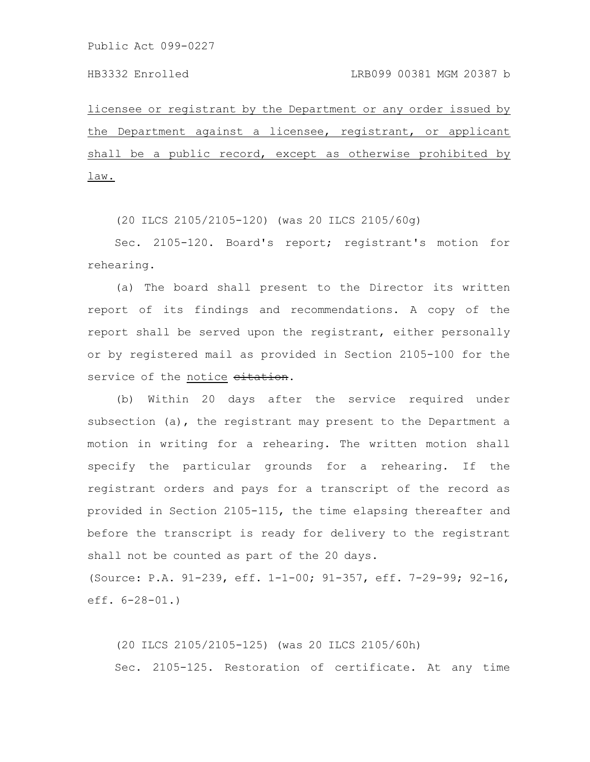licensee or registrant by the Department or any order issued by the Department against a licensee, registrant, or applicant shall be a public record, except as otherwise prohibited by law.

(20 ILCS 2105/2105-120) (was 20 ILCS 2105/60g)

Sec. 2105-120. Board's report; registrant's motion for rehearing.

(a) The board shall present to the Director its written report of its findings and recommendations. A copy of the report shall be served upon the registrant, either personally or by registered mail as provided in Section 2105-100 for the service of the notice eitation.

(b) Within 20 days after the service required under subsection (a), the registrant may present to the Department a motion in writing for a rehearing. The written motion shall specify the particular grounds for a rehearing. If the registrant orders and pays for a transcript of the record as provided in Section 2105-115, the time elapsing thereafter and before the transcript is ready for delivery to the registrant shall not be counted as part of the 20 days.

(Source: P.A. 91-239, eff. 1-1-00; 91-357, eff. 7-29-99; 92-16, eff. 6-28-01.)

(20 ILCS 2105/2105-125) (was 20 ILCS 2105/60h) Sec. 2105-125. Restoration of certificate. At any time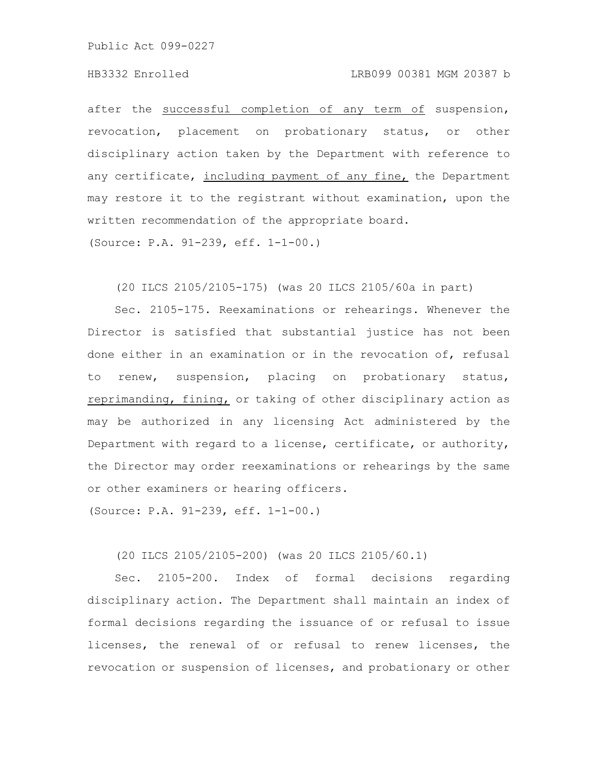after the successful completion of any term of suspension, revocation, placement on probationary status, or other disciplinary action taken by the Department with reference to any certificate, including payment of any fine, the Department may restore it to the registrant without examination, upon the written recommendation of the appropriate board.

(Source: P.A. 91-239, eff. 1-1-00.)

(20 ILCS 2105/2105-175) (was 20 ILCS 2105/60a in part)

Sec. 2105-175. Reexaminations or rehearings. Whenever the Director is satisfied that substantial justice has not been done either in an examination or in the revocation of, refusal to renew, suspension, placing on probationary status, reprimanding, fining, or taking of other disciplinary action as may be authorized in any licensing Act administered by the Department with regard to a license, certificate, or authority, the Director may order reexaminations or rehearings by the same or other examiners or hearing officers.

(Source: P.A. 91-239, eff. 1-1-00.)

(20 ILCS 2105/2105-200) (was 20 ILCS 2105/60.1)

Sec. 2105-200. Index of formal decisions regarding disciplinary action. The Department shall maintain an index of formal decisions regarding the issuance of or refusal to issue licenses, the renewal of or refusal to renew licenses, the revocation or suspension of licenses, and probationary or other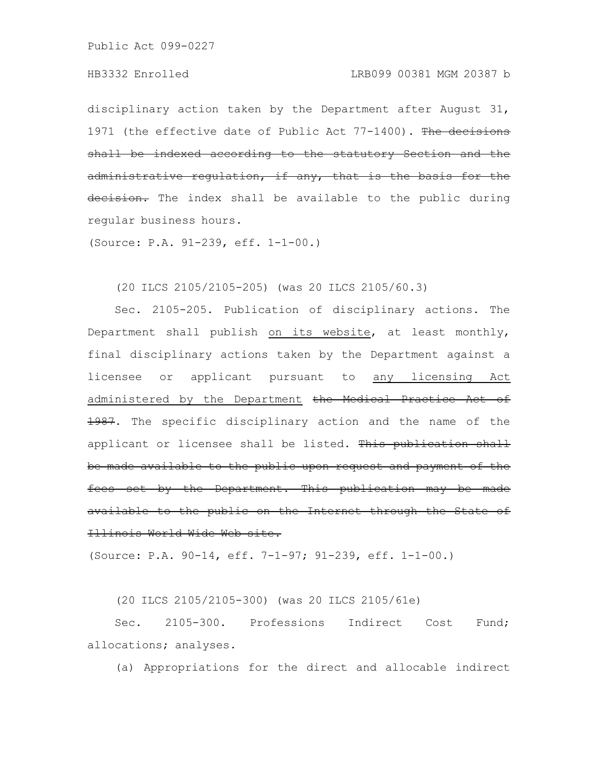disciplinary action taken by the Department after August 31, 1971 (the effective date of Public Act 77-1400). The decisions shall be indexed according to the statutory Section and the administrative regulation, if any, that is the basis decision. The index shall be available to the public during regular business hours.

(Source: P.A. 91-239, eff. 1-1-00.)

(20 ILCS 2105/2105-205) (was 20 ILCS 2105/60.3)

Sec. 2105-205. Publication of disciplinary actions. The Department shall publish on its website, at least monthly, final disciplinary actions taken by the Department against a licensee or applicant pursuant to any licensing Act administered by the Department the Medical Practice Act of 1987. The specific disciplinary action and the name of the applicant or licensee shall be listed. This publication shall be made available to the public upon request and payment of the fees set by the Department. This publication may be made available to the public on the Internet through the State of Illinois World Wide Web site.

(Source: P.A. 90-14, eff. 7-1-97; 91-239, eff. 1-1-00.)

(20 ILCS 2105/2105-300) (was 20 ILCS 2105/61e)

Sec. 2105-300. Professions Indirect Cost Fund; allocations; analyses.

(a) Appropriations for the direct and allocable indirect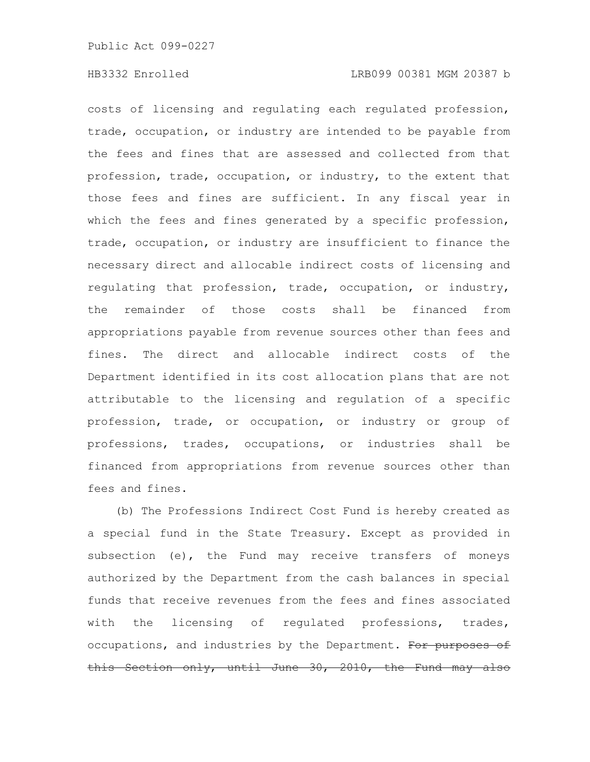costs of licensing and regulating each regulated profession, trade, occupation, or industry are intended to be payable from the fees and fines that are assessed and collected from that profession, trade, occupation, or industry, to the extent that those fees and fines are sufficient. In any fiscal year in which the fees and fines generated by a specific profession, trade, occupation, or industry are insufficient to finance the necessary direct and allocable indirect costs of licensing and regulating that profession, trade, occupation, or industry, the remainder of those costs shall be financed from appropriations payable from revenue sources other than fees and fines. The direct and allocable indirect costs of the Department identified in its cost allocation plans that are not attributable to the licensing and regulation of a specific profession, trade, or occupation, or industry or group of professions, trades, occupations, or industries shall be financed from appropriations from revenue sources other than fees and fines.

(b) The Professions Indirect Cost Fund is hereby created as a special fund in the State Treasury. Except as provided in subsection (e), the Fund may receive transfers of moneys authorized by the Department from the cash balances in special funds that receive revenues from the fees and fines associated with the licensing of regulated professions, trades, occupations, and industries by the Department. For purposes of this Section only, until June 30, 2010, the Fund may also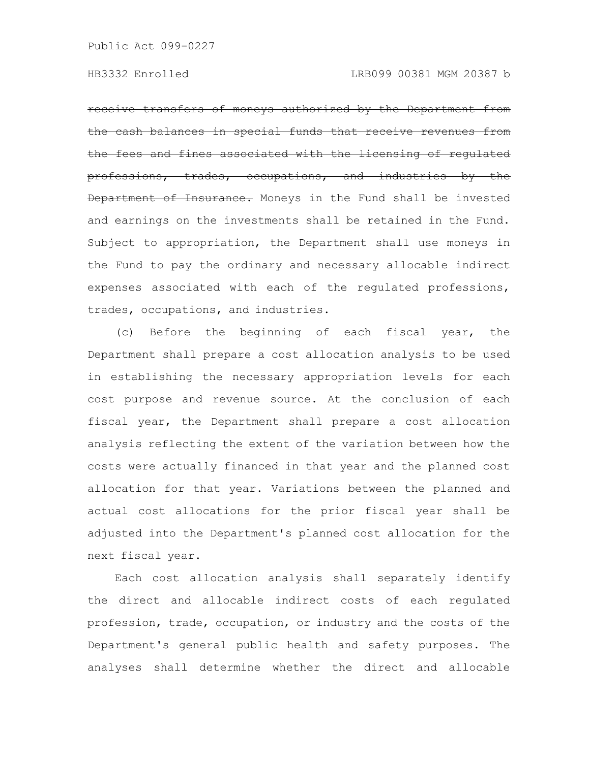receive transfers of moneys authorized by the Department the cash balances in special funds that receive revenues from fees and fines associated with the licensing of regulated professions, trades, occupations, and industries by the Department of Insurance. Moneys in the Fund shall be invested and earnings on the investments shall be retained in the Fund. Subject to appropriation, the Department shall use moneys in the Fund to pay the ordinary and necessary allocable indirect expenses associated with each of the regulated professions, trades, occupations, and industries.

(c) Before the beginning of each fiscal year, the Department shall prepare a cost allocation analysis to be used in establishing the necessary appropriation levels for each cost purpose and revenue source. At the conclusion of each fiscal year, the Department shall prepare a cost allocation analysis reflecting the extent of the variation between how the costs were actually financed in that year and the planned cost allocation for that year. Variations between the planned and actual cost allocations for the prior fiscal year shall be adjusted into the Department's planned cost allocation for the next fiscal year.

Each cost allocation analysis shall separately identify the direct and allocable indirect costs of each regulated profession, trade, occupation, or industry and the costs of the Department's general public health and safety purposes. The analyses shall determine whether the direct and allocable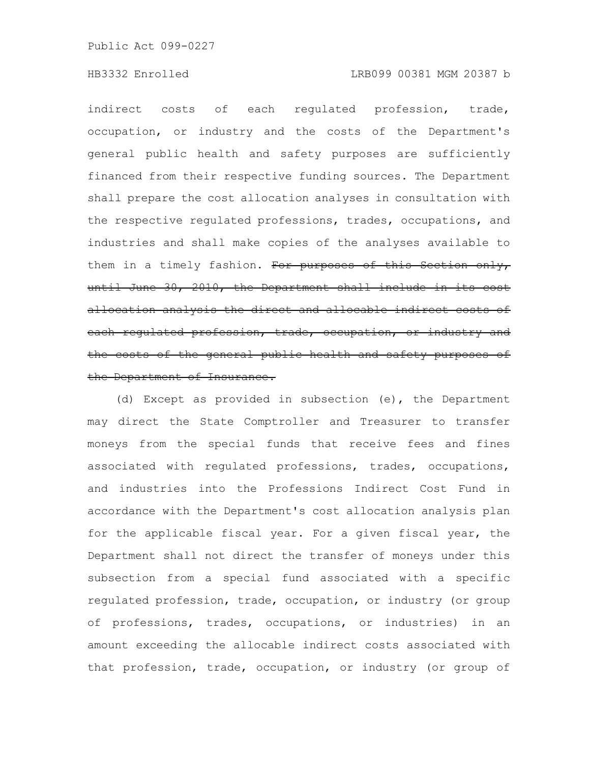# HB3332 Enrolled LRB099 00381 MGM 20387 b

indirect costs of each regulated profession, trade, occupation, or industry and the costs of the Department's general public health and safety purposes are sufficiently financed from their respective funding sources. The Department shall prepare the cost allocation analyses in consultation with the respective regulated professions, trades, occupations, and industries and shall make copies of the analyses available to them in a timely fashion. For purposes of this Section only, until June 30, 2010, the Department shall include in its cost allocation analysis the direct and allocable indirect costs of each regulated profession, trade, occupation, or industry and the costs of the general public health and safety purposes of the Department of Insurance.

(d) Except as provided in subsection (e), the Department may direct the State Comptroller and Treasurer to transfer moneys from the special funds that receive fees and fines associated with regulated professions, trades, occupations, and industries into the Professions Indirect Cost Fund in accordance with the Department's cost allocation analysis plan for the applicable fiscal year. For a given fiscal year, the Department shall not direct the transfer of moneys under this subsection from a special fund associated with a specific regulated profession, trade, occupation, or industry (or group of professions, trades, occupations, or industries) in an amount exceeding the allocable indirect costs associated with that profession, trade, occupation, or industry (or group of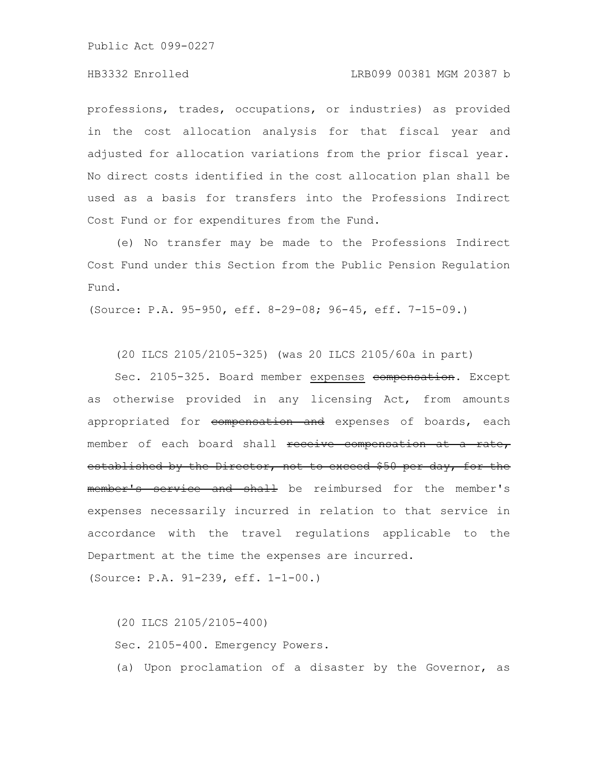professions, trades, occupations, or industries) as provided in the cost allocation analysis for that fiscal year and adjusted for allocation variations from the prior fiscal year. No direct costs identified in the cost allocation plan shall be used as a basis for transfers into the Professions Indirect Cost Fund or for expenditures from the Fund.

(e) No transfer may be made to the Professions Indirect Cost Fund under this Section from the Public Pension Regulation Fund.

(Source: P.A. 95-950, eff. 8-29-08; 96-45, eff. 7-15-09.)

(20 ILCS 2105/2105-325) (was 20 ILCS 2105/60a in part)

Sec. 2105-325. Board member expenses compensation. Except as otherwise provided in any licensing Act, from amounts appropriated for compensation and expenses of boards, each member of each board shall receive compensation at a rate, established by the Director, not to exceed \$50 per day, for the member's service and shall be reimbursed for the member's expenses necessarily incurred in relation to that service in accordance with the travel regulations applicable to the Department at the time the expenses are incurred.

(Source: P.A. 91-239, eff. 1-1-00.)

(20 ILCS 2105/2105-400) Sec. 2105-400. Emergency Powers. (a) Upon proclamation of a disaster by the Governor, as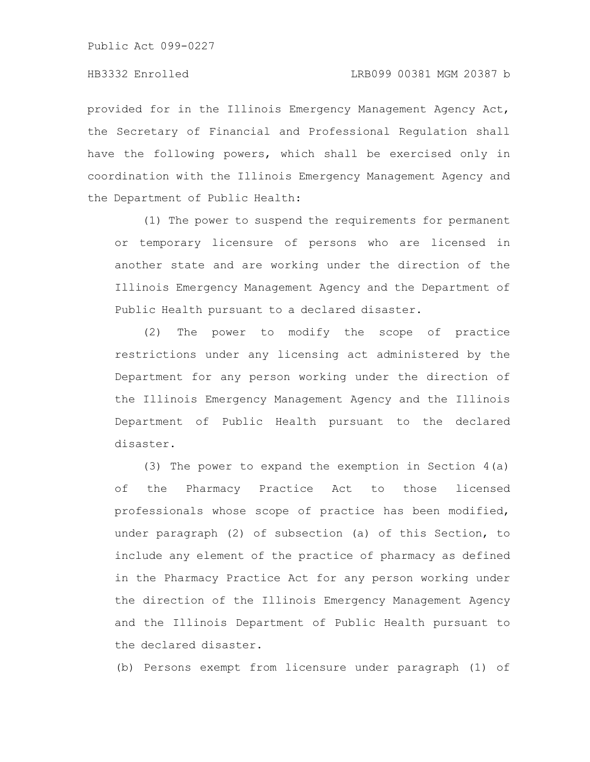provided for in the Illinois Emergency Management Agency Act, the Secretary of Financial and Professional Regulation shall have the following powers, which shall be exercised only in coordination with the Illinois Emergency Management Agency and the Department of Public Health:

(1) The power to suspend the requirements for permanent or temporary licensure of persons who are licensed in another state and are working under the direction of the Illinois Emergency Management Agency and the Department of Public Health pursuant to a declared disaster.

(2) The power to modify the scope of practice restrictions under any licensing act administered by the Department for any person working under the direction of the Illinois Emergency Management Agency and the Illinois Department of Public Health pursuant to the declared disaster.

(3) The power to expand the exemption in Section 4(a) of the Pharmacy Practice Act to those licensed professionals whose scope of practice has been modified, under paragraph (2) of subsection (a) of this Section, to include any element of the practice of pharmacy as defined in the Pharmacy Practice Act for any person working under the direction of the Illinois Emergency Management Agency and the Illinois Department of Public Health pursuant to the declared disaster.

(b) Persons exempt from licensure under paragraph (1) of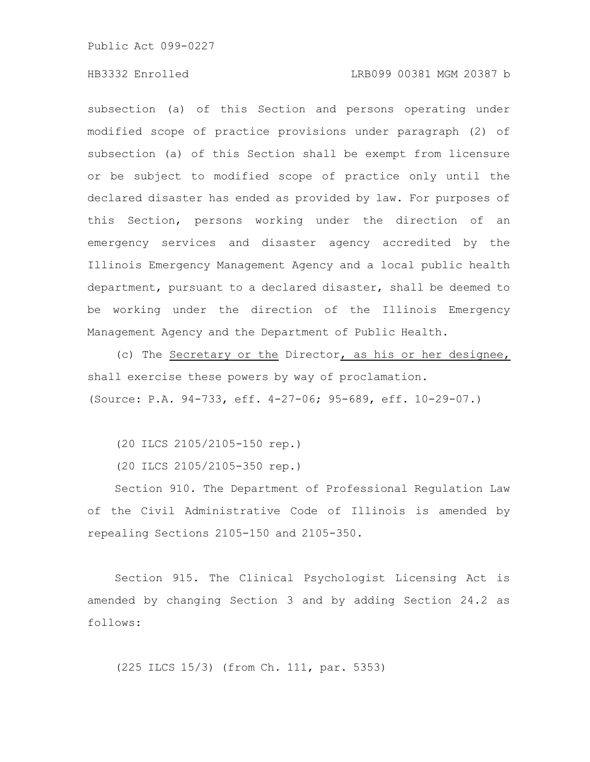## HB3332 Enrolled LRB099 00381 MGM 20387 b

subsection (a) of this Section and persons operating under modified scope of practice provisions under paragraph (2) of subsection (a) of this Section shall be exempt from licensure or be subject to modified scope of practice only until the declared disaster has ended as provided by law. For purposes of this Section, persons working under the direction of an emergency services and disaster agency accredited by the Illinois Emergency Management Agency and a local public health department, pursuant to a declared disaster, shall be deemed to be working under the direction of the Illinois Emergency Management Agency and the Department of Public Health.

(c) The Secretary or the Director, as his or her designee, shall exercise these powers by way of proclamation. (Source: P.A. 94-733, eff. 4-27-06; 95-689, eff. 10-29-07.)

(20 ILCS 2105/2105-150 rep.)

(20 ILCS 2105/2105-350 rep.)

Section 910. The Department of Professional Regulation Law of the Civil Administrative Code of Illinois is amended by repealing Sections 2105-150 and 2105-350.

Section 915. The Clinical Psychologist Licensing Act is amended by changing Section 3 and by adding Section 24.2 as follows:

(225 ILCS 15/3) (from Ch. 111, par. 5353)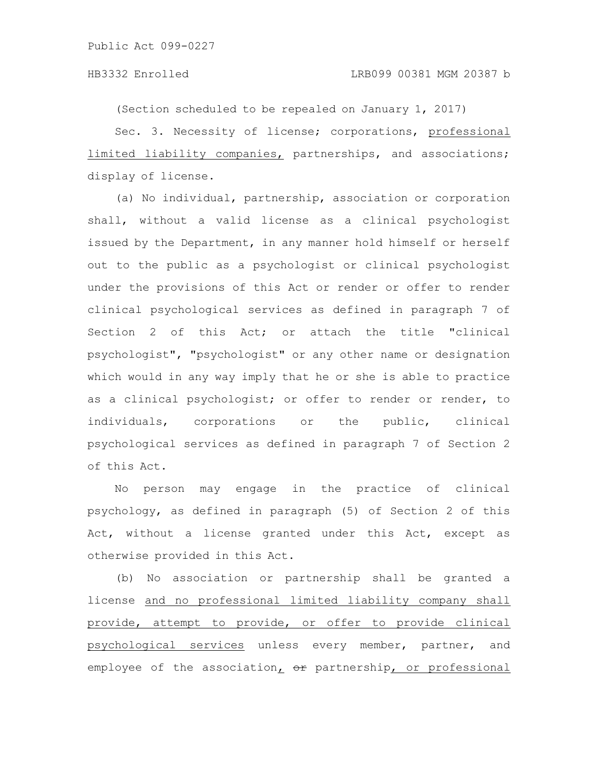(Section scheduled to be repealed on January 1, 2017)

Sec. 3. Necessity of license; corporations, professional limited liability companies, partnerships, and associations; display of license.

(a) No individual, partnership, association or corporation shall, without a valid license as a clinical psychologist issued by the Department, in any manner hold himself or herself out to the public as a psychologist or clinical psychologist under the provisions of this Act or render or offer to render clinical psychological services as defined in paragraph 7 of Section 2 of this Act; or attach the title "clinical psychologist", "psychologist" or any other name or designation which would in any way imply that he or she is able to practice as a clinical psychologist; or offer to render or render, to individuals, corporations or the public, clinical psychological services as defined in paragraph 7 of Section 2 of this Act.

No person may engage in the practice of clinical psychology, as defined in paragraph (5) of Section 2 of this Act, without a license granted under this Act, except as otherwise provided in this Act.

(b) No association or partnership shall be granted a license and no professional limited liability company shall provide, attempt to provide, or offer to provide clinical psychological services unless every member, partner, and employee of the association,  $\theta$ r partnership, or professional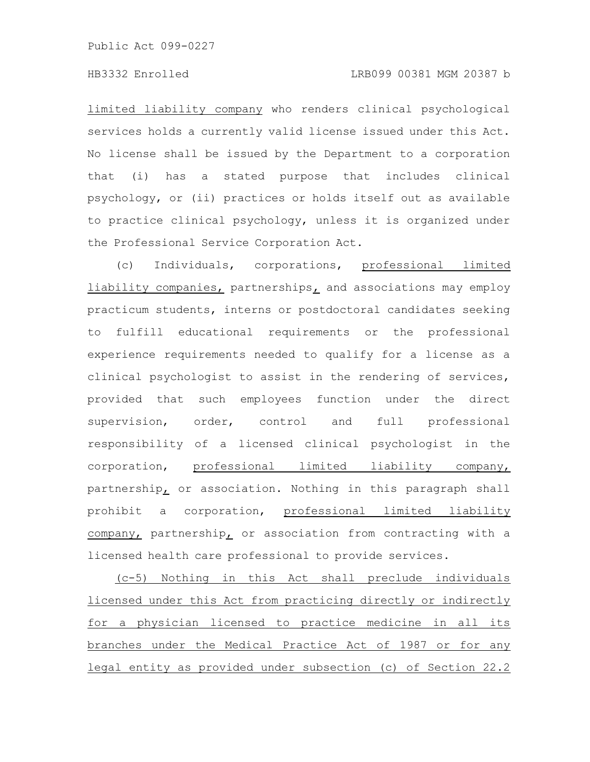# HB3332 Enrolled LRB099 00381 MGM 20387 b

limited liability company who renders clinical psychological services holds a currently valid license issued under this Act. No license shall be issued by the Department to a corporation that (i) has a stated purpose that includes clinical psychology, or (ii) practices or holds itself out as available to practice clinical psychology, unless it is organized under the Professional Service Corporation Act.

(c) Individuals, corporations, professional limited liability companies, partnerships, and associations may employ practicum students, interns or postdoctoral candidates seeking to fulfill educational requirements or the professional experience requirements needed to qualify for a license as a clinical psychologist to assist in the rendering of services, provided that such employees function under the direct supervision, order, control and full professional responsibility of a licensed clinical psychologist in the corporation, professional limited liability company, partnership, or association. Nothing in this paragraph shall prohibit a corporation, professional limited liability company, partnership, or association from contracting with a licensed health care professional to provide services.

(c-5) Nothing in this Act shall preclude individuals licensed under this Act from practicing directly or indirectly for a physician licensed to practice medicine in all its branches under the Medical Practice Act of 1987 or for any legal entity as provided under subsection (c) of Section 22.2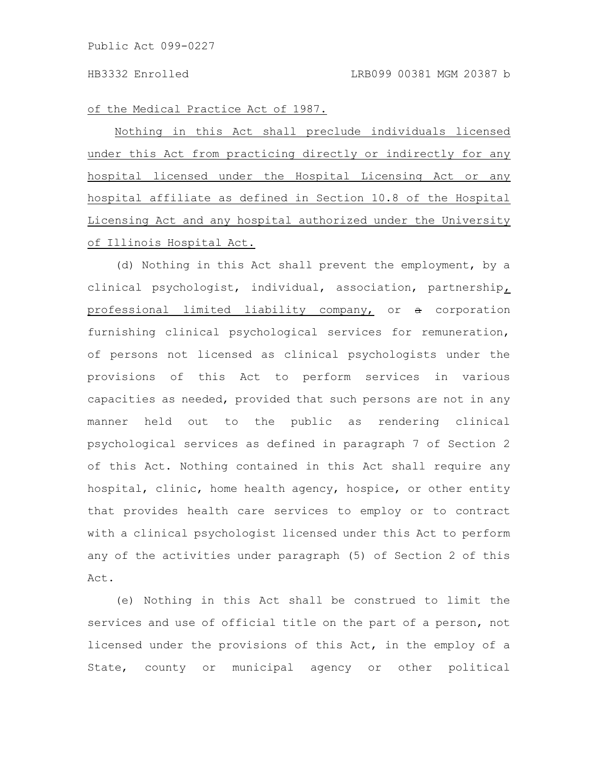of the Medical Practice Act of 1987.

Nothing in this Act shall preclude individuals licensed under this Act from practicing directly or indirectly for any hospital licensed under the Hospital Licensing Act or any hospital affiliate as defined in Section 10.8 of the Hospital Licensing Act and any hospital authorized under the University of Illinois Hospital Act.

(d) Nothing in this Act shall prevent the employment, by a clinical psychologist, individual, association, partnership, professional limited liability company, or a corporation furnishing clinical psychological services for remuneration, of persons not licensed as clinical psychologists under the provisions of this Act to perform services in various capacities as needed, provided that such persons are not in any manner held out to the public as rendering clinical psychological services as defined in paragraph 7 of Section 2 of this Act. Nothing contained in this Act shall require any hospital, clinic, home health agency, hospice, or other entity that provides health care services to employ or to contract with a clinical psychologist licensed under this Act to perform any of the activities under paragraph (5) of Section 2 of this Act.

(e) Nothing in this Act shall be construed to limit the services and use of official title on the part of a person, not licensed under the provisions of this Act, in the employ of a State, county or municipal agency or other political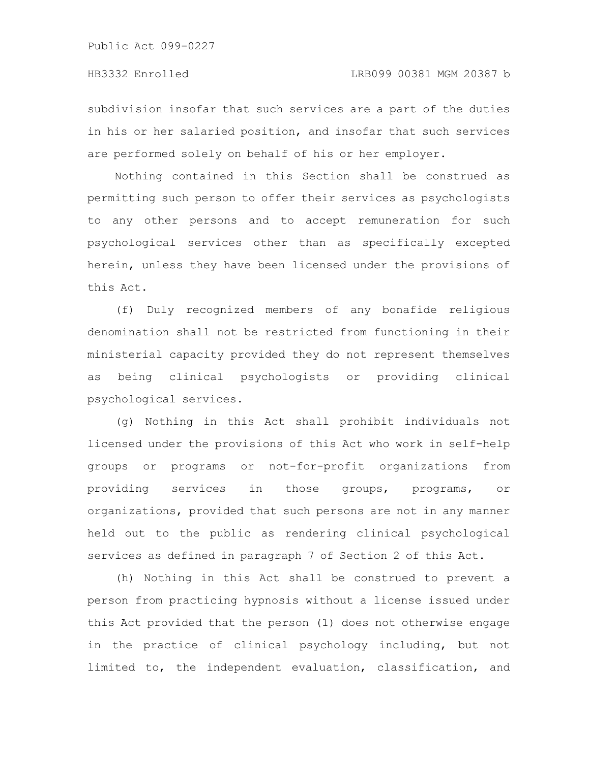subdivision insofar that such services are a part of the duties in his or her salaried position, and insofar that such services are performed solely on behalf of his or her employer.

Nothing contained in this Section shall be construed as permitting such person to offer their services as psychologists to any other persons and to accept remuneration for such psychological services other than as specifically excepted herein, unless they have been licensed under the provisions of this Act.

(f) Duly recognized members of any bonafide religious denomination shall not be restricted from functioning in their ministerial capacity provided they do not represent themselves as being clinical psychologists or providing clinical psychological services.

(g) Nothing in this Act shall prohibit individuals not licensed under the provisions of this Act who work in self-help groups or programs or not-for-profit organizations from providing services in those groups, programs, or organizations, provided that such persons are not in any manner held out to the public as rendering clinical psychological services as defined in paragraph 7 of Section 2 of this Act.

(h) Nothing in this Act shall be construed to prevent a person from practicing hypnosis without a license issued under this Act provided that the person (1) does not otherwise engage in the practice of clinical psychology including, but not limited to, the independent evaluation, classification, and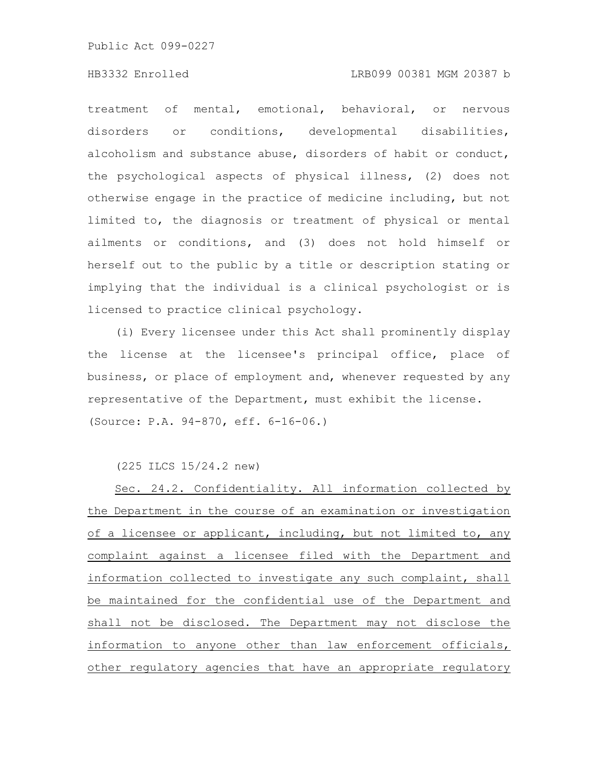### HB3332 Enrolled LRB099 00381 MGM 20387 b

treatment of mental, emotional, behavioral, or nervous disorders or conditions, developmental disabilities, alcoholism and substance abuse, disorders of habit or conduct, the psychological aspects of physical illness, (2) does not otherwise engage in the practice of medicine including, but not limited to, the diagnosis or treatment of physical or mental ailments or conditions, and (3) does not hold himself or herself out to the public by a title or description stating or implying that the individual is a clinical psychologist or is licensed to practice clinical psychology.

(i) Every licensee under this Act shall prominently display the license at the licensee's principal office, place of business, or place of employment and, whenever requested by any representative of the Department, must exhibit the license. (Source: P.A. 94-870, eff. 6-16-06.)

(225 ILCS 15/24.2 new)

Sec. 24.2. Confidentiality. All information collected by the Department in the course of an examination or investigation of a licensee or applicant, including, but not limited to, any complaint against a licensee filed with the Department and information collected to investigate any such complaint, shall be maintained for the confidential use of the Department and shall not be disclosed. The Department may not disclose the information to anyone other than law enforcement officials, other regulatory agencies that have an appropriate regulatory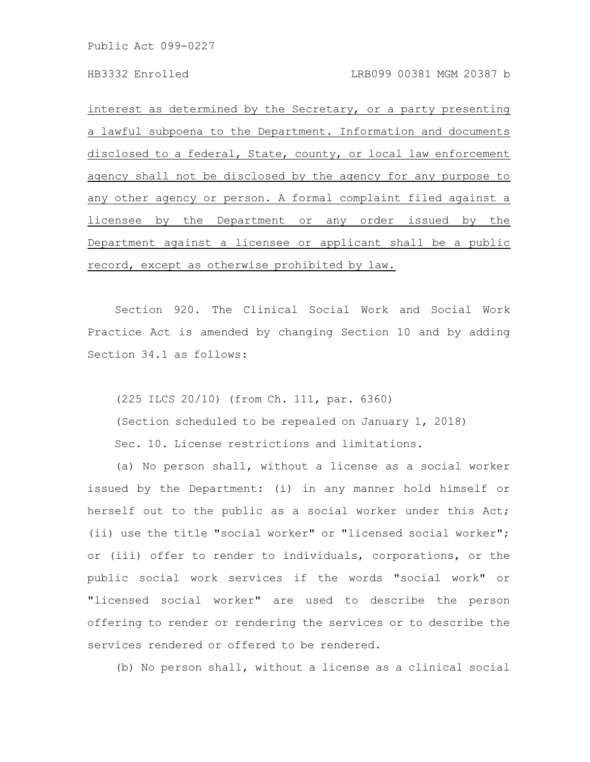interest as determined by the Secretary, or a party presenting a lawful subpoena to the Department. Information and documents disclosed to a federal, State, county, or local law enforcement agency shall not be disclosed by the agency for any purpose to any other agency or person. A formal complaint filed against a licensee by the Department or any order issued by the Department against a licensee or applicant shall be a public record, except as otherwise prohibited by law.

Section 920. The Clinical Social Work and Social Work Practice Act is amended by changing Section 10 and by adding Section 34.1 as follows:

(225 ILCS 20/10) (from Ch. 111, par. 6360)

(Section scheduled to be repealed on January 1, 2018)

Sec. 10. License restrictions and limitations.

(a) No person shall, without a license as a social worker issued by the Department: (i) in any manner hold himself or herself out to the public as a social worker under this Act; (ii) use the title "social worker" or "licensed social worker"; or (iii) offer to render to individuals, corporations, or the public social work services if the words "social work" or "licensed social worker" are used to describe the person offering to render or rendering the services or to describe the services rendered or offered to be rendered.

(b) No person shall, without a license as a clinical social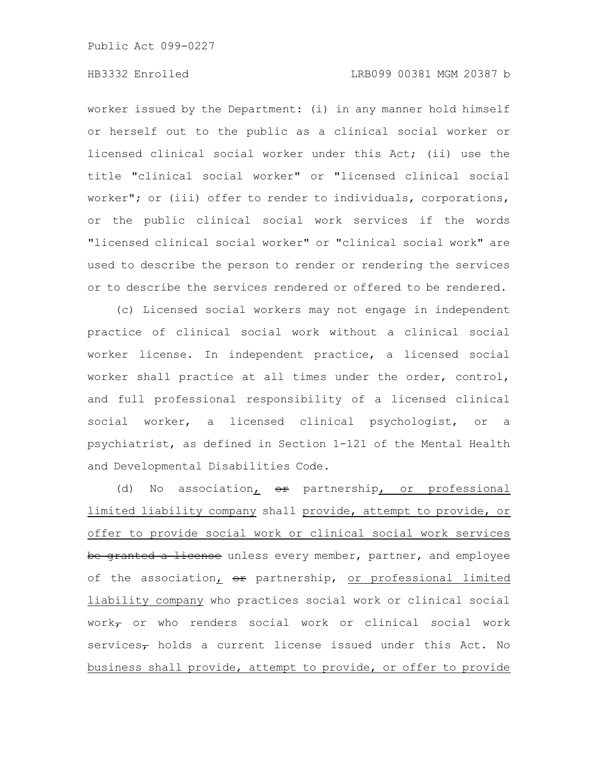# HB3332 Enrolled LRB099 00381 MGM 20387 b

worker issued by the Department: (i) in any manner hold himself or herself out to the public as a clinical social worker or licensed clinical social worker under this Act; (ii) use the title "clinical social worker" or "licensed clinical social worker"; or (iii) offer to render to individuals, corporations, or the public clinical social work services if the words "licensed clinical social worker" or "clinical social work" are used to describe the person to render or rendering the services or to describe the services rendered or offered to be rendered.

(c) Licensed social workers may not engage in independent practice of clinical social work without a clinical social worker license. In independent practice, a licensed social worker shall practice at all times under the order, control, and full professional responsibility of a licensed clinical social worker, a licensed clinical psychologist, or a psychiatrist, as defined in Section 1-121 of the Mental Health and Developmental Disabilities Code.

(d) No association,  $\Theta$  partnership, or professional limited liability company shall provide, attempt to provide, or offer to provide social work or clinical social work services be granted a license unless every member, partner, and employee of the association, or partnership, or professional limited liability company who practices social work or clinical social work $_{\tau}$  or who renders social work or clinical social work services $_{\tau}$  holds a current license issued under this Act. No business shall provide, attempt to provide, or offer to provide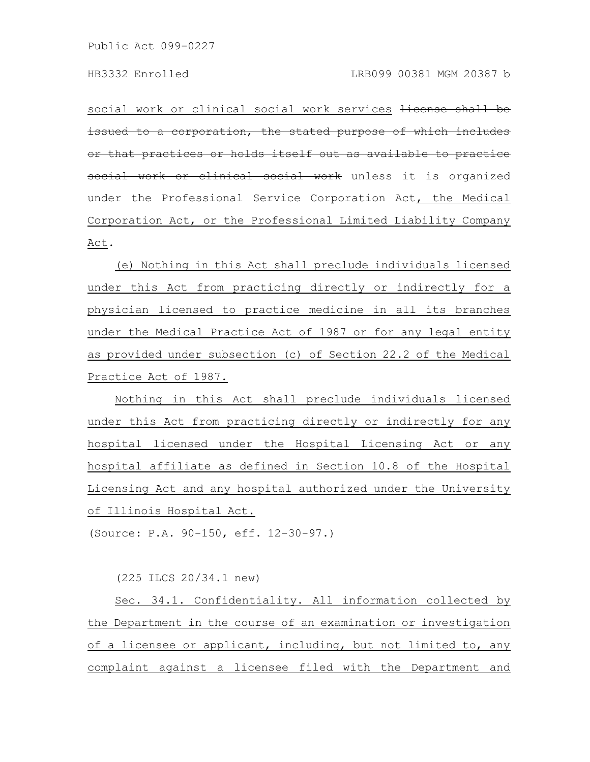social work or clinical social work services <del>license shall be</del> issued to a corporation, the stated purpose of which includes that practices or holds itself out as available to practice work or clinical social work unless it is organized under the Professional Service Corporation Act, the Medical Corporation Act, or the Professional Limited Liability Company Act.

(e) Nothing in this Act shall preclude individuals licensed under this Act from practicing directly or indirectly for a physician licensed to practice medicine in all its branches under the Medical Practice Act of 1987 or for any legal entity as provided under subsection (c) of Section 22.2 of the Medical Practice Act of 1987.

Nothing in this Act shall preclude individuals licensed under this Act from practicing directly or indirectly for any hospital licensed under the Hospital Licensing Act or any hospital affiliate as defined in Section 10.8 of the Hospital Licensing Act and any hospital authorized under the University of Illinois Hospital Act.

(Source: P.A. 90-150, eff. 12-30-97.)

(225 ILCS 20/34.1 new)

Sec. 34.1. Confidentiality. All information collected by the Department in the course of an examination or investigation of a licensee or applicant, including, but not limited to, any complaint against a licensee filed with the Department and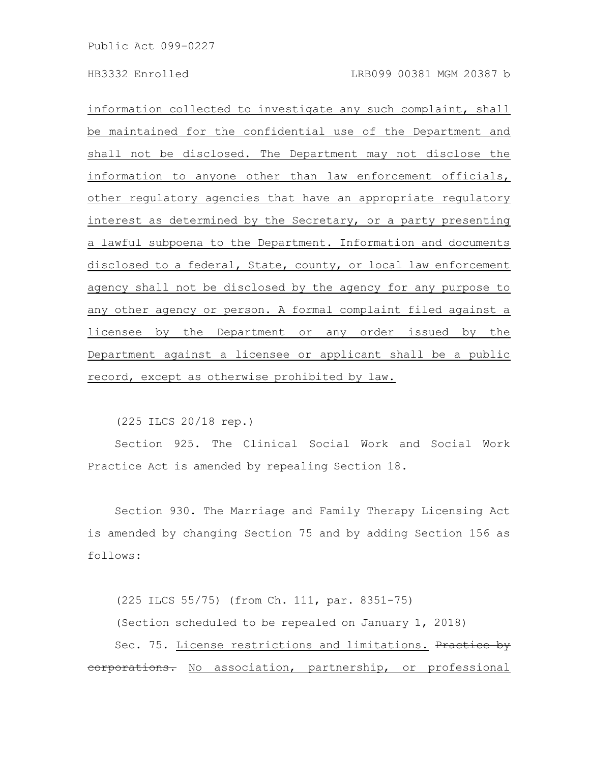information collected to investigate any such complaint, shall be maintained for the confidential use of the Department and shall not be disclosed. The Department may not disclose the information to anyone other than law enforcement officials, other regulatory agencies that have an appropriate regulatory interest as determined by the Secretary, or a party presenting a lawful subpoena to the Department. Information and documents disclosed to a federal, State, county, or local law enforcement agency shall not be disclosed by the agency for any purpose to any other agency or person. A formal complaint filed against a licensee by the Department or any order issued by the Department against a licensee or applicant shall be a public record, except as otherwise prohibited by law.

(225 ILCS 20/18 rep.)

Section 925. The Clinical Social Work and Social Work Practice Act is amended by repealing Section 18.

Section 930. The Marriage and Family Therapy Licensing Act is amended by changing Section 75 and by adding Section 156 as follows:

(225 ILCS 55/75) (from Ch. 111, par. 8351-75) (Section scheduled to be repealed on January 1, 2018) Sec. 75. License restrictions and limitations. Practice by eorporations. No association, partnership, or professional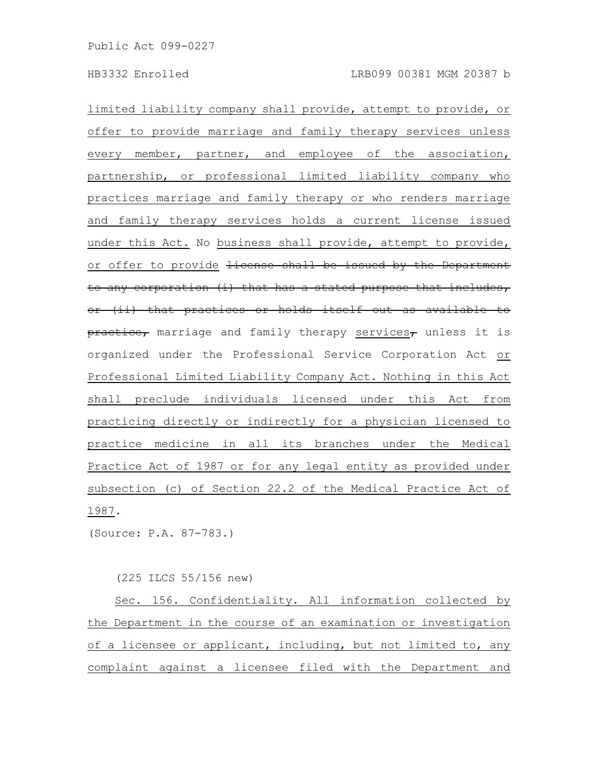limited liability company shall provide, attempt to provide, or offer to provide marriage and family therapy services unless every member, partner, and employee of the association, partnership, or professional limited liability company who practices marriage and family therapy or who renders marriage and family therapy services holds a current license issued under this Act. No business shall provide, attempt to provide, or offer to provide <del>license shall be issued by the Department</del> to any corporation (i) that has a stated purpose that includes, or (ii) that practices or holds itself out as available to  $\frac{p_{\text{reactice}}}{p_{\text{matrices}}$ , marriage and family therapy services, unless it is organized under the Professional Service Corporation Act or Professional Limited Liability Company Act. Nothing in this Act shall preclude individuals licensed under this Act from practicing directly or indirectly for a physician licensed to practice medicine in all its branches under the Medical Practice Act of 1987 or for any legal entity as provided under subsection (c) of Section 22.2 of the Medical Practice Act of 1987.

(Source: P.A. 87-783.)

(225 ILCS 55/156 new)

Sec. 156. Confidentiality. All information collected by the Department in the course of an examination or investigation of a licensee or applicant, including, but not limited to, any complaint against a licensee filed with the Department and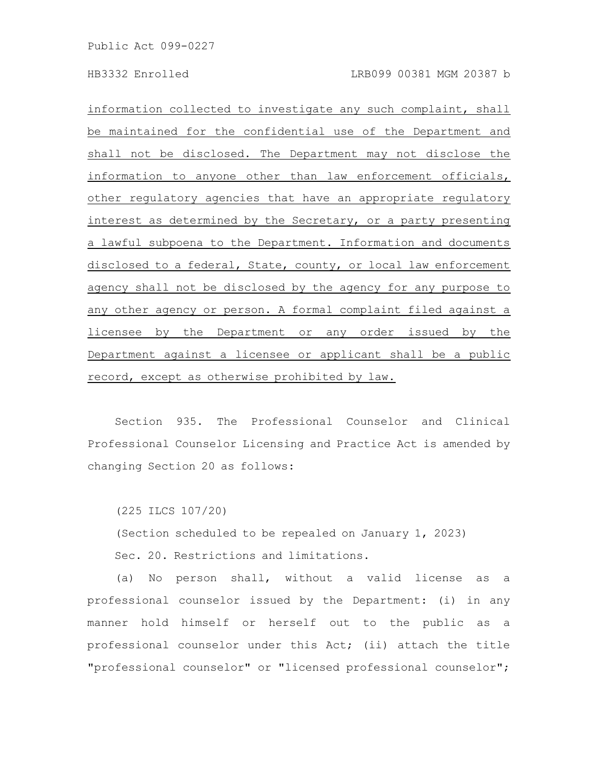information collected to investigate any such complaint, shall be maintained for the confidential use of the Department and shall not be disclosed. The Department may not disclose the information to anyone other than law enforcement officials, other regulatory agencies that have an appropriate regulatory interest as determined by the Secretary, or a party presenting a lawful subpoena to the Department. Information and documents disclosed to a federal, State, county, or local law enforcement agency shall not be disclosed by the agency for any purpose to any other agency or person. A formal complaint filed against a licensee by the Department or any order issued by the Department against a licensee or applicant shall be a public record, except as otherwise prohibited by law.

Section 935. The Professional Counselor and Clinical Professional Counselor Licensing and Practice Act is amended by changing Section 20 as follows:

(225 ILCS 107/20)

(Section scheduled to be repealed on January 1, 2023)

Sec. 20. Restrictions and limitations.

(a) No person shall, without a valid license as a professional counselor issued by the Department: (i) in any manner hold himself or herself out to the public as a professional counselor under this Act; (ii) attach the title "professional counselor" or "licensed professional counselor";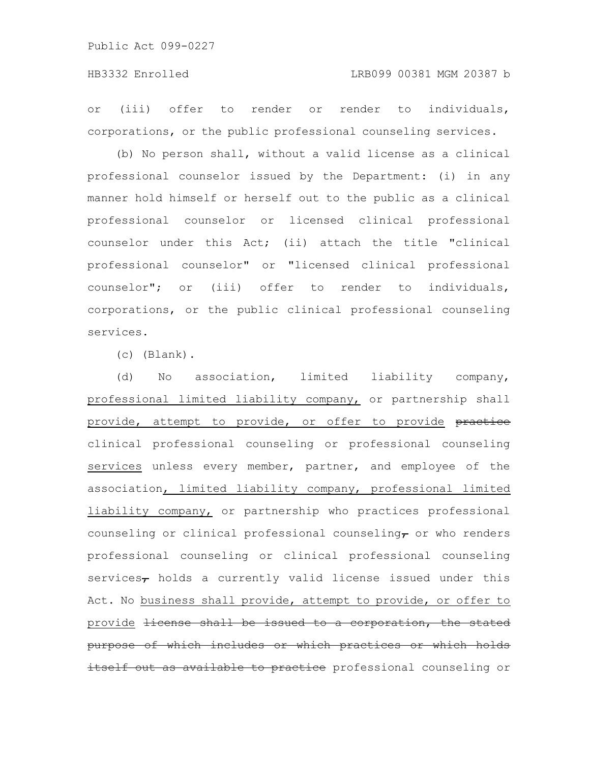or (iii) offer to render or render to individuals, corporations, or the public professional counseling services.

(b) No person shall, without a valid license as a clinical professional counselor issued by the Department: (i) in any manner hold himself or herself out to the public as a clinical professional counselor or licensed clinical professional counselor under this Act; (ii) attach the title "clinical professional counselor" or "licensed clinical professional counselor"; or (iii) offer to render to individuals, corporations, or the public clinical professional counseling services.

(c) (Blank).

(d) No association, limited liability company, professional limited liability company, or partnership shall provide, attempt to provide, or offer to provide practice clinical professional counseling or professional counseling services unless every member, partner, and employee of the association, limited liability company, professional limited liability company, or partnership who practices professional counseling or clinical professional counseling, or who renders professional counseling or clinical professional counseling services $_{\tau}$  holds a currently valid license issued under this Act. No business shall provide, attempt to provide, or offer to provide <del>license shall be issued to a corporation, the stated</del> purpose of which includes or which practices or which holds self out as available to practice professional counseling or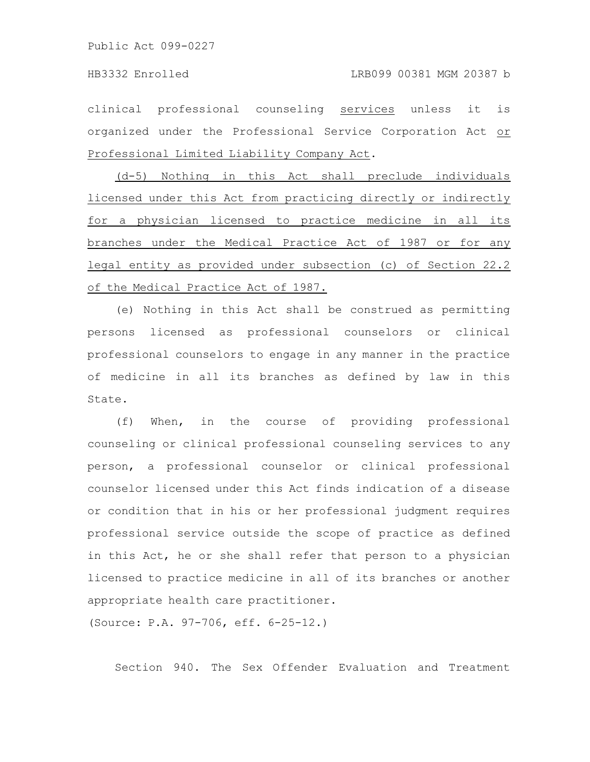clinical professional counseling services unless it is organized under the Professional Service Corporation Act or Professional Limited Liability Company Act.

(d-5) Nothing in this Act shall preclude individuals licensed under this Act from practicing directly or indirectly for a physician licensed to practice medicine in all its branches under the Medical Practice Act of 1987 or for any legal entity as provided under subsection (c) of Section 22.2 of the Medical Practice Act of 1987.

(e) Nothing in this Act shall be construed as permitting persons licensed as professional counselors or clinical professional counselors to engage in any manner in the practice of medicine in all its branches as defined by law in this State.

(f) When, in the course of providing professional counseling or clinical professional counseling services to any person, a professional counselor or clinical professional counselor licensed under this Act finds indication of a disease or condition that in his or her professional judgment requires professional service outside the scope of practice as defined in this Act, he or she shall refer that person to a physician licensed to practice medicine in all of its branches or another appropriate health care practitioner.

(Source: P.A. 97-706, eff. 6-25-12.)

Section 940. The Sex Offender Evaluation and Treatment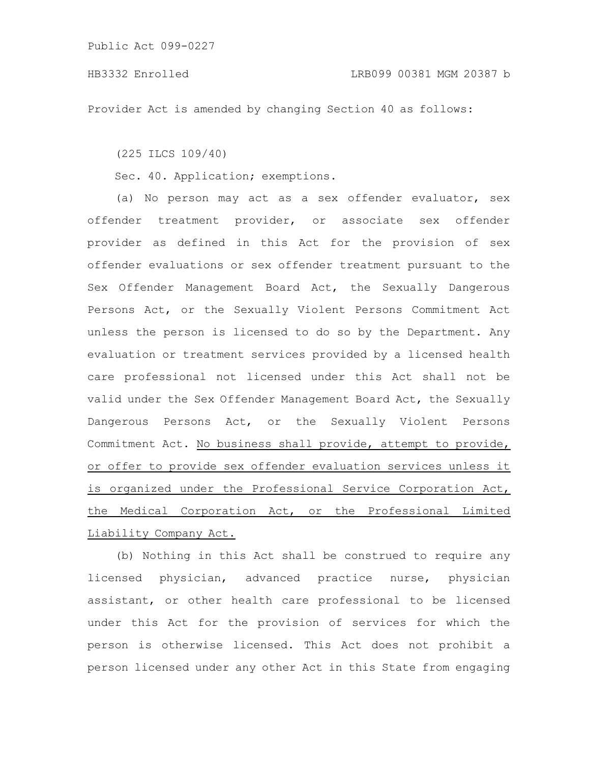Provider Act is amended by changing Section 40 as follows:

(225 ILCS 109/40)

Sec. 40. Application; exemptions.

(a) No person may act as a sex offender evaluator, sex offender treatment provider, or associate sex offender provider as defined in this Act for the provision of sex offender evaluations or sex offender treatment pursuant to the Sex Offender Management Board Act, the Sexually Dangerous Persons Act, or the Sexually Violent Persons Commitment Act unless the person is licensed to do so by the Department. Any evaluation or treatment services provided by a licensed health care professional not licensed under this Act shall not be valid under the Sex Offender Management Board Act, the Sexually Dangerous Persons Act, or the Sexually Violent Persons Commitment Act. No business shall provide, attempt to provide, or offer to provide sex offender evaluation services unless it is organized under the Professional Service Corporation Act, the Medical Corporation Act, or the Professional Limited Liability Company Act.

(b) Nothing in this Act shall be construed to require any licensed physician, advanced practice nurse, physician assistant, or other health care professional to be licensed under this Act for the provision of services for which the person is otherwise licensed. This Act does not prohibit a person licensed under any other Act in this State from engaging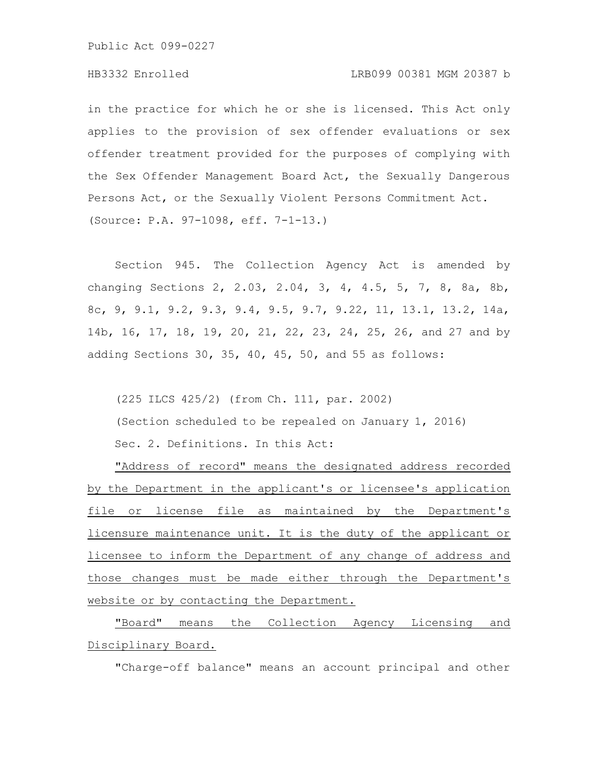## HB3332 Enrolled LRB099 00381 MGM 20387 b

in the practice for which he or she is licensed. This Act only applies to the provision of sex offender evaluations or sex offender treatment provided for the purposes of complying with the Sex Offender Management Board Act, the Sexually Dangerous Persons Act, or the Sexually Violent Persons Commitment Act. (Source: P.A. 97-1098, eff. 7-1-13.)

Section 945. The Collection Agency Act is amended by changing Sections 2, 2.03, 2.04, 3, 4, 4.5, 5, 7, 8, 8a, 8b, 8c, 9, 9.1, 9.2, 9.3, 9.4, 9.5, 9.7, 9.22, 11, 13.1, 13.2, 14a, 14b, 16, 17, 18, 19, 20, 21, 22, 23, 24, 25, 26, and 27 and by adding Sections 30, 35, 40, 45, 50, and 55 as follows:

(225 ILCS 425/2) (from Ch. 111, par. 2002) (Section scheduled to be repealed on January 1, 2016) Sec. 2. Definitions. In this Act:

"Address of record" means the designated address recorded by the Department in the applicant's or licensee's application file or license file as maintained by the Department's licensure maintenance unit. It is the duty of the applicant or licensee to inform the Department of any change of address and those changes must be made either through the Department's website or by contacting the Department.

"Board" means the Collection Agency Licensing and Disciplinary Board.

"Charge-off balance" means an account principal and other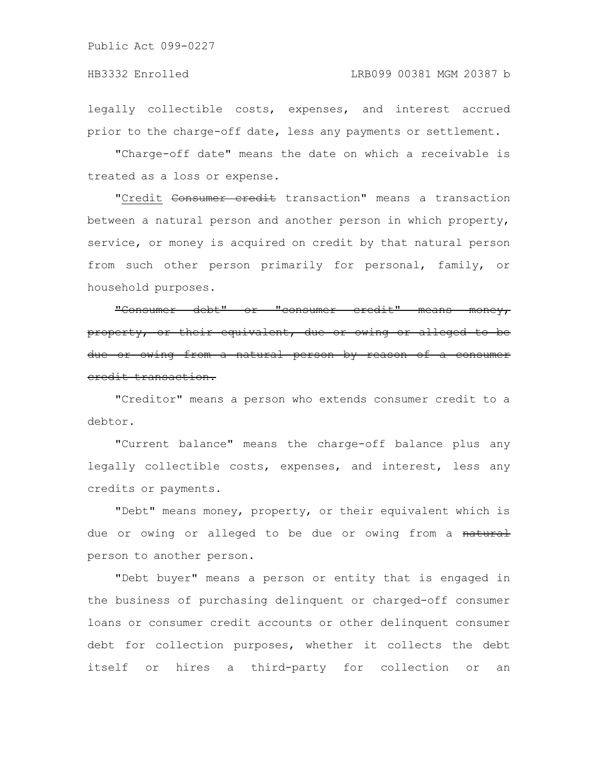legally collectible costs, expenses, and interest accrued prior to the charge-off date, less any payments or settlement.

"Charge-off date" means the date on which a receivable is treated as a loss or expense.

"Credit Consumer credit transaction" means a transaction between a natural person and another person in which property, service, or money is acquired on credit by that natural person from such other person primarily for personal, family, or household purposes.

"Consumer debt" or "consumer credit" means money, property, or their equivalent, due or owing or alleged to be due or owing from a natural person by reason of credit transaction.

"Creditor" means a person who extends consumer credit to a debtor.

"Current balance" means the charge-off balance plus any legally collectible costs, expenses, and interest, less any credits or payments.

"Debt" means money, property, or their equivalent which is due or owing or alleged to be due or owing from a natural person to another person.

"Debt buyer" means a person or entity that is engaged in the business of purchasing delinquent or charged-off consumer loans or consumer credit accounts or other delinquent consumer debt for collection purposes, whether it collects the debt itself or hires a third-party for collection or an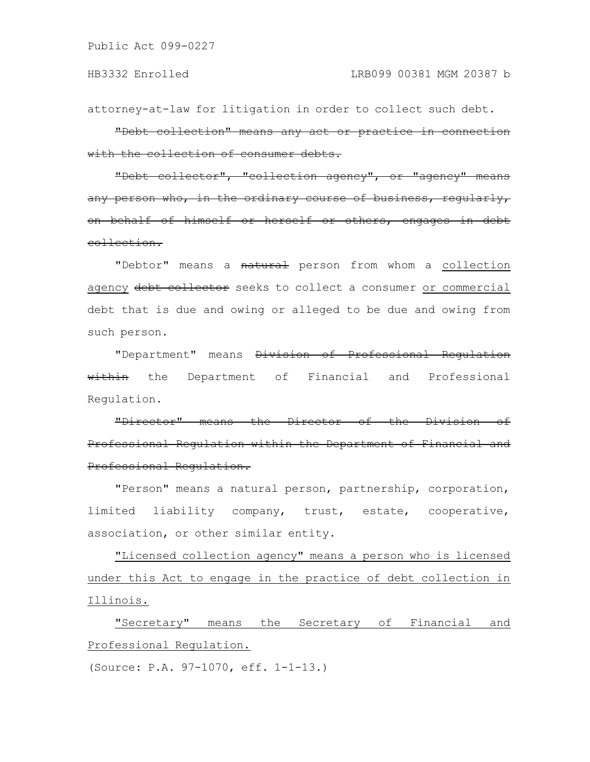attorney-at-law for litigation in order to collect such debt.

"Debt collection" means any act or practice in connection with the collection of consumer debts.

"Debt collector", "collection agency", or "agency" means any person who, in the ordinary course of business, regularly, on behalf of himself or herself or others, engages collection.

"Debtor" means a natural person from whom a collection agency debt collector seeks to collect a consumer or commercial debt that is due and owing or alleged to be due and owing from such person.

"Department" means Division of Professional Regulation within the Department of Financial and Professional Regulation.

"Director" means the Director of the Division Professional Regulation within the Department of Financial Professional Regulation.

"Person" means a natural person, partnership, corporation, limited liability company, trust, estate, cooperative, association, or other similar entity.

"Licensed collection agency" means a person who is licensed under this Act to engage in the practice of debt collection in Illinois.

"Secretary" means the Secretary of Financial and Professional Regulation.

(Source: P.A. 97-1070, eff. 1-1-13.)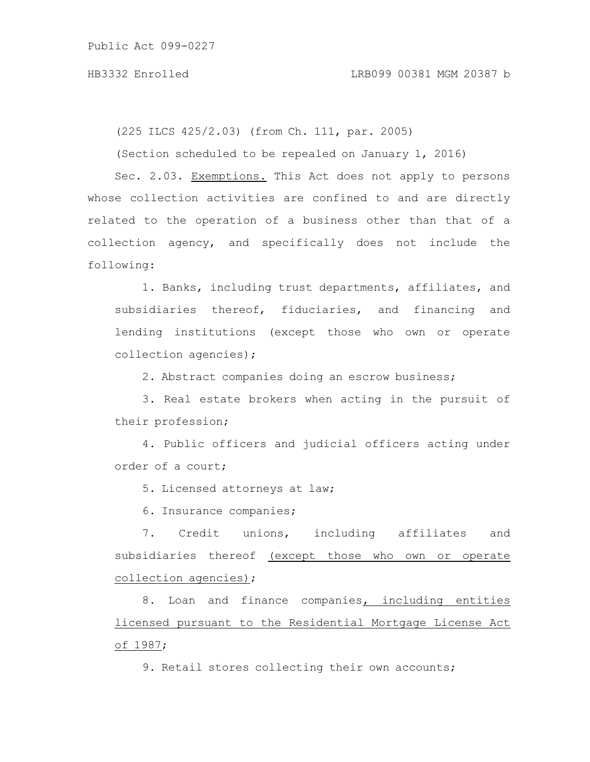(225 ILCS 425/2.03) (from Ch. 111, par. 2005)

(Section scheduled to be repealed on January 1, 2016)

Sec. 2.03. Exemptions. This Act does not apply to persons whose collection activities are confined to and are directly related to the operation of a business other than that of a collection agency, and specifically does not include the following:

1. Banks, including trust departments, affiliates, and subsidiaries thereof, fiduciaries, and financing and lending institutions (except those who own or operate collection agencies);

2. Abstract companies doing an escrow business;

3. Real estate brokers when acting in the pursuit of their profession;

4. Public officers and judicial officers acting under order of a court;

5. Licensed attorneys at law;

6. Insurance companies;

7. Credit unions, including affiliates and subsidiaries thereof (except those who own or operate collection agencies);

8. Loan and finance companies, including entities licensed pursuant to the Residential Mortgage License Act of 1987;

9. Retail stores collecting their own accounts;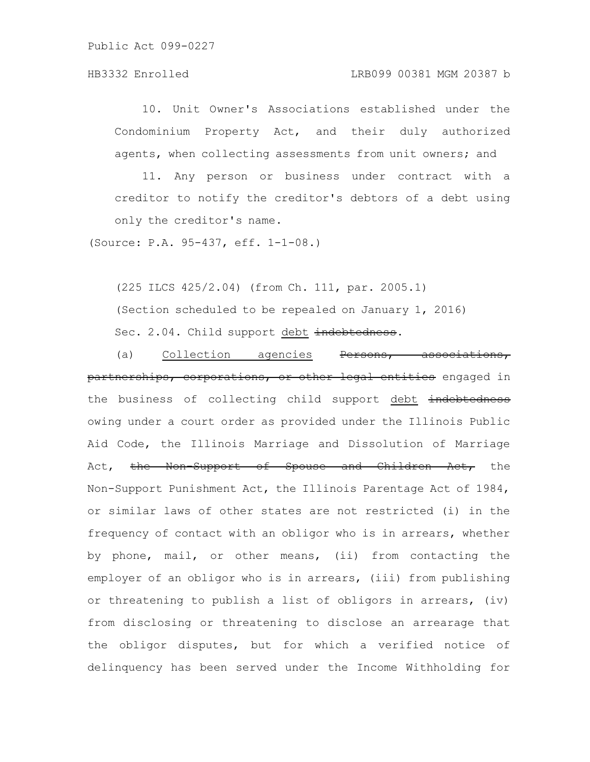## HB3332 Enrolled LRB099 00381 MGM 20387 b

10. Unit Owner's Associations established under the Condominium Property Act, and their duly authorized agents, when collecting assessments from unit owners; and

11. Any person or business under contract with a creditor to notify the creditor's debtors of a debt using only the creditor's name.

(Source: P.A. 95-437, eff. 1-1-08.)

(225 ILCS 425/2.04) (from Ch. 111, par. 2005.1) (Section scheduled to be repealed on January 1, 2016) Sec. 2.04. Child support debt indebtedness.

(a) Collection agencies Persons, associations, partnerships, corporations, or other legal entities engaged in the business of collecting child support debt indebtedness owing under a court order as provided under the Illinois Public Aid Code, the Illinois Marriage and Dissolution of Marriage Act, the Non-Support of Spouse and Children Act, the Non-Support Punishment Act, the Illinois Parentage Act of 1984, or similar laws of other states are not restricted (i) in the frequency of contact with an obligor who is in arrears, whether by phone, mail, or other means, (ii) from contacting the employer of an obligor who is in arrears, (iii) from publishing or threatening to publish a list of obligors in arrears, (iv) from disclosing or threatening to disclose an arrearage that the obligor disputes, but for which a verified notice of delinquency has been served under the Income Withholding for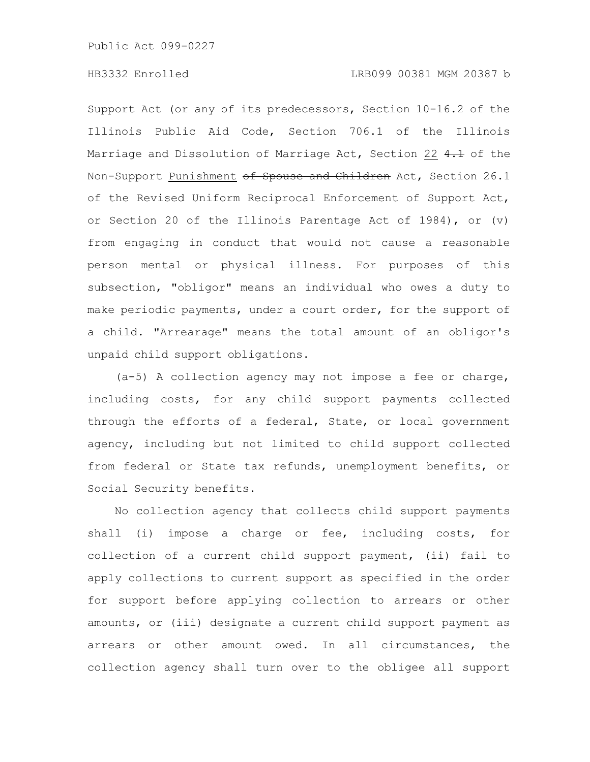Support Act (or any of its predecessors, Section 10-16.2 of the Illinois Public Aid Code, Section 706.1 of the Illinois Marriage and Dissolution of Marriage Act, Section 22 4.1 of the Non-Support Punishment of Spouse and Children Act, Section 26.1 of the Revised Uniform Reciprocal Enforcement of Support Act, or Section 20 of the Illinois Parentage Act of 1984), or (v) from engaging in conduct that would not cause a reasonable person mental or physical illness. For purposes of this subsection, "obligor" means an individual who owes a duty to make periodic payments, under a court order, for the support of a child. "Arrearage" means the total amount of an obligor's unpaid child support obligations.

(a-5) A collection agency may not impose a fee or charge, including costs, for any child support payments collected through the efforts of a federal, State, or local government agency, including but not limited to child support collected from federal or State tax refunds, unemployment benefits, or Social Security benefits.

No collection agency that collects child support payments shall (i) impose a charge or fee, including costs, for collection of a current child support payment, (ii) fail to apply collections to current support as specified in the order for support before applying collection to arrears or other amounts, or (iii) designate a current child support payment as arrears or other amount owed. In all circumstances, the collection agency shall turn over to the obligee all support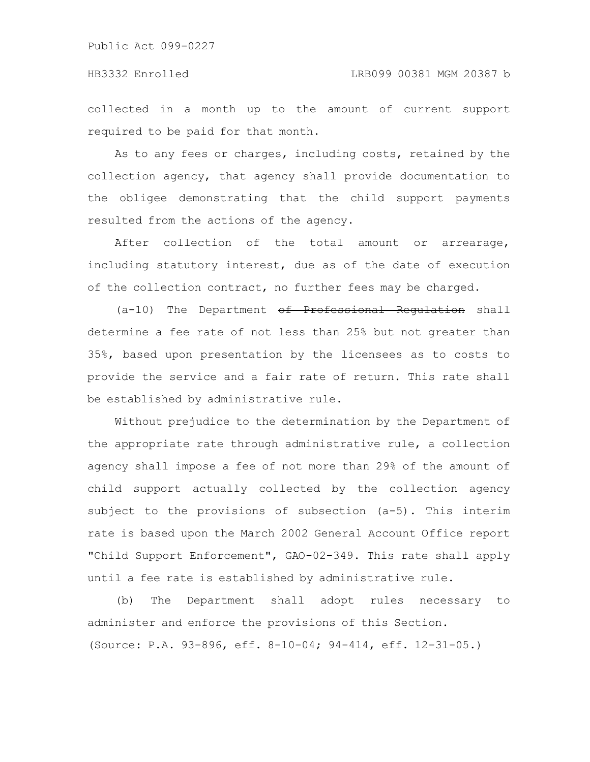collected in a month up to the amount of current support required to be paid for that month.

As to any fees or charges, including costs, retained by the collection agency, that agency shall provide documentation to the obligee demonstrating that the child support payments resulted from the actions of the agency.

After collection of the total amount or arrearage, including statutory interest, due as of the date of execution of the collection contract, no further fees may be charged.

(a-10) The Department of Professional Regulation shall determine a fee rate of not less than 25% but not greater than 35%, based upon presentation by the licensees as to costs to provide the service and a fair rate of return. This rate shall be established by administrative rule.

Without prejudice to the determination by the Department of the appropriate rate through administrative rule, a collection agency shall impose a fee of not more than 29% of the amount of child support actually collected by the collection agency subject to the provisions of subsection (a-5). This interim rate is based upon the March 2002 General Account Office report "Child Support Enforcement", GAO-02-349. This rate shall apply until a fee rate is established by administrative rule.

(b) The Department shall adopt rules necessary to administer and enforce the provisions of this Section. (Source: P.A. 93-896, eff. 8-10-04; 94-414, eff. 12-31-05.)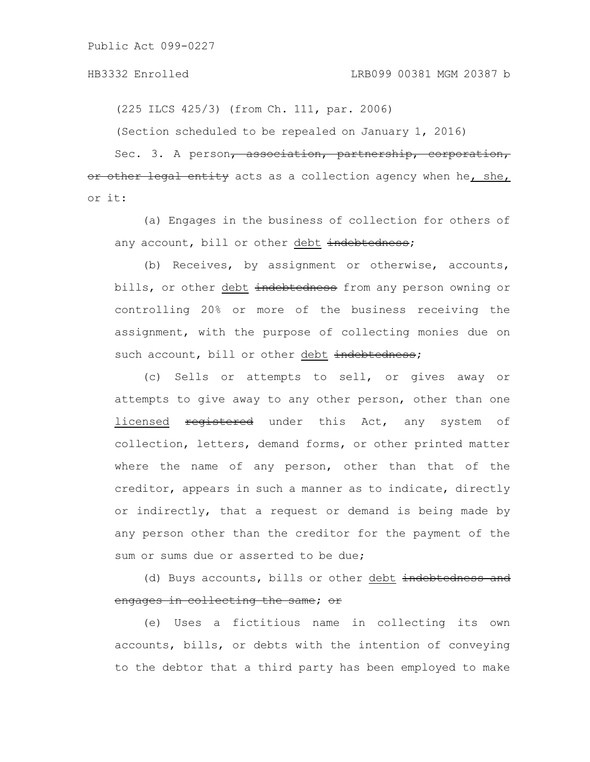(225 ILCS 425/3) (from Ch. 111, par. 2006)

(Section scheduled to be repealed on January 1, 2016)

Sec. 3. A person<del>, association, partnership, corporation,</del> or other legal entity acts as a collection agency when he, she, or it:

(a) Engages in the business of collection for others of any account, bill or other debt indebtedness;

(b) Receives, by assignment or otherwise, accounts, bills, or other debt indebtedness from any person owning or controlling 20% or more of the business receiving the assignment, with the purpose of collecting monies due on such account, bill or other debt indebtedness;

(c) Sells or attempts to sell, or gives away or attempts to give away to any other person, other than one licensed registered under this Act, any system of collection, letters, demand forms, or other printed matter where the name of any person, other than that of the creditor, appears in such a manner as to indicate, directly or indirectly, that a request or demand is being made by any person other than the creditor for the payment of the sum or sums due or asserted to be due;

(d) Buys accounts, bills or other debt indebtedness and engages in collecting the same; or

(e) Uses a fictitious name in collecting its own accounts, bills, or debts with the intention of conveying to the debtor that a third party has been employed to make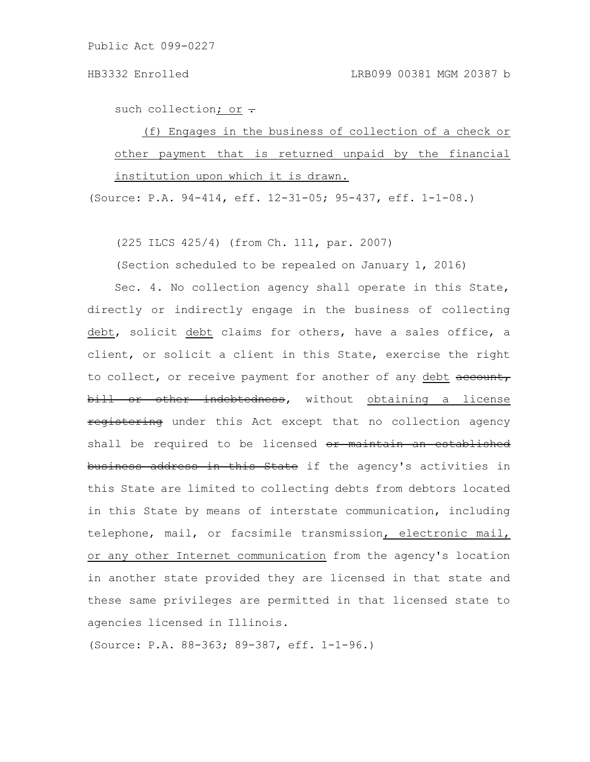such collection; or  $\div$ 

(f) Engages in the business of collection of a check or other payment that is returned unpaid by the financial institution upon which it is drawn.

(Source: P.A. 94-414, eff. 12-31-05; 95-437, eff. 1-1-08.)

(225 ILCS 425/4) (from Ch. 111, par. 2007)

(Section scheduled to be repealed on January 1, 2016)

Sec. 4. No collection agency shall operate in this State, directly or indirectly engage in the business of collecting debt, solicit debt claims for others, have a sales office, a client, or solicit a client in this State, exercise the right to collect, or receive payment for another of any debt account, bill or other indebtedness, without obtaining a license registering under this Act except that no collection agency shall be required to be licensed or maintain an established business address in this State if the agency's activities in this State are limited to collecting debts from debtors located in this State by means of interstate communication, including telephone, mail, or facsimile transmission, electronic mail, or any other Internet communication from the agency's location in another state provided they are licensed in that state and these same privileges are permitted in that licensed state to agencies licensed in Illinois.

(Source: P.A. 88-363; 89-387, eff. 1-1-96.)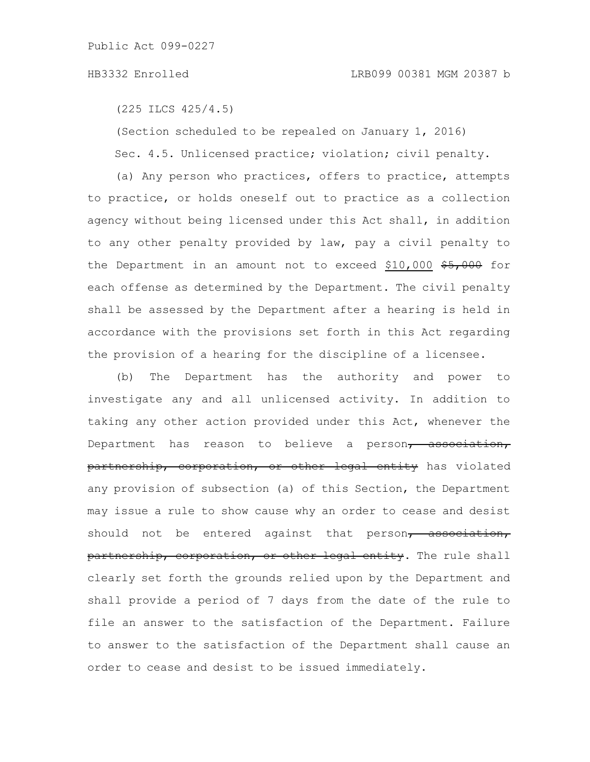(225 ILCS 425/4.5)

(Section scheduled to be repealed on January 1, 2016) Sec. 4.5. Unlicensed practice; violation; civil penalty.

(a) Any person who practices, offers to practice, attempts to practice, or holds oneself out to practice as a collection agency without being licensed under this Act shall, in addition to any other penalty provided by law, pay a civil penalty to the Department in an amount not to exceed \$10,000  $$5,000$  for each offense as determined by the Department. The civil penalty shall be assessed by the Department after a hearing is held in accordance with the provisions set forth in this Act regarding the provision of a hearing for the discipline of a licensee.

(b) The Department has the authority and power to investigate any and all unlicensed activity. In addition to taking any other action provided under this Act, whenever the Department has reason to believe a person, association, partnership, corporation, or other legal entity has violated any provision of subsection (a) of this Section, the Department may issue a rule to show cause why an order to cease and desist should not be entered against that person, association, partnership, corporation, or other legal entity. The rule shall clearly set forth the grounds relied upon by the Department and shall provide a period of 7 days from the date of the rule to file an answer to the satisfaction of the Department. Failure to answer to the satisfaction of the Department shall cause an order to cease and desist to be issued immediately.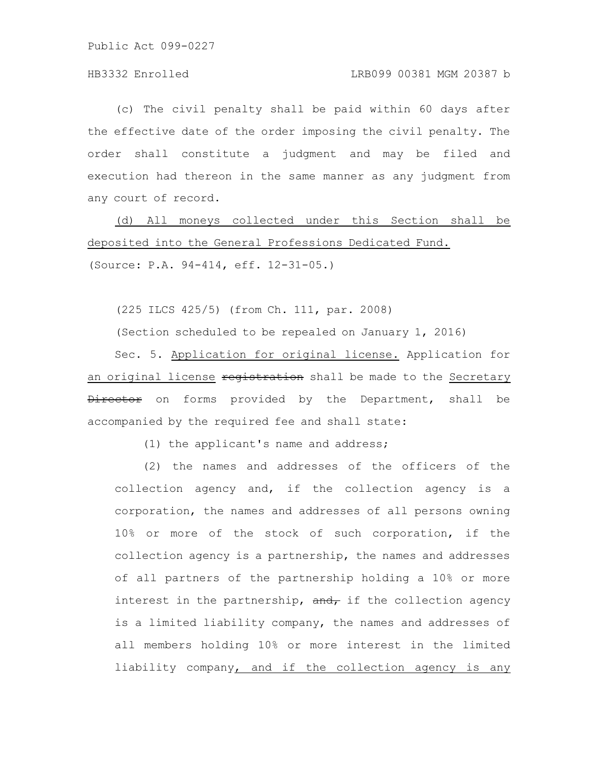## HB3332 Enrolled LRB099 00381 MGM 20387 b

(c) The civil penalty shall be paid within 60 days after the effective date of the order imposing the civil penalty. The order shall constitute a judgment and may be filed and execution had thereon in the same manner as any judgment from any court of record.

(d) All moneys collected under this Section shall be deposited into the General Professions Dedicated Fund.

(Source: P.A. 94-414, eff. 12-31-05.)

(225 ILCS 425/5) (from Ch. 111, par. 2008)

(Section scheduled to be repealed on January 1, 2016)

Sec. 5. Application for original license. Application for an original license registration shall be made to the Secretary Director on forms provided by the Department, shall be accompanied by the required fee and shall state:

(1) the applicant's name and address;

(2) the names and addresses of the officers of the collection agency and, if the collection agency is a corporation, the names and addresses of all persons owning 10% or more of the stock of such corporation, if the collection agency is a partnership, the names and addresses of all partners of the partnership holding a 10% or more interest in the partnership,  $\frac{d}{dt}$  if the collection agency is a limited liability company, the names and addresses of all members holding 10% or more interest in the limited liability company, and if the collection agency is any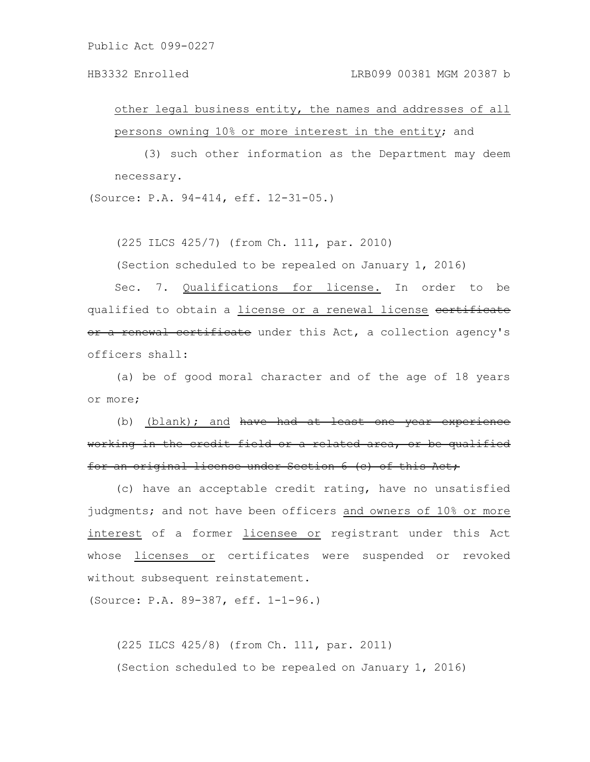### HB3332 Enrolled LRB099 00381 MGM 20387 b

other legal business entity, the names and addresses of all persons owning 10% or more interest in the entity; and

(3) such other information as the Department may deem necessary.

(Source: P.A. 94-414, eff. 12-31-05.)

(225 ILCS 425/7) (from Ch. 111, par. 2010)

(Section scheduled to be repealed on January 1, 2016)

Sec. 7. Qualifications for license. In order to be qualified to obtain a license or a renewal license certificate or a renewal certificate under this Act, a collection agency's officers shall:

(a) be of good moral character and of the age of 18 years or more;

(b) (blank); and have had at least one year experience working in the credit field or a related area, or be qualified for an original license under Section 6 (c) of this Act,

(c) have an acceptable credit rating, have no unsatisfied judgments; and not have been officers and owners of 10% or more interest of a former licensee or registrant under this Act whose licenses or certificates were suspended or revoked without subsequent reinstatement.

(Source: P.A. 89-387, eff. 1-1-96.)

(225 ILCS 425/8) (from Ch. 111, par. 2011) (Section scheduled to be repealed on January 1, 2016)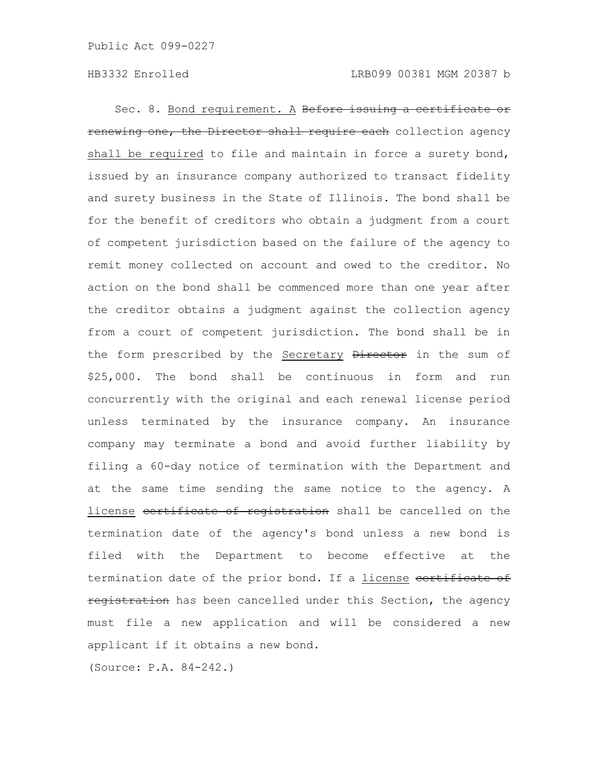Sec. 8. Bond requirement. A Before issuing a certificate or renewing one, the Director shall require each collection agency shall be required to file and maintain in force a surety bond, issued by an insurance company authorized to transact fidelity and surety business in the State of Illinois. The bond shall be for the benefit of creditors who obtain a judgment from a court of competent jurisdiction based on the failure of the agency to remit money collected on account and owed to the creditor. No action on the bond shall be commenced more than one year after the creditor obtains a judgment against the collection agency from a court of competent jurisdiction. The bond shall be in the form prescribed by the Secretary Director in the sum of \$25,000. The bond shall be continuous in form and run concurrently with the original and each renewal license period unless terminated by the insurance company. An insurance company may terminate a bond and avoid further liability by filing a 60-day notice of termination with the Department and at the same time sending the same notice to the agency. A license certificate of registration shall be cancelled on the termination date of the agency's bond unless a new bond is filed with the Department to become effective at the termination date of the prior bond. If a license certificate of registration has been cancelled under this Section, the agency must file a new application and will be considered a new applicant if it obtains a new bond.

(Source: P.A. 84-242.)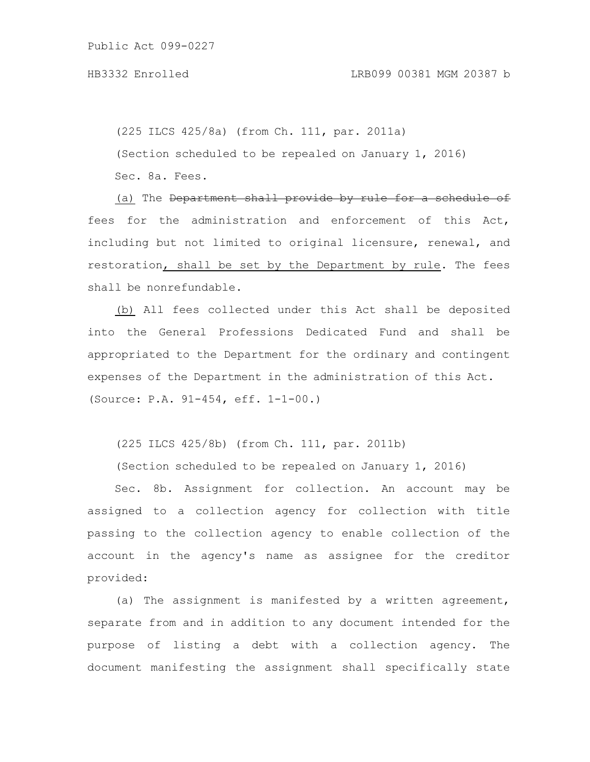(225 ILCS 425/8a) (from Ch. 111, par. 2011a) (Section scheduled to be repealed on January 1, 2016) Sec. 8a. Fees.

(a) The Department shall provide by rule for a schedule of fees for the administration and enforcement of this Act, including but not limited to original licensure, renewal, and restoration, shall be set by the Department by rule. The fees shall be nonrefundable.

(b) All fees collected under this Act shall be deposited into the General Professions Dedicated Fund and shall be appropriated to the Department for the ordinary and contingent expenses of the Department in the administration of this Act. (Source: P.A. 91-454, eff. 1-1-00.)

(225 ILCS 425/8b) (from Ch. 111, par. 2011b)

(Section scheduled to be repealed on January 1, 2016)

Sec. 8b. Assignment for collection. An account may be assigned to a collection agency for collection with title passing to the collection agency to enable collection of the account in the agency's name as assignee for the creditor provided:

(a) The assignment is manifested by a written agreement, separate from and in addition to any document intended for the purpose of listing a debt with a collection agency. The document manifesting the assignment shall specifically state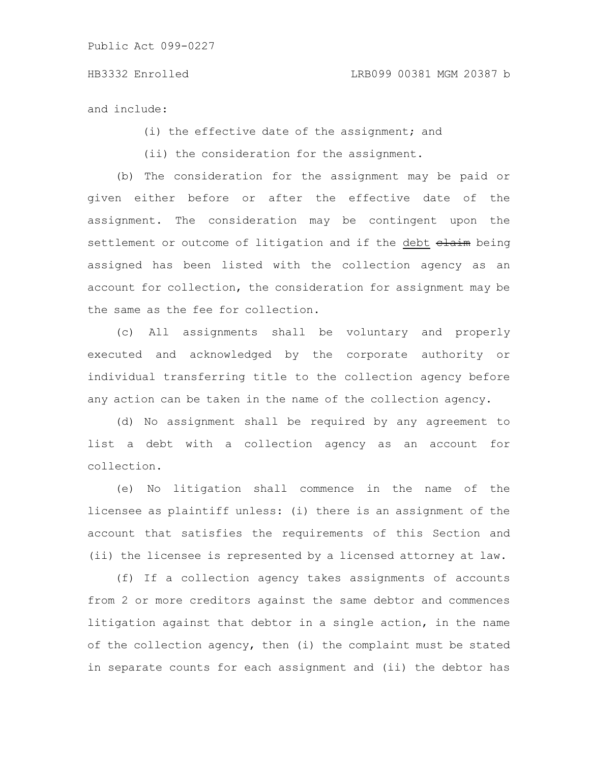and include:

(i) the effective date of the assignment; and

(ii) the consideration for the assignment.

(b) The consideration for the assignment may be paid or given either before or after the effective date of the assignment. The consideration may be contingent upon the settlement or outcome of litigation and if the debt elaim being assigned has been listed with the collection agency as an account for collection, the consideration for assignment may be the same as the fee for collection.

(c) All assignments shall be voluntary and properly executed and acknowledged by the corporate authority or individual transferring title to the collection agency before any action can be taken in the name of the collection agency.

(d) No assignment shall be required by any agreement to list a debt with a collection agency as an account for collection.

(e) No litigation shall commence in the name of the licensee as plaintiff unless: (i) there is an assignment of the account that satisfies the requirements of this Section and (ii) the licensee is represented by a licensed attorney at law.

(f) If a collection agency takes assignments of accounts from 2 or more creditors against the same debtor and commences litigation against that debtor in a single action, in the name of the collection agency, then (i) the complaint must be stated in separate counts for each assignment and (ii) the debtor has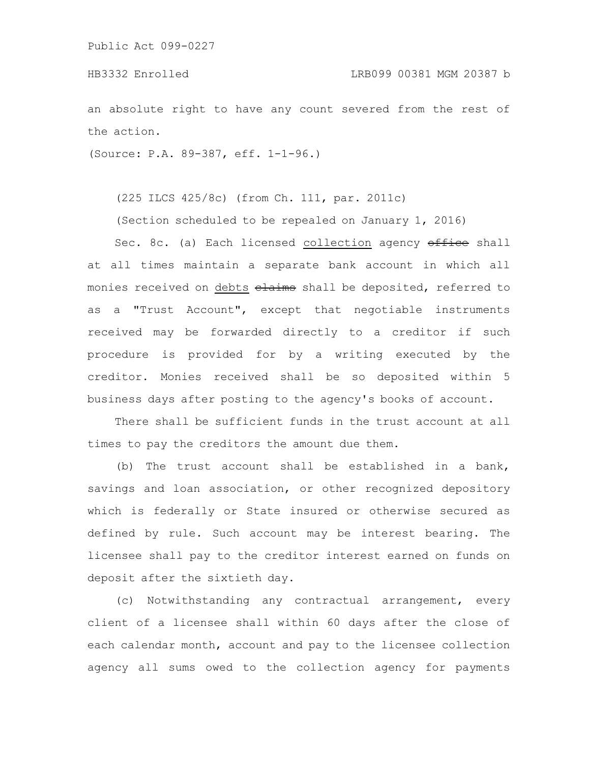an absolute right to have any count severed from the rest of the action.

(Source: P.A. 89-387, eff. 1-1-96.)

(225 ILCS 425/8c) (from Ch. 111, par. 2011c)

(Section scheduled to be repealed on January 1, 2016)

Sec. 8c. (a) Each licensed collection agency office shall at all times maintain a separate bank account in which all monies received on debts elaims shall be deposited, referred to as a "Trust Account", except that negotiable instruments received may be forwarded directly to a creditor if such procedure is provided for by a writing executed by the creditor. Monies received shall be so deposited within 5 business days after posting to the agency's books of account.

There shall be sufficient funds in the trust account at all times to pay the creditors the amount due them.

(b) The trust account shall be established in a bank, savings and loan association, or other recognized depository which is federally or State insured or otherwise secured as defined by rule. Such account may be interest bearing. The licensee shall pay to the creditor interest earned on funds on deposit after the sixtieth day.

(c) Notwithstanding any contractual arrangement, every client of a licensee shall within 60 days after the close of each calendar month, account and pay to the licensee collection agency all sums owed to the collection agency for payments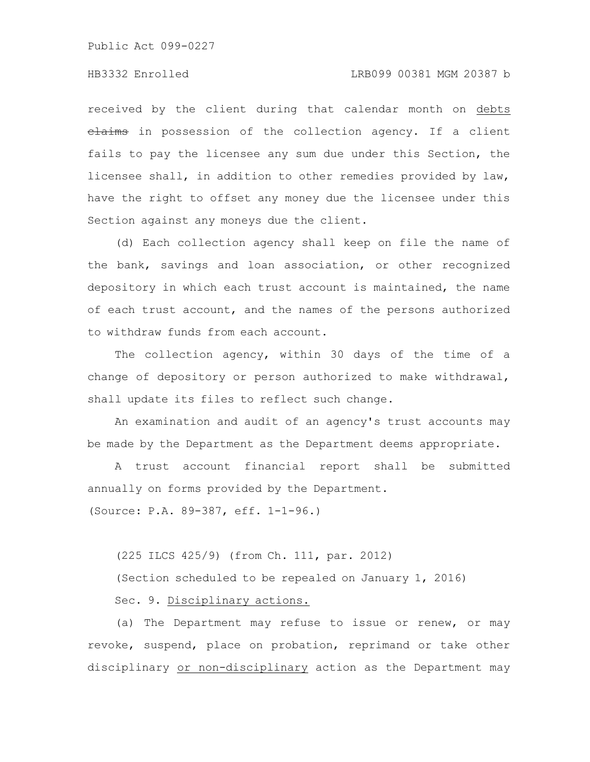## HB3332 Enrolled LRB099 00381 MGM 20387 b

received by the client during that calendar month on debts elaims in possession of the collection agency. If a client fails to pay the licensee any sum due under this Section, the licensee shall, in addition to other remedies provided by law, have the right to offset any money due the licensee under this Section against any moneys due the client.

(d) Each collection agency shall keep on file the name of the bank, savings and loan association, or other recognized depository in which each trust account is maintained, the name of each trust account, and the names of the persons authorized to withdraw funds from each account.

The collection agency, within 30 days of the time of a change of depository or person authorized to make withdrawal, shall update its files to reflect such change.

An examination and audit of an agency's trust accounts may be made by the Department as the Department deems appropriate.

A trust account financial report shall be submitted annually on forms provided by the Department. (Source: P.A. 89-387, eff. 1-1-96.)

(225 ILCS 425/9) (from Ch. 111, par. 2012)

(Section scheduled to be repealed on January 1, 2016)

Sec. 9. Disciplinary actions.

(a) The Department may refuse to issue or renew, or may revoke, suspend, place on probation, reprimand or take other disciplinary or non-disciplinary action as the Department may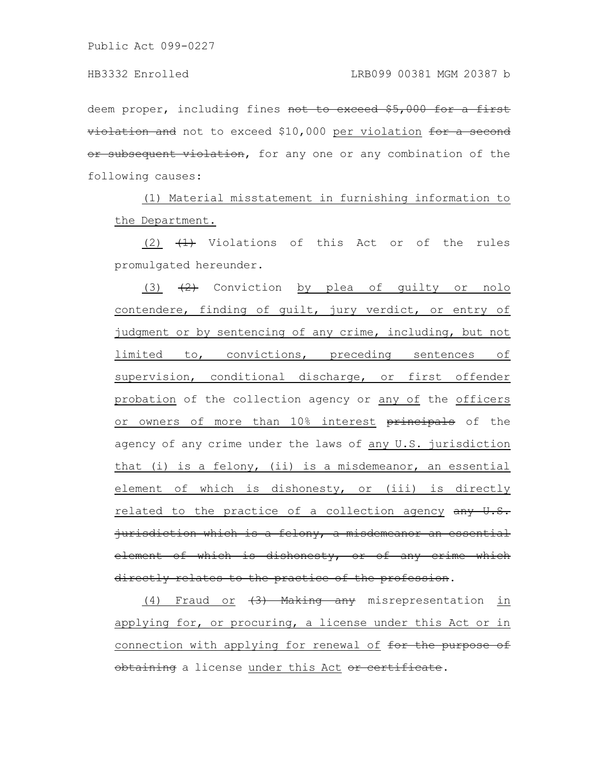deem proper, including fines not to exceed \$5,000 for a first violation and not to exceed \$10,000 per violation for a second or subsequent violation, for any one or any combination of the following causes:

(1) Material misstatement in furnishing information to the Department.

(2)  $\left(4\right)$  Violations of this Act or of the rules promulgated hereunder.

(3)  $(2)$  Conviction by plea of guilty or nolo contendere, finding of guilt, jury verdict, or entry of judgment or by sentencing of any crime, including, but not limited to, convictions, preceding sentences of supervision, conditional discharge, or first offender probation of the collection agency or any of the officers or owners of more than 10% interest principals of the agency of any crime under the laws of any U.S. jurisdiction that (i) is a felony, (ii) is a misdemeanor, an essential element of which is dishonesty, or (iii) is directly related to the practice of a collection agency any U.S. jurisdiction which is a felony, a misdemeanor an essential element of which is dishonesty, or of any crime which directly relates to the practice of the profession.

(4) Fraud or (3) Making any misrepresentation in applying for, or procuring, a license under this Act or in connection with applying for renewal of for the purpose of obtaining a license under this Act or certificate.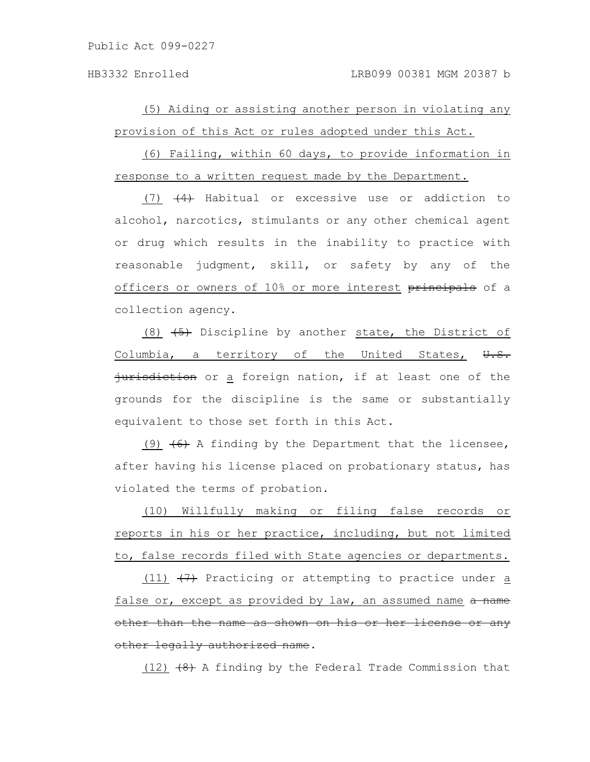(5) Aiding or assisting another person in violating any provision of this Act or rules adopted under this Act.

(6) Failing, within 60 days, to provide information in response to a written request made by the Department.

 $(7)$   $(4)$  Habitual or excessive use or addiction to alcohol, narcotics, stimulants or any other chemical agent or drug which results in the inability to practice with reasonable judgment, skill, or safety by any of the officers or owners of 10% or more interest principals of a collection agency.

(8)  $\left(5\right)$  Discipline by another state, the District of Columbia, a territory of the United States,  $\overline{\theta}$ .  $\overline{\theta}$ . jurisdiction or a foreign nation, if at least one of the grounds for the discipline is the same or substantially equivalent to those set forth in this Act.

(9)  $(6)$  A finding by the Department that the licensee, after having his license placed on probationary status, has violated the terms of probation.

(10) Willfully making or filing false records or reports in his or her practice, including, but not limited to, false records filed with State agencies or departments.

(11)  $\left(7\right)$  Practicing or attempting to practice under a false or, except as provided by law, an assumed name a name other than the name as shown on his or her license or any other legally authorized name.

(12)  $(48)$  A finding by the Federal Trade Commission that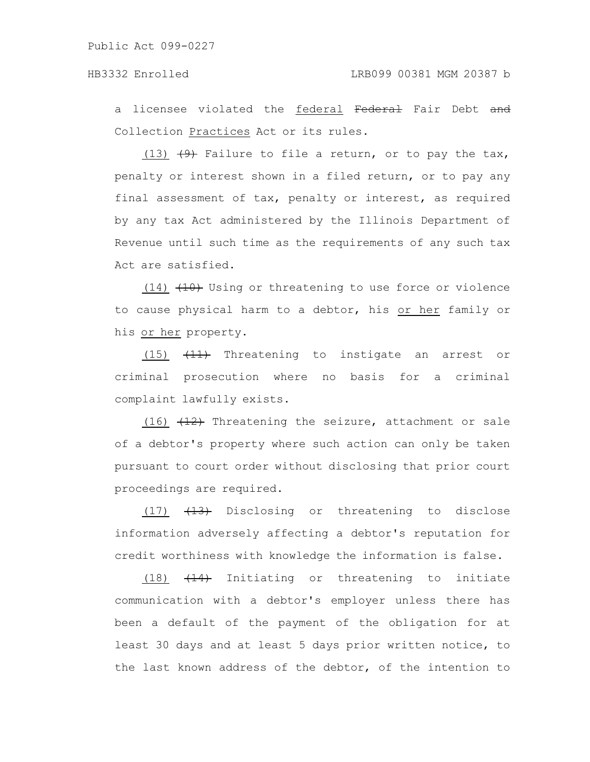a licensee violated the federal Federal Fair Debt and Collection Practices Act or its rules.

(13)  $(9)$  Failure to file a return, or to pay the tax, penalty or interest shown in a filed return, or to pay any final assessment of tax, penalty or interest, as required by any tax Act administered by the Illinois Department of Revenue until such time as the requirements of any such tax Act are satisfied.

 $(14)$   $(10)$  Using or threatening to use force or violence to cause physical harm to a debtor, his or her family or his or her property.

(15)  $\left(11\right)$  Threatening to instigate an arrest or criminal prosecution where no basis for a criminal complaint lawfully exists.

(16)  $(12)$  Threatening the seizure, attachment or sale of a debtor's property where such action can only be taken pursuant to court order without disclosing that prior court proceedings are required.

 $(17)$   $(13)$  Disclosing or threatening to disclose information adversely affecting a debtor's reputation for credit worthiness with knowledge the information is false.

(18) (14) Initiating or threatening to initiate communication with a debtor's employer unless there has been a default of the payment of the obligation for at least 30 days and at least 5 days prior written notice, to the last known address of the debtor, of the intention to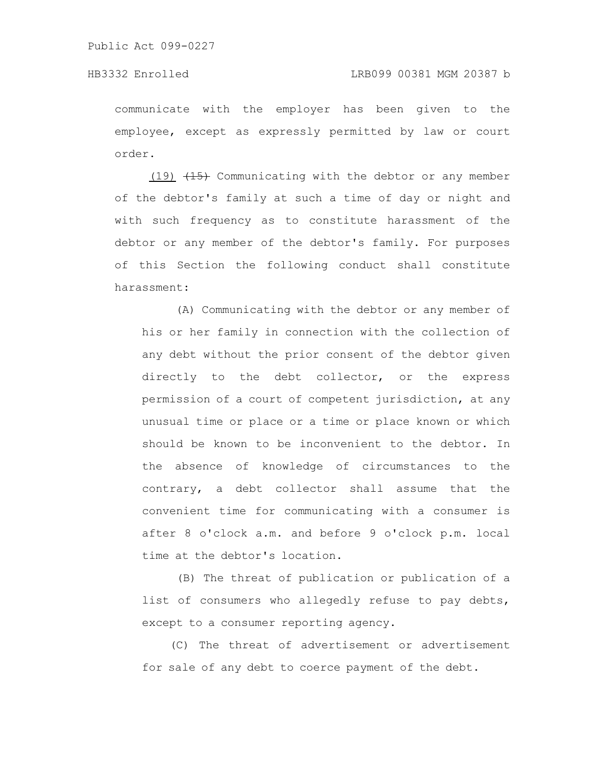communicate with the employer has been given to the employee, except as expressly permitted by law or court order.

(19)  $\left(1\right)$  Communicating with the debtor or any member of the debtor's family at such a time of day or night and with such frequency as to constitute harassment of the debtor or any member of the debtor's family. For purposes of this Section the following conduct shall constitute harassment:

(A) Communicating with the debtor or any member of his or her family in connection with the collection of any debt without the prior consent of the debtor given directly to the debt collector, or the express permission of a court of competent jurisdiction, at any unusual time or place or a time or place known or which should be known to be inconvenient to the debtor. In the absence of knowledge of circumstances to the contrary, a debt collector shall assume that the convenient time for communicating with a consumer is after 8 o'clock a.m. and before 9 o'clock p.m. local time at the debtor's location.

(B) The threat of publication or publication of a list of consumers who allegedly refuse to pay debts, except to a consumer reporting agency.

(C) The threat of advertisement or advertisement for sale of any debt to coerce payment of the debt.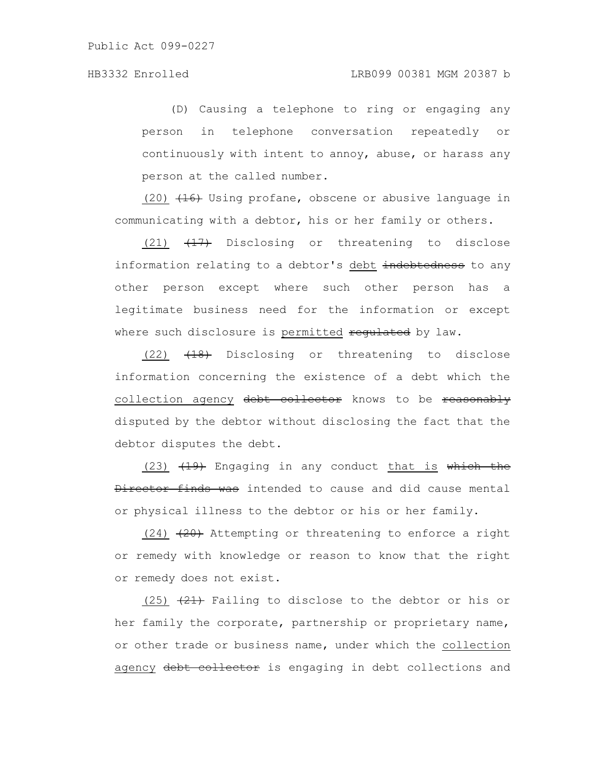(D) Causing a telephone to ring or engaging any person in telephone conversation repeatedly or continuously with intent to annoy, abuse, or harass any person at the called number.

 $(20)$   $(16)$  Using profane, obscene or abusive language in communicating with a debtor, his or her family or others.

(21) (17) Disclosing or threatening to disclose information relating to a debtor's debt indebtedness to any other person except where such other person has a legitimate business need for the information or except where such disclosure is permitted requiated by law.

 $(22)$   $\left(18\right)$  Disclosing or threatening to disclose information concerning the existence of a debt which the collection agency debt collector knows to be reasonably disputed by the debtor without disclosing the fact that the debtor disputes the debt.

(23)  $(19)$  Engaging in any conduct that is which the Director finds was intended to cause and did cause mental or physical illness to the debtor or his or her family.

 $(24)$   $(24)$  Attempting or threatening to enforce a right or remedy with knowledge or reason to know that the right or remedy does not exist.

(25)  $(21)$  Failing to disclose to the debtor or his or her family the corporate, partnership or proprietary name, or other trade or business name, under which the collection agency debt collector is engaging in debt collections and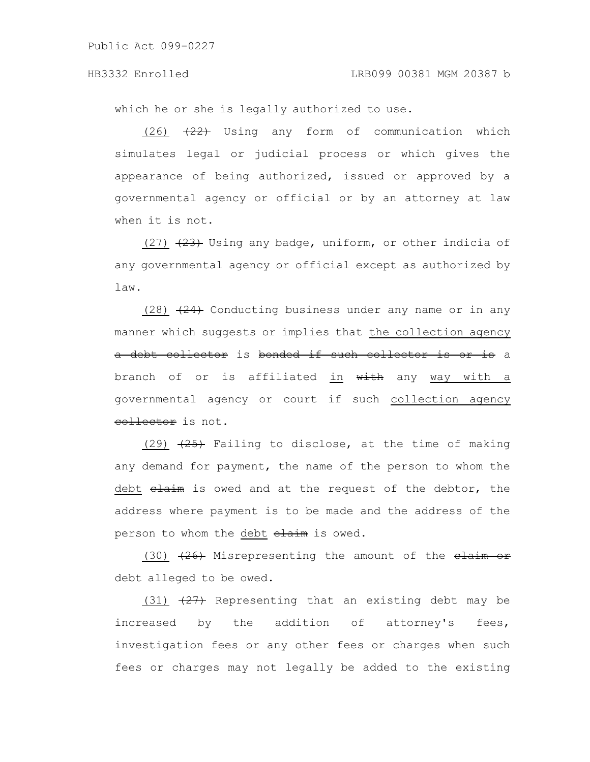## HB3332 Enrolled LRB099 00381 MGM 20387 b

which he or she is legally authorized to use.

 $(26)$   $(22)$  Using any form of communication which simulates legal or judicial process or which gives the appearance of being authorized, issued or approved by a governmental agency or official or by an attorney at law when it is not.

 $(27)$   $(23)$  Using any badge, uniform, or other indicia of any governmental agency or official except as authorized by law.

 $(28)$   $(24)$  Conducting business under any name or in any manner which suggests or implies that the collection agency a debt collector is bonded if such collector is or is a branch of or is affiliated in with any way with a governmental agency or court if such collection agency collector is not.

(29)  $(25)$  Failing to disclose, at the time of making any demand for payment, the name of the person to whom the debt claim is owed and at the request of the debtor, the address where payment is to be made and the address of the person to whom the debt elaim is owed.

(30)  $(26)$  Misrepresenting the amount of the  $\frac{$ \text{claim or}}{ } debt alleged to be owed.

(31)  $(27)$  Representing that an existing debt may be increased by the addition of attorney's fees, investigation fees or any other fees or charges when such fees or charges may not legally be added to the existing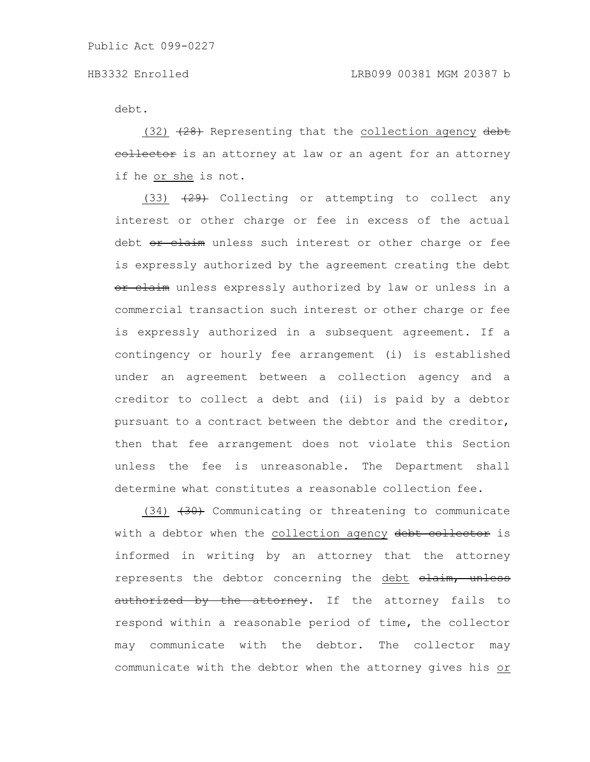debt.

 $(32)$   $(28)$  Representing that the collection agency debt eollector is an attorney at law or an agent for an attorney if he or she is not.

(33)  $(29)$  Collecting or attempting to collect any interest or other charge or fee in excess of the actual debt or claim unless such interest or other charge or fee is expressly authorized by the agreement creating the debt or claim unless expressly authorized by law or unless in a commercial transaction such interest or other charge or fee is expressly authorized in a subsequent agreement. If a contingency or hourly fee arrangement (i) is established under an agreement between a collection agency and a creditor to collect a debt and (ii) is paid by a debtor pursuant to a contract between the debtor and the creditor, then that fee arrangement does not violate this Section unless the fee is unreasonable. The Department shall determine what constitutes a reasonable collection fee.

 $(34)$   $(30)$  Communicating or threatening to communicate with a debtor when the collection agency debt collector is informed in writing by an attorney that the attorney represents the debtor concerning the debt elaim, unless authorized by the attorney. If the attorney fails to respond within a reasonable period of time, the collector may communicate with the debtor. The collector may communicate with the debtor when the attorney gives his or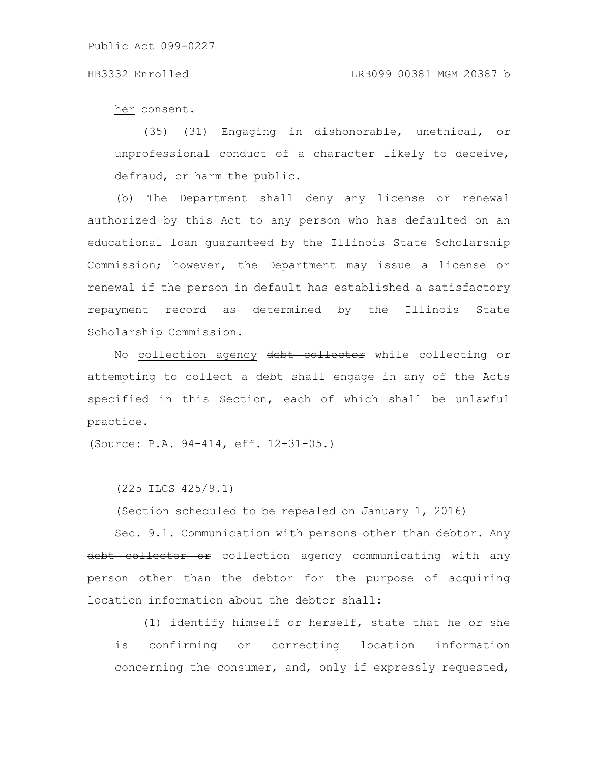her consent.

 $(35)$   $(31)$  Engaging in dishonorable, unethical, or unprofessional conduct of a character likely to deceive, defraud, or harm the public.

(b) The Department shall deny any license or renewal authorized by this Act to any person who has defaulted on an educational loan guaranteed by the Illinois State Scholarship Commission; however, the Department may issue a license or renewal if the person in default has established a satisfactory repayment record as determined by the Illinois State Scholarship Commission.

No collection agency debt collector while collecting or attempting to collect a debt shall engage in any of the Acts specified in this Section, each of which shall be unlawful practice.

(Source: P.A. 94-414, eff. 12-31-05.)

(225 ILCS 425/9.1)

(Section scheduled to be repealed on January 1, 2016)

Sec. 9.1. Communication with persons other than debtor. Any debt collector or collection agency communicating with any person other than the debtor for the purpose of acquiring location information about the debtor shall:

(1) identify himself or herself, state that he or she is confirming or correcting location information concerning the consumer, and, only if expressly requested,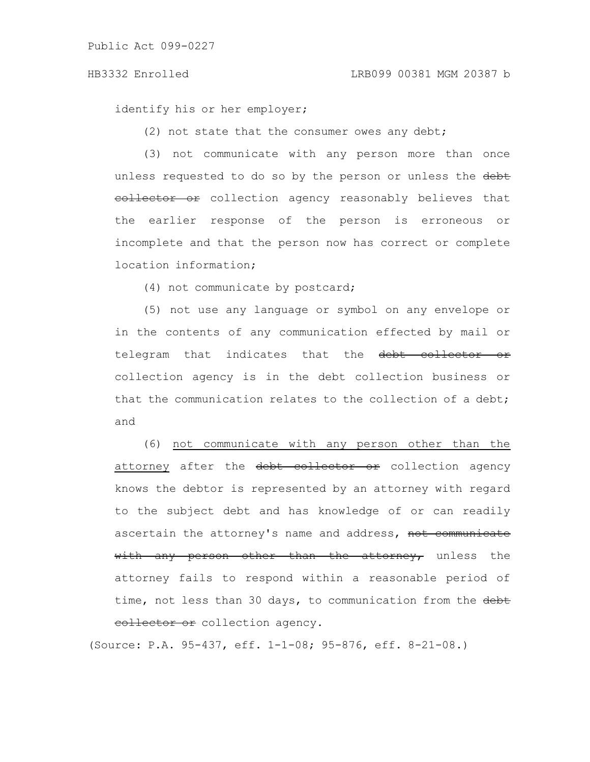identify his or her employer;

(2) not state that the consumer owes any debt;

(3) not communicate with any person more than once unless requested to do so by the person or unless the debt eollector or collection agency reasonably believes that the earlier response of the person is erroneous or incomplete and that the person now has correct or complete location information;

(4) not communicate by postcard;

(5) not use any language or symbol on any envelope or in the contents of any communication effected by mail or telegram that indicates that the debt collector or collection agency is in the debt collection business or that the communication relates to the collection of a debt; and

(6) not communicate with any person other than the attorney after the debt collector or collection agency knows the debtor is represented by an attorney with regard to the subject debt and has knowledge of or can readily ascertain the attorney's name and address, not communicate with any person other than the attorney, unless the attorney fails to respond within a reasonable period of time, not less than 30 days, to communication from the debt eollector or collection agency.

(Source: P.A. 95-437, eff. 1-1-08; 95-876, eff. 8-21-08.)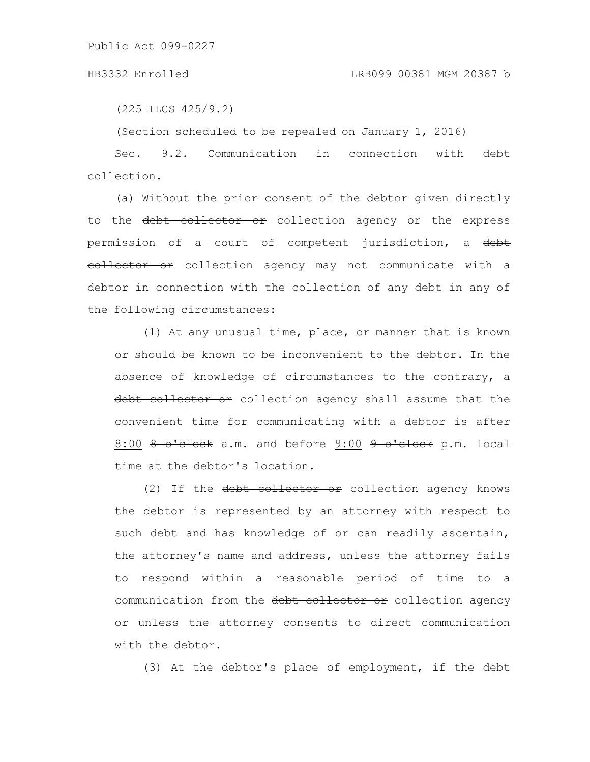(225 ILCS 425/9.2)

(Section scheduled to be repealed on January 1, 2016)

Sec. 9.2. Communication in connection with debt collection.

(a) Without the prior consent of the debtor given directly to the debt collector or collection agency or the express permission of a court of competent jurisdiction, a debt eollector or collection agency may not communicate with a debtor in connection with the collection of any debt in any of the following circumstances:

(1) At any unusual time, place, or manner that is known or should be known to be inconvenient to the debtor. In the absence of knowledge of circumstances to the contrary, a debt collector or collection agency shall assume that the convenient time for communicating with a debtor is after 8:00 8 o'clock a.m. and before 9:00 9 o'clock p.m. local time at the debtor's location.

(2) If the debt collector or collection agency knows the debtor is represented by an attorney with respect to such debt and has knowledge of or can readily ascertain, the attorney's name and address, unless the attorney fails to respond within a reasonable period of time to a communication from the debt collector or collection agency or unless the attorney consents to direct communication with the debtor.

(3) At the debtor's place of employment, if the debt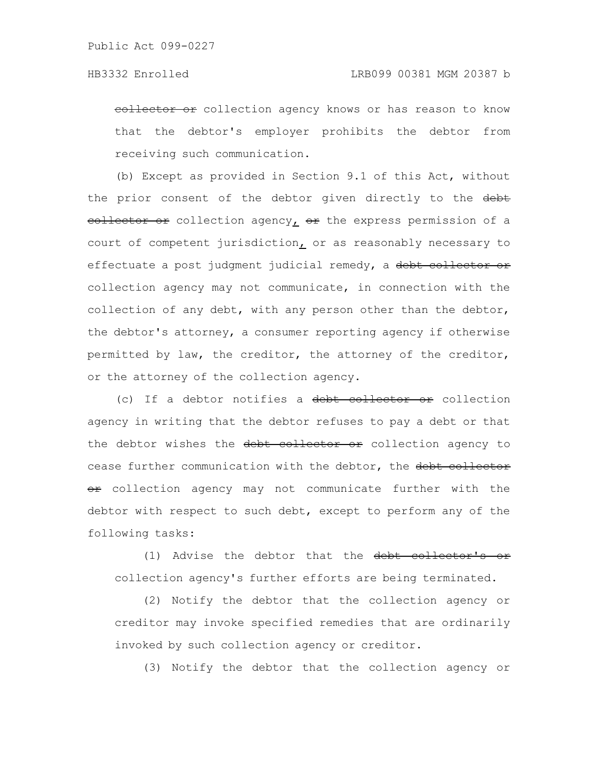eollector or collection agency knows or has reason to know that the debtor's employer prohibits the debtor from receiving such communication.

(b) Except as provided in Section 9.1 of this Act, without the prior consent of the debtor given directly to the debt eollector or collection agency, or the express permission of a court of competent jurisdiction, or as reasonably necessary to effectuate a post judgment judicial remedy, a debt collector or collection agency may not communicate, in connection with the collection of any debt, with any person other than the debtor, the debtor's attorney, a consumer reporting agency if otherwise permitted by law, the creditor, the attorney of the creditor, or the attorney of the collection agency.

(c) If a debtor notifies a debt collector or collection agency in writing that the debtor refuses to pay a debt or that the debtor wishes the debt collector or collection agency to cease further communication with the debtor, the debt collector or collection agency may not communicate further with the debtor with respect to such debt, except to perform any of the following tasks:

(1) Advise the debtor that the debt collector's or collection agency's further efforts are being terminated.

(2) Notify the debtor that the collection agency or creditor may invoke specified remedies that are ordinarily invoked by such collection agency or creditor.

(3) Notify the debtor that the collection agency or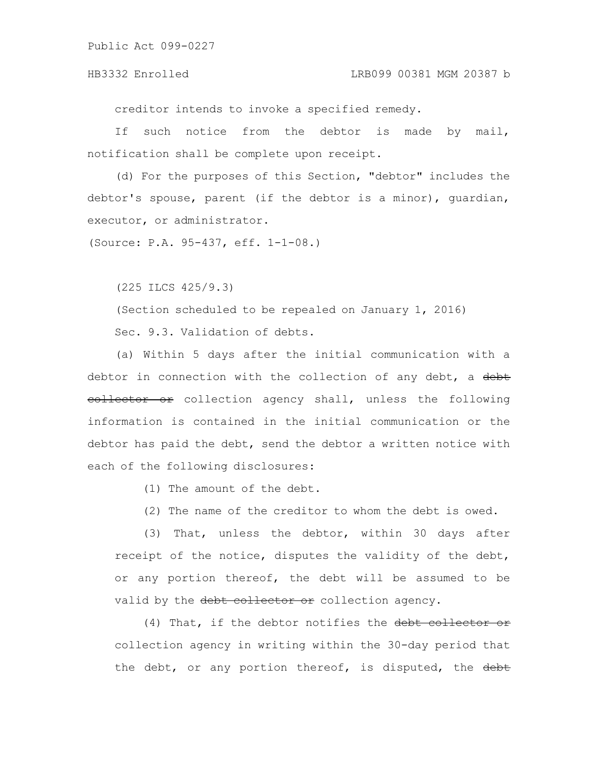### HB3332 Enrolled LRB099 00381 MGM 20387 b

creditor intends to invoke a specified remedy.

If such notice from the debtor is made by mail, notification shall be complete upon receipt.

(d) For the purposes of this Section, "debtor" includes the debtor's spouse, parent (if the debtor is a minor), guardian, executor, or administrator.

(Source: P.A. 95-437, eff. 1-1-08.)

(225 ILCS 425/9.3)

(Section scheduled to be repealed on January 1, 2016)

Sec. 9.3. Validation of debts.

(a) Within 5 days after the initial communication with a debtor in connection with the collection of any debt, a debt eollector or collection agency shall, unless the following information is contained in the initial communication or the debtor has paid the debt, send the debtor a written notice with each of the following disclosures:

(1) The amount of the debt.

(2) The name of the creditor to whom the debt is owed.

(3) That, unless the debtor, within 30 days after receipt of the notice, disputes the validity of the debt, or any portion thereof, the debt will be assumed to be valid by the debt collector or collection agency.

(4) That, if the debtor notifies the debt collector or collection agency in writing within the 30-day period that the debt, or any portion thereof, is disputed, the debt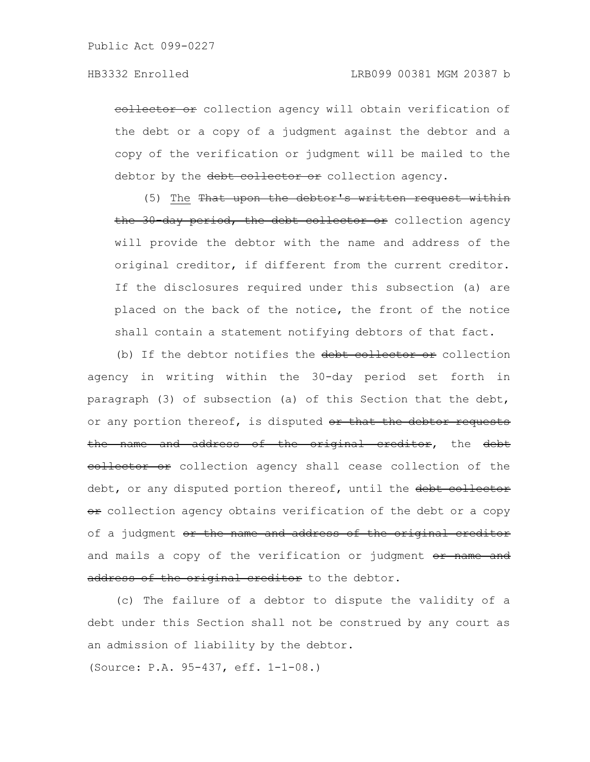eollector or collection agency will obtain verification of the debt or a copy of a judgment against the debtor and a copy of the verification or judgment will be mailed to the debtor by the debt collector or collection agency.

(5) The That upon the debtor's written request within the 30 day period, the debt collector or collection agency will provide the debtor with the name and address of the original creditor, if different from the current creditor. If the disclosures required under this subsection (a) are placed on the back of the notice, the front of the notice shall contain a statement notifying debtors of that fact.

(b) If the debtor notifies the debt collector or collection agency in writing within the 30-day period set forth in paragraph (3) of subsection (a) of this Section that the debt, or any portion thereof, is disputed or that the debtor requests the name and address of the original creditor, the debt eollector or collection agency shall cease collection of the debt, or any disputed portion thereof, until the debt collector or collection agency obtains verification of the debt or a copy of a judgment or the name and address of the original creditor and mails a copy of the verification or judgment or name and address of the original creditor to the debtor.

(c) The failure of a debtor to dispute the validity of a debt under this Section shall not be construed by any court as an admission of liability by the debtor.

(Source: P.A. 95-437, eff. 1-1-08.)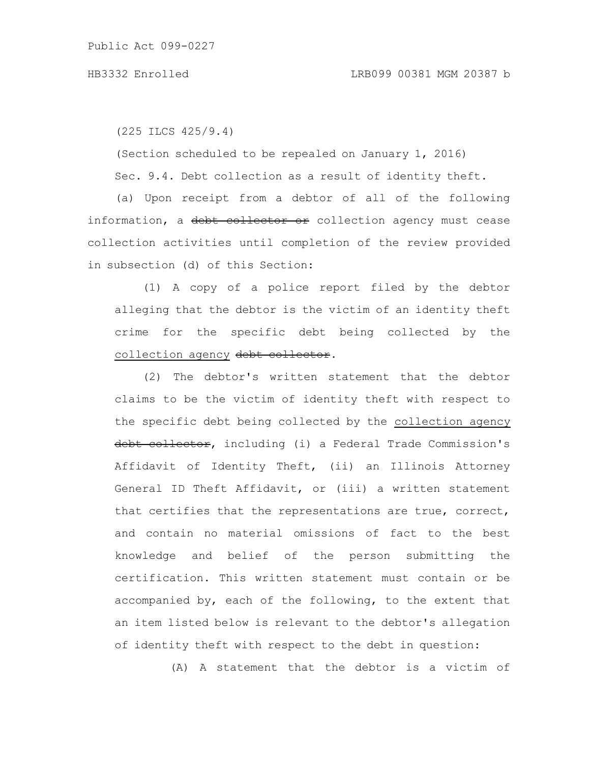(225 ILCS 425/9.4)

(Section scheduled to be repealed on January 1, 2016)

Sec. 9.4. Debt collection as a result of identity theft.

(a) Upon receipt from a debtor of all of the following information, a debt collector or collection agency must cease collection activities until completion of the review provided in subsection (d) of this Section:

(1) A copy of a police report filed by the debtor alleging that the debtor is the victim of an identity theft crime for the specific debt being collected by the collection agency debt collector.

(2) The debtor's written statement that the debtor claims to be the victim of identity theft with respect to the specific debt being collected by the collection agency debt collector, including (i) a Federal Trade Commission's Affidavit of Identity Theft, (ii) an Illinois Attorney General ID Theft Affidavit, or (iii) a written statement that certifies that the representations are true, correct, and contain no material omissions of fact to the best knowledge and belief of the person submitting the certification. This written statement must contain or be accompanied by, each of the following, to the extent that an item listed below is relevant to the debtor's allegation of identity theft with respect to the debt in question:

(A) A statement that the debtor is a victim of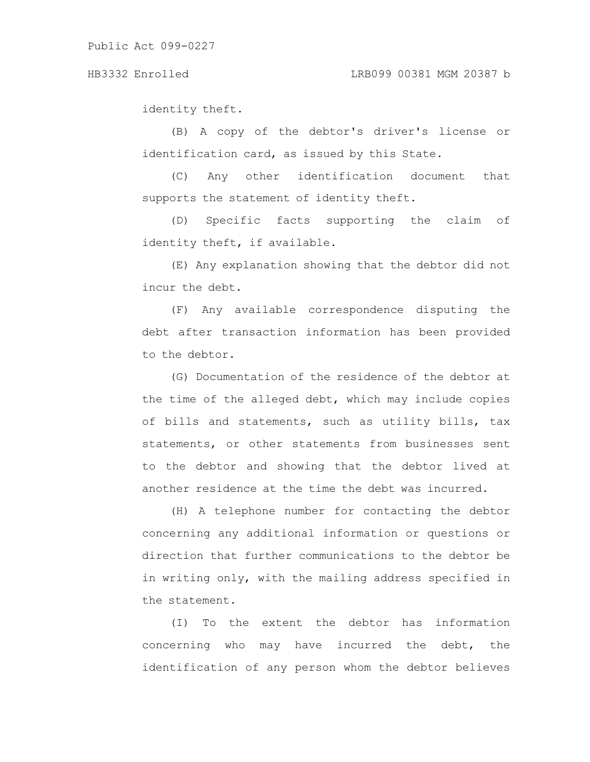identity theft.

(B) A copy of the debtor's driver's license or identification card, as issued by this State.

(C) Any other identification document that supports the statement of identity theft.

(D) Specific facts supporting the claim of identity theft, if available.

(E) Any explanation showing that the debtor did not incur the debt.

(F) Any available correspondence disputing the debt after transaction information has been provided to the debtor.

(G) Documentation of the residence of the debtor at the time of the alleged debt, which may include copies of bills and statements, such as utility bills, tax statements, or other statements from businesses sent to the debtor and showing that the debtor lived at another residence at the time the debt was incurred.

(H) A telephone number for contacting the debtor concerning any additional information or questions or direction that further communications to the debtor be in writing only, with the mailing address specified in the statement.

(I) To the extent the debtor has information concerning who may have incurred the debt, the identification of any person whom the debtor believes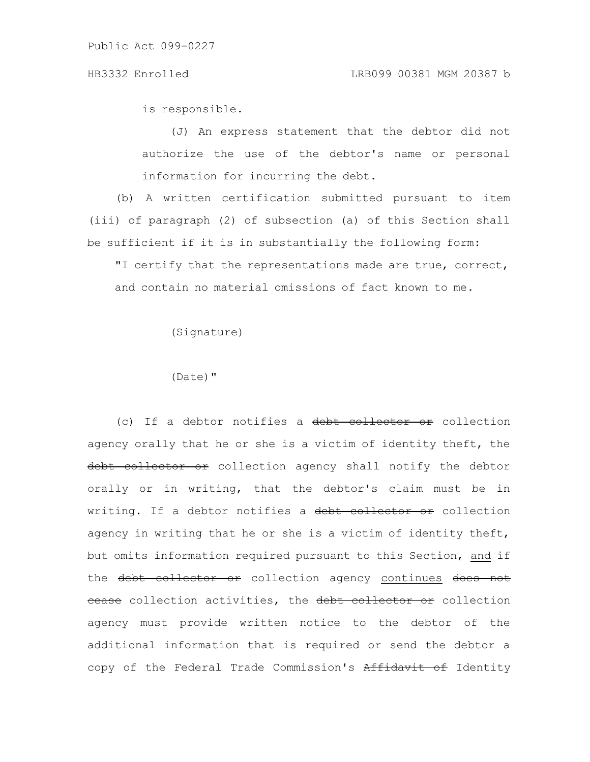is responsible.

(J) An express statement that the debtor did not authorize the use of the debtor's name or personal information for incurring the debt.

(b) A written certification submitted pursuant to item (iii) of paragraph (2) of subsection (a) of this Section shall be sufficient if it is in substantially the following form:

"I certify that the representations made are true, correct, and contain no material omissions of fact known to me.

(Signature)

(Date)"

(c) If a debtor notifies a debt collector or collection agency orally that he or she is a victim of identity theft, the debt collector or collection agency shall notify the debtor orally or in writing, that the debtor's claim must be in writing. If a debtor notifies a debt collector or collection agency in writing that he or she is a victim of identity theft, but omits information required pursuant to this Section, and if the debt collector or collection agency continues does not ecase collection activities, the debt collector or collection agency must provide written notice to the debtor of the additional information that is required or send the debtor a copy of the Federal Trade Commission's Affidavit of Identity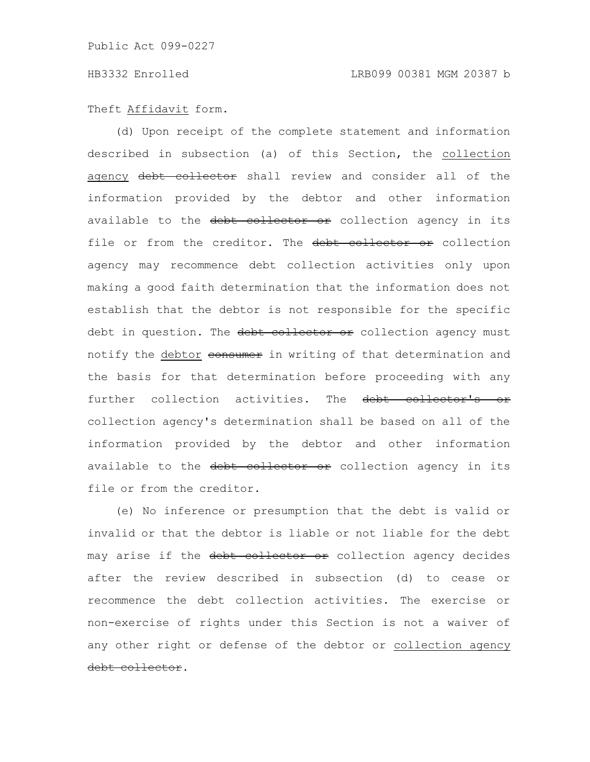## Theft Affidavit form.

(d) Upon receipt of the complete statement and information described in subsection (a) of this Section, the collection agency debt collector shall review and consider all of the information provided by the debtor and other information available to the debt collector or collection agency in its file or from the creditor. The debt collector or collection agency may recommence debt collection activities only upon making a good faith determination that the information does not establish that the debtor is not responsible for the specific debt in question. The debt collector or collection agency must notify the debtor consumer in writing of that determination and the basis for that determination before proceeding with any further collection activities. The debt collector's or collection agency's determination shall be based on all of the information provided by the debtor and other information available to the debt collector or collection agency in its file or from the creditor.

(e) No inference or presumption that the debt is valid or invalid or that the debtor is liable or not liable for the debt may arise if the debt collector or collection agency decides after the review described in subsection (d) to cease or recommence the debt collection activities. The exercise or non-exercise of rights under this Section is not a waiver of any other right or defense of the debtor or collection agency debt collector.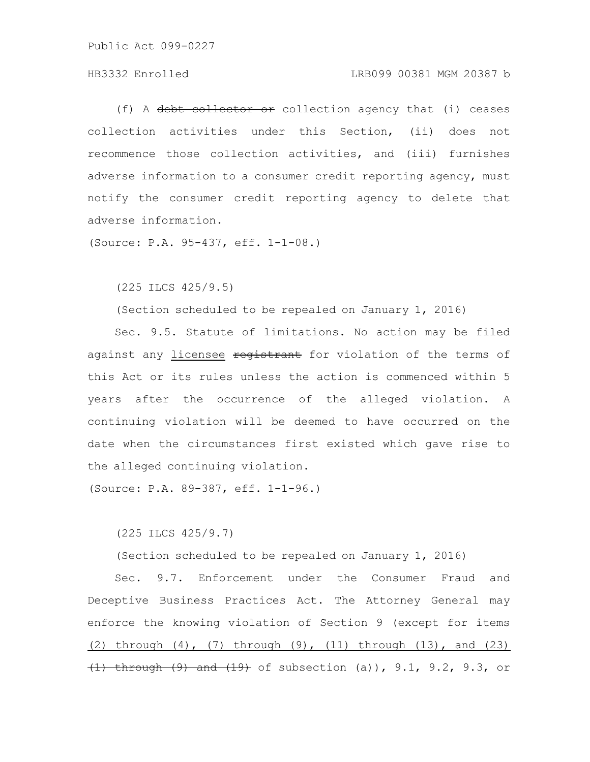# HB3332 Enrolled LRB099 00381 MGM 20387 b

(f) A debt collector or collection agency that (i) ceases collection activities under this Section, (ii) does not recommence those collection activities, and (iii) furnishes adverse information to a consumer credit reporting agency, must notify the consumer credit reporting agency to delete that adverse information.

(Source: P.A. 95-437, eff. 1-1-08.)

(225 ILCS 425/9.5)

(Section scheduled to be repealed on January 1, 2016)

Sec. 9.5. Statute of limitations. No action may be filed against any licensee registrant for violation of the terms of this Act or its rules unless the action is commenced within 5 years after the occurrence of the alleged violation. A continuing violation will be deemed to have occurred on the date when the circumstances first existed which gave rise to the alleged continuing violation.

(Source: P.A. 89-387, eff. 1-1-96.)

(225 ILCS 425/9.7)

(Section scheduled to be repealed on January 1, 2016)

Sec. 9.7. Enforcement under the Consumer Fraud and Deceptive Business Practices Act. The Attorney General may enforce the knowing violation of Section 9 (except for items (2) through (4), (7) through (9), (11) through (13), and (23) (1) through (9) and (19) of subsection (a)), 9.1, 9.2, 9.3, or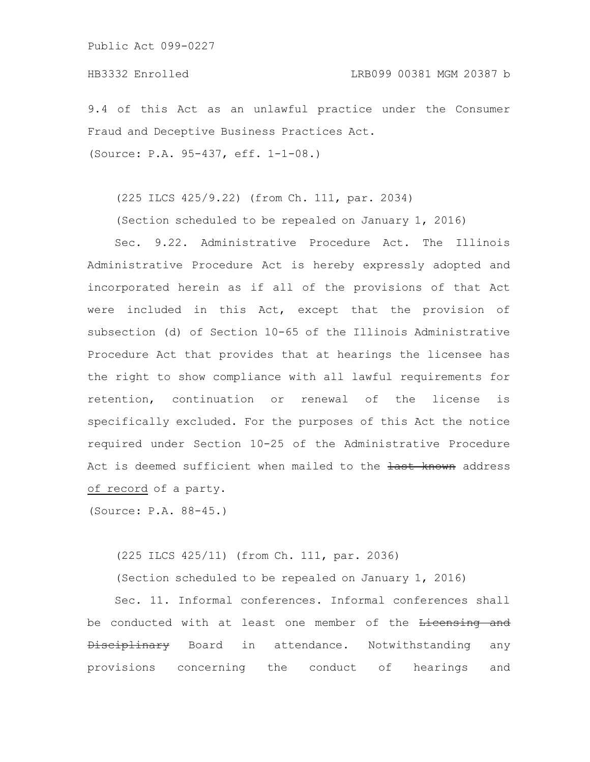9.4 of this Act as an unlawful practice under the Consumer Fraud and Deceptive Business Practices Act.

(Source: P.A. 95-437, eff. 1-1-08.)

(225 ILCS 425/9.22) (from Ch. 111, par. 2034)

(Section scheduled to be repealed on January 1, 2016)

Sec. 9.22. Administrative Procedure Act. The Illinois Administrative Procedure Act is hereby expressly adopted and incorporated herein as if all of the provisions of that Act were included in this Act, except that the provision of subsection (d) of Section 10-65 of the Illinois Administrative Procedure Act that provides that at hearings the licensee has the right to show compliance with all lawful requirements for retention, continuation or renewal of the license is specifically excluded. For the purposes of this Act the notice required under Section 10-25 of the Administrative Procedure Act is deemed sufficient when mailed to the last known address of record of a party.

(Source: P.A. 88-45.)

(225 ILCS 425/11) (from Ch. 111, par. 2036)

(Section scheduled to be repealed on January 1, 2016)

Sec. 11. Informal conferences. Informal conferences shall be conducted with at least one member of the Licensing and Disciplinary Board in attendance. Notwithstanding any provisions concerning the conduct of hearings and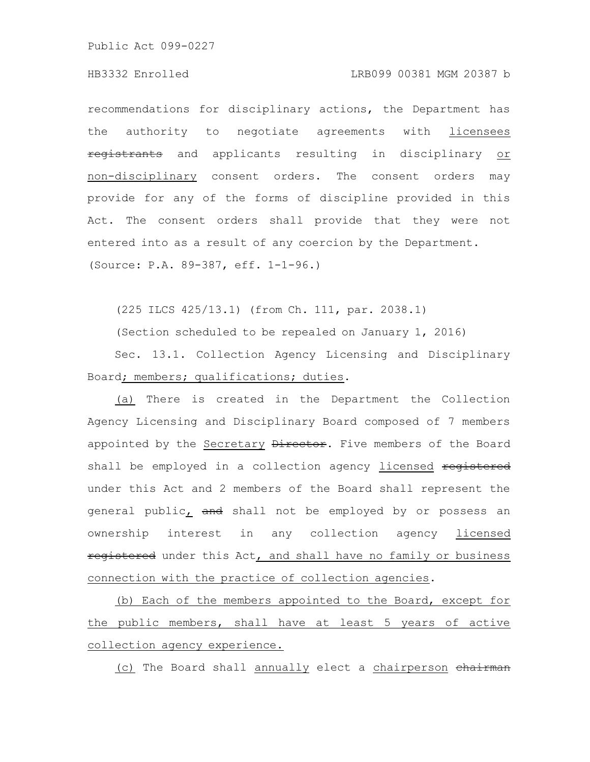### HB3332 Enrolled LRB099 00381 MGM 20387 b

recommendations for disciplinary actions, the Department has the authority to negotiate agreements with licensees registrants and applicants resulting in disciplinary or non-disciplinary consent orders. The consent orders may provide for any of the forms of discipline provided in this Act. The consent orders shall provide that they were not entered into as a result of any coercion by the Department. (Source: P.A. 89-387, eff. 1-1-96.)

(225 ILCS 425/13.1) (from Ch. 111, par. 2038.1)

(Section scheduled to be repealed on January 1, 2016)

Sec. 13.1. Collection Agency Licensing and Disciplinary Board; members; qualifications; duties.

(a) There is created in the Department the Collection Agency Licensing and Disciplinary Board composed of 7 members appointed by the Secretary Director. Five members of the Board shall be employed in a collection agency licensed registered under this Act and 2 members of the Board shall represent the general public<sub>L</sub> and shall not be employed by or possess an ownership interest in any collection agency licensed registered under this Act, and shall have no family or business connection with the practice of collection agencies.

(b) Each of the members appointed to the Board, except for the public members, shall have at least 5 years of active collection agency experience.

(c) The Board shall annually elect a chairperson chairman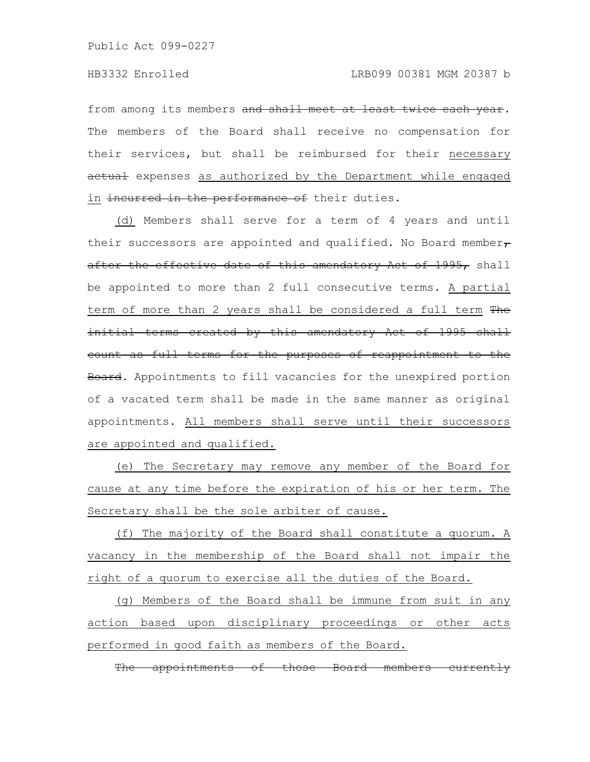from among its members and shall meet at least twice each year. The members of the Board shall receive no compensation for their services, but shall be reimbursed for their necessary actual expenses as authorized by the Department while engaged in incurred in the performance of their duties.

(d) Members shall serve for a term of 4 years and until their successors are appointed and qualified. No Board member $\tau$ after the effective date of this amendatory Act of 1995, shall be appointed to more than 2 full consecutive terms. A partial term of more than 2 years shall be considered a full term The initial terms created by this amendatory Act of 1995 shall count as full terms for the purposes of reappointment to the Board. Appointments to fill vacancies for the unexpired portion of a vacated term shall be made in the same manner as original appointments. All members shall serve until their successors are appointed and qualified.

(e) The Secretary may remove any member of the Board for cause at any time before the expiration of his or her term. The Secretary shall be the sole arbiter of cause.

(f) The majority of the Board shall constitute a quorum. A vacancy in the membership of the Board shall not impair the right of a quorum to exercise all the duties of the Board.

(g) Members of the Board shall be immune from suit in any action based upon disciplinary proceedings or other acts performed in good faith as members of the Board.

The appointments of those Board members currer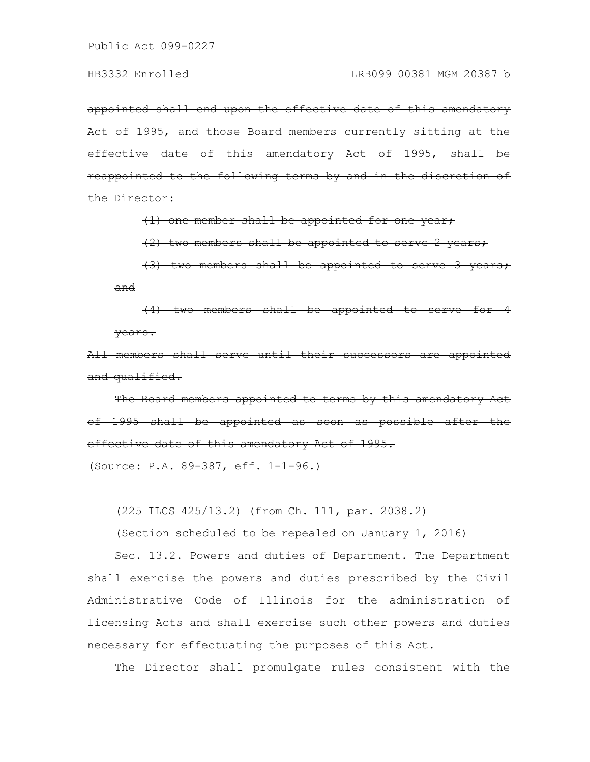appointed shall end upon the effective date of this amendatory Act of 1995, and those Board members currently sitting at the effective date of this amendatory Act of 1995, shall appointed to the following terms by and the Director:

(1) one member shall be appointed for one year;

 $(2)$  two members shall be appointed to serve

 $(3)$  two members shall be appointed and

 $(4)$  two members shall be appointed years.

members shall serve until their and qualified.

The Board members appointed to terms by this amendatory Act of 1995 shall be appointed as soon as possible after effective date of this amendatory Act of 1995.

(Source: P.A. 89-387, eff. 1-1-96.)

(225 ILCS 425/13.2) (from Ch. 111, par. 2038.2)

(Section scheduled to be repealed on January 1, 2016)

Sec. 13.2. Powers and duties of Department. The Department shall exercise the powers and duties prescribed by the Civil Administrative Code of Illinois for the administration of licensing Acts and shall exercise such other powers and duties necessary for effectuating the purposes of this Act.

The Director shall promulgate rules consistent with the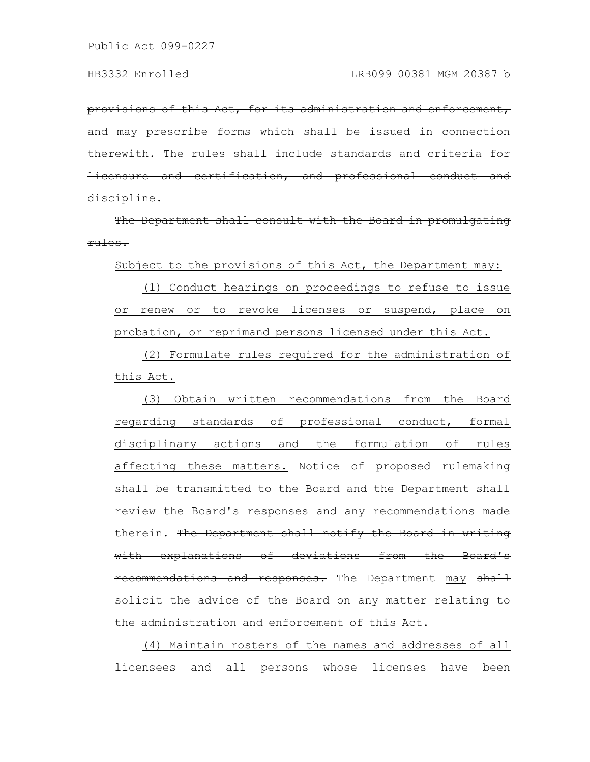provisions of this Act, for its administration and enforcement, prescribe forms which shall be issued in connection The rules shall include standards and certification, and profe discipline.

The Department shall consult with the Board in promulgating rules.

Subject to the provisions of this Act, the Department may:

(1) Conduct hearings on proceedings to refuse to issue or renew or to revoke licenses or suspend, place on probation, or reprimand persons licensed under this Act.

(2) Formulate rules required for the administration of this Act.

(3) Obtain written recommendations from the Board regarding standards of professional conduct, formal disciplinary actions and the formulation of rules affecting these matters. Notice of proposed rulemaking shall be transmitted to the Board and the Department shall review the Board's responses and any recommendations made therein. The Department shall notify the Board in writing with explanations of deviations from the Board's recommendations and responses. The Department may shall solicit the advice of the Board on any matter relating to the administration and enforcement of this Act.

(4) Maintain rosters of the names and addresses of all licensees and all persons whose licenses have been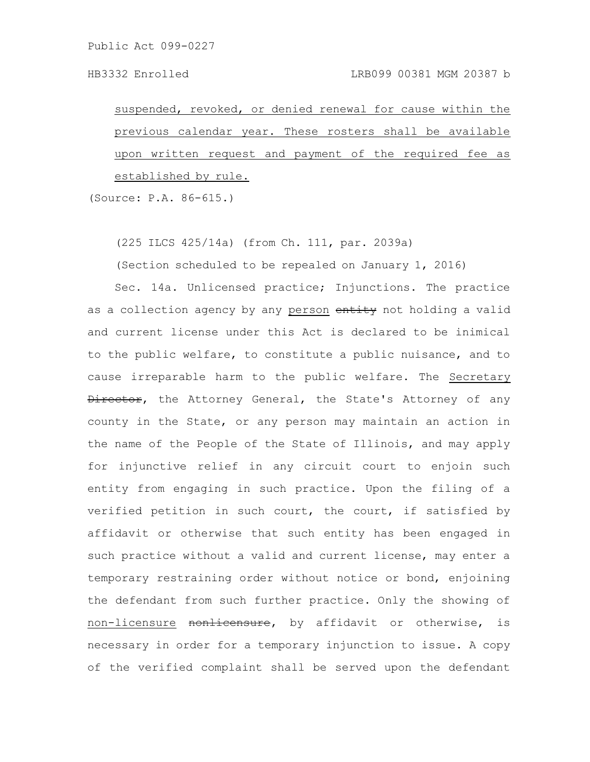suspended, revoked, or denied renewal for cause within the previous calendar year. These rosters shall be available upon written request and payment of the required fee as established by rule.

(Source: P.A. 86-615.)

(225 ILCS 425/14a) (from Ch. 111, par. 2039a)

(Section scheduled to be repealed on January 1, 2016)

Sec. 14a. Unlicensed practice; Injunctions. The practice as a collection agency by any person entity not holding a valid and current license under this Act is declared to be inimical to the public welfare, to constitute a public nuisance, and to cause irreparable harm to the public welfare. The Secretary **Director,** the Attorney General, the State's Attorney of any county in the State, or any person may maintain an action in the name of the People of the State of Illinois, and may apply for injunctive relief in any circuit court to enjoin such entity from engaging in such practice. Upon the filing of a verified petition in such court, the court, if satisfied by affidavit or otherwise that such entity has been engaged in such practice without a valid and current license, may enter a temporary restraining order without notice or bond, enjoining the defendant from such further practice. Only the showing of non-licensure nonlicensure, by affidavit or otherwise, is necessary in order for a temporary injunction to issue. A copy of the verified complaint shall be served upon the defendant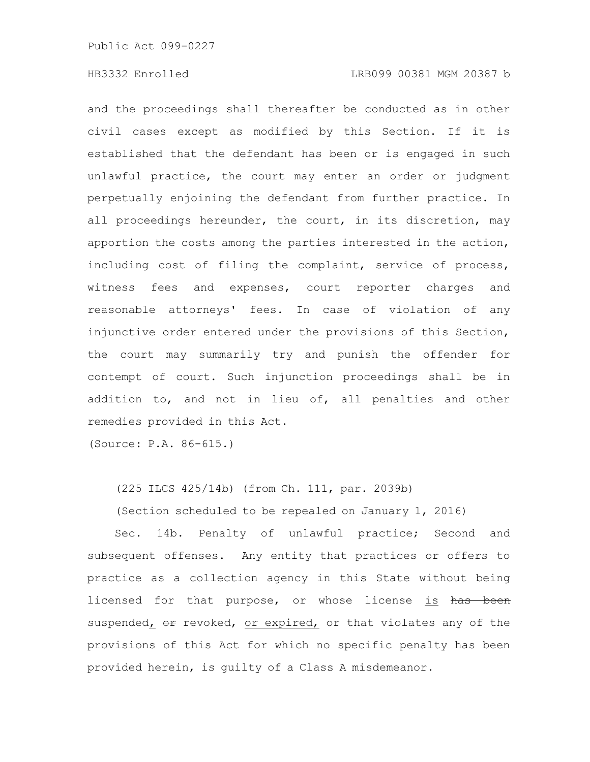and the proceedings shall thereafter be conducted as in other civil cases except as modified by this Section. If it is established that the defendant has been or is engaged in such unlawful practice, the court may enter an order or judgment perpetually enjoining the defendant from further practice. In all proceedings hereunder, the court, in its discretion, may apportion the costs among the parties interested in the action, including cost of filing the complaint, service of process, witness fees and expenses, court reporter charges and reasonable attorneys' fees. In case of violation of any injunctive order entered under the provisions of this Section, the court may summarily try and punish the offender for contempt of court. Such injunction proceedings shall be in addition to, and not in lieu of, all penalties and other remedies provided in this Act.

(Source: P.A. 86-615.)

(225 ILCS 425/14b) (from Ch. 111, par. 2039b)

(Section scheduled to be repealed on January 1, 2016)

Sec. 14b. Penalty of unlawful practice; Second and subsequent offenses. Any entity that practices or offers to practice as a collection agency in this State without being licensed for that purpose, or whose license is has been suspended,  $\Theta$  revoked, or expired, or that violates any of the provisions of this Act for which no specific penalty has been provided herein, is guilty of a Class A misdemeanor.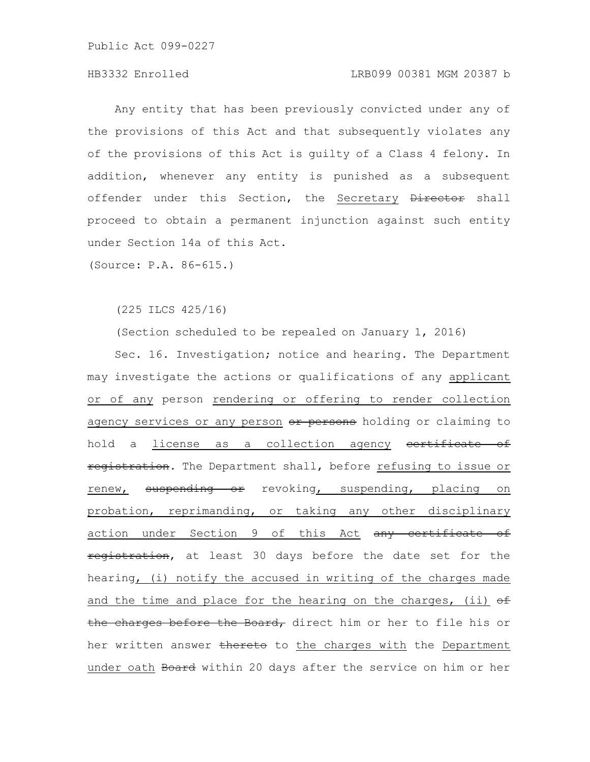# HB3332 Enrolled LRB099 00381 MGM 20387 b

Any entity that has been previously convicted under any of the provisions of this Act and that subsequently violates any of the provisions of this Act is guilty of a Class 4 felony. In addition, whenever any entity is punished as a subsequent offender under this Section, the Secretary Director shall proceed to obtain a permanent injunction against such entity under Section 14a of this Act.

(Source: P.A. 86-615.)

(225 ILCS 425/16)

(Section scheduled to be repealed on January 1, 2016)

Sec. 16. Investigation; notice and hearing. The Department may investigate the actions or qualifications of any applicant or of any person rendering or offering to render collection agency services or any person or persons holding or claiming to hold a license as a collection agency certificate of registration. The Department shall, before refusing to issue or renew, suspending or revoking, suspending, placing on probation, reprimanding, or taking any other disciplinary action under Section 9 of this Act any certificate of registration, at least 30 days before the date set for the hearing, (i) notify the accused in writing of the charges made and the time and place for the hearing on the charges, (ii)  $\Theta$ the charges before the Board, direct him or her to file his or her written answer thereto to the charges with the Department under oath Board within 20 days after the service on him or her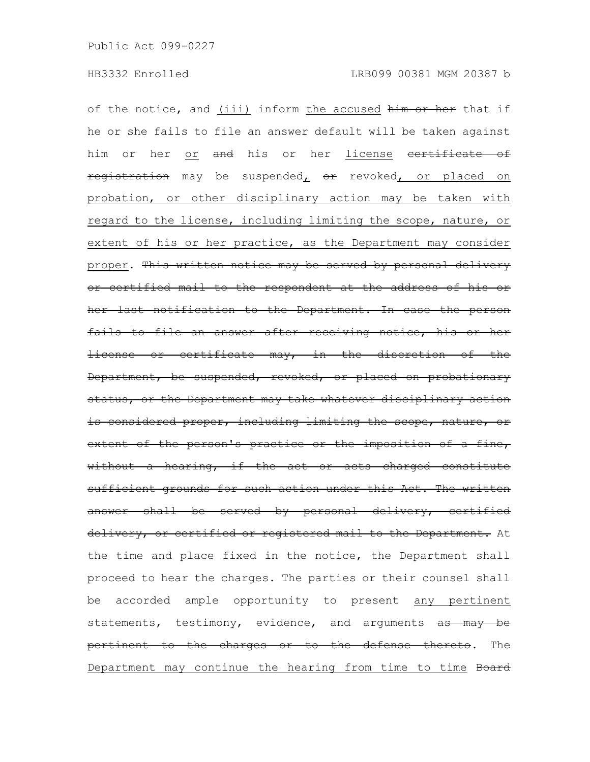of the notice, and (iii) inform the accused him or her that if he or she fails to file an answer default will be taken against him or her or and his or her license eertificate of registration may be suspended, or revoked, or placed on probation, or other disciplinary action may be taken with regard to the license, including limiting the scope, nature, or extent of his or her practice, as the Department may consider proper. This written notice may be served by personal delivery or certified mail to the respondent at the address of his or her last notification to the Department. In case the person fails to file an answer after receiving notice, his or her license or certificate may, in the discretion of the Department, be suspended, revoked, or placed on probationary status, or the Department may take whatever disciplinary action is considered proper, including limiting the scope, nature, or extent of the person's practice or the imposition of a fine, without a hearing, if the act or acts charged constitute sufficient grounds for such action under this Act. The written answer shall be served by personal delivery, certified delivery, or certified or registered mail to the Department. At the time and place fixed in the notice, the Department shall proceed to hear the charges. The parties or their counsel shall be accorded ample opportunity to present any pertinent statements, testimony, evidence, and arguments as may be pertinent to the charges or to the defense thereto. The Department may continue the hearing from time to time Board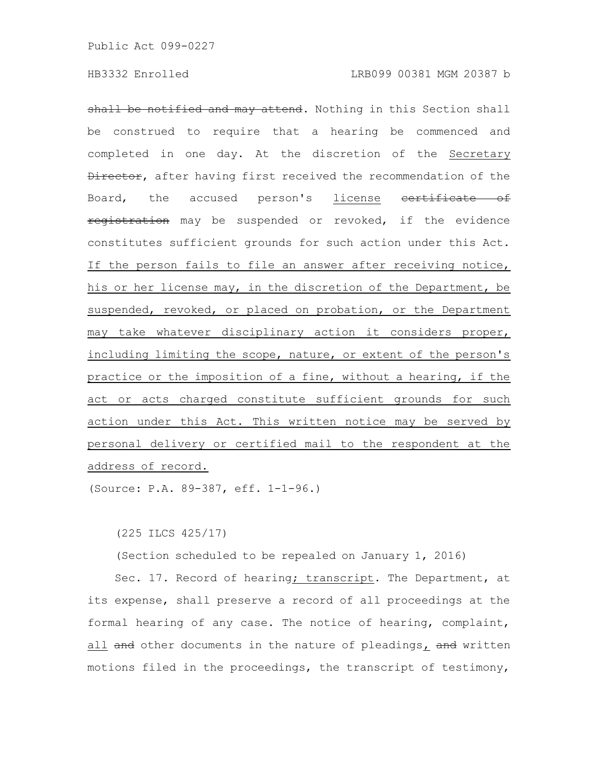shall be notified and may attend. Nothing in this Section shall be construed to require that a hearing be commenced and completed in one day. At the discretion of the Secretary Director, after having first received the recommendation of the Board, the accused person's license certificate of registration may be suspended or revoked, if the evidence constitutes sufficient grounds for such action under this Act. If the person fails to file an answer after receiving notice, his or her license may, in the discretion of the Department, be suspended, revoked, or placed on probation, or the Department may take whatever disciplinary action it considers proper, including limiting the scope, nature, or extent of the person's practice or the imposition of a fine, without a hearing, if the act or acts charged constitute sufficient grounds for such action under this Act. This written notice may be served by personal delivery or certified mail to the respondent at the address of record.

(Source: P.A. 89-387, eff. 1-1-96.)

(225 ILCS 425/17)

(Section scheduled to be repealed on January 1, 2016)

Sec. 17. Record of hearing; transcript. The Department, at its expense, shall preserve a record of all proceedings at the formal hearing of any case. The notice of hearing, complaint, all and other documents in the nature of pleadings, and written motions filed in the proceedings, the transcript of testimony,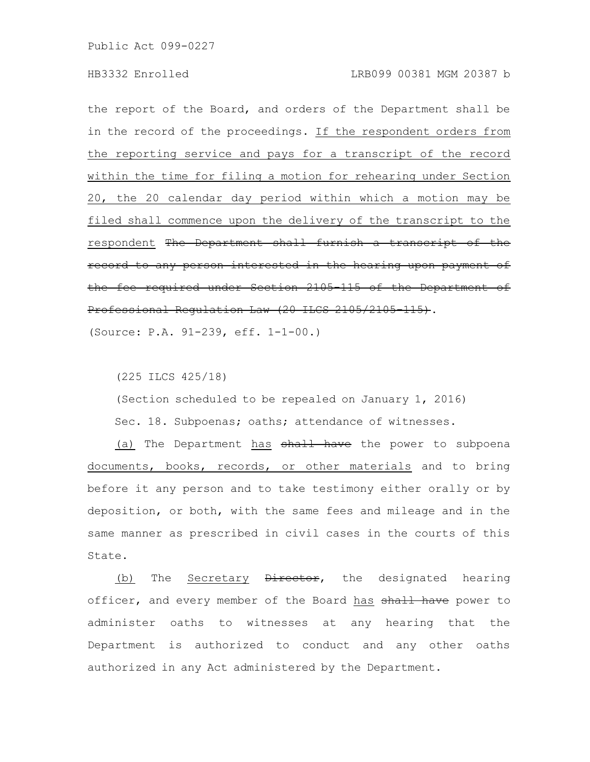the report of the Board, and orders of the Department shall be in the record of the proceedings. If the respondent orders from the reporting service and pays for a transcript of the record within the time for filing a motion for rehearing under Section 20, the 20 calendar day period within which a motion may be filed shall commence upon the delivery of the transcript to the respondent The Department shall furnish a transcript of the record to any person interested in the hearing upon payment the fee required under Section 2105-115 of the Department of Professional Requlation Law (20 ILCS 2105/2105 115).

(Source: P.A. 91-239, eff. 1-1-00.)

(225 ILCS 425/18)

(Section scheduled to be repealed on January 1, 2016) Sec. 18. Subpoenas; oaths; attendance of witnesses.

(a) The Department has shall have the power to subpoena documents, books, records, or other materials and to bring before it any person and to take testimony either orally or by deposition, or both, with the same fees and mileage and in the same manner as prescribed in civil cases in the courts of this State.

(b) The Secretary *Director*, the designated hearing officer, and every member of the Board has shall have power to administer oaths to witnesses at any hearing that the Department is authorized to conduct and any other oaths authorized in any Act administered by the Department.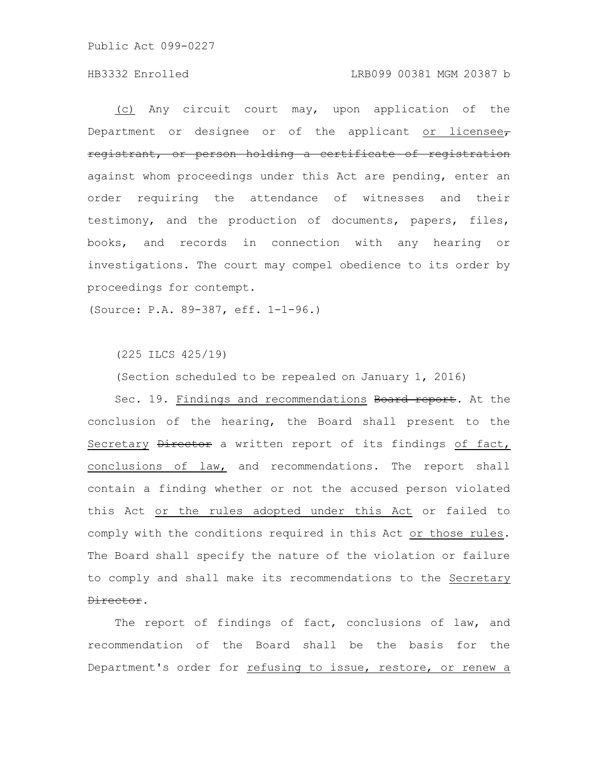### HB3332 Enrolled LRB099 00381 MGM 20387 b

(c) Any circuit court may, upon application of the Department or designee or of the applicant or licensee $_{\tau}$ registrant, or person holding a certificate of registration against whom proceedings under this Act are pending, enter an order requiring the attendance of witnesses and their testimony, and the production of documents, papers, files, books, and records in connection with any hearing or investigations. The court may compel obedience to its order by proceedings for contempt.

(Source: P.A. 89-387, eff. 1-1-96.)

(225 ILCS 425/19)

(Section scheduled to be repealed on January 1, 2016)

Sec. 19. Findings and recommendations Board report. At the conclusion of the hearing, the Board shall present to the Secretary Director a written report of its findings of fact, conclusions of law, and recommendations. The report shall contain a finding whether or not the accused person violated this Act or the rules adopted under this Act or failed to comply with the conditions required in this Act or those rules. The Board shall specify the nature of the violation or failure to comply and shall make its recommendations to the Secretary Director.

The report of findings of fact, conclusions of law, and recommendation of the Board shall be the basis for the Department's order for refusing to issue, restore, or renew a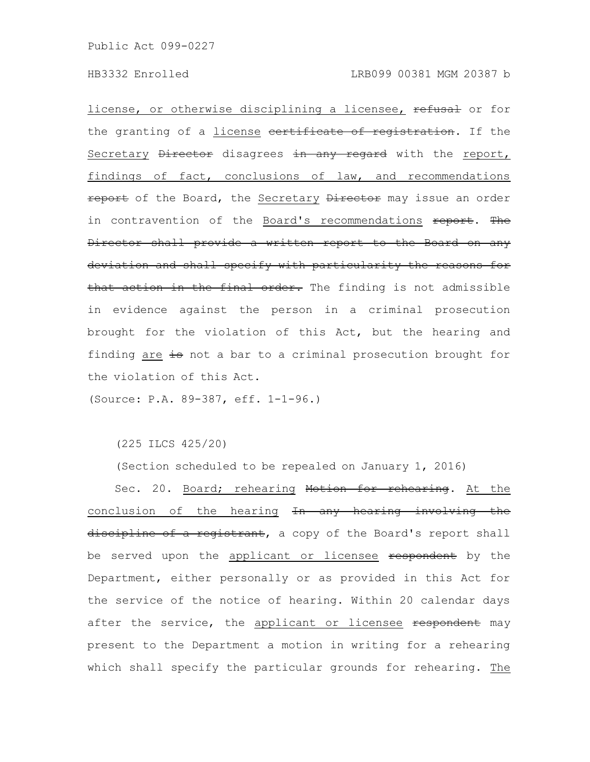license, or otherwise disciplining a licensee, refusal or for the granting of a license eertificate of registration. If the Secretary Director disagrees in any regard with the report, findings of fact, conclusions of law, and recommendations report of the Board, the Secretary Director may issue an order in contravention of the Board's recommendations report. The Director shall provide a written report to the Board on any deviation and shall specify with particularity the reasons for that action in the final order. The finding is not admissible in evidence against the person in a criminal prosecution brought for the violation of this Act, but the hearing and finding are is not a bar to a criminal prosecution brought for the violation of this Act.

(Source: P.A. 89-387, eff. 1-1-96.)

(225 ILCS 425/20)

(Section scheduled to be repealed on January 1, 2016)

Sec. 20. Board; rehearing Motion for rehearing. At the conclusion of the hearing In any hearing involving the discipline of a registrant, a copy of the Board's report shall be served upon the applicant or licensee respondent by the Department, either personally or as provided in this Act for the service of the notice of hearing. Within 20 calendar days after the service, the applicant or licensee respondent may present to the Department a motion in writing for a rehearing which shall specify the particular grounds for rehearing. The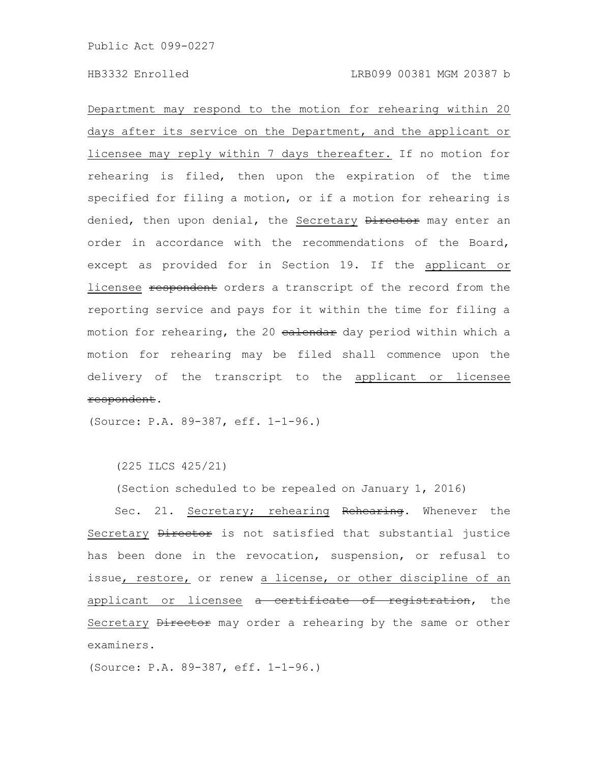Department may respond to the motion for rehearing within 20 days after its service on the Department, and the applicant or licensee may reply within 7 days thereafter. If no motion for rehearing is filed, then upon the expiration of the time specified for filing a motion, or if a motion for rehearing is denied, then upon denial, the Secretary Director may enter an order in accordance with the recommendations of the Board, except as provided for in Section 19. If the applicant or licensee respondent orders a transcript of the record from the reporting service and pays for it within the time for filing a motion for rehearing, the 20 ealendar day period within which a motion for rehearing may be filed shall commence upon the delivery of the transcript to the applicant or licensee respondent.

(Source: P.A. 89-387, eff. 1-1-96.)

(225 ILCS 425/21)

(Section scheduled to be repealed on January 1, 2016)

Sec. 21. Secretary; rehearing Rehearing. Whenever the Secretary **Director** is not satisfied that substantial justice has been done in the revocation, suspension, or refusal to issue, restore, or renew a license, or other discipline of an applicant or licensee a certificate of registration, the Secretary Director may order a rehearing by the same or other examiners.

(Source: P.A. 89-387, eff. 1-1-96.)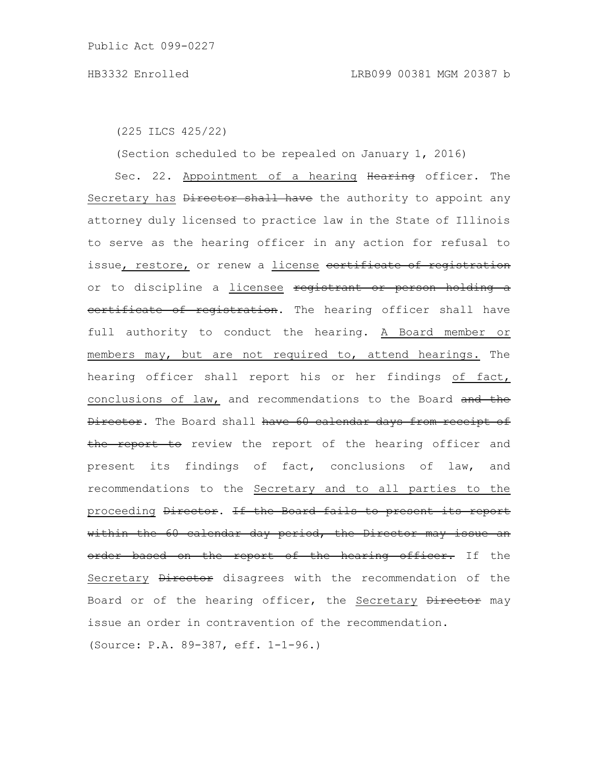(225 ILCS 425/22)

(Section scheduled to be repealed on January 1, 2016)

Sec. 22. Appointment of a hearing Hearing officer. The Secretary has Director shall have the authority to appoint any attorney duly licensed to practice law in the State of Illinois to serve as the hearing officer in any action for refusal to issue, restore, or renew a license eertificate of registration or to discipline a *licensee* registrant or person holding a certificate of registration. The hearing officer shall have full authority to conduct the hearing. A Board member or members may, but are not required to, attend hearings. The hearing officer shall report his or her findings of fact, conclusions of law, and recommendations to the Board and the Director. The Board shall have 60 calendar days from receipt of the report to review the report of the hearing officer and present its findings of fact, conclusions of law, and recommendations to the Secretary and to all parties to the proceeding Director. If the Board fails to present its report within the 60 calendar day period, the Director may issue an order based on the report of the hearing officer. If the Secretary Director disagrees with the recommendation of the Board or of the hearing officer, the Secretary Director may issue an order in contravention of the recommendation. (Source: P.A. 89-387, eff. 1-1-96.)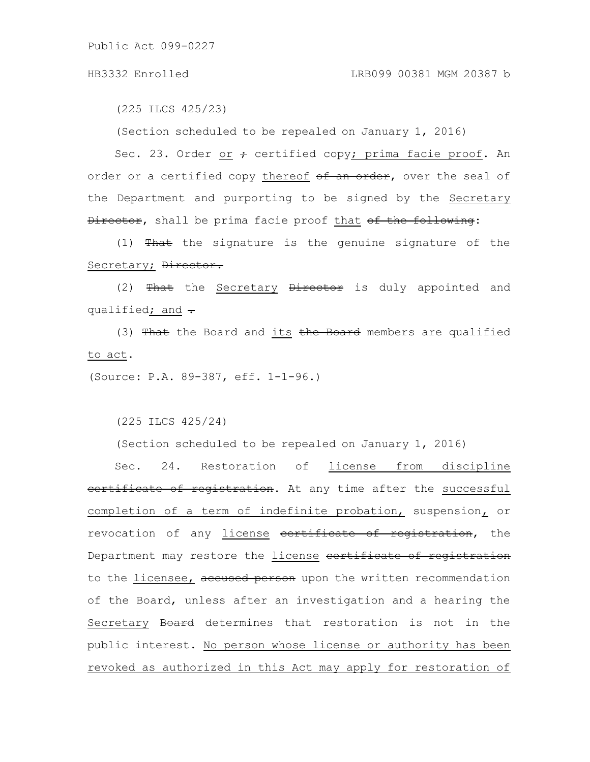(225 ILCS 425/23)

(Section scheduled to be repealed on January 1, 2016)

Sec. 23. Order or  $\div$  certified copy; prima facie proof. An order or a certified copy thereof of an order, over the seal of the Department and purporting to be signed by the Secretary Director, shall be prima facie proof that of the following:

(1)  $\frac{m}{\pi}$  the signature is the genuine signature of the Secretary; Director.

(2)  $\frac{m}{\pi}$  the Secretary  $\frac{m}{\pi}$  birector is duly appointed and qualified; and  $\div$ 

(3) That the Board and its the Board members are qualified to act.

(Source: P.A. 89-387, eff. 1-1-96.)

(225 ILCS 425/24)

(Section scheduled to be repealed on January 1, 2016)

Sec. 24. Restoration of license from discipline certificate of registration. At any time after the successful completion of a term of indefinite probation, suspension, or revocation of any license contrificate of registration, the Department may restore the license eertificate of registration to the licensee, accused person upon the written recommendation of the Board, unless after an investigation and a hearing the Secretary Board determines that restoration is not in the public interest. No person whose license or authority has been revoked as authorized in this Act may apply for restoration of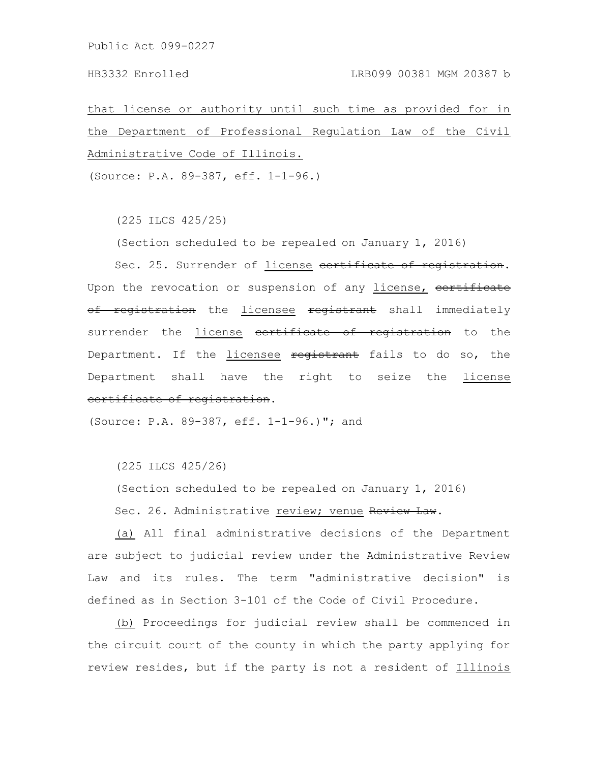that license or authority until such time as provided for in the Department of Professional Regulation Law of the Civil Administrative Code of Illinois.

(Source: P.A. 89-387, eff. 1-1-96.)

(225 ILCS 425/25)

(Section scheduled to be repealed on January 1, 2016)

Sec. 25. Surrender of license certificate of registration. Upon the revocation or suspension of any license, certificate of registration the licensee registrant shall immediately surrender the *license* eertificate of registration to the Department. If the licensee registrant fails to do so, the Department shall have the right to seize the license certificate of registration.

(Source: P.A. 89-387, eff. 1-1-96.)"; and

(225 ILCS 425/26)

(Section scheduled to be repealed on January 1, 2016)

Sec. 26. Administrative review; venue Review Law.

(a) All final administrative decisions of the Department are subject to judicial review under the Administrative Review Law and its rules. The term "administrative decision" is defined as in Section 3-101 of the Code of Civil Procedure.

(b) Proceedings for judicial review shall be commenced in the circuit court of the county in which the party applying for review resides, but if the party is not a resident of Illinois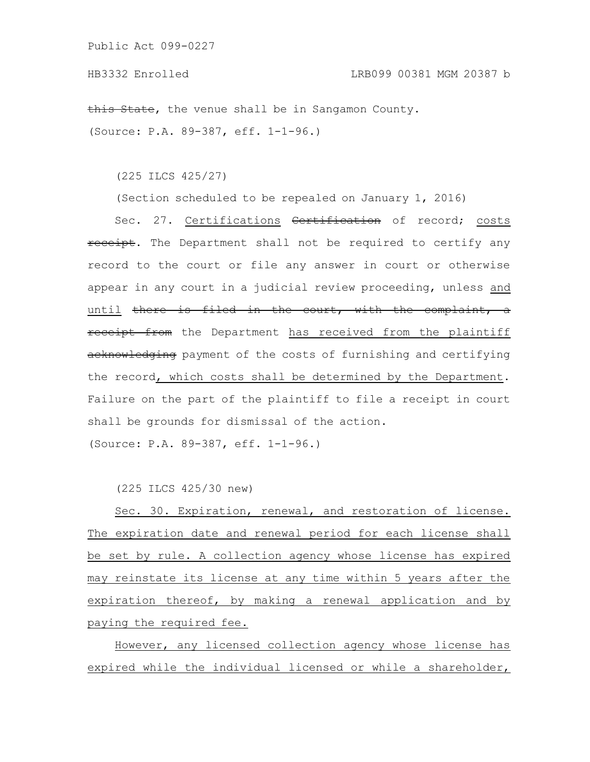this State, the venue shall be in Sangamon County. (Source: P.A. 89-387, eff. 1-1-96.)

(225 ILCS 425/27)

(Section scheduled to be repealed on January 1, 2016)

Sec. 27. Certifications <del>Certification</del> of record; costs receipt. The Department shall not be required to certify any record to the court or file any answer in court or otherwise appear in any court in a judicial review proceeding, unless and until there is filed in the court, with the complaint, a receipt from the Department has received from the plaintiff acknowledging payment of the costs of furnishing and certifying the record, which costs shall be determined by the Department. Failure on the part of the plaintiff to file a receipt in court shall be grounds for dismissal of the action.

(Source: P.A. 89-387, eff. 1-1-96.)

(225 ILCS 425/30 new)

Sec. 30. Expiration, renewal, and restoration of license. The expiration date and renewal period for each license shall be set by rule. A collection agency whose license has expired may reinstate its license at any time within 5 years after the expiration thereof, by making a renewal application and by paying the required fee.

However, any licensed collection agency whose license has expired while the individual licensed or while a shareholder,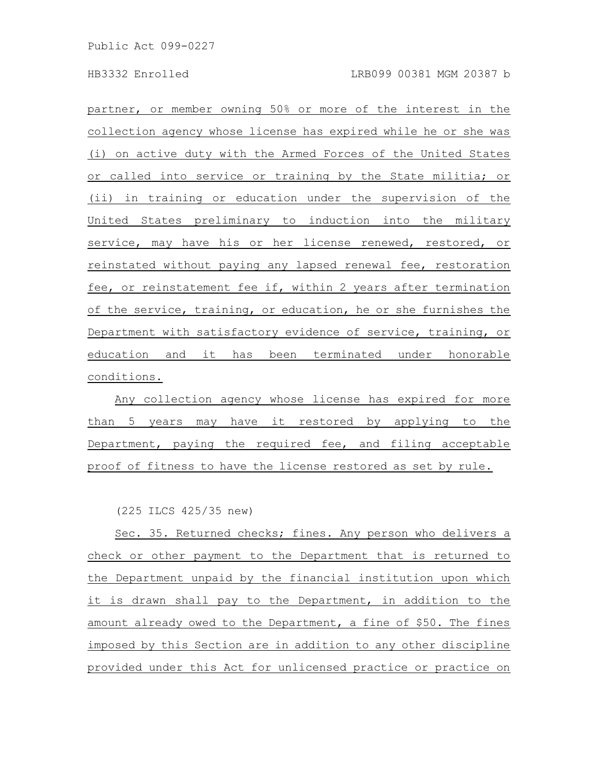partner, or member owning 50% or more of the interest in the collection agency whose license has expired while he or she was (i) on active duty with the Armed Forces of the United States or called into service or training by the State militia; or (ii) in training or education under the supervision of the United States preliminary to induction into the military service, may have his or her license renewed, restored, or reinstated without paying any lapsed renewal fee, restoration fee, or reinstatement fee if, within 2 years after termination of the service, training, or education, he or she furnishes the Department with satisfactory evidence of service, training, or education and it has been terminated under honorable conditions.

Any collection agency whose license has expired for more than 5 years may have it restored by applying to the Department, paying the required fee, and filing acceptable proof of fitness to have the license restored as set by rule.

(225 ILCS 425/35 new)

Sec. 35. Returned checks; fines. Any person who delivers a check or other payment to the Department that is returned to the Department unpaid by the financial institution upon which it is drawn shall pay to the Department, in addition to the amount already owed to the Department, a fine of \$50. The fines imposed by this Section are in addition to any other discipline provided under this Act for unlicensed practice or practice on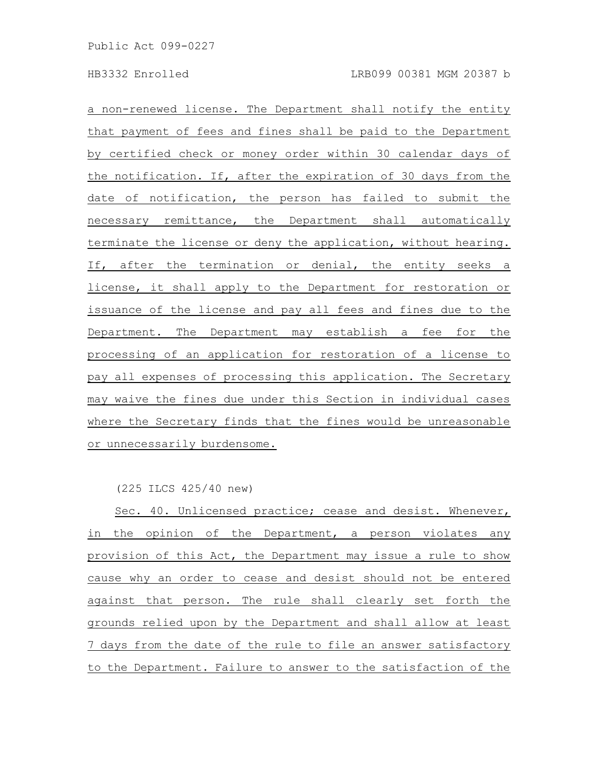a non-renewed license. The Department shall notify the entity that payment of fees and fines shall be paid to the Department by certified check or money order within 30 calendar days of the notification. If, after the expiration of 30 days from the date of notification, the person has failed to submit the necessary remittance, the Department shall automatically terminate the license or deny the application, without hearing. If, after the termination or denial, the entity seeks a license, it shall apply to the Department for restoration or issuance of the license and pay all fees and fines due to the Department. The Department may establish a fee for the processing of an application for restoration of a license to pay all expenses of processing this application. The Secretary may waive the fines due under this Section in individual cases where the Secretary finds that the fines would be unreasonable or unnecessarily burdensome.

(225 ILCS 425/40 new)

Sec. 40. Unlicensed practice; cease and desist. Whenever, in the opinion of the Department, a person violates any provision of this Act, the Department may issue a rule to show cause why an order to cease and desist should not be entered against that person. The rule shall clearly set forth the grounds relied upon by the Department and shall allow at least 7 days from the date of the rule to file an answer satisfactory to the Department. Failure to answer to the satisfaction of the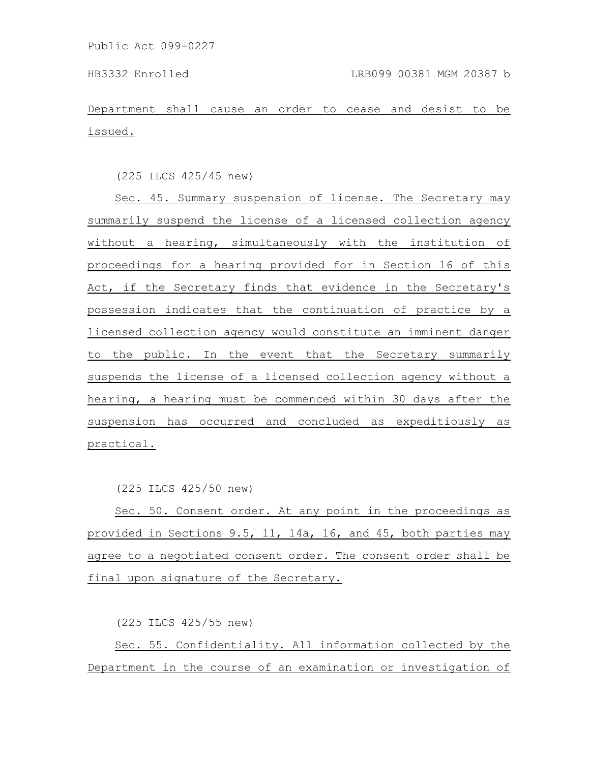Department shall cause an order to cease and desist to be issued.

(225 ILCS 425/45 new)

Sec. 45. Summary suspension of license. The Secretary may summarily suspend the license of a licensed collection agency without a hearing, simultaneously with the institution of proceedings for a hearing provided for in Section 16 of this Act, if the Secretary finds that evidence in the Secretary's possession indicates that the continuation of practice by a licensed collection agency would constitute an imminent danger to the public. In the event that the Secretary summarily suspends the license of a licensed collection agency without a hearing, a hearing must be commenced within 30 days after the suspension has occurred and concluded as expeditiously as practical.

(225 ILCS 425/50 new)

Sec. 50. Consent order. At any point in the proceedings as provided in Sections 9.5, 11, 14a, 16, and 45, both parties may agree to a negotiated consent order. The consent order shall be final upon signature of the Secretary.

(225 ILCS 425/55 new)

Sec. 55. Confidentiality. All information collected by the Department in the course of an examination or investigation of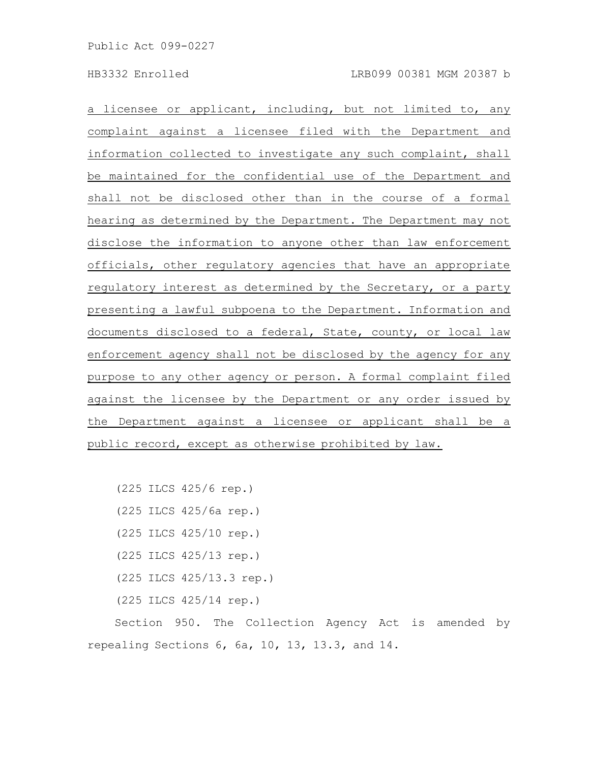a licensee or applicant, including, but not limited to, any complaint against a licensee filed with the Department and information collected to investigate any such complaint, shall be maintained for the confidential use of the Department and shall not be disclosed other than in the course of a formal hearing as determined by the Department. The Department may not disclose the information to anyone other than law enforcement officials, other regulatory agencies that have an appropriate regulatory interest as determined by the Secretary, or a party presenting a lawful subpoena to the Department. Information and documents disclosed to a federal, State, county, or local law enforcement agency shall not be disclosed by the agency for any purpose to any other agency or person. A formal complaint filed against the licensee by the Department or any order issued by the Department against a licensee or applicant shall be a public record, except as otherwise prohibited by law.

```
(225 ILCS 425/6 rep.)
(225 ILCS 425/6a rep.)
(225 ILCS 425/10 rep.)
(225 ILCS 425/13 rep.)
(225 ILCS 425/13.3 rep.)
(225 ILCS 425/14 rep.)
```
Section 950. The Collection Agency Act is amended by repealing Sections 6, 6a, 10, 13, 13.3, and 14.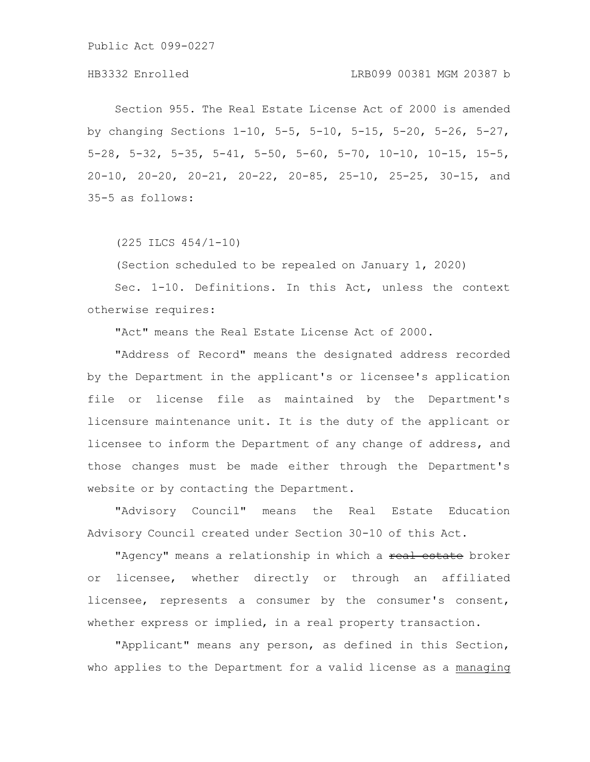Section 955. The Real Estate License Act of 2000 is amended by changing Sections 1-10, 5-5, 5-10, 5-15, 5-20, 5-26, 5-27, 5-28, 5-32, 5-35, 5-41, 5-50, 5-60, 5-70, 10-10, 10-15, 15-5, 20-10, 20-20, 20-21, 20-22, 20-85, 25-10, 25-25, 30-15, and 35-5 as follows:

(225 ILCS 454/1-10)

(Section scheduled to be repealed on January 1, 2020)

Sec. 1-10. Definitions. In this Act, unless the context otherwise requires:

"Act" means the Real Estate License Act of 2000.

"Address of Record" means the designated address recorded by the Department in the applicant's or licensee's application file or license file as maintained by the Department's licensure maintenance unit. It is the duty of the applicant or licensee to inform the Department of any change of address, and those changes must be made either through the Department's website or by contacting the Department.

"Advisory Council" means the Real Estate Education Advisory Council created under Section 30-10 of this Act.

"Agency" means a relationship in which a real estate broker or licensee, whether directly or through an affiliated licensee, represents a consumer by the consumer's consent, whether express or implied, in a real property transaction.

"Applicant" means any person, as defined in this Section, who applies to the Department for a valid license as a managing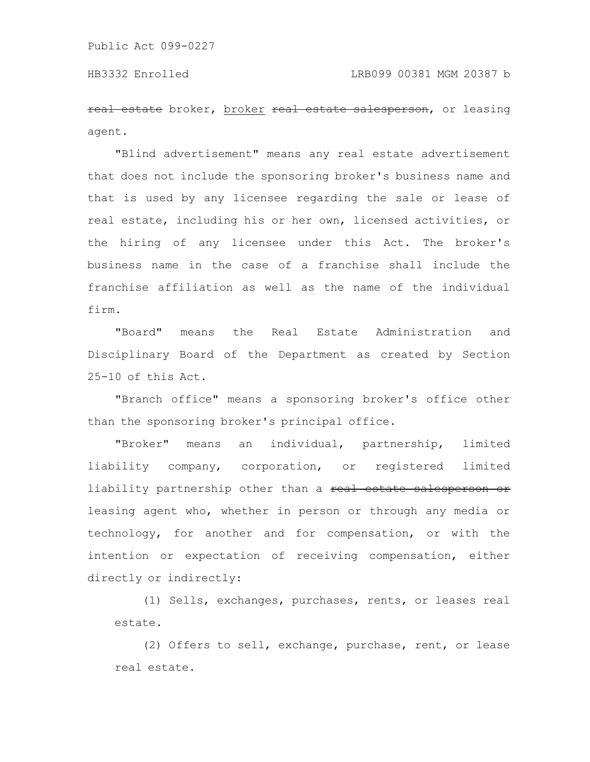real estate broker, broker real estate salesperson, or leasing agent.

"Blind advertisement" means any real estate advertisement that does not include the sponsoring broker's business name and that is used by any licensee regarding the sale or lease of real estate, including his or her own, licensed activities, or the hiring of any licensee under this Act. The broker's business name in the case of a franchise shall include the franchise affiliation as well as the name of the individual firm.

"Board" means the Real Estate Administration and Disciplinary Board of the Department as created by Section 25-10 of this Act.

"Branch office" means a sponsoring broker's office other than the sponsoring broker's principal office.

"Broker" means an individual, partnership, limited liability company, corporation, or registered limited liability partnership other than a real estate salesperson or leasing agent who, whether in person or through any media or technology, for another and for compensation, or with the intention or expectation of receiving compensation, either directly or indirectly:

(1) Sells, exchanges, purchases, rents, or leases real estate.

(2) Offers to sell, exchange, purchase, rent, or lease real estate.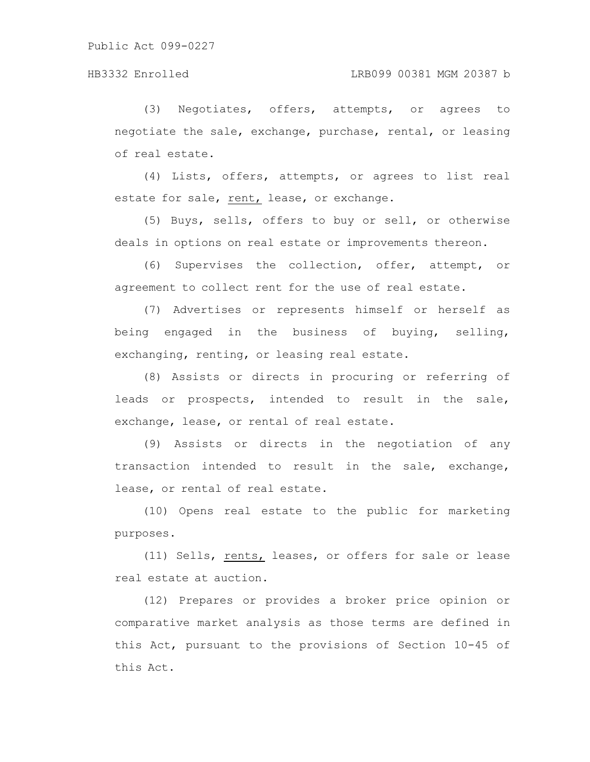(3) Negotiates, offers, attempts, or agrees to negotiate the sale, exchange, purchase, rental, or leasing of real estate.

(4) Lists, offers, attempts, or agrees to list real estate for sale, rent, lease, or exchange.

(5) Buys, sells, offers to buy or sell, or otherwise deals in options on real estate or improvements thereon.

(6) Supervises the collection, offer, attempt, or agreement to collect rent for the use of real estate.

(7) Advertises or represents himself or herself as being engaged in the business of buying, selling, exchanging, renting, or leasing real estate.

(8) Assists or directs in procuring or referring of leads or prospects, intended to result in the sale, exchange, lease, or rental of real estate.

(9) Assists or directs in the negotiation of any transaction intended to result in the sale, exchange, lease, or rental of real estate.

(10) Opens real estate to the public for marketing purposes.

(11) Sells, rents, leases, or offers for sale or lease real estate at auction.

(12) Prepares or provides a broker price opinion or comparative market analysis as those terms are defined in this Act, pursuant to the provisions of Section 10-45 of this Act.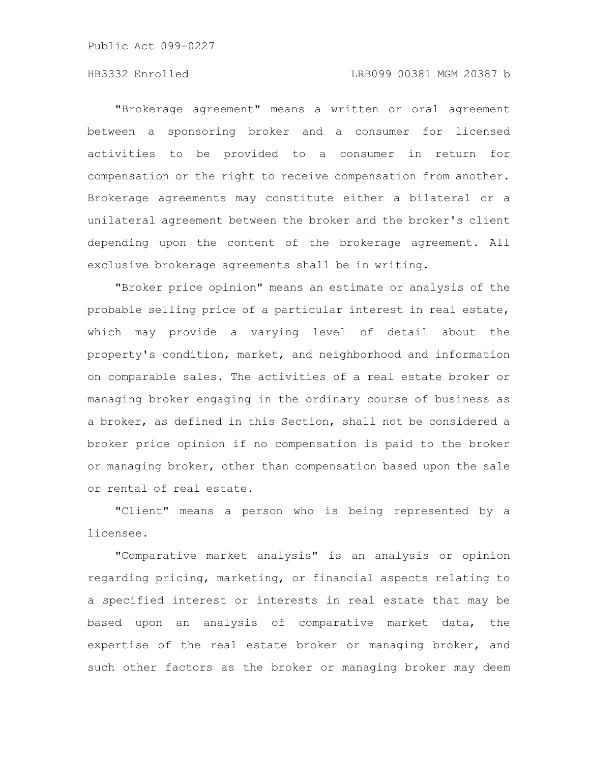"Brokerage agreement" means a written or oral agreement between a sponsoring broker and a consumer for licensed activities to be provided to a consumer in return for compensation or the right to receive compensation from another. Brokerage agreements may constitute either a bilateral or a unilateral agreement between the broker and the broker's client depending upon the content of the brokerage agreement. All exclusive brokerage agreements shall be in writing.

"Broker price opinion" means an estimate or analysis of the probable selling price of a particular interest in real estate, which may provide a varying level of detail about the property's condition, market, and neighborhood and information on comparable sales. The activities of a real estate broker or managing broker engaging in the ordinary course of business as a broker, as defined in this Section, shall not be considered a broker price opinion if no compensation is paid to the broker or managing broker, other than compensation based upon the sale or rental of real estate.

"Client" means a person who is being represented by a licensee.

"Comparative market analysis" is an analysis or opinion regarding pricing, marketing, or financial aspects relating to a specified interest or interests in real estate that may be based upon an analysis of comparative market data, the expertise of the real estate broker or managing broker, and such other factors as the broker or managing broker may deem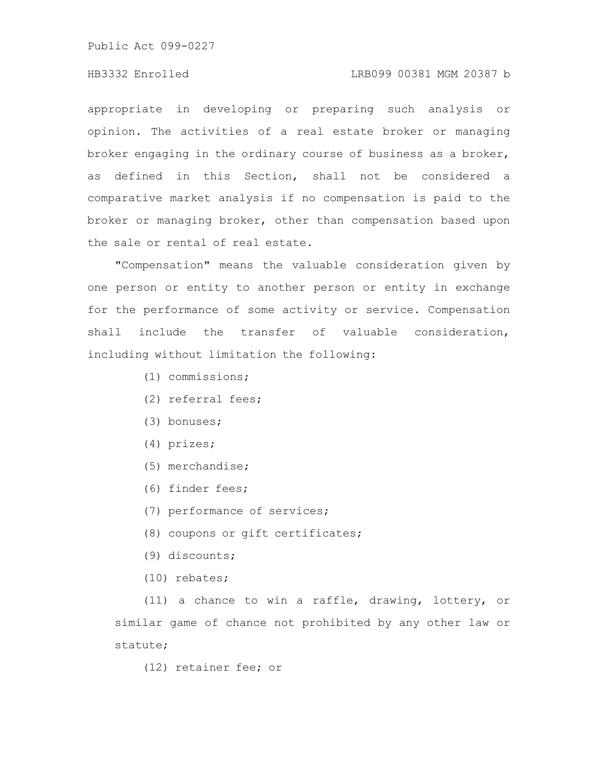## HB3332 Enrolled LRB099 00381 MGM 20387 b

appropriate in developing or preparing such analysis or opinion. The activities of a real estate broker or managing broker engaging in the ordinary course of business as a broker, as defined in this Section, shall not be considered a comparative market analysis if no compensation is paid to the broker or managing broker, other than compensation based upon the sale or rental of real estate.

"Compensation" means the valuable consideration given by one person or entity to another person or entity in exchange for the performance of some activity or service. Compensation shall include the transfer of valuable consideration, including without limitation the following:

- (1) commissions;
- (2) referral fees;
- (3) bonuses;
- (4) prizes;
- (5) merchandise;
- (6) finder fees;
- (7) performance of services;
- (8) coupons or gift certificates;
- (9) discounts;
- (10) rebates;

(11) a chance to win a raffle, drawing, lottery, or similar game of chance not prohibited by any other law or statute;

(12) retainer fee; or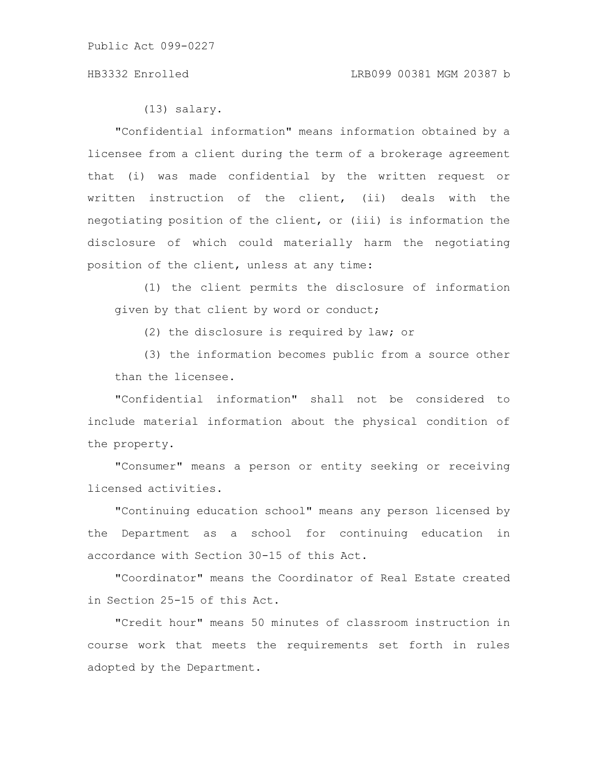(13) salary.

"Confidential information" means information obtained by a licensee from a client during the term of a brokerage agreement that (i) was made confidential by the written request or written instruction of the client, (ii) deals with the negotiating position of the client, or (iii) is information the disclosure of which could materially harm the negotiating position of the client, unless at any time:

(1) the client permits the disclosure of information given by that client by word or conduct;

(2) the disclosure is required by law; or

(3) the information becomes public from a source other than the licensee.

"Confidential information" shall not be considered to include material information about the physical condition of the property.

"Consumer" means a person or entity seeking or receiving licensed activities.

"Continuing education school" means any person licensed by the Department as a school for continuing education in accordance with Section 30-15 of this Act.

"Coordinator" means the Coordinator of Real Estate created in Section 25-15 of this Act.

"Credit hour" means 50 minutes of classroom instruction in course work that meets the requirements set forth in rules adopted by the Department.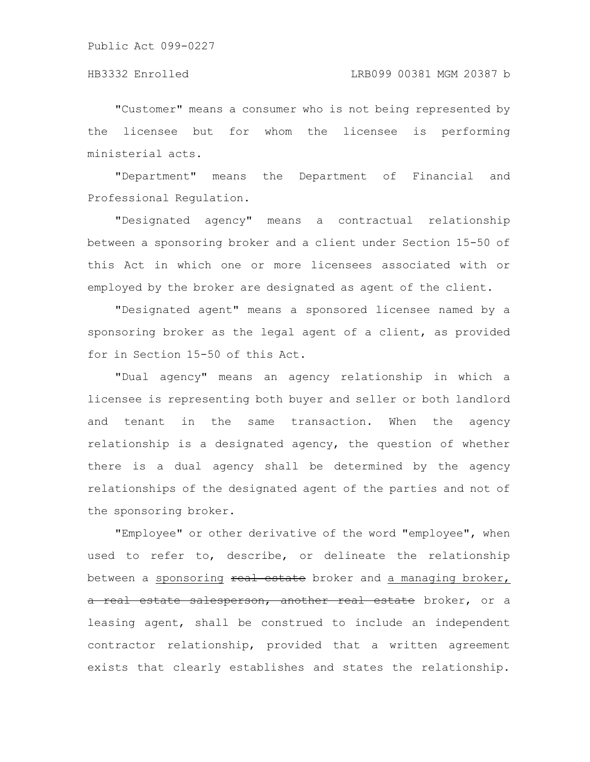"Customer" means a consumer who is not being represented by the licensee but for whom the licensee is performing ministerial acts.

"Department" means the Department of Financial and Professional Regulation.

"Designated agency" means a contractual relationship between a sponsoring broker and a client under Section 15-50 of this Act in which one or more licensees associated with or employed by the broker are designated as agent of the client.

"Designated agent" means a sponsored licensee named by a sponsoring broker as the legal agent of a client, as provided for in Section 15-50 of this Act.

"Dual agency" means an agency relationship in which a licensee is representing both buyer and seller or both landlord and tenant in the same transaction. When the agency relationship is a designated agency, the question of whether there is a dual agency shall be determined by the agency relationships of the designated agent of the parties and not of the sponsoring broker.

"Employee" or other derivative of the word "employee", when used to refer to, describe, or delineate the relationship between a sponsoring real estate broker and a managing broker, a real estate salesperson, another real estate broker, or a leasing agent, shall be construed to include an independent contractor relationship, provided that a written agreement exists that clearly establishes and states the relationship.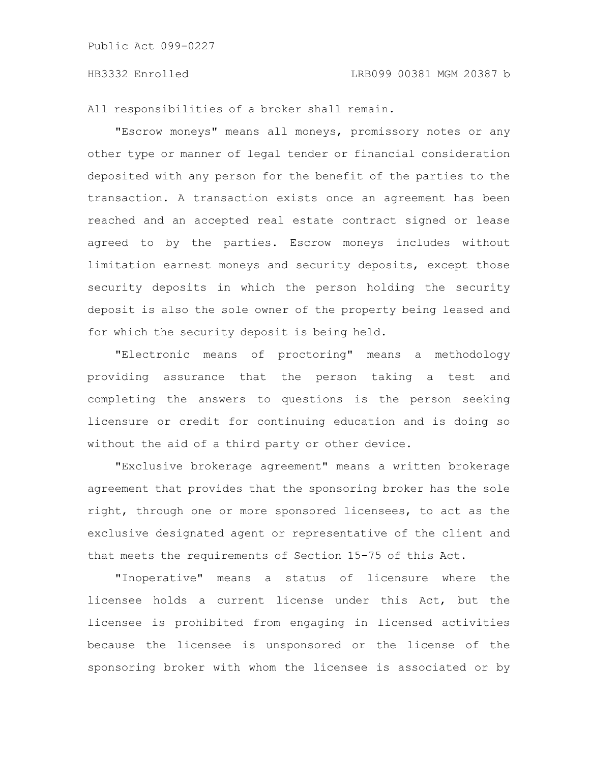All responsibilities of a broker shall remain.

"Escrow moneys" means all moneys, promissory notes or any other type or manner of legal tender or financial consideration deposited with any person for the benefit of the parties to the transaction. A transaction exists once an agreement has been reached and an accepted real estate contract signed or lease agreed to by the parties. Escrow moneys includes without limitation earnest moneys and security deposits, except those security deposits in which the person holding the security deposit is also the sole owner of the property being leased and for which the security deposit is being held.

"Electronic means of proctoring" means a methodology providing assurance that the person taking a test and completing the answers to questions is the person seeking licensure or credit for continuing education and is doing so without the aid of a third party or other device.

"Exclusive brokerage agreement" means a written brokerage agreement that provides that the sponsoring broker has the sole right, through one or more sponsored licensees, to act as the exclusive designated agent or representative of the client and that meets the requirements of Section 15-75 of this Act.

"Inoperative" means a status of licensure where the licensee holds a current license under this Act, but the licensee is prohibited from engaging in licensed activities because the licensee is unsponsored or the license of the sponsoring broker with whom the licensee is associated or by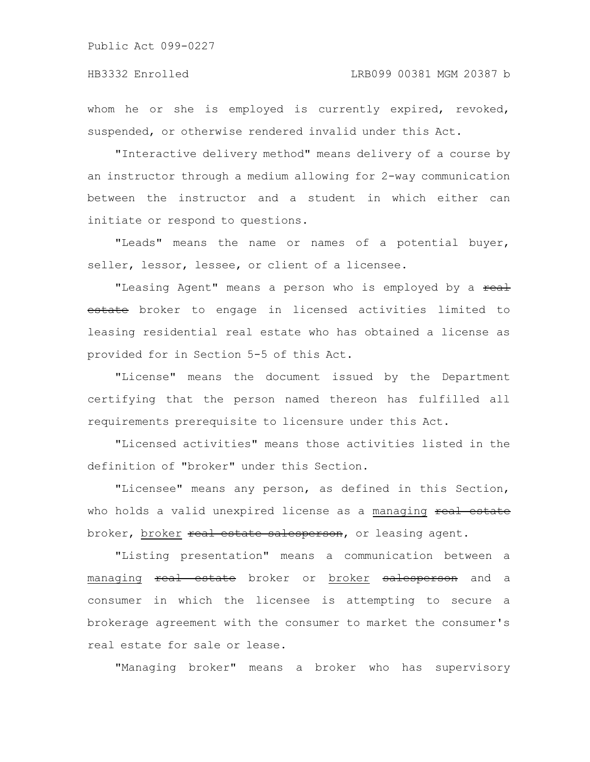whom he or she is employed is currently expired, revoked, suspended, or otherwise rendered invalid under this Act.

"Interactive delivery method" means delivery of a course by an instructor through a medium allowing for 2-way communication between the instructor and a student in which either can initiate or respond to questions.

"Leads" means the name or names of a potential buyer, seller, lessor, lessee, or client of a licensee.

"Leasing Agent" means a person who is employed by a real estate broker to engage in licensed activities limited to leasing residential real estate who has obtained a license as provided for in Section 5-5 of this Act.

"License" means the document issued by the Department certifying that the person named thereon has fulfilled all requirements prerequisite to licensure under this Act.

"Licensed activities" means those activities listed in the definition of "broker" under this Section.

"Licensee" means any person, as defined in this Section, who holds a valid unexpired license as a managing real estate broker, broker real estate salesperson, or leasing agent.

"Listing presentation" means a communication between a managing real estate broker or broker salesperson and a consumer in which the licensee is attempting to secure a brokerage agreement with the consumer to market the consumer's real estate for sale or lease.

"Managing broker" means a broker who has supervisory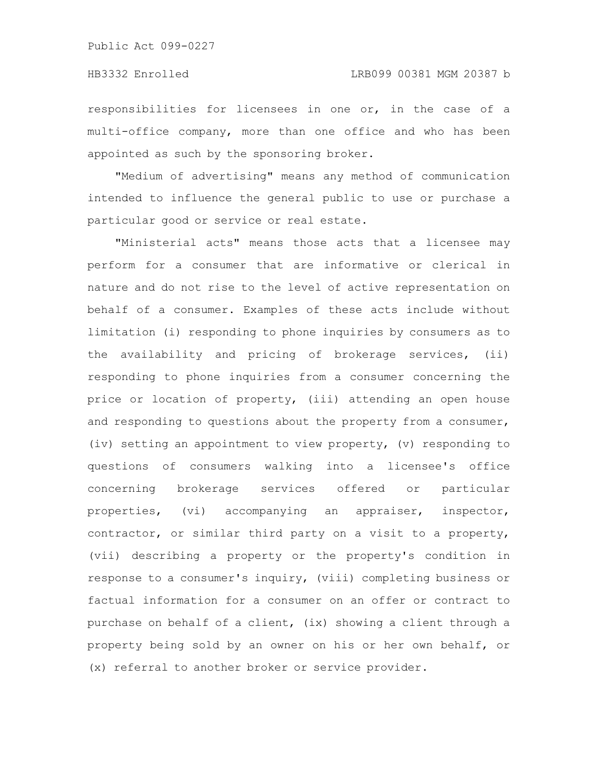responsibilities for licensees in one or, in the case of a multi-office company, more than one office and who has been appointed as such by the sponsoring broker.

"Medium of advertising" means any method of communication intended to influence the general public to use or purchase a particular good or service or real estate.

"Ministerial acts" means those acts that a licensee may perform for a consumer that are informative or clerical in nature and do not rise to the level of active representation on behalf of a consumer. Examples of these acts include without limitation (i) responding to phone inquiries by consumers as to the availability and pricing of brokerage services, (ii) responding to phone inquiries from a consumer concerning the price or location of property, (iii) attending an open house and responding to questions about the property from a consumer, (iv) setting an appointment to view property, (v) responding to questions of consumers walking into a licensee's office concerning brokerage services offered or particular properties, (vi) accompanying an appraiser, inspector, contractor, or similar third party on a visit to a property, (vii) describing a property or the property's condition in response to a consumer's inquiry, (viii) completing business or factual information for a consumer on an offer or contract to purchase on behalf of a client, (ix) showing a client through a property being sold by an owner on his or her own behalf, or (x) referral to another broker or service provider.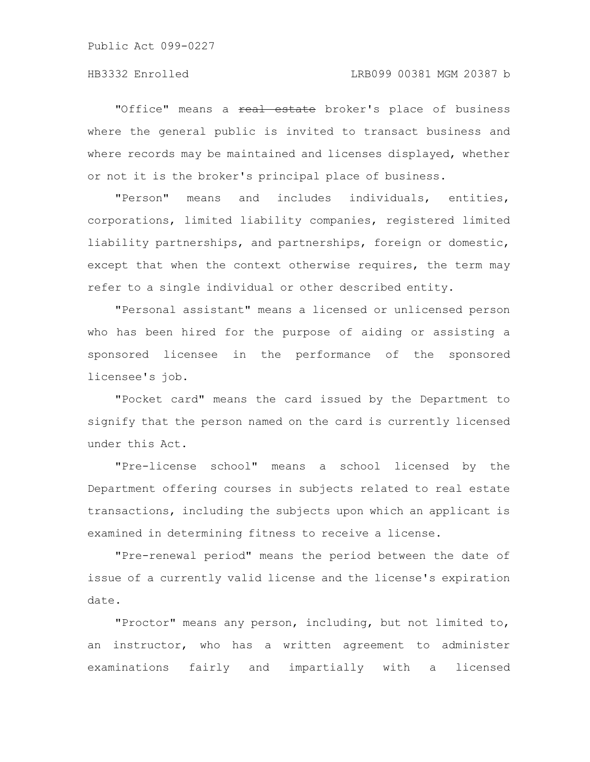"Office" means a real estate broker's place of business where the general public is invited to transact business and where records may be maintained and licenses displayed, whether or not it is the broker's principal place of business.

"Person" means and includes individuals, entities, corporations, limited liability companies, registered limited liability partnerships, and partnerships, foreign or domestic, except that when the context otherwise requires, the term may refer to a single individual or other described entity.

"Personal assistant" means a licensed or unlicensed person who has been hired for the purpose of aiding or assisting a sponsored licensee in the performance of the sponsored licensee's job.

"Pocket card" means the card issued by the Department to signify that the person named on the card is currently licensed under this Act.

"Pre-license school" means a school licensed by the Department offering courses in subjects related to real estate transactions, including the subjects upon which an applicant is examined in determining fitness to receive a license.

"Pre-renewal period" means the period between the date of issue of a currently valid license and the license's expiration date.

"Proctor" means any person, including, but not limited to, an instructor, who has a written agreement to administer examinations fairly and impartially with a licensed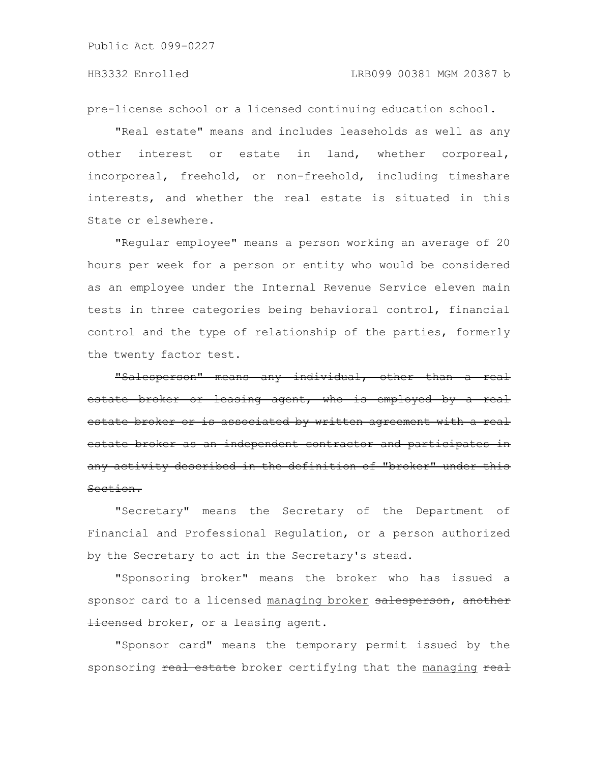pre-license school or a licensed continuing education school.

"Real estate" means and includes leaseholds as well as any other interest or estate in land, whether corporeal, incorporeal, freehold, or non-freehold, including timeshare interests, and whether the real estate is situated in this State or elsewhere.

"Regular employee" means a person working an average of 20 hours per week for a person or entity who would be considered as an employee under the Internal Revenue Service eleven main tests in three categories being behavioral control, financial control and the type of relationship of the parties, formerly the twenty factor test.

"Salesperson" means any individual, other than a real estate broker or leasing agent, who is employed by a real estate broker or is associated by written agreement estate broker as an independent contractor and part any activity described in the definition of "broker" under Section.

"Secretary" means the Secretary of the Department of Financial and Professional Regulation, or a person authorized by the Secretary to act in the Secretary's stead.

"Sponsoring broker" means the broker who has issued a sponsor card to a licensed managing broker salesperson, another Hicensed broker, or a leasing agent.

"Sponsor card" means the temporary permit issued by the sponsoring real estate broker certifying that the managing real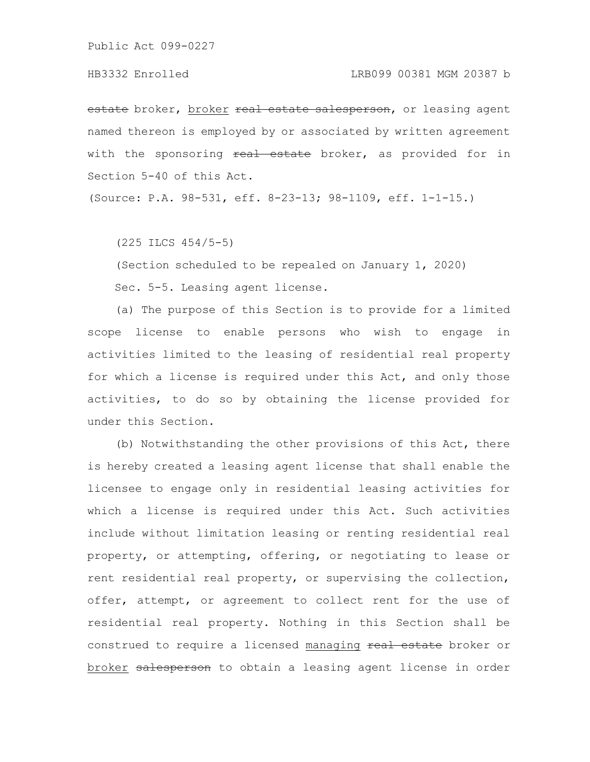estate broker, broker real estate salesperson, or leasing agent named thereon is employed by or associated by written agreement with the sponsoring real estate broker, as provided for in Section 5-40 of this Act.

(Source: P.A. 98-531, eff. 8-23-13; 98-1109, eff. 1-1-15.)

(225 ILCS 454/5-5)

(Section scheduled to be repealed on January 1, 2020)

Sec. 5-5. Leasing agent license.

(a) The purpose of this Section is to provide for a limited scope license to enable persons who wish to engage in activities limited to the leasing of residential real property for which a license is required under this Act, and only those activities, to do so by obtaining the license provided for under this Section.

(b) Notwithstanding the other provisions of this Act, there is hereby created a leasing agent license that shall enable the licensee to engage only in residential leasing activities for which a license is required under this Act. Such activities include without limitation leasing or renting residential real property, or attempting, offering, or negotiating to lease or rent residential real property, or supervising the collection, offer, attempt, or agreement to collect rent for the use of residential real property. Nothing in this Section shall be construed to require a licensed managing real estate broker or broker salesperson to obtain a leasing agent license in order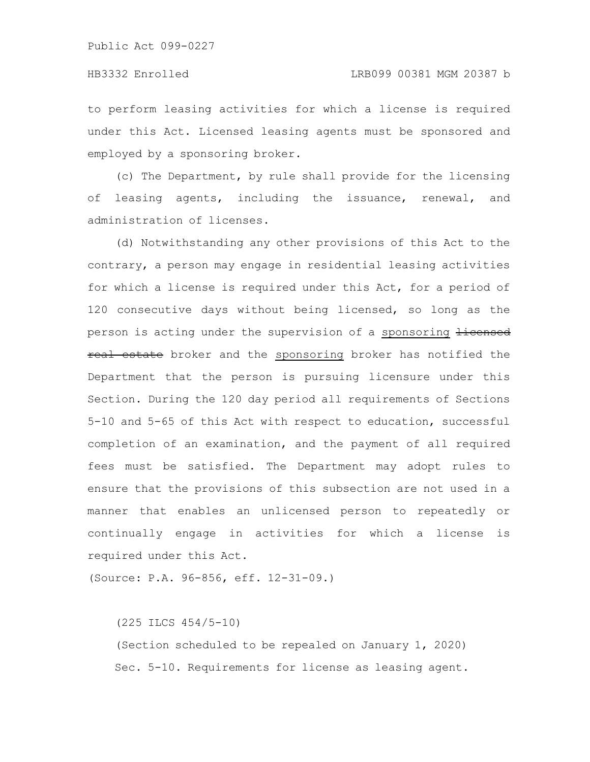to perform leasing activities for which a license is required under this Act. Licensed leasing agents must be sponsored and employed by a sponsoring broker.

(c) The Department, by rule shall provide for the licensing of leasing agents, including the issuance, renewal, and administration of licenses.

(d) Notwithstanding any other provisions of this Act to the contrary, a person may engage in residential leasing activities for which a license is required under this Act, for a period of 120 consecutive days without being licensed, so long as the person is acting under the supervision of a sponsoring Hicensed real estate broker and the sponsoring broker has notified the Department that the person is pursuing licensure under this Section. During the 120 day period all requirements of Sections 5-10 and 5-65 of this Act with respect to education, successful completion of an examination, and the payment of all required fees must be satisfied. The Department may adopt rules to ensure that the provisions of this subsection are not used in a manner that enables an unlicensed person to repeatedly or continually engage in activities for which a license is required under this Act.

(Source: P.A. 96-856, eff. 12-31-09.)

(225 ILCS 454/5-10)

(Section scheduled to be repealed on January 1, 2020) Sec. 5-10. Requirements for license as leasing agent.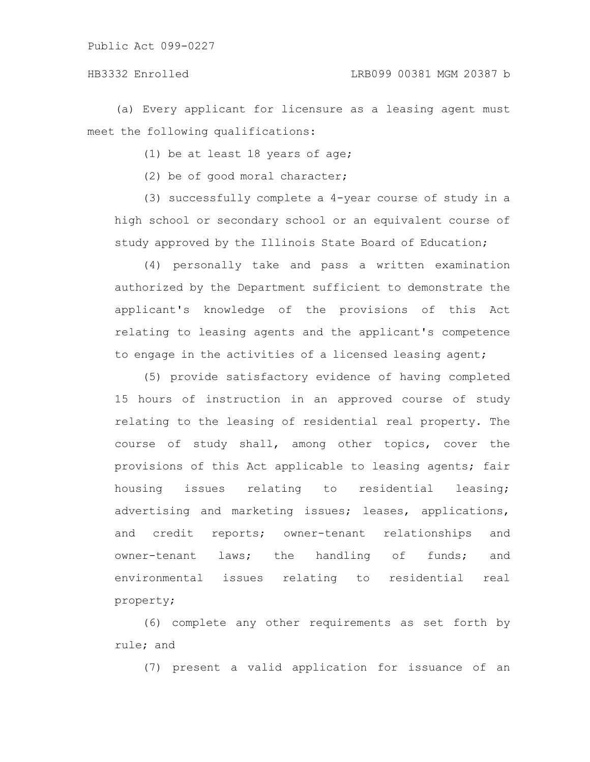(a) Every applicant for licensure as a leasing agent must meet the following qualifications:

(1) be at least 18 years of age;

(2) be of good moral character;

(3) successfully complete a 4-year course of study in a high school or secondary school or an equivalent course of study approved by the Illinois State Board of Education;

(4) personally take and pass a written examination authorized by the Department sufficient to demonstrate the applicant's knowledge of the provisions of this Act relating to leasing agents and the applicant's competence to engage in the activities of a licensed leasing agent;

(5) provide satisfactory evidence of having completed 15 hours of instruction in an approved course of study relating to the leasing of residential real property. The course of study shall, among other topics, cover the provisions of this Act applicable to leasing agents; fair housing issues relating to residential leasing; advertising and marketing issues; leases, applications, and credit reports; owner-tenant relationships and owner-tenant laws; the handling of funds; and environmental issues relating to residential real property;

(6) complete any other requirements as set forth by rule; and

(7) present a valid application for issuance of an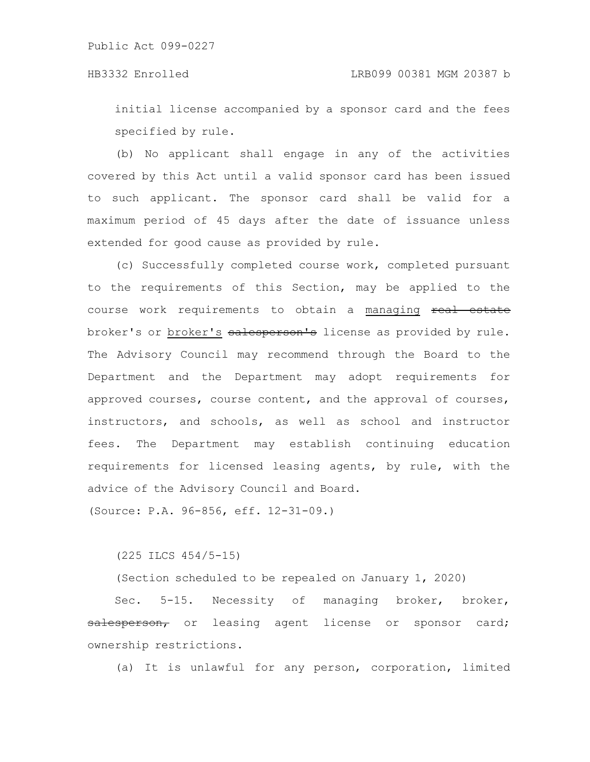initial license accompanied by a sponsor card and the fees specified by rule.

(b) No applicant shall engage in any of the activities covered by this Act until a valid sponsor card has been issued to such applicant. The sponsor card shall be valid for a maximum period of 45 days after the date of issuance unless extended for good cause as provided by rule.

(c) Successfully completed course work, completed pursuant to the requirements of this Section, may be applied to the course work requirements to obtain a managing real estate broker's or broker's salesperson's license as provided by rule. The Advisory Council may recommend through the Board to the Department and the Department may adopt requirements for approved courses, course content, and the approval of courses, instructors, and schools, as well as school and instructor fees. The Department may establish continuing education requirements for licensed leasing agents, by rule, with the advice of the Advisory Council and Board.

(Source: P.A. 96-856, eff. 12-31-09.)

# (225 ILCS 454/5-15)

(Section scheduled to be repealed on January 1, 2020)

Sec. 5-15. Necessity of managing broker, broker, salesperson, or leasing agent license or sponsor card; ownership restrictions.

(a) It is unlawful for any person, corporation, limited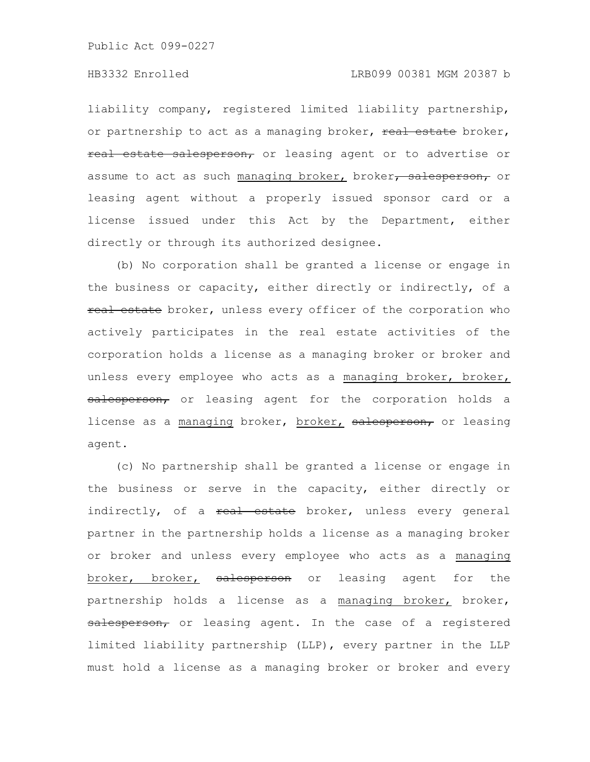liability company, registered limited liability partnership, or partnership to act as a managing broker, real estate broker, real estate salesperson, or leasing agent or to advertise or assume to act as such managing broker, broker, salesperson, or leasing agent without a properly issued sponsor card or a license issued under this Act by the Department, either directly or through its authorized designee.

(b) No corporation shall be granted a license or engage in the business or capacity, either directly or indirectly, of a real estate broker, unless every officer of the corporation who actively participates in the real estate activities of the corporation holds a license as a managing broker or broker and unless every employee who acts as a managing broker, broker, salesperson, or leasing agent for the corporation holds a license as a managing broker, broker, salesperson, or leasing agent.

(c) No partnership shall be granted a license or engage in the business or serve in the capacity, either directly or indirectly, of a real estate broker, unless every general partner in the partnership holds a license as a managing broker or broker and unless every employee who acts as a managing broker, broker, salesperson or leasing agent for the partnership holds a license as a managing broker, broker, salesperson, or leasing agent. In the case of a registered limited liability partnership (LLP), every partner in the LLP must hold a license as a managing broker or broker and every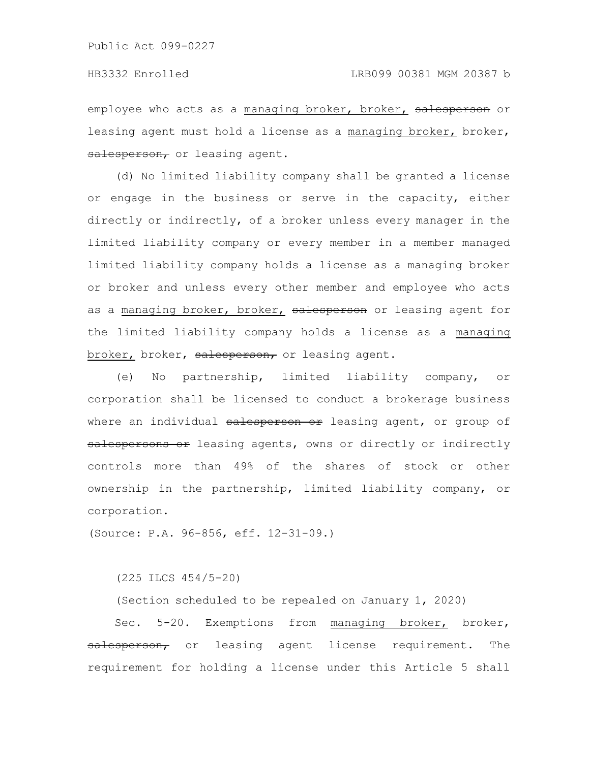employee who acts as a managing broker, broker, salesperson or leasing agent must hold a license as a managing broker, broker, salesperson, or leasing agent.

(d) No limited liability company shall be granted a license or engage in the business or serve in the capacity, either directly or indirectly, of a broker unless every manager in the limited liability company or every member in a member managed limited liability company holds a license as a managing broker or broker and unless every other member and employee who acts as a managing broker, broker, salesperson or leasing agent for the limited liability company holds a license as a managing broker, broker, salesperson, or leasing agent.

(e) No partnership, limited liability company, or corporation shall be licensed to conduct a brokerage business where an individual salesperson or leasing agent, or group of salespersons or leasing agents, owns or directly or indirectly controls more than 49% of the shares of stock or other ownership in the partnership, limited liability company, or corporation.

(Source: P.A. 96-856, eff. 12-31-09.)

(225 ILCS 454/5-20)

(Section scheduled to be repealed on January 1, 2020)

Sec. 5-20. Exemptions from managing broker, broker, salesperson, or leasing agent license requirement. The requirement for holding a license under this Article 5 shall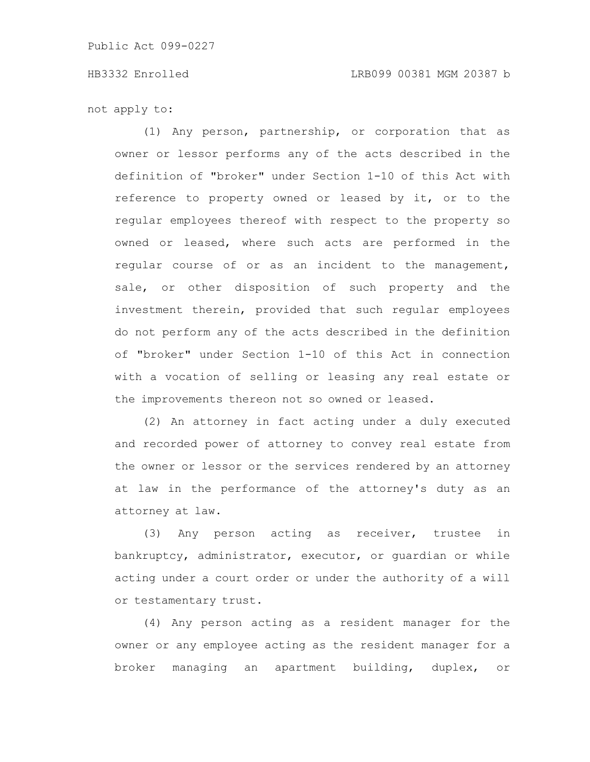not apply to:

(1) Any person, partnership, or corporation that as owner or lessor performs any of the acts described in the definition of "broker" under Section 1-10 of this Act with reference to property owned or leased by it, or to the regular employees thereof with respect to the property so owned or leased, where such acts are performed in the regular course of or as an incident to the management, sale, or other disposition of such property and the investment therein, provided that such regular employees do not perform any of the acts described in the definition of "broker" under Section 1-10 of this Act in connection with a vocation of selling or leasing any real estate or the improvements thereon not so owned or leased.

(2) An attorney in fact acting under a duly executed and recorded power of attorney to convey real estate from the owner or lessor or the services rendered by an attorney at law in the performance of the attorney's duty as an attorney at law.

(3) Any person acting as receiver, trustee in bankruptcy, administrator, executor, or guardian or while acting under a court order or under the authority of a will or testamentary trust.

(4) Any person acting as a resident manager for the owner or any employee acting as the resident manager for a broker managing an apartment building, duplex, or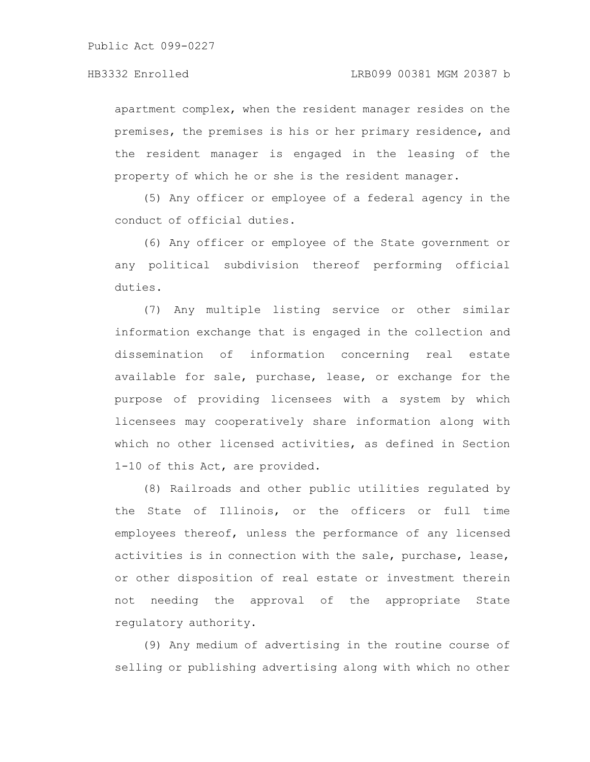apartment complex, when the resident manager resides on the premises, the premises is his or her primary residence, and the resident manager is engaged in the leasing of the property of which he or she is the resident manager.

(5) Any officer or employee of a federal agency in the conduct of official duties.

(6) Any officer or employee of the State government or any political subdivision thereof performing official duties.

(7) Any multiple listing service or other similar information exchange that is engaged in the collection and dissemination of information concerning real estate available for sale, purchase, lease, or exchange for the purpose of providing licensees with a system by which licensees may cooperatively share information along with which no other licensed activities, as defined in Section 1-10 of this Act, are provided.

(8) Railroads and other public utilities regulated by the State of Illinois, or the officers or full time employees thereof, unless the performance of any licensed activities is in connection with the sale, purchase, lease, or other disposition of real estate or investment therein not needing the approval of the appropriate State regulatory authority.

(9) Any medium of advertising in the routine course of selling or publishing advertising along with which no other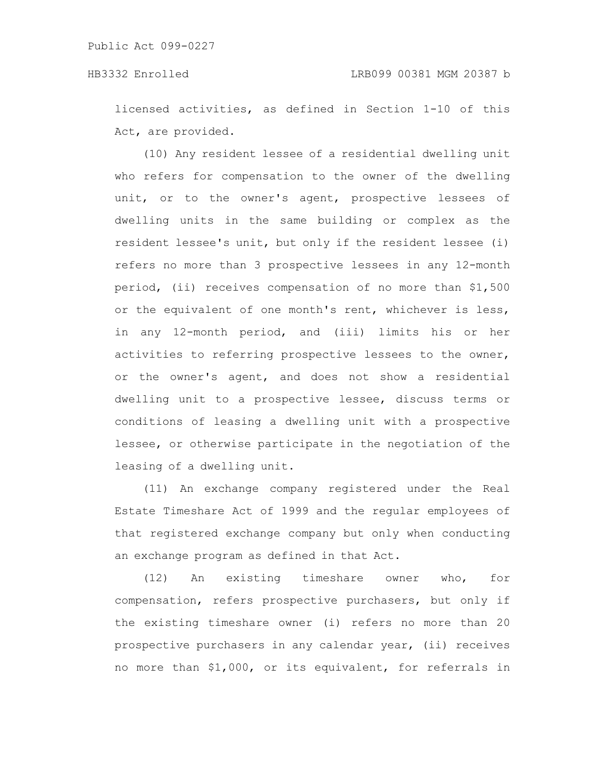licensed activities, as defined in Section 1-10 of this Act, are provided.

(10) Any resident lessee of a residential dwelling unit who refers for compensation to the owner of the dwelling unit, or to the owner's agent, prospective lessees of dwelling units in the same building or complex as the resident lessee's unit, but only if the resident lessee (i) refers no more than 3 prospective lessees in any 12-month period, (ii) receives compensation of no more than \$1,500 or the equivalent of one month's rent, whichever is less, in any 12-month period, and (iii) limits his or her activities to referring prospective lessees to the owner, or the owner's agent, and does not show a residential dwelling unit to a prospective lessee, discuss terms or conditions of leasing a dwelling unit with a prospective lessee, or otherwise participate in the negotiation of the leasing of a dwelling unit.

(11) An exchange company registered under the Real Estate Timeshare Act of 1999 and the regular employees of that registered exchange company but only when conducting an exchange program as defined in that Act.

(12) An existing timeshare owner who, for compensation, refers prospective purchasers, but only if the existing timeshare owner (i) refers no more than 20 prospective purchasers in any calendar year, (ii) receives no more than \$1,000, or its equivalent, for referrals in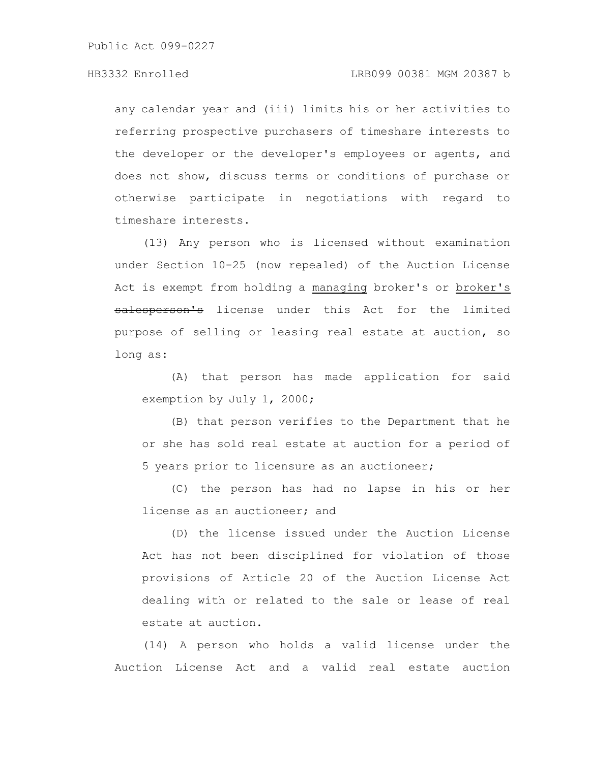### HB3332 Enrolled LRB099 00381 MGM 20387 b

any calendar year and (iii) limits his or her activities to referring prospective purchasers of timeshare interests to the developer or the developer's employees or agents, and does not show, discuss terms or conditions of purchase or otherwise participate in negotiations with regard to timeshare interests.

(13) Any person who is licensed without examination under Section 10-25 (now repealed) of the Auction License Act is exempt from holding a managing broker's or broker's salesperson's license under this Act for the limited purpose of selling or leasing real estate at auction, so long as:

(A) that person has made application for said exemption by July 1, 2000;

(B) that person verifies to the Department that he or she has sold real estate at auction for a period of 5 years prior to licensure as an auctioneer;

(C) the person has had no lapse in his or her license as an auctioneer; and

(D) the license issued under the Auction License Act has not been disciplined for violation of those provisions of Article 20 of the Auction License Act dealing with or related to the sale or lease of real estate at auction.

(14) A person who holds a valid license under the Auction License Act and a valid real estate auction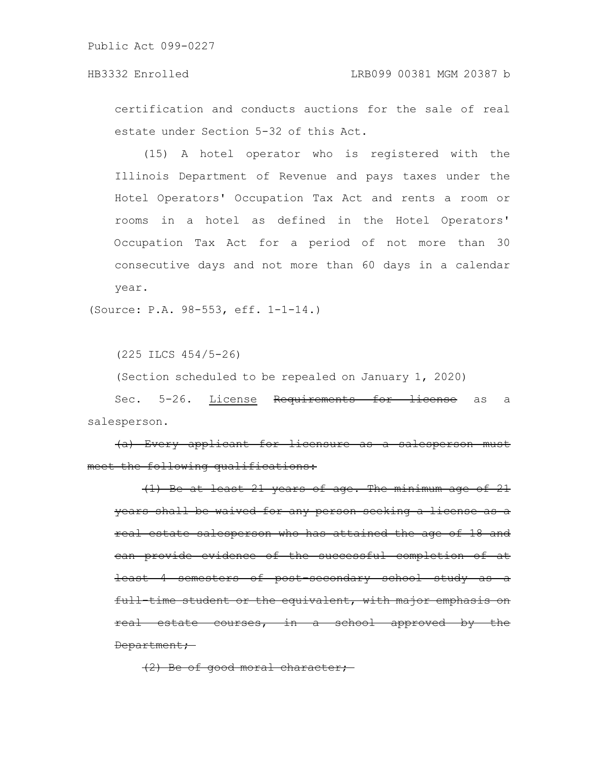## HB3332 Enrolled LRB099 00381 MGM 20387 b

certification and conducts auctions for the sale of real estate under Section 5-32 of this Act.

(15) A hotel operator who is registered with the Illinois Department of Revenue and pays taxes under the Hotel Operators' Occupation Tax Act and rents a room or rooms in a hotel as defined in the Hotel Operators' Occupation Tax Act for a period of not more than 30 consecutive days and not more than 60 days in a calendar year.

(Source: P.A. 98-553, eff. 1-1-14.)

(225 ILCS 454/5-26)

(Section scheduled to be repealed on January 1, 2020)

Sec. 5-26. License Requirements for license as a salesperson.

(a) Every applicant for licensure as a salesperson must meet the following qualifications:

(1) Be at least 21 years of age. The minimum age of 21 years shall be waived for any person seeking a license as a real estate salesperson who has attained the age of 18 and can provide evidence of the successful completion of at least 4 semesters of post-secondary school study  $full-time student or the equivalent, with major emphasis$ real estate courses, in a school approved by the Department;

(2) Be of good moral character;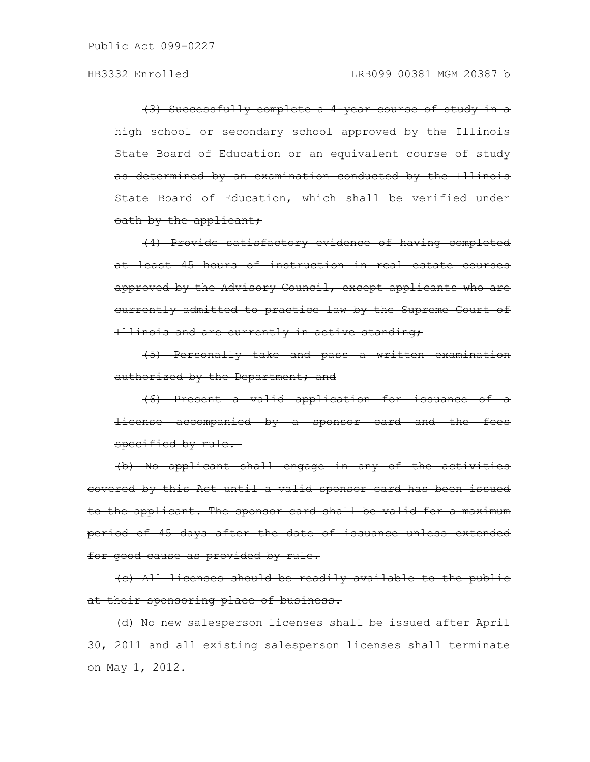(3) Successfully complete a 4-year course of study in a high school or secondary school approved by the Illinois State Board of Education or an equivalent course of study as determined by an examination conducted by the Illinois State Board of Education, which shall be verified under oath by the applicant,

(4) Provide satisfactory evidence of having completed at least 45 hours of instruction in real estate courses approved by the Advisory Council, except applicants who are currently admitted to practice law by the Supreme Court of Illinois and are currently in active standing;

(5) Personally take and pass a written examination authorized by the Department; and

(6) Present a valid application for issuance of a license accompanied by a sponsor card and the fees specified by rule.

(b) No applicant shall engage in any of the activities covered by this Act until a valid sponsor card has been issued to the applicant. The sponsor card shall be valid for a maximum period of 45 days after the date of issuance unless extended for good cause as provided by rule.

(c) All licenses should be readily available to the public at their sponsoring place of business.

(d) No new salesperson licenses shall be issued after April 30, 2011 and all existing salesperson licenses shall terminate on May 1, 2012.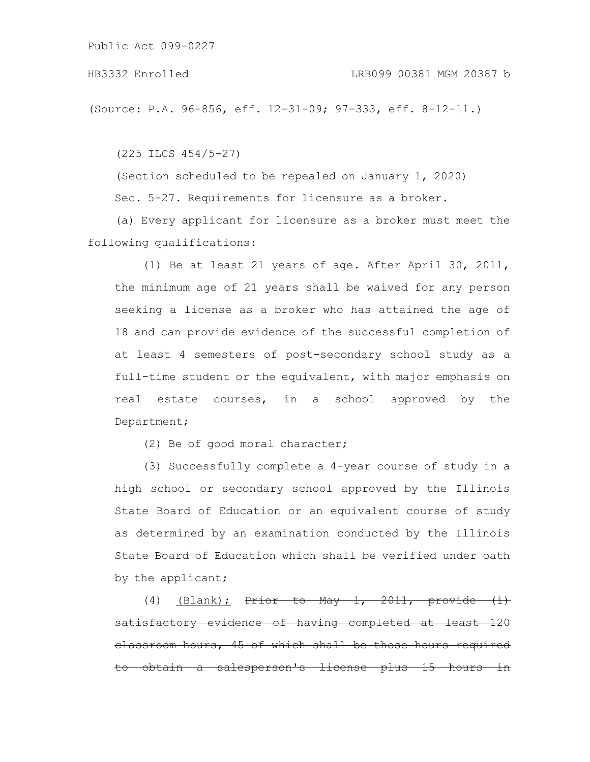(Source: P.A. 96-856, eff. 12-31-09; 97-333, eff. 8-12-11.)

(225 ILCS 454/5-27)

(Section scheduled to be repealed on January 1, 2020) Sec. 5-27. Requirements for licensure as a broker.

(a) Every applicant for licensure as a broker must meet the following qualifications:

(1) Be at least 21 years of age. After April 30, 2011, the minimum age of 21 years shall be waived for any person seeking a license as a broker who has attained the age of 18 and can provide evidence of the successful completion of at least 4 semesters of post-secondary school study as a full-time student or the equivalent, with major emphasis on real estate courses, in a school approved by the Department;

(2) Be of good moral character;

(3) Successfully complete a 4-year course of study in a high school or secondary school approved by the Illinois State Board of Education or an equivalent course of study as determined by an examination conducted by the Illinois State Board of Education which shall be verified under oath by the applicant;

(4) (Blank);  $Prior to May 1, 2011,$ satisfactory evidence of having completed classroom hours, 45 of which shall be those hours required salesperson's license plus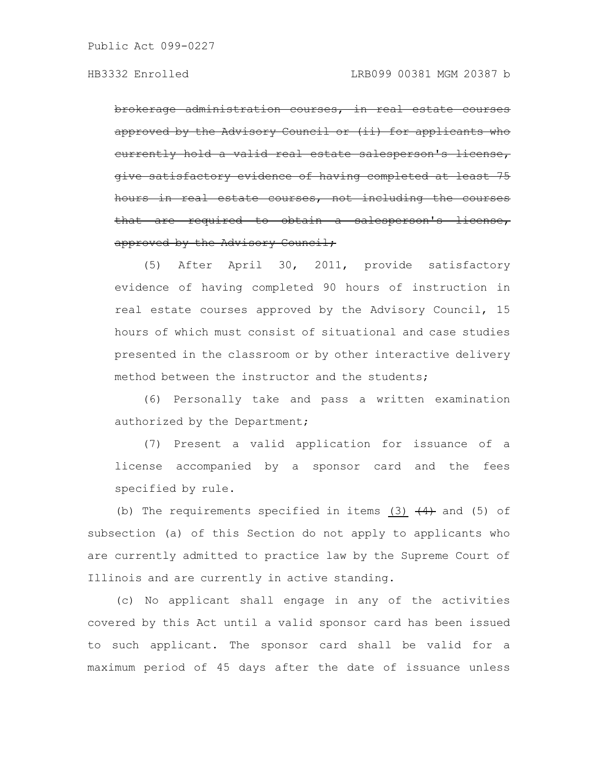brokerage administration courses, in real estate approved by the Advisory Council or (ii) for applicants who eurrently hold a valid real estate salesperson's give satisfactory evidence of having complet hours in real estate courses, not including the that are required to obtain a salesperson's approved by the Advisory Council;

(5) After April 30, 2011, provide satisfactory evidence of having completed 90 hours of instruction in real estate courses approved by the Advisory Council, 15 hours of which must consist of situational and case studies presented in the classroom or by other interactive delivery method between the instructor and the students;

(6) Personally take and pass a written examination authorized by the Department;

(7) Present a valid application for issuance of a license accompanied by a sponsor card and the fees specified by rule.

(b) The requirements specified in items (3)  $\left(4\right)$  and (5) of subsection (a) of this Section do not apply to applicants who are currently admitted to practice law by the Supreme Court of Illinois and are currently in active standing.

(c) No applicant shall engage in any of the activities covered by this Act until a valid sponsor card has been issued to such applicant. The sponsor card shall be valid for a maximum period of 45 days after the date of issuance unless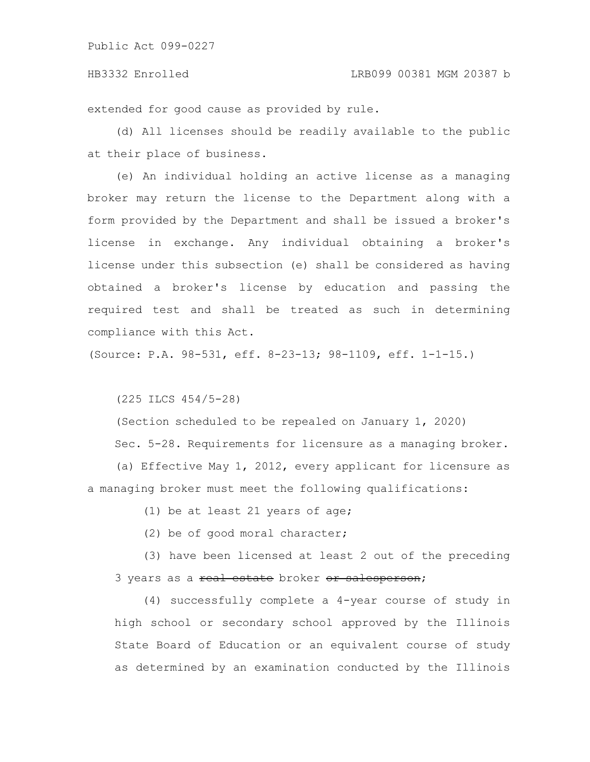extended for good cause as provided by rule.

(d) All licenses should be readily available to the public at their place of business.

(e) An individual holding an active license as a managing broker may return the license to the Department along with a form provided by the Department and shall be issued a broker's license in exchange. Any individual obtaining a broker's license under this subsection (e) shall be considered as having obtained a broker's license by education and passing the required test and shall be treated as such in determining compliance with this Act.

(Source: P.A. 98-531, eff. 8-23-13; 98-1109, eff. 1-1-15.)

(225 ILCS 454/5-28)

(Section scheduled to be repealed on January 1, 2020)

Sec. 5-28. Requirements for licensure as a managing broker.

(a) Effective May 1, 2012, every applicant for licensure as a managing broker must meet the following qualifications:

(1) be at least 21 years of age;

(2) be of good moral character;

(3) have been licensed at least 2 out of the preceding 3 years as a real estate broker or salesperson;

(4) successfully complete a 4-year course of study in high school or secondary school approved by the Illinois State Board of Education or an equivalent course of study as determined by an examination conducted by the Illinois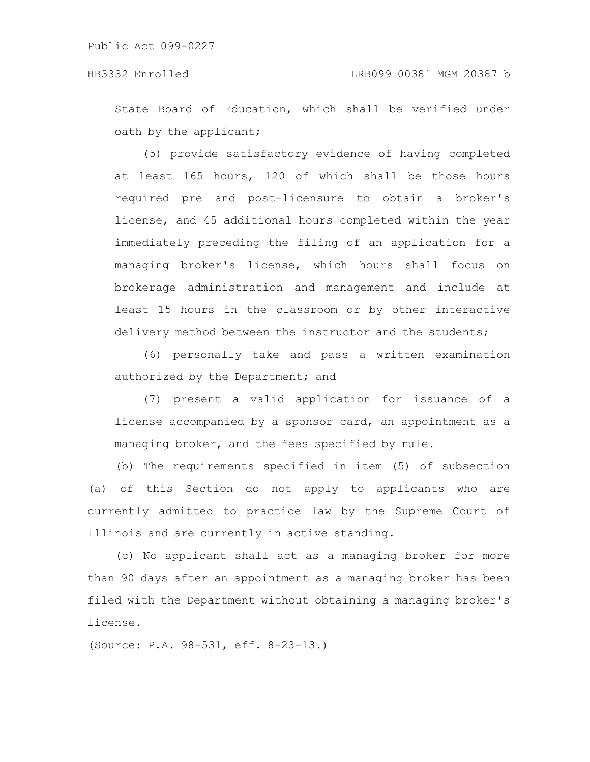State Board of Education, which shall be verified under oath by the applicant;

(5) provide satisfactory evidence of having completed at least 165 hours, 120 of which shall be those hours required pre and post-licensure to obtain a broker's license, and 45 additional hours completed within the year immediately preceding the filing of an application for a managing broker's license, which hours shall focus on brokerage administration and management and include at least 15 hours in the classroom or by other interactive delivery method between the instructor and the students;

(6) personally take and pass a written examination authorized by the Department; and

(7) present a valid application for issuance of a license accompanied by a sponsor card, an appointment as a managing broker, and the fees specified by rule.

(b) The requirements specified in item (5) of subsection (a) of this Section do not apply to applicants who are currently admitted to practice law by the Supreme Court of Illinois and are currently in active standing.

(c) No applicant shall act as a managing broker for more than 90 days after an appointment as a managing broker has been filed with the Department without obtaining a managing broker's license.

(Source: P.A. 98-531, eff. 8-23-13.)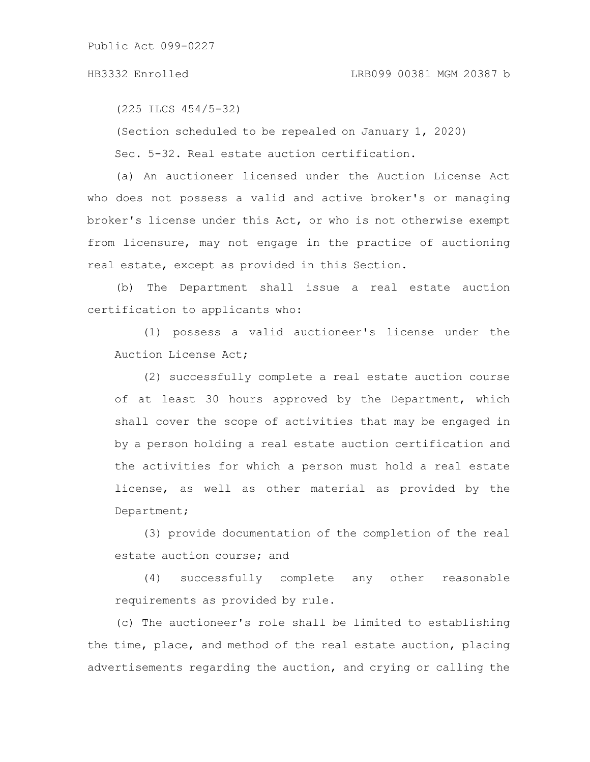(225 ILCS 454/5-32)

(Section scheduled to be repealed on January 1, 2020)

Sec. 5-32. Real estate auction certification.

(a) An auctioneer licensed under the Auction License Act who does not possess a valid and active broker's or managing broker's license under this Act, or who is not otherwise exempt from licensure, may not engage in the practice of auctioning real estate, except as provided in this Section.

(b) The Department shall issue a real estate auction certification to applicants who:

(1) possess a valid auctioneer's license under the Auction License Act;

(2) successfully complete a real estate auction course of at least 30 hours approved by the Department, which shall cover the scope of activities that may be engaged in by a person holding a real estate auction certification and the activities for which a person must hold a real estate license, as well as other material as provided by the Department;

(3) provide documentation of the completion of the real estate auction course; and

(4) successfully complete any other reasonable requirements as provided by rule.

(c) The auctioneer's role shall be limited to establishing the time, place, and method of the real estate auction, placing advertisements regarding the auction, and crying or calling the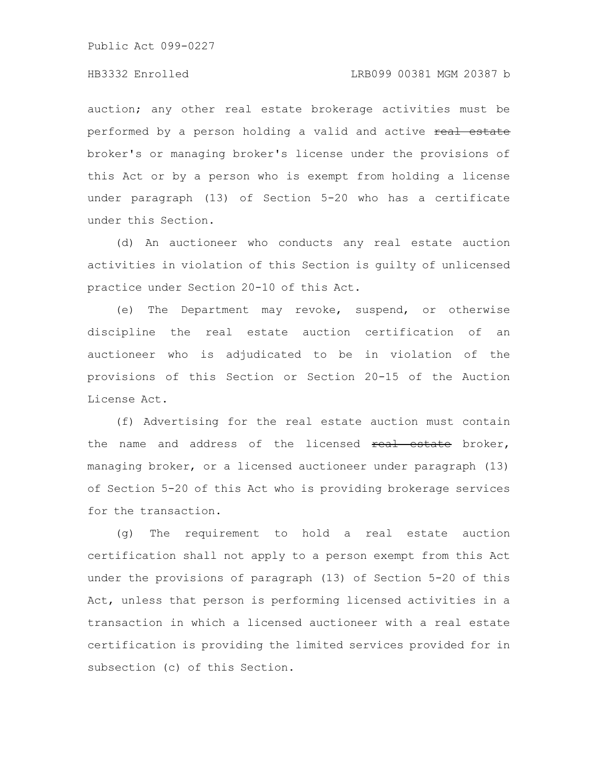### HB3332 Enrolled LRB099 00381 MGM 20387 b

auction; any other real estate brokerage activities must be performed by a person holding a valid and active real estate broker's or managing broker's license under the provisions of this Act or by a person who is exempt from holding a license under paragraph (13) of Section 5-20 who has a certificate under this Section.

(d) An auctioneer who conducts any real estate auction activities in violation of this Section is guilty of unlicensed practice under Section 20-10 of this Act.

(e) The Department may revoke, suspend, or otherwise discipline the real estate auction certification of an auctioneer who is adjudicated to be in violation of the provisions of this Section or Section 20-15 of the Auction License Act.

(f) Advertising for the real estate auction must contain the name and address of the licensed real estate broker, managing broker, or a licensed auctioneer under paragraph (13) of Section 5-20 of this Act who is providing brokerage services for the transaction.

(g) The requirement to hold a real estate auction certification shall not apply to a person exempt from this Act under the provisions of paragraph (13) of Section 5-20 of this Act, unless that person is performing licensed activities in a transaction in which a licensed auctioneer with a real estate certification is providing the limited services provided for in subsection (c) of this Section.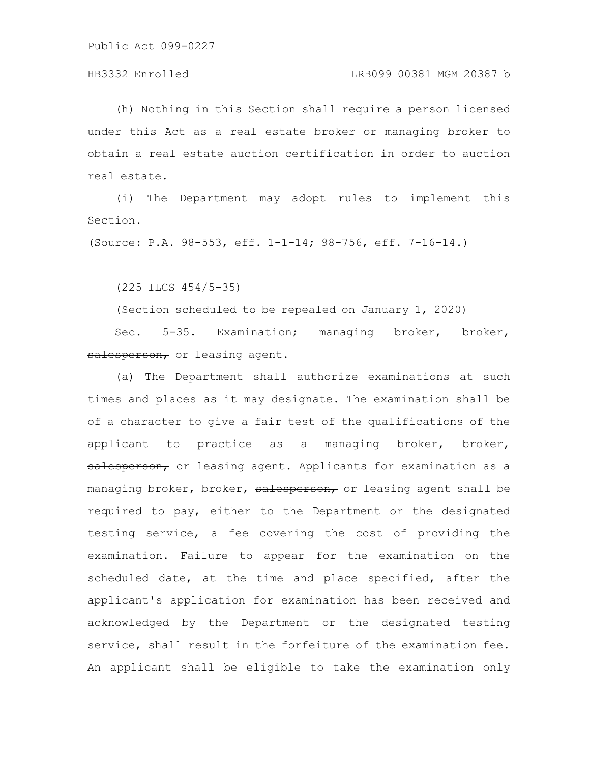### HB3332 Enrolled LRB099 00381 MGM 20387 b

(h) Nothing in this Section shall require a person licensed under this Act as a real estate broker or managing broker to obtain a real estate auction certification in order to auction real estate.

(i) The Department may adopt rules to implement this Section.

(Source: P.A. 98-553, eff. 1-1-14; 98-756, eff. 7-16-14.)

(225 ILCS 454/5-35)

(Section scheduled to be repealed on January 1, 2020)

Sec. 5-35. Examination; managing broker, broker, salesperson, or leasing agent.

(a) The Department shall authorize examinations at such times and places as it may designate. The examination shall be of a character to give a fair test of the qualifications of the applicant to practice as a managing broker, broker, salesperson, or leasing agent. Applicants for examination as a managing broker, broker, salesperson, or leasing agent shall be required to pay, either to the Department or the designated testing service, a fee covering the cost of providing the examination. Failure to appear for the examination on the scheduled date, at the time and place specified, after the applicant's application for examination has been received and acknowledged by the Department or the designated testing service, shall result in the forfeiture of the examination fee. An applicant shall be eligible to take the examination only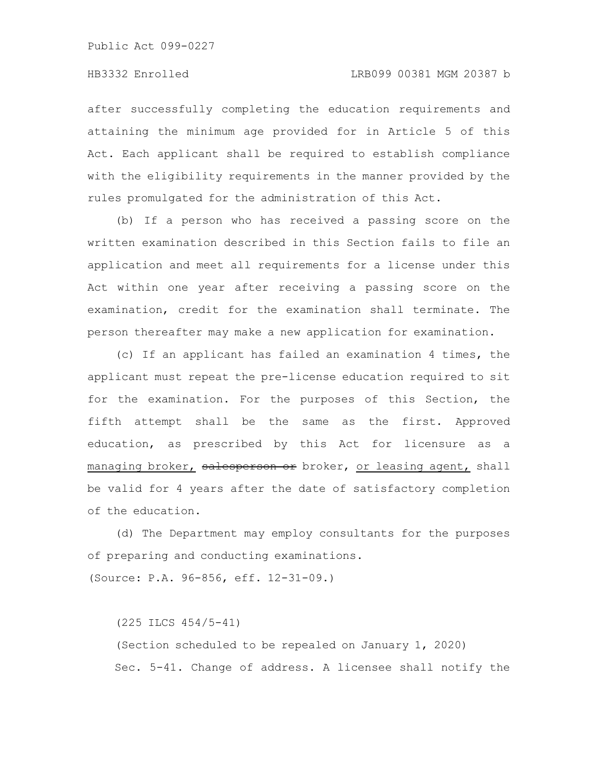after successfully completing the education requirements and attaining the minimum age provided for in Article 5 of this Act. Each applicant shall be required to establish compliance with the eligibility requirements in the manner provided by the rules promulgated for the administration of this Act.

(b) If a person who has received a passing score on the written examination described in this Section fails to file an application and meet all requirements for a license under this Act within one year after receiving a passing score on the examination, credit for the examination shall terminate. The person thereafter may make a new application for examination.

(c) If an applicant has failed an examination 4 times, the applicant must repeat the pre-license education required to sit for the examination. For the purposes of this Section, the fifth attempt shall be the same as the first. Approved education, as prescribed by this Act for licensure as a managing broker, salesperson or broker, or leasing agent, shall be valid for 4 years after the date of satisfactory completion of the education.

(d) The Department may employ consultants for the purposes of preparing and conducting examinations.

(Source: P.A. 96-856, eff. 12-31-09.)

(225 ILCS 454/5-41)

(Section scheduled to be repealed on January 1, 2020) Sec. 5-41. Change of address. A licensee shall notify the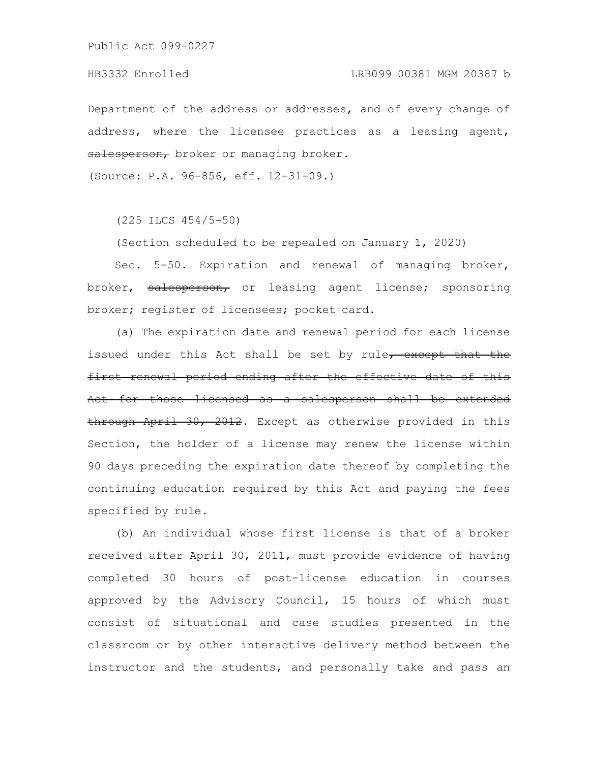Department of the address or addresses, and of every change of address, where the licensee practices as a leasing agent, salesperson, broker or managing broker.

(Source: P.A. 96-856, eff. 12-31-09.)

(225 ILCS 454/5-50)

(Section scheduled to be repealed on January 1, 2020)

Sec. 5-50. Expiration and renewal of managing broker, broker, salesperson, or leasing agent license; sponsoring broker; register of licensees; pocket card.

(a) The expiration date and renewal period for each license issued under this Act shall be set by rule, except that the first renewal period ending after the effective date of this Act for those licensed as a salesperson shall be extended through April 30, 2012. Except as otherwise provided in this Section, the holder of a license may renew the license within 90 days preceding the expiration date thereof by completing the continuing education required by this Act and paying the fees specified by rule.

(b) An individual whose first license is that of a broker received after April 30, 2011, must provide evidence of having completed 30 hours of post-license education in courses approved by the Advisory Council, 15 hours of which must consist of situational and case studies presented in the classroom or by other interactive delivery method between the instructor and the students, and personally take and pass an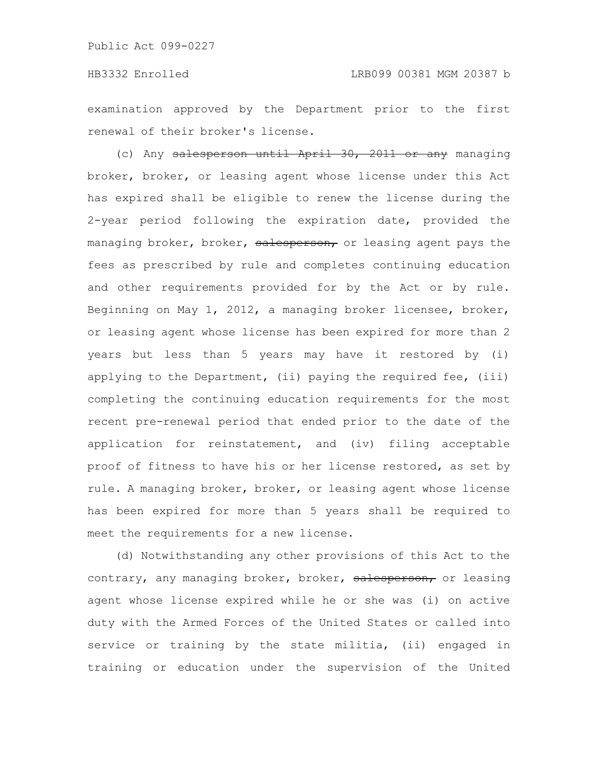examination approved by the Department prior to the first renewal of their broker's license.

(c) Any salesperson until April 30, 2011 or any managing broker, broker, or leasing agent whose license under this Act has expired shall be eligible to renew the license during the 2-year period following the expiration date, provided the managing broker, broker, salesperson, or leasing agent pays the fees as prescribed by rule and completes continuing education and other requirements provided for by the Act or by rule. Beginning on May 1, 2012, a managing broker licensee, broker, or leasing agent whose license has been expired for more than 2 years but less than 5 years may have it restored by (i) applying to the Department, (ii) paying the required fee, (iii) completing the continuing education requirements for the most recent pre-renewal period that ended prior to the date of the application for reinstatement, and (iv) filing acceptable proof of fitness to have his or her license restored, as set by rule. A managing broker, broker, or leasing agent whose license has been expired for more than 5 years shall be required to meet the requirements for a new license.

(d) Notwithstanding any other provisions of this Act to the contrary, any managing broker, broker, salesperson, or leasing agent whose license expired while he or she was (i) on active duty with the Armed Forces of the United States or called into service or training by the state militia, (ii) engaged in training or education under the supervision of the United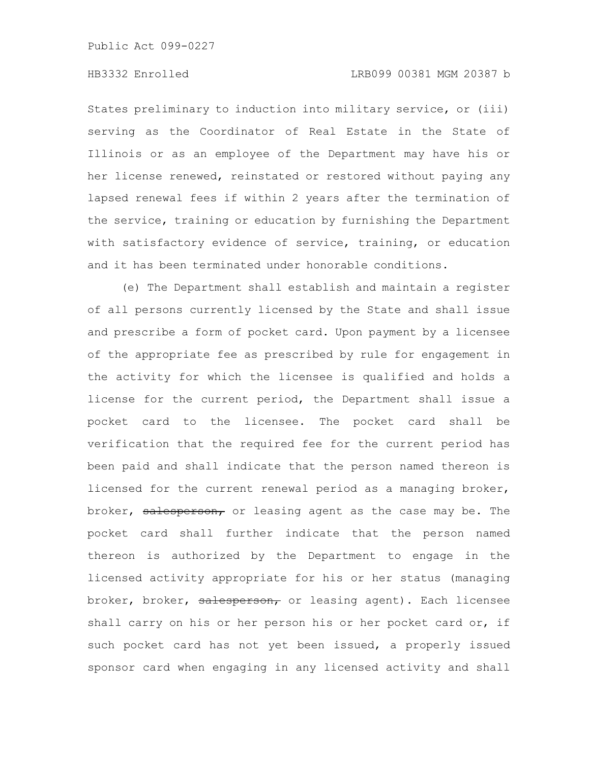States preliminary to induction into military service, or (iii) serving as the Coordinator of Real Estate in the State of Illinois or as an employee of the Department may have his or her license renewed, reinstated or restored without paying any lapsed renewal fees if within 2 years after the termination of the service, training or education by furnishing the Department with satisfactory evidence of service, training, or education and it has been terminated under honorable conditions.

(e) The Department shall establish and maintain a register of all persons currently licensed by the State and shall issue and prescribe a form of pocket card. Upon payment by a licensee of the appropriate fee as prescribed by rule for engagement in the activity for which the licensee is qualified and holds a license for the current period, the Department shall issue a pocket card to the licensee. The pocket card shall be verification that the required fee for the current period has been paid and shall indicate that the person named thereon is licensed for the current renewal period as a managing broker, broker, salesperson, or leasing agent as the case may be. The pocket card shall further indicate that the person named thereon is authorized by the Department to engage in the licensed activity appropriate for his or her status (managing broker, broker, salesperson, or leasing agent). Each licensee shall carry on his or her person his or her pocket card or, if such pocket card has not yet been issued, a properly issued sponsor card when engaging in any licensed activity and shall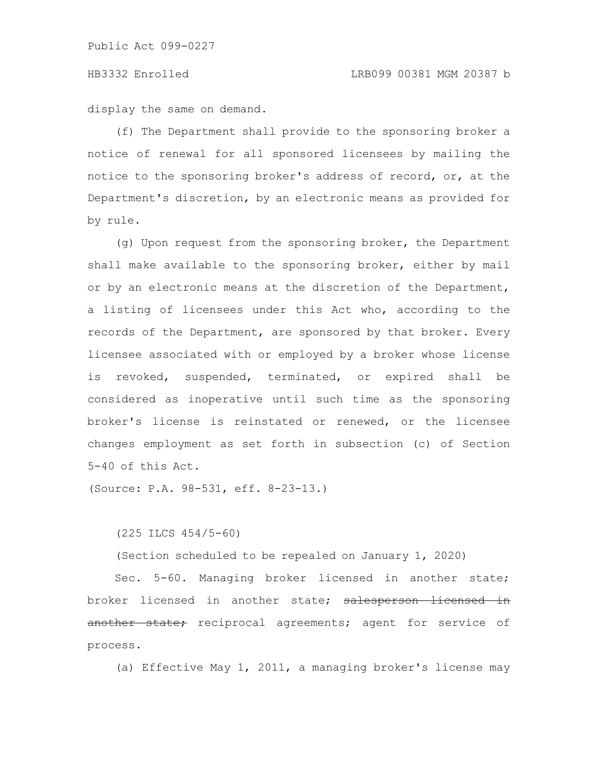display the same on demand.

(f) The Department shall provide to the sponsoring broker a notice of renewal for all sponsored licensees by mailing the notice to the sponsoring broker's address of record, or, at the Department's discretion, by an electronic means as provided for by rule.

(g) Upon request from the sponsoring broker, the Department shall make available to the sponsoring broker, either by mail or by an electronic means at the discretion of the Department, a listing of licensees under this Act who, according to the records of the Department, are sponsored by that broker. Every licensee associated with or employed by a broker whose license is revoked, suspended, terminated, or expired shall be considered as inoperative until such time as the sponsoring broker's license is reinstated or renewed, or the licensee changes employment as set forth in subsection (c) of Section 5-40 of this Act.

(Source: P.A. 98-531, eff. 8-23-13.)

(Section scheduled to be repealed on January 1, 2020)

Sec. 5-60. Managing broker licensed in another state; broker licensed in another state; salesperson licensed in another state; reciprocal agreements; agent for service of process.

(a) Effective May 1, 2011, a managing broker's license may

<sup>(225</sup> ILCS 454/5-60)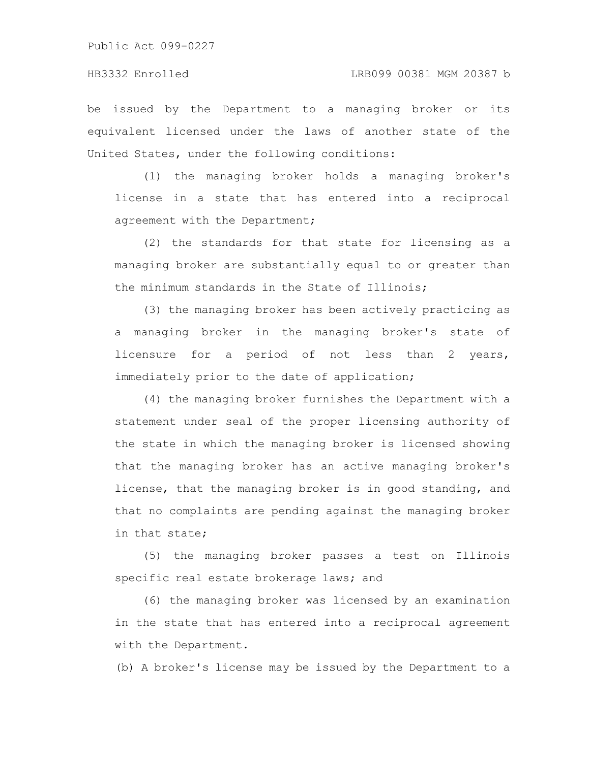be issued by the Department to a managing broker or its equivalent licensed under the laws of another state of the United States, under the following conditions:

(1) the managing broker holds a managing broker's license in a state that has entered into a reciprocal agreement with the Department;

(2) the standards for that state for licensing as a managing broker are substantially equal to or greater than the minimum standards in the State of Illinois;

(3) the managing broker has been actively practicing as a managing broker in the managing broker's state of licensure for a period of not less than 2 years, immediately prior to the date of application;

(4) the managing broker furnishes the Department with a statement under seal of the proper licensing authority of the state in which the managing broker is licensed showing that the managing broker has an active managing broker's license, that the managing broker is in good standing, and that no complaints are pending against the managing broker in that state;

(5) the managing broker passes a test on Illinois specific real estate brokerage laws; and

(6) the managing broker was licensed by an examination in the state that has entered into a reciprocal agreement with the Department.

(b) A broker's license may be issued by the Department to a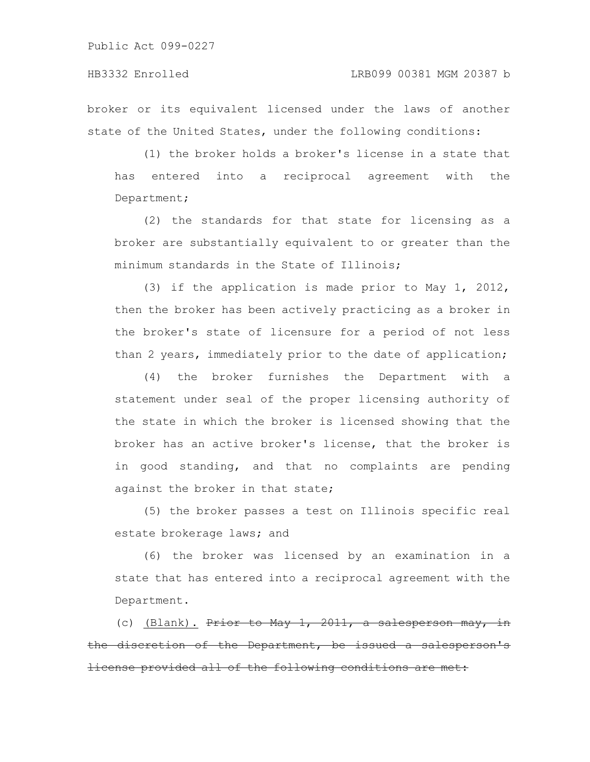broker or its equivalent licensed under the laws of another state of the United States, under the following conditions:

(1) the broker holds a broker's license in a state that has entered into a reciprocal agreement with the Department;

(2) the standards for that state for licensing as a broker are substantially equivalent to or greater than the minimum standards in the State of Illinois;

(3) if the application is made prior to May 1, 2012, then the broker has been actively practicing as a broker in the broker's state of licensure for a period of not less than 2 years, immediately prior to the date of application;

(4) the broker furnishes the Department with a statement under seal of the proper licensing authority of the state in which the broker is licensed showing that the broker has an active broker's license, that the broker is in good standing, and that no complaints are pending against the broker in that state;

(5) the broker passes a test on Illinois specific real estate brokerage laws; and

(6) the broker was licensed by an examination in a state that has entered into a reciprocal agreement with the Department.

(c) <u>(Blank).</u> <del>Prior to May 1, 2011, a salesperson</del> the discretion of the Department, be issued a salesperson's cense provided all of the following conditions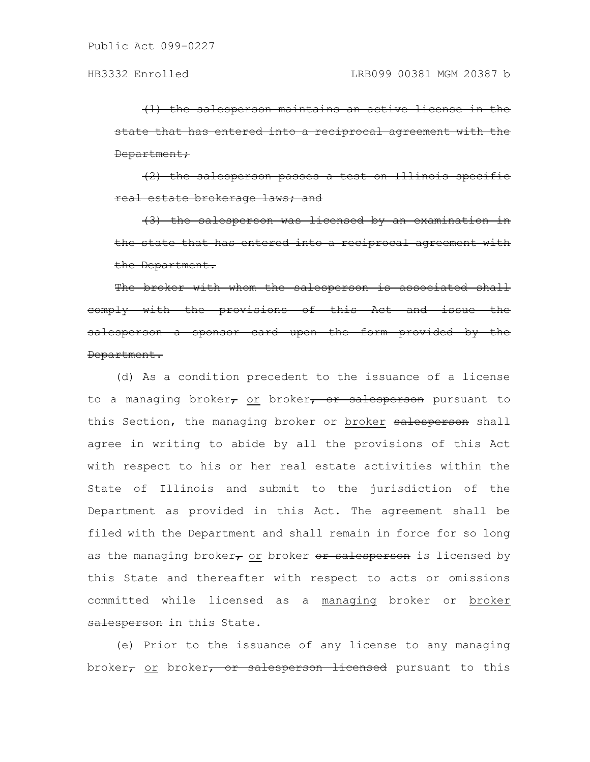$(1)$  the salesperson maintains an active license state that has entered into a reciprocal agreement Department;

(2) the salesperson passes a test on Illi real estate brokerage laws; and

 $(3)$  the salesperson was licensed by an examination the state that has entered into a reciprocal agreement the Department.

The broker with whom the salesperson is associated shall comply with the provisions of this Act and issue the salesperson a sponsor card upon the form provided by the Department.

(d) As a condition precedent to the issuance of a license to a managing broker $\tau$  or broker $\tau$  or salesperson pursuant to this Section, the managing broker or broker salesperson shall agree in writing to abide by all the provisions of this Act with respect to his or her real estate activities within the State of Illinois and submit to the jurisdiction of the Department as provided in this Act. The agreement shall be filed with the Department and shall remain in force for so long as the managing broker, or broker  $er$  salesperson is licensed by this State and thereafter with respect to acts or omissions committed while licensed as a managing broker or broker salesperson in this State.

(e) Prior to the issuance of any license to any managing broker<sub>r</sub> or broker, or salesperson licensed pursuant to this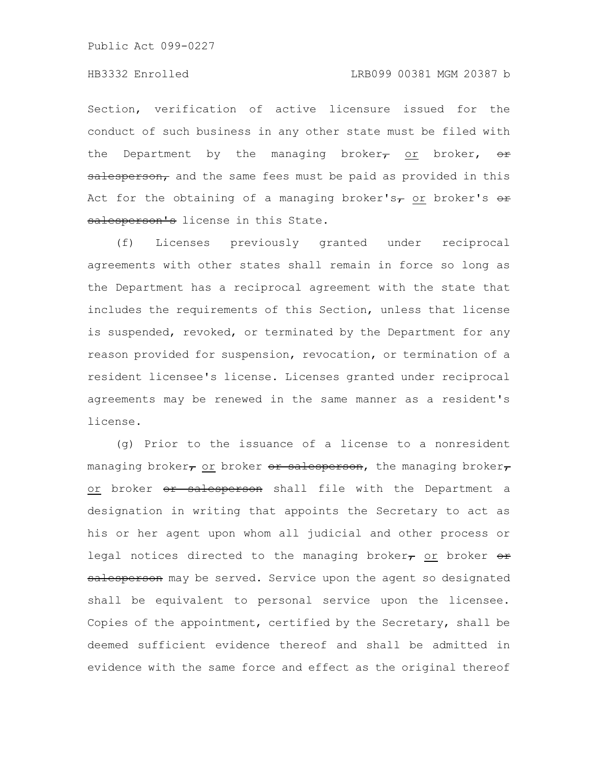# HB3332 Enrolled LRB099 00381 MGM 20387 b

Section, verification of active licensure issued for the conduct of such business in any other state must be filed with the Department by the managing broker, or broker,  $\Theta$ salesperson, and the same fees must be paid as provided in this Act for the obtaining of a managing broker's, or broker's  $e\rightarrow$ salesperson's license in this State.

(f) Licenses previously granted under reciprocal agreements with other states shall remain in force so long as the Department has a reciprocal agreement with the state that includes the requirements of this Section, unless that license is suspended, revoked, or terminated by the Department for any reason provided for suspension, revocation, or termination of a resident licensee's license. Licenses granted under reciprocal agreements may be renewed in the same manner as a resident's license.

(g) Prior to the issuance of a license to a nonresident managing broker, or broker  $\Theta$ r salesperson, the managing broker, or broker or salesperson shall file with the Department a designation in writing that appoints the Secretary to act as his or her agent upon whom all judicial and other process or legal notices directed to the managing broker $_{\tau}$  or broker  $_{\text{eff}}$ salesperson may be served. Service upon the agent so designated shall be equivalent to personal service upon the licensee. Copies of the appointment, certified by the Secretary, shall be deemed sufficient evidence thereof and shall be admitted in evidence with the same force and effect as the original thereof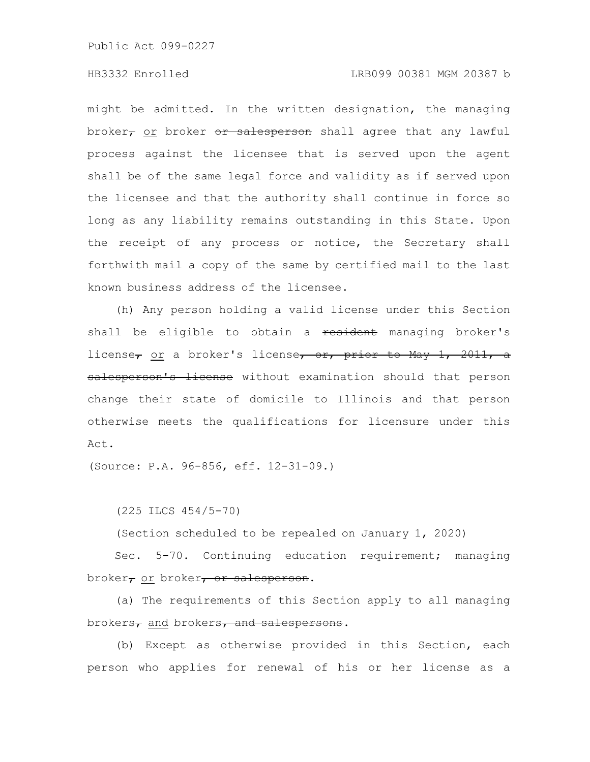# HB3332 Enrolled LRB099 00381 MGM 20387 b

might be admitted. In the written designation, the managing broker $\tau$  or broker  $e\tau$  salesperson shall agree that any lawful process against the licensee that is served upon the agent shall be of the same legal force and validity as if served upon the licensee and that the authority shall continue in force so long as any liability remains outstanding in this State. Upon the receipt of any process or notice, the Secretary shall forthwith mail a copy of the same by certified mail to the last known business address of the licensee.

(h) Any person holding a valid license under this Section shall be eligible to obtain a resident managing broker's license<sub>7</sub> or a broker's license<sub>7</sub> or, prior to May 1, 2011, a salesperson's license without examination should that person change their state of domicile to Illinois and that person otherwise meets the qualifications for licensure under this Act.

(Source: P.A. 96-856, eff. 12-31-09.)

(225 ILCS 454/5-70)

(Section scheduled to be repealed on January 1, 2020)

Sec. 5-70. Continuing education requirement; managing broker, or broker, or salesperson.

(a) The requirements of this Section apply to all managing brokers<sub>7</sub> and brokers<sub>7</sub> and salespersons.

(b) Except as otherwise provided in this Section, each person who applies for renewal of his or her license as a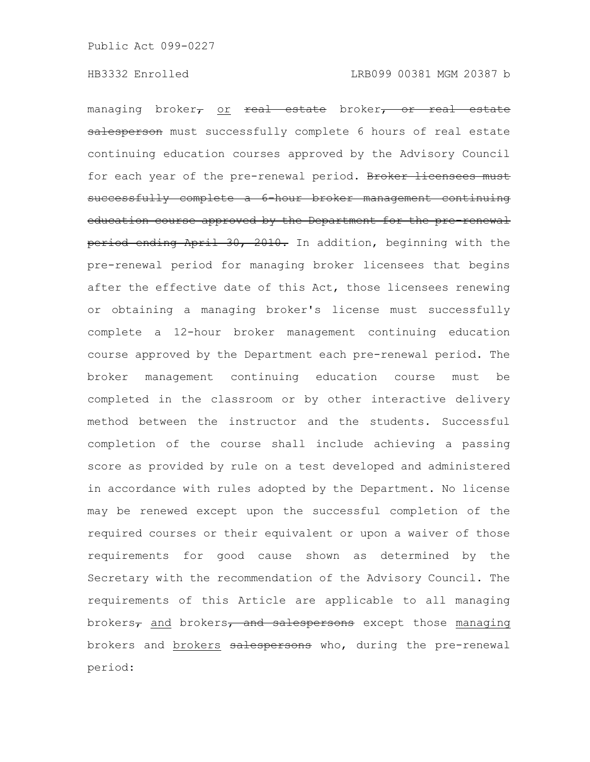managing broker<sub>7</sub> or real estate broker<sub>7</sub> or real estate salesperson must successfully complete 6 hours of real estate continuing education courses approved by the Advisory Council for each year of the pre-renewal period. Broker licensees successfully complete a 6-hour broker management continuing education course approved by the Department for the pre-renewal period ending April 30, 2010. In addition, beginning with the pre-renewal period for managing broker licensees that begins after the effective date of this Act, those licensees renewing or obtaining a managing broker's license must successfully complete a 12-hour broker management continuing education course approved by the Department each pre-renewal period. The broker management continuing education course must be completed in the classroom or by other interactive delivery method between the instructor and the students. Successful completion of the course shall include achieving a passing score as provided by rule on a test developed and administered in accordance with rules adopted by the Department. No license may be renewed except upon the successful completion of the required courses or their equivalent or upon a waiver of those requirements for good cause shown as determined by the Secretary with the recommendation of the Advisory Council. The requirements of this Article are applicable to all managing brokers<sub>7</sub> and brokers<sub>7</sub> and salespersons except those managing brokers and brokers salespersons who, during the pre-renewal period: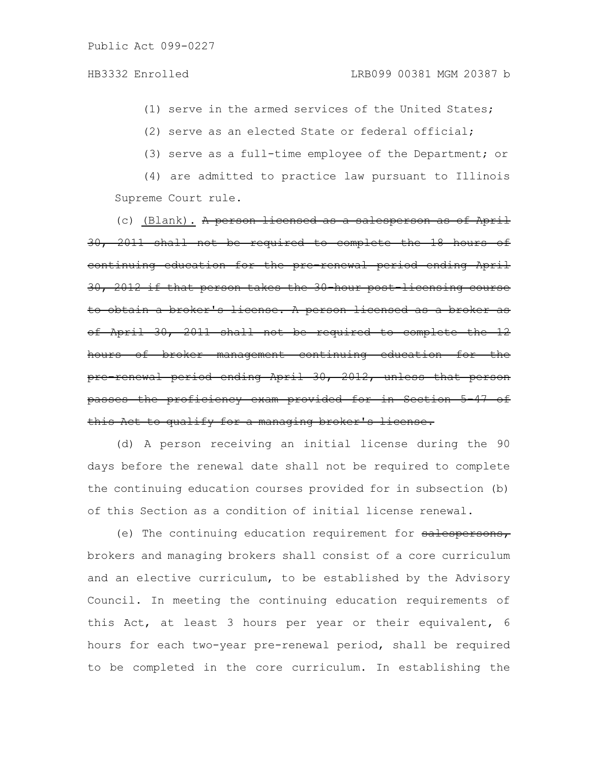(1) serve in the armed services of the United States;

(2) serve as an elected State or federal official;

(3) serve as a full-time employee of the Department; or

(4) are admitted to practice law pursuant to Illinois Supreme Court rule.

(c) (Blank). A person licensed as a salesperson as of April 30, 2011 shall not be required to complete the 18 hours of continuing education for the pre-renewal period ending April 30, 2012 if that person takes the 30-hour post-licensing course to obtain a broker's license. A person licensed as a broker as of April 30, 2011 shall not be required to complete the 12 hours of broker management continuing education for the pre-renewal period ending April 30, 2012, unless that person passes the proficiency exam provided for in Section 5this Act to qualify for a managing broker's license.

(d) A person receiving an initial license during the 90 days before the renewal date shall not be required to complete the continuing education courses provided for in subsection (b) of this Section as a condition of initial license renewal.

(e) The continuing education requirement for salespersons, brokers and managing brokers shall consist of a core curriculum and an elective curriculum, to be established by the Advisory Council. In meeting the continuing education requirements of this Act, at least 3 hours per year or their equivalent, 6 hours for each two-year pre-renewal period, shall be required to be completed in the core curriculum. In establishing the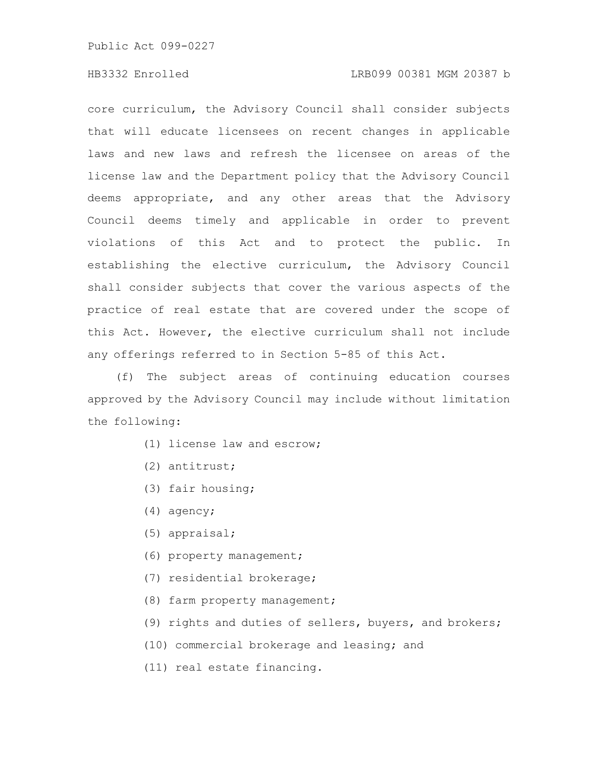# HB3332 Enrolled LRB099 00381 MGM 20387 b

core curriculum, the Advisory Council shall consider subjects that will educate licensees on recent changes in applicable laws and new laws and refresh the licensee on areas of the license law and the Department policy that the Advisory Council deems appropriate, and any other areas that the Advisory Council deems timely and applicable in order to prevent violations of this Act and to protect the public. In establishing the elective curriculum, the Advisory Council shall consider subjects that cover the various aspects of the practice of real estate that are covered under the scope of this Act. However, the elective curriculum shall not include any offerings referred to in Section 5-85 of this Act.

(f) The subject areas of continuing education courses approved by the Advisory Council may include without limitation the following:

- (1) license law and escrow;
- (2) antitrust;
- (3) fair housing;
- (4) agency;
- (5) appraisal;
- (6) property management;
- (7) residential brokerage;
- (8) farm property management;
- (9) rights and duties of sellers, buyers, and brokers;
- (10) commercial brokerage and leasing; and
- (11) real estate financing.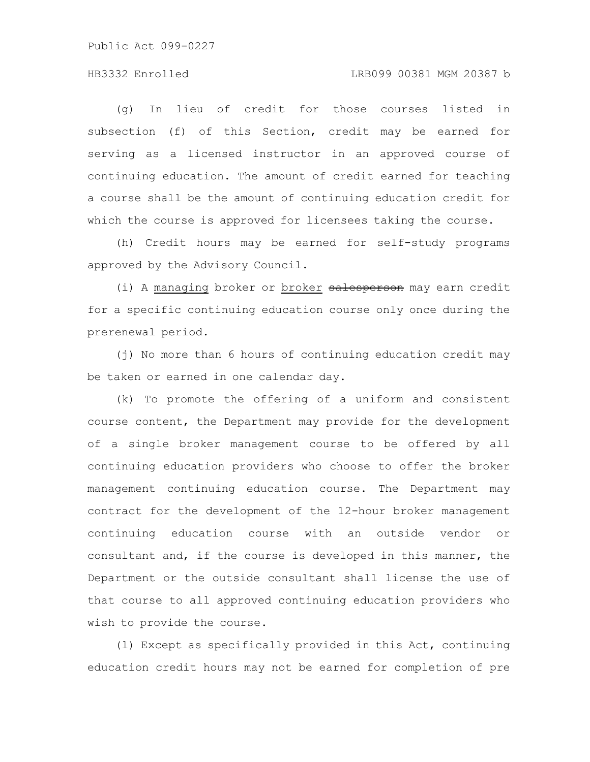## HB3332 Enrolled LRB099 00381 MGM 20387 b

(g) In lieu of credit for those courses listed in subsection (f) of this Section, credit may be earned for serving as a licensed instructor in an approved course of continuing education. The amount of credit earned for teaching a course shall be the amount of continuing education credit for which the course is approved for licensees taking the course.

(h) Credit hours may be earned for self-study programs approved by the Advisory Council.

(i) A managing broker or broker salesperson may earn credit for a specific continuing education course only once during the prerenewal period.

(j) No more than 6 hours of continuing education credit may be taken or earned in one calendar day.

(k) To promote the offering of a uniform and consistent course content, the Department may provide for the development of a single broker management course to be offered by all continuing education providers who choose to offer the broker management continuing education course. The Department may contract for the development of the 12-hour broker management continuing education course with an outside vendor or consultant and, if the course is developed in this manner, the Department or the outside consultant shall license the use of that course to all approved continuing education providers who wish to provide the course.

(l) Except as specifically provided in this Act, continuing education credit hours may not be earned for completion of pre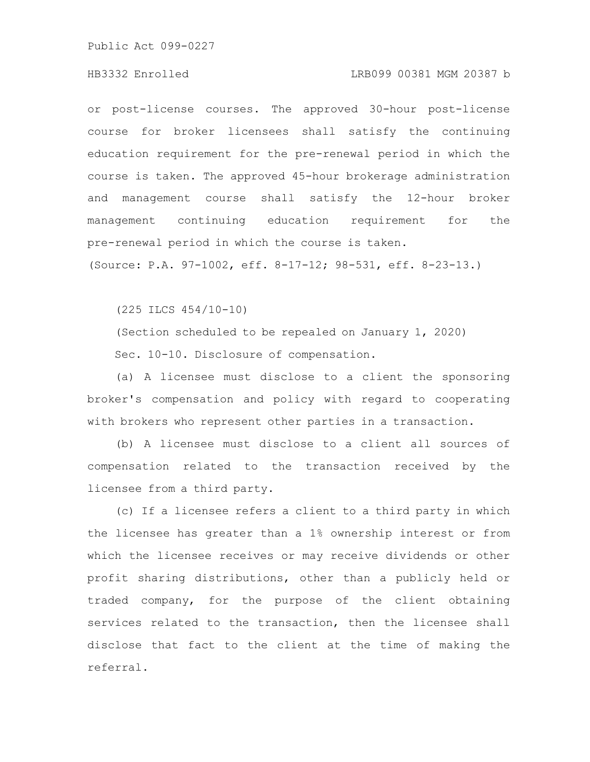#### HB3332 Enrolled LRB099 00381 MGM 20387 b

or post-license courses. The approved 30-hour post-license course for broker licensees shall satisfy the continuing education requirement for the pre-renewal period in which the course is taken. The approved 45-hour brokerage administration and management course shall satisfy the 12-hour broker management continuing education requirement for the pre-renewal period in which the course is taken.

(Source: P.A. 97-1002, eff. 8-17-12; 98-531, eff. 8-23-13.)

(225 ILCS 454/10-10)

(Section scheduled to be repealed on January 1, 2020) Sec. 10-10. Disclosure of compensation.

(a) A licensee must disclose to a client the sponsoring broker's compensation and policy with regard to cooperating with brokers who represent other parties in a transaction.

(b) A licensee must disclose to a client all sources of compensation related to the transaction received by the licensee from a third party.

(c) If a licensee refers a client to a third party in which the licensee has greater than a 1% ownership interest or from which the licensee receives or may receive dividends or other profit sharing distributions, other than a publicly held or traded company, for the purpose of the client obtaining services related to the transaction, then the licensee shall disclose that fact to the client at the time of making the referral.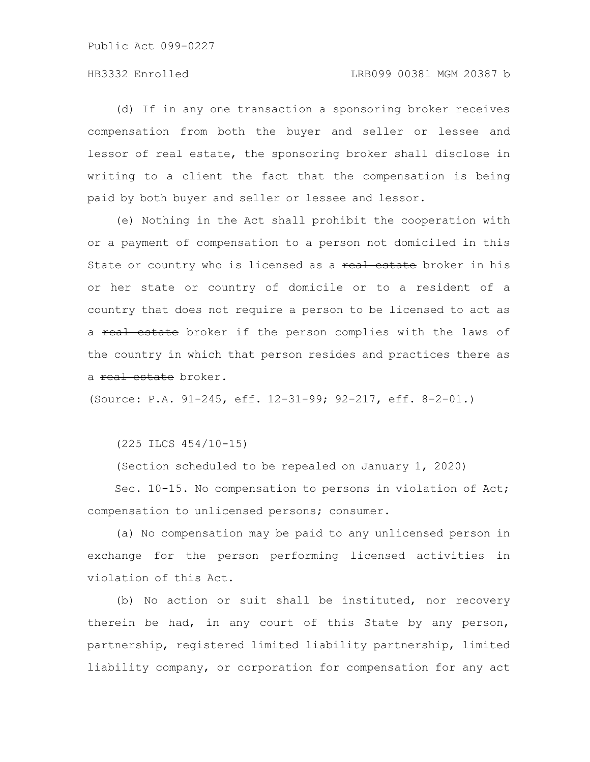## HB3332 Enrolled LRB099 00381 MGM 20387 b

(d) If in any one transaction a sponsoring broker receives compensation from both the buyer and seller or lessee and lessor of real estate, the sponsoring broker shall disclose in writing to a client the fact that the compensation is being paid by both buyer and seller or lessee and lessor.

(e) Nothing in the Act shall prohibit the cooperation with or a payment of compensation to a person not domiciled in this State or country who is licensed as a real estate broker in his or her state or country of domicile or to a resident of a country that does not require a person to be licensed to act as a real estate broker if the person complies with the laws of the country in which that person resides and practices there as a real estate broker.

(Source: P.A. 91-245, eff. 12-31-99; 92-217, eff. 8-2-01.)

(225 ILCS 454/10-15)

(Section scheduled to be repealed on January 1, 2020)

Sec. 10-15. No compensation to persons in violation of Act; compensation to unlicensed persons; consumer.

(a) No compensation may be paid to any unlicensed person in exchange for the person performing licensed activities in violation of this Act.

(b) No action or suit shall be instituted, nor recovery therein be had, in any court of this State by any person, partnership, registered limited liability partnership, limited liability company, or corporation for compensation for any act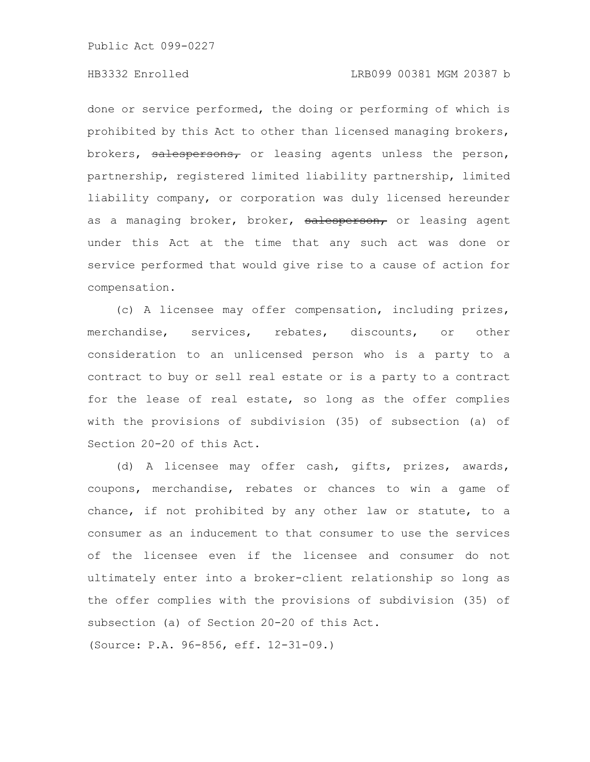done or service performed, the doing or performing of which is prohibited by this Act to other than licensed managing brokers, brokers, salespersons, or leasing agents unless the person, partnership, registered limited liability partnership, limited liability company, or corporation was duly licensed hereunder as a managing broker, broker, salesperson, or leasing agent under this Act at the time that any such act was done or service performed that would give rise to a cause of action for compensation.

(c) A licensee may offer compensation, including prizes, merchandise, services, rebates, discounts, or other consideration to an unlicensed person who is a party to a contract to buy or sell real estate or is a party to a contract for the lease of real estate, so long as the offer complies with the provisions of subdivision (35) of subsection (a) of Section 20-20 of this Act.

(d) A licensee may offer cash, gifts, prizes, awards, coupons, merchandise, rebates or chances to win a game of chance, if not prohibited by any other law or statute, to a consumer as an inducement to that consumer to use the services of the licensee even if the licensee and consumer do not ultimately enter into a broker-client relationship so long as the offer complies with the provisions of subdivision (35) of subsection (a) of Section 20-20 of this Act.

(Source: P.A. 96-856, eff. 12-31-09.)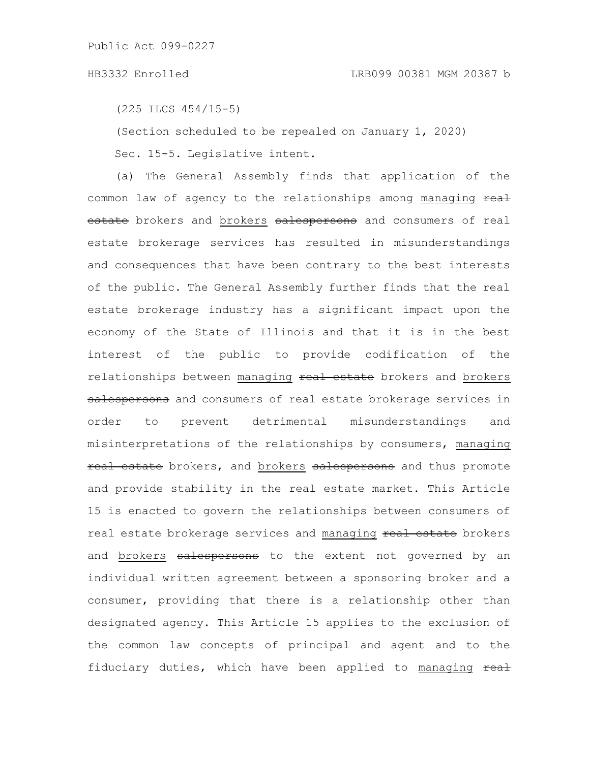(225 ILCS 454/15-5)

(Section scheduled to be repealed on January 1, 2020)

Sec. 15-5. Legislative intent.

(a) The General Assembly finds that application of the common law of agency to the relationships among managing real estate brokers and brokers salespersons and consumers of real estate brokerage services has resulted in misunderstandings and consequences that have been contrary to the best interests of the public. The General Assembly further finds that the real estate brokerage industry has a significant impact upon the economy of the State of Illinois and that it is in the best interest of the public to provide codification of the relationships between managing real estate brokers and brokers salespersons and consumers of real estate brokerage services in order to prevent detrimental misunderstandings and misinterpretations of the relationships by consumers, managing real estate brokers, and brokers salespersons and thus promote and provide stability in the real estate market. This Article 15 is enacted to govern the relationships between consumers of real estate brokerage services and managing real estate brokers and brokers salespersons to the extent not governed by an individual written agreement between a sponsoring broker and a consumer, providing that there is a relationship other than designated agency. This Article 15 applies to the exclusion of the common law concepts of principal and agent and to the fiduciary duties, which have been applied to managing real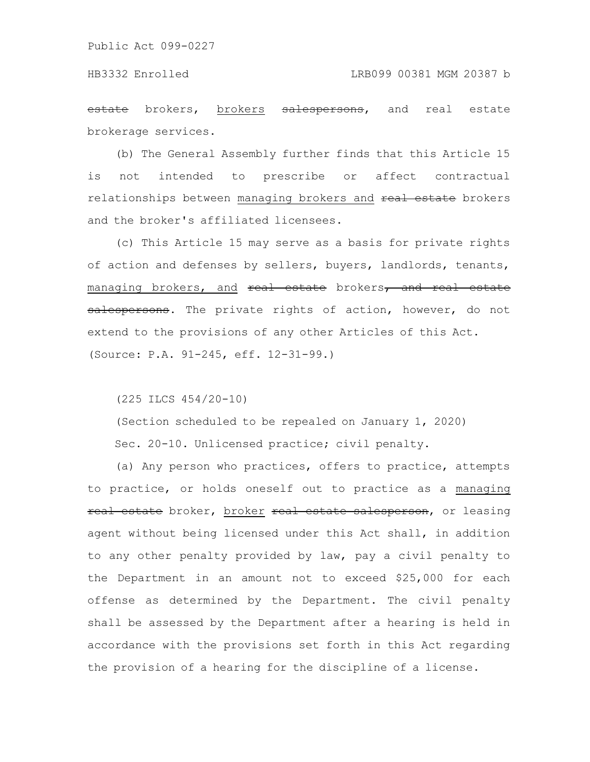estate brokers, brokers salespersons, and real estate brokerage services.

(b) The General Assembly further finds that this Article 15 is not intended to prescribe or affect contractual relationships between managing brokers and real estate brokers and the broker's affiliated licensees.

(c) This Article 15 may serve as a basis for private rights of action and defenses by sellers, buyers, landlords, tenants, managing brokers, and real estate brokers, and real estate salespersons. The private rights of action, however, do not extend to the provisions of any other Articles of this Act. (Source: P.A. 91-245, eff. 12-31-99.)

(225 ILCS 454/20-10)

(Section scheduled to be repealed on January 1, 2020)

Sec. 20-10. Unlicensed practice; civil penalty.

(a) Any person who practices, offers to practice, attempts to practice, or holds oneself out to practice as a managing real estate broker, broker real estate salesperson, or leasing agent without being licensed under this Act shall, in addition to any other penalty provided by law, pay a civil penalty to the Department in an amount not to exceed \$25,000 for each offense as determined by the Department. The civil penalty shall be assessed by the Department after a hearing is held in accordance with the provisions set forth in this Act regarding the provision of a hearing for the discipline of a license.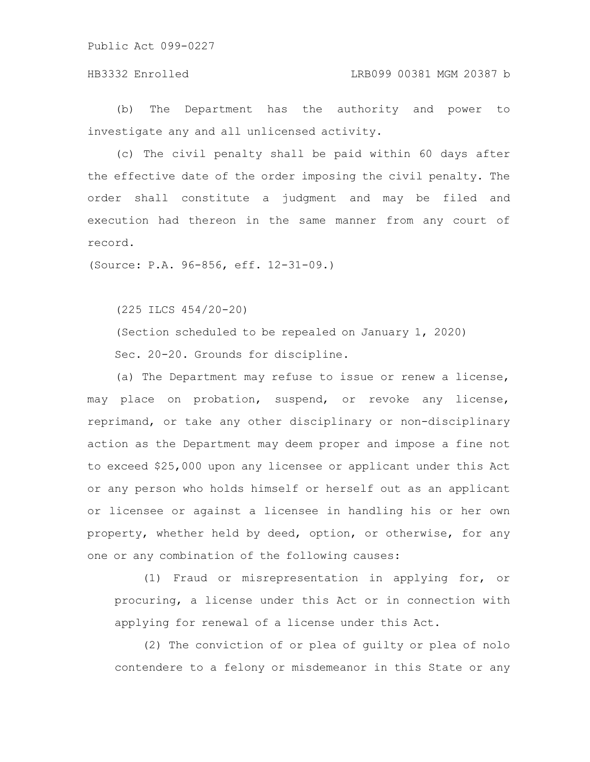# HB3332 Enrolled LRB099 00381 MGM 20387 b

(b) The Department has the authority and power to investigate any and all unlicensed activity.

(c) The civil penalty shall be paid within 60 days after the effective date of the order imposing the civil penalty. The order shall constitute a judgment and may be filed and execution had thereon in the same manner from any court of record.

(Source: P.A. 96-856, eff. 12-31-09.)

(225 ILCS 454/20-20)

(Section scheduled to be repealed on January 1, 2020) Sec. 20-20. Grounds for discipline.

(a) The Department may refuse to issue or renew a license, may place on probation, suspend, or revoke any license, reprimand, or take any other disciplinary or non-disciplinary action as the Department may deem proper and impose a fine not to exceed \$25,000 upon any licensee or applicant under this Act or any person who holds himself or herself out as an applicant or licensee or against a licensee in handling his or her own property, whether held by deed, option, or otherwise, for any one or any combination of the following causes:

(1) Fraud or misrepresentation in applying for, or procuring, a license under this Act or in connection with applying for renewal of a license under this Act.

(2) The conviction of or plea of guilty or plea of nolo contendere to a felony or misdemeanor in this State or any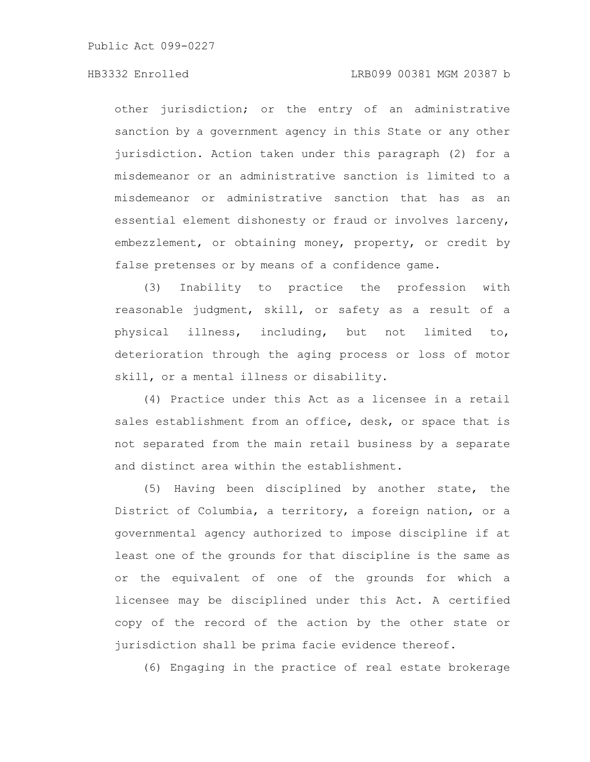## HB3332 Enrolled LRB099 00381 MGM 20387 b

other jurisdiction; or the entry of an administrative sanction by a government agency in this State or any other jurisdiction. Action taken under this paragraph (2) for a misdemeanor or an administrative sanction is limited to a misdemeanor or administrative sanction that has as an essential element dishonesty or fraud or involves larceny, embezzlement, or obtaining money, property, or credit by false pretenses or by means of a confidence game.

(3) Inability to practice the profession with reasonable judgment, skill, or safety as a result of a physical illness, including, but not limited to, deterioration through the aging process or loss of motor skill, or a mental illness or disability.

(4) Practice under this Act as a licensee in a retail sales establishment from an office, desk, or space that is not separated from the main retail business by a separate and distinct area within the establishment.

(5) Having been disciplined by another state, the District of Columbia, a territory, a foreign nation, or a governmental agency authorized to impose discipline if at least one of the grounds for that discipline is the same as or the equivalent of one of the grounds for which a licensee may be disciplined under this Act. A certified copy of the record of the action by the other state or jurisdiction shall be prima facie evidence thereof.

(6) Engaging in the practice of real estate brokerage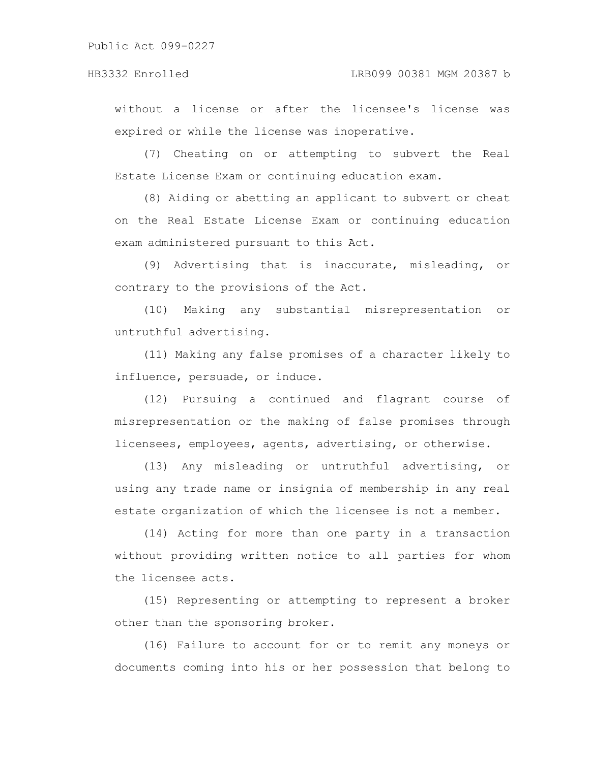without a license or after the licensee's license was expired or while the license was inoperative.

(7) Cheating on or attempting to subvert the Real Estate License Exam or continuing education exam.

(8) Aiding or abetting an applicant to subvert or cheat on the Real Estate License Exam or continuing education exam administered pursuant to this Act.

(9) Advertising that is inaccurate, misleading, or contrary to the provisions of the Act.

(10) Making any substantial misrepresentation or untruthful advertising.

(11) Making any false promises of a character likely to influence, persuade, or induce.

(12) Pursuing a continued and flagrant course of misrepresentation or the making of false promises through licensees, employees, agents, advertising, or otherwise.

(13) Any misleading or untruthful advertising, or using any trade name or insignia of membership in any real estate organization of which the licensee is not a member.

(14) Acting for more than one party in a transaction without providing written notice to all parties for whom the licensee acts.

(15) Representing or attempting to represent a broker other than the sponsoring broker.

(16) Failure to account for or to remit any moneys or documents coming into his or her possession that belong to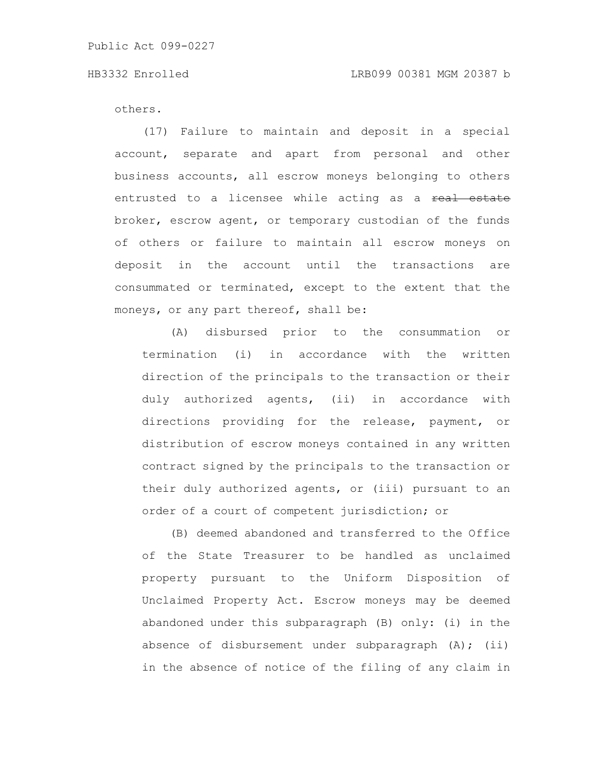others.

(17) Failure to maintain and deposit in a special account, separate and apart from personal and other business accounts, all escrow moneys belonging to others entrusted to a licensee while acting as a real estate broker, escrow agent, or temporary custodian of the funds of others or failure to maintain all escrow moneys on deposit in the account until the transactions are consummated or terminated, except to the extent that the moneys, or any part thereof, shall be:

(A) disbursed prior to the consummation or termination (i) in accordance with the written direction of the principals to the transaction or their duly authorized agents, (ii) in accordance with directions providing for the release, payment, or distribution of escrow moneys contained in any written contract signed by the principals to the transaction or their duly authorized agents, or (iii) pursuant to an order of a court of competent jurisdiction; or

(B) deemed abandoned and transferred to the Office of the State Treasurer to be handled as unclaimed property pursuant to the Uniform Disposition of Unclaimed Property Act. Escrow moneys may be deemed abandoned under this subparagraph (B) only: (i) in the absence of disbursement under subparagraph  $(A)$ ; (ii) in the absence of notice of the filing of any claim in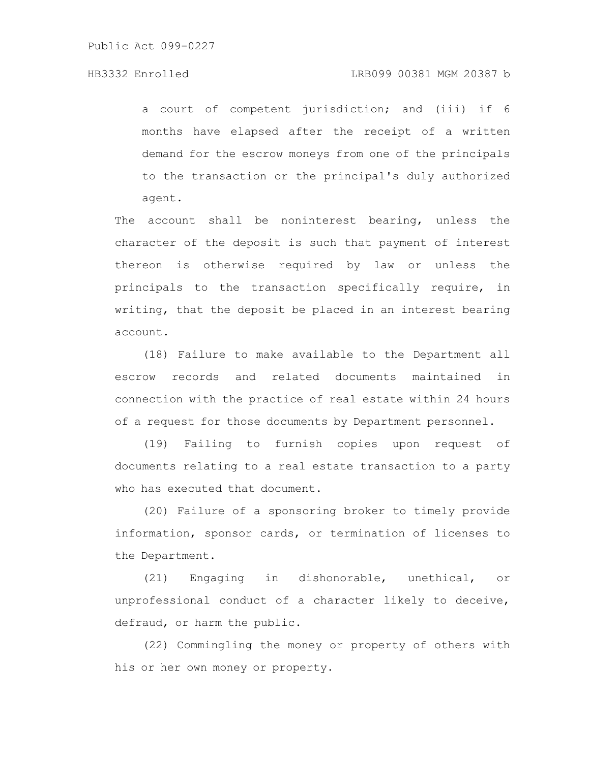a court of competent jurisdiction; and (iii) if 6 months have elapsed after the receipt of a written demand for the escrow moneys from one of the principals to the transaction or the principal's duly authorized agent.

The account shall be noninterest bearing, unless the character of the deposit is such that payment of interest thereon is otherwise required by law or unless the principals to the transaction specifically require, in writing, that the deposit be placed in an interest bearing account.

(18) Failure to make available to the Department all escrow records and related documents maintained in connection with the practice of real estate within 24 hours of a request for those documents by Department personnel.

(19) Failing to furnish copies upon request of documents relating to a real estate transaction to a party who has executed that document.

(20) Failure of a sponsoring broker to timely provide information, sponsor cards, or termination of licenses to the Department.

(21) Engaging in dishonorable, unethical, or unprofessional conduct of a character likely to deceive, defraud, or harm the public.

(22) Commingling the money or property of others with his or her own money or property.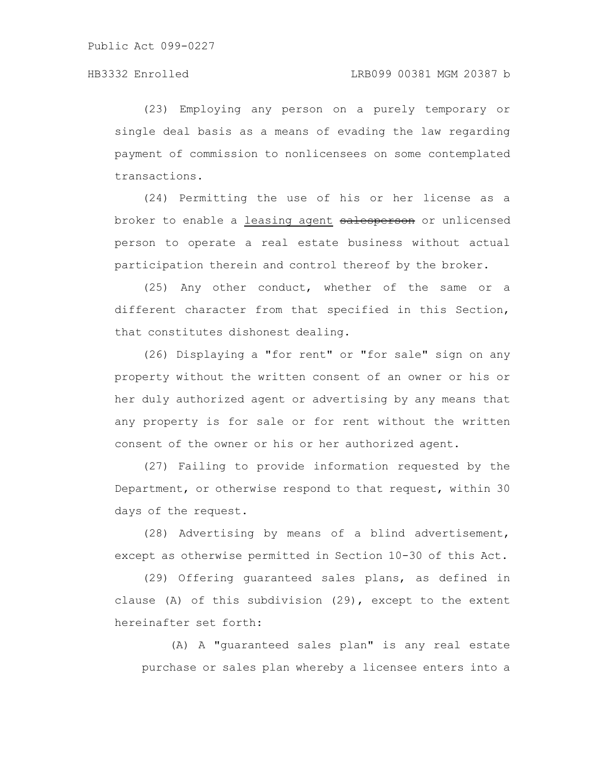(23) Employing any person on a purely temporary or single deal basis as a means of evading the law regarding payment of commission to nonlicensees on some contemplated transactions.

(24) Permitting the use of his or her license as a broker to enable a leasing agent salesperson or unlicensed person to operate a real estate business without actual participation therein and control thereof by the broker.

(25) Any other conduct, whether of the same or a different character from that specified in this Section, that constitutes dishonest dealing.

(26) Displaying a "for rent" or "for sale" sign on any property without the written consent of an owner or his or her duly authorized agent or advertising by any means that any property is for sale or for rent without the written consent of the owner or his or her authorized agent.

(27) Failing to provide information requested by the Department, or otherwise respond to that request, within 30 days of the request.

(28) Advertising by means of a blind advertisement, except as otherwise permitted in Section 10-30 of this Act.

(29) Offering guaranteed sales plans, as defined in clause (A) of this subdivision (29), except to the extent hereinafter set forth:

(A) A "guaranteed sales plan" is any real estate purchase or sales plan whereby a licensee enters into a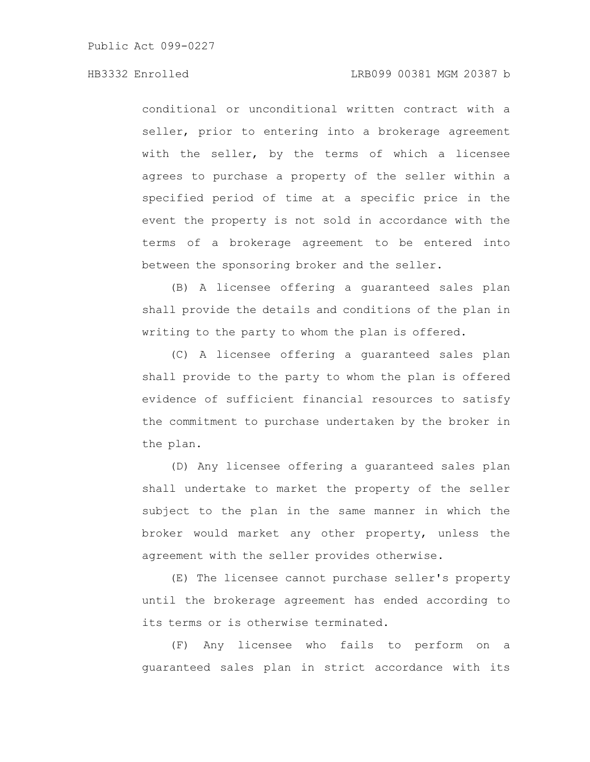conditional or unconditional written contract with a seller, prior to entering into a brokerage agreement with the seller, by the terms of which a licensee agrees to purchase a property of the seller within a specified period of time at a specific price in the event the property is not sold in accordance with the terms of a brokerage agreement to be entered into between the sponsoring broker and the seller.

(B) A licensee offering a guaranteed sales plan shall provide the details and conditions of the plan in writing to the party to whom the plan is offered.

(C) A licensee offering a guaranteed sales plan shall provide to the party to whom the plan is offered evidence of sufficient financial resources to satisfy the commitment to purchase undertaken by the broker in the plan.

(D) Any licensee offering a guaranteed sales plan shall undertake to market the property of the seller subject to the plan in the same manner in which the broker would market any other property, unless the agreement with the seller provides otherwise.

(E) The licensee cannot purchase seller's property until the brokerage agreement has ended according to its terms or is otherwise terminated.

(F) Any licensee who fails to perform on a guaranteed sales plan in strict accordance with its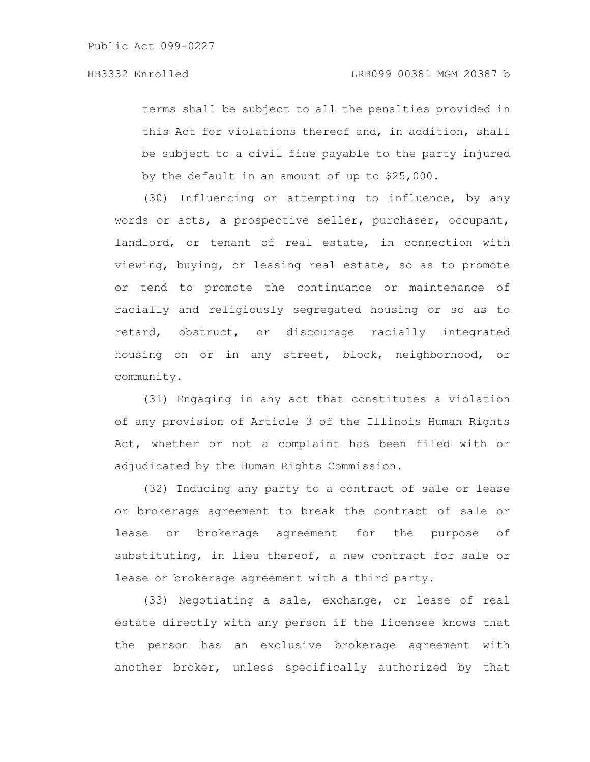terms shall be subject to all the penalties provided in this Act for violations thereof and, in addition, shall be subject to a civil fine payable to the party injured by the default in an amount of up to \$25,000.

(30) Influencing or attempting to influence, by any words or acts, a prospective seller, purchaser, occupant, landlord, or tenant of real estate, in connection with viewing, buying, or leasing real estate, so as to promote or tend to promote the continuance or maintenance of racially and religiously segregated housing or so as to retard, obstruct, or discourage racially integrated housing on or in any street, block, neighborhood, or community.

(31) Engaging in any act that constitutes a violation of any provision of Article 3 of the Illinois Human Rights Act, whether or not a complaint has been filed with or adjudicated by the Human Rights Commission.

(32) Inducing any party to a contract of sale or lease or brokerage agreement to break the contract of sale or lease or brokerage agreement for the purpose of substituting, in lieu thereof, a new contract for sale or lease or brokerage agreement with a third party.

(33) Negotiating a sale, exchange, or lease of real estate directly with any person if the licensee knows that the person has an exclusive brokerage agreement with another broker, unless specifically authorized by that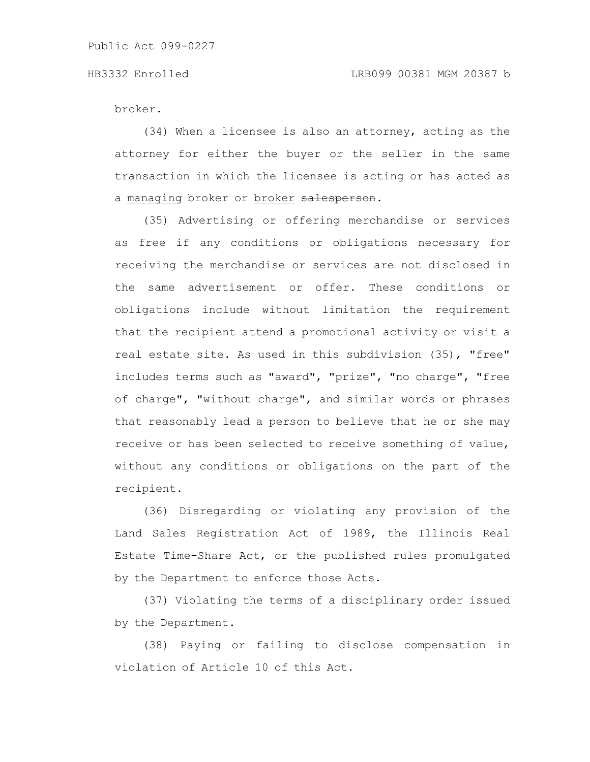broker.

(34) When a licensee is also an attorney, acting as the attorney for either the buyer or the seller in the same transaction in which the licensee is acting or has acted as a managing broker or broker salesperson.

(35) Advertising or offering merchandise or services as free if any conditions or obligations necessary for receiving the merchandise or services are not disclosed in the same advertisement or offer. These conditions or obligations include without limitation the requirement that the recipient attend a promotional activity or visit a real estate site. As used in this subdivision (35), "free" includes terms such as "award", "prize", "no charge", "free of charge", "without charge", and similar words or phrases that reasonably lead a person to believe that he or she may receive or has been selected to receive something of value, without any conditions or obligations on the part of the recipient.

(36) Disregarding or violating any provision of the Land Sales Registration Act of 1989, the Illinois Real Estate Time-Share Act, or the published rules promulgated by the Department to enforce those Acts.

(37) Violating the terms of a disciplinary order issued by the Department.

(38) Paying or failing to disclose compensation in violation of Article 10 of this Act.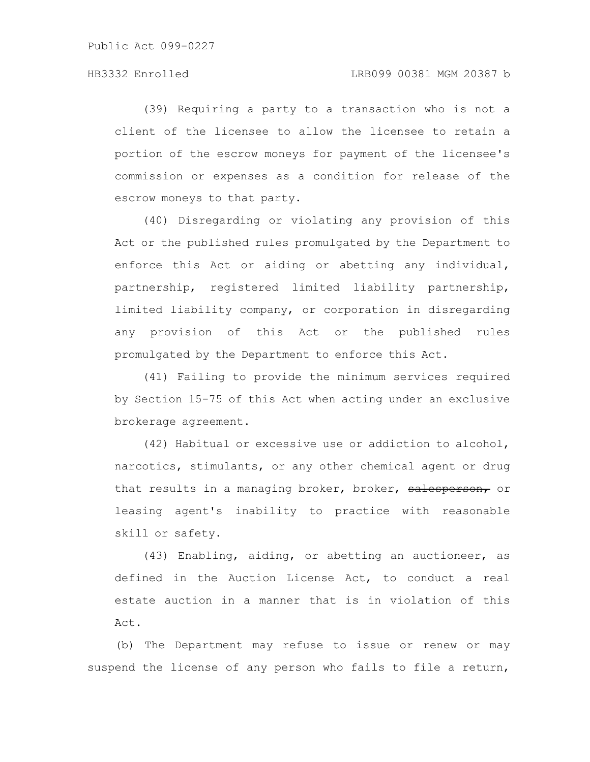(39) Requiring a party to a transaction who is not a client of the licensee to allow the licensee to retain a portion of the escrow moneys for payment of the licensee's commission or expenses as a condition for release of the escrow moneys to that party.

(40) Disregarding or violating any provision of this Act or the published rules promulgated by the Department to enforce this Act or aiding or abetting any individual, partnership, registered limited liability partnership, limited liability company, or corporation in disregarding any provision of this Act or the published rules promulgated by the Department to enforce this Act.

(41) Failing to provide the minimum services required by Section 15-75 of this Act when acting under an exclusive brokerage agreement.

(42) Habitual or excessive use or addiction to alcohol, narcotics, stimulants, or any other chemical agent or drug that results in a managing broker, broker, salesperson, or leasing agent's inability to practice with reasonable skill or safety.

(43) Enabling, aiding, or abetting an auctioneer, as defined in the Auction License Act, to conduct a real estate auction in a manner that is in violation of this Act.

(b) The Department may refuse to issue or renew or may suspend the license of any person who fails to file a return,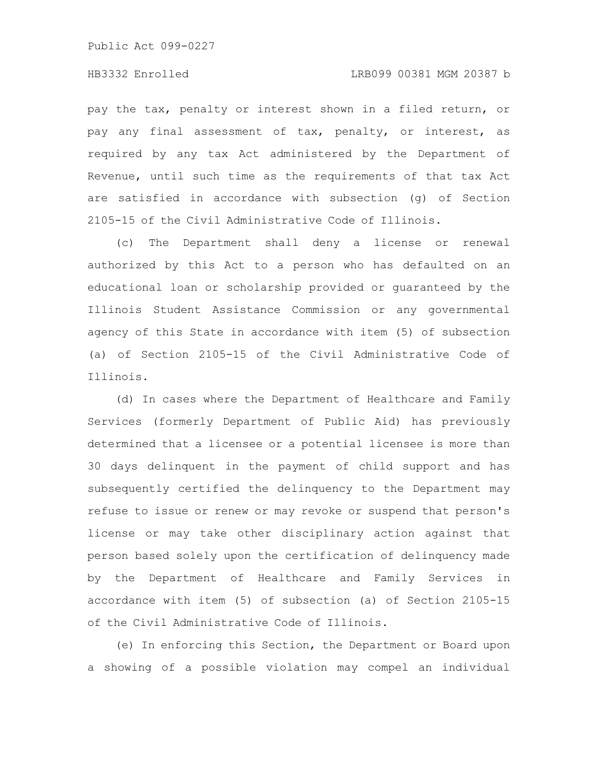pay the tax, penalty or interest shown in a filed return, or pay any final assessment of tax, penalty, or interest, as required by any tax Act administered by the Department of Revenue, until such time as the requirements of that tax Act are satisfied in accordance with subsection (g) of Section 2105-15 of the Civil Administrative Code of Illinois.

(c) The Department shall deny a license or renewal authorized by this Act to a person who has defaulted on an educational loan or scholarship provided or guaranteed by the Illinois Student Assistance Commission or any governmental agency of this State in accordance with item (5) of subsection (a) of Section 2105-15 of the Civil Administrative Code of Illinois.

(d) In cases where the Department of Healthcare and Family Services (formerly Department of Public Aid) has previously determined that a licensee or a potential licensee is more than 30 days delinquent in the payment of child support and has subsequently certified the delinquency to the Department may refuse to issue or renew or may revoke or suspend that person's license or may take other disciplinary action against that person based solely upon the certification of delinquency made by the Department of Healthcare and Family Services in accordance with item (5) of subsection (a) of Section 2105-15 of the Civil Administrative Code of Illinois.

(e) In enforcing this Section, the Department or Board upon a showing of a possible violation may compel an individual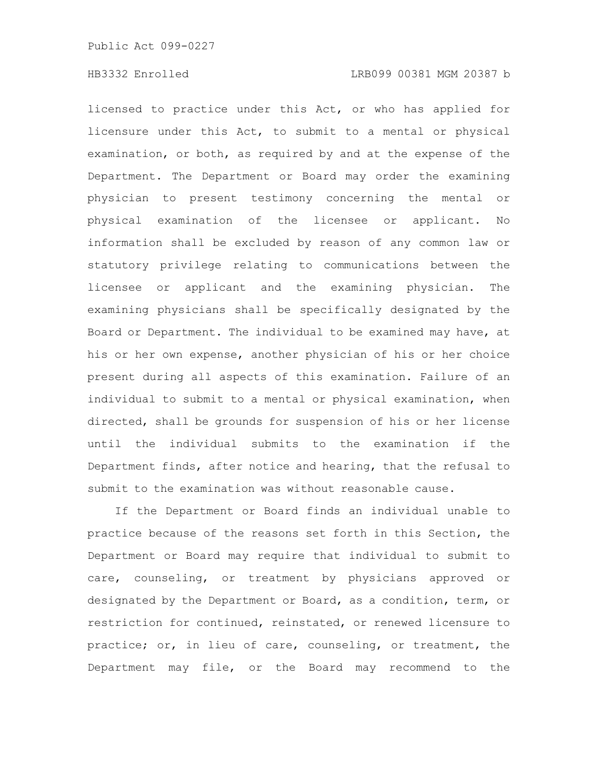licensed to practice under this Act, or who has applied for licensure under this Act, to submit to a mental or physical examination, or both, as required by and at the expense of the Department. The Department or Board may order the examining physician to present testimony concerning the mental or physical examination of the licensee or applicant. No information shall be excluded by reason of any common law or statutory privilege relating to communications between the licensee or applicant and the examining physician. The examining physicians shall be specifically designated by the Board or Department. The individual to be examined may have, at his or her own expense, another physician of his or her choice present during all aspects of this examination. Failure of an individual to submit to a mental or physical examination, when directed, shall be grounds for suspension of his or her license until the individual submits to the examination if the Department finds, after notice and hearing, that the refusal to submit to the examination was without reasonable cause.

If the Department or Board finds an individual unable to practice because of the reasons set forth in this Section, the Department or Board may require that individual to submit to care, counseling, or treatment by physicians approved or designated by the Department or Board, as a condition, term, or restriction for continued, reinstated, or renewed licensure to practice; or, in lieu of care, counseling, or treatment, the Department may file, or the Board may recommend to the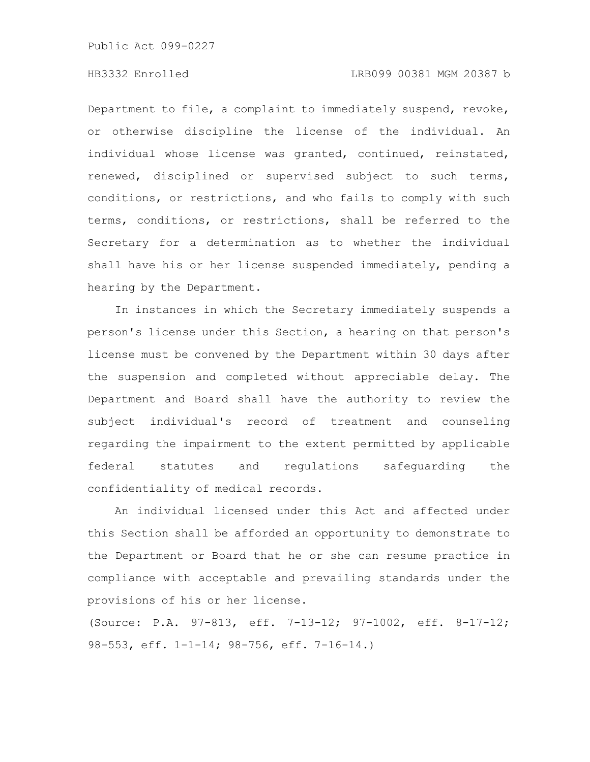# HB3332 Enrolled LRB099 00381 MGM 20387 b

Department to file, a complaint to immediately suspend, revoke, or otherwise discipline the license of the individual. An individual whose license was granted, continued, reinstated, renewed, disciplined or supervised subject to such terms, conditions, or restrictions, and who fails to comply with such terms, conditions, or restrictions, shall be referred to the Secretary for a determination as to whether the individual shall have his or her license suspended immediately, pending a hearing by the Department.

In instances in which the Secretary immediately suspends a person's license under this Section, a hearing on that person's license must be convened by the Department within 30 days after the suspension and completed without appreciable delay. The Department and Board shall have the authority to review the subject individual's record of treatment and counseling regarding the impairment to the extent permitted by applicable federal statutes and regulations safeguarding the confidentiality of medical records.

An individual licensed under this Act and affected under this Section shall be afforded an opportunity to demonstrate to the Department or Board that he or she can resume practice in compliance with acceptable and prevailing standards under the provisions of his or her license.

(Source: P.A. 97-813, eff. 7-13-12; 97-1002, eff. 8-17-12; 98-553, eff. 1-1-14; 98-756, eff. 7-16-14.)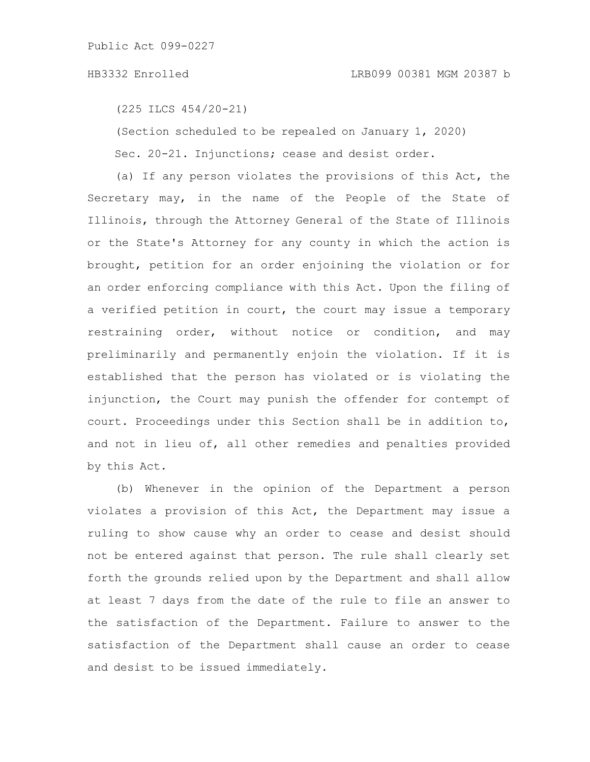(225 ILCS 454/20-21)

(Section scheduled to be repealed on January 1, 2020)

Sec. 20-21. Injunctions; cease and desist order.

(a) If any person violates the provisions of this Act, the Secretary may, in the name of the People of the State of Illinois, through the Attorney General of the State of Illinois or the State's Attorney for any county in which the action is brought, petition for an order enjoining the violation or for an order enforcing compliance with this Act. Upon the filing of a verified petition in court, the court may issue a temporary restraining order, without notice or condition, and may preliminarily and permanently enjoin the violation. If it is established that the person has violated or is violating the injunction, the Court may punish the offender for contempt of court. Proceedings under this Section shall be in addition to, and not in lieu of, all other remedies and penalties provided by this Act.

(b) Whenever in the opinion of the Department a person violates a provision of this Act, the Department may issue a ruling to show cause why an order to cease and desist should not be entered against that person. The rule shall clearly set forth the grounds relied upon by the Department and shall allow at least 7 days from the date of the rule to file an answer to the satisfaction of the Department. Failure to answer to the satisfaction of the Department shall cause an order to cease and desist to be issued immediately.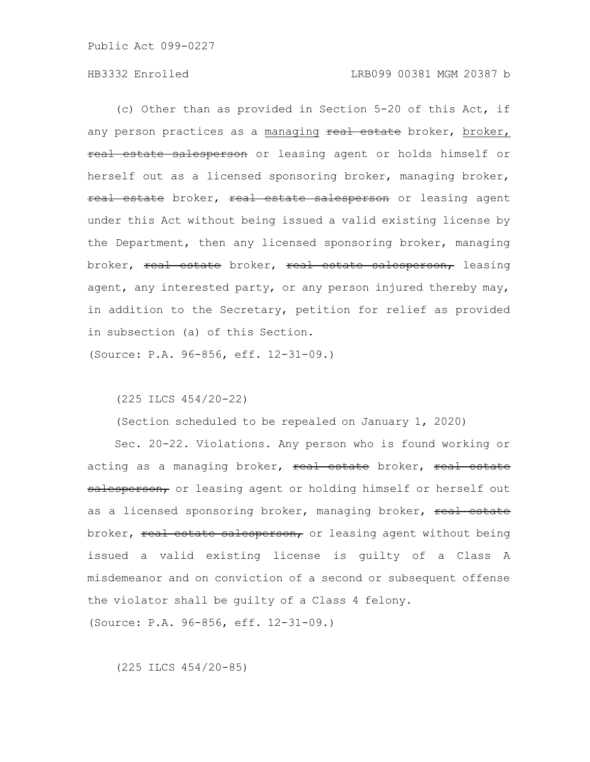(c) Other than as provided in Section 5-20 of this Act, if any person practices as a managing real estate broker, broker, real estate salesperson or leasing agent or holds himself or herself out as a licensed sponsoring broker, managing broker, real estate broker, real estate salesperson or leasing agent under this Act without being issued a valid existing license by the Department, then any licensed sponsoring broker, managing broker, real estate broker, real estate salesperson, leasing agent, any interested party, or any person injured thereby may, in addition to the Secretary, petition for relief as provided in subsection (a) of this Section.

(Source: P.A. 96-856, eff. 12-31-09.)

(225 ILCS 454/20-22)

(Section scheduled to be repealed on January 1, 2020)

Sec. 20-22. Violations. Any person who is found working or acting as a managing broker, real estate broker, real estate salesperson, or leasing agent or holding himself or herself out as a licensed sponsoring broker, managing broker, real estate broker, real estate salesperson, or leasing agent without being issued a valid existing license is guilty of a Class A misdemeanor and on conviction of a second or subsequent offense the violator shall be guilty of a Class 4 felony. (Source: P.A. 96-856, eff. 12-31-09.)

(225 ILCS 454/20-85)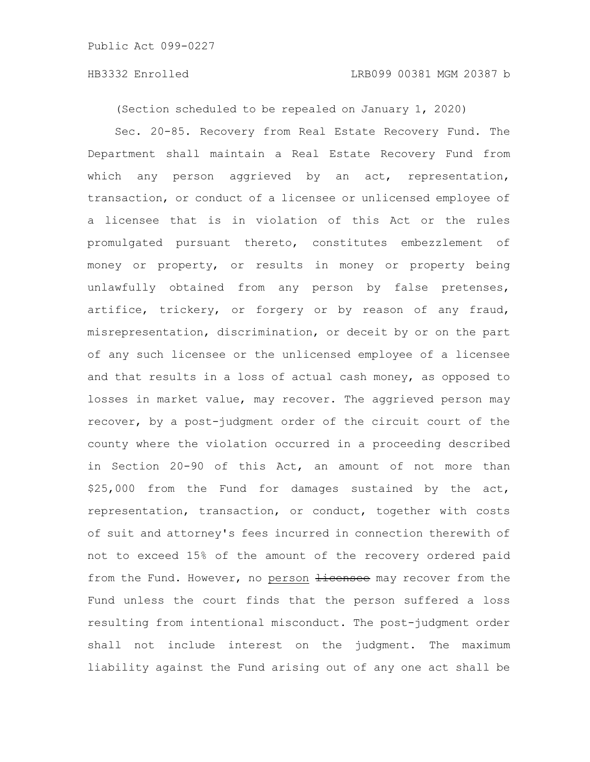(Section scheduled to be repealed on January 1, 2020)

Sec. 20-85. Recovery from Real Estate Recovery Fund. The Department shall maintain a Real Estate Recovery Fund from which any person aggrieved by an act, representation, transaction, or conduct of a licensee or unlicensed employee of a licensee that is in violation of this Act or the rules promulgated pursuant thereto, constitutes embezzlement of money or property, or results in money or property being unlawfully obtained from any person by false pretenses, artifice, trickery, or forgery or by reason of any fraud, misrepresentation, discrimination, or deceit by or on the part of any such licensee or the unlicensed employee of a licensee and that results in a loss of actual cash money, as opposed to losses in market value, may recover. The aggrieved person may recover, by a post-judgment order of the circuit court of the county where the violation occurred in a proceeding described in Section 20-90 of this Act, an amount of not more than \$25,000 from the Fund for damages sustained by the act, representation, transaction, or conduct, together with costs of suit and attorney's fees incurred in connection therewith of not to exceed 15% of the amount of the recovery ordered paid from the Fund. However, no person Hicensee may recover from the Fund unless the court finds that the person suffered a loss resulting from intentional misconduct. The post-judgment order shall not include interest on the judgment. The maximum liability against the Fund arising out of any one act shall be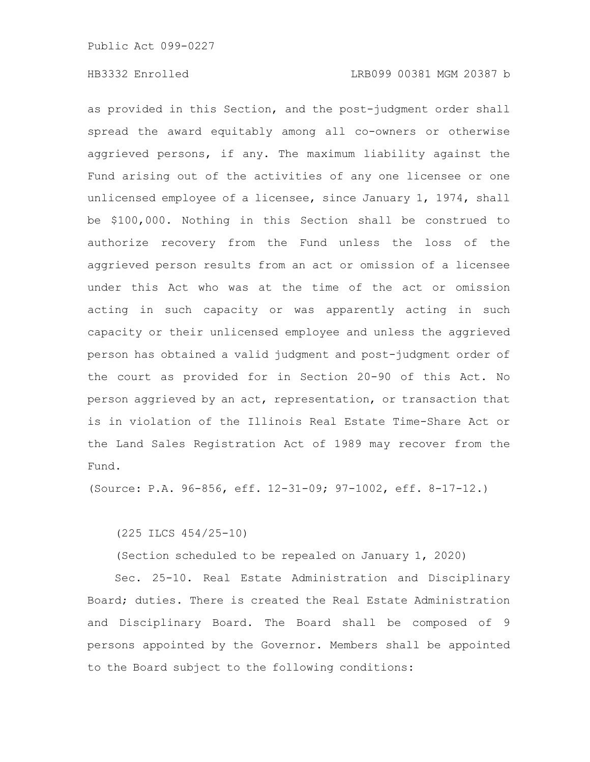as provided in this Section, and the post-judgment order shall spread the award equitably among all co-owners or otherwise aggrieved persons, if any. The maximum liability against the Fund arising out of the activities of any one licensee or one unlicensed employee of a licensee, since January 1, 1974, shall be \$100,000. Nothing in this Section shall be construed to authorize recovery from the Fund unless the loss of the aggrieved person results from an act or omission of a licensee under this Act who was at the time of the act or omission acting in such capacity or was apparently acting in such capacity or their unlicensed employee and unless the aggrieved person has obtained a valid judgment and post-judgment order of the court as provided for in Section 20-90 of this Act. No person aggrieved by an act, representation, or transaction that is in violation of the Illinois Real Estate Time-Share Act or the Land Sales Registration Act of 1989 may recover from the Fund.

(Source: P.A. 96-856, eff. 12-31-09; 97-1002, eff. 8-17-12.)

(225 ILCS 454/25-10)

(Section scheduled to be repealed on January 1, 2020)

Sec. 25-10. Real Estate Administration and Disciplinary Board; duties. There is created the Real Estate Administration and Disciplinary Board. The Board shall be composed of 9 persons appointed by the Governor. Members shall be appointed to the Board subject to the following conditions: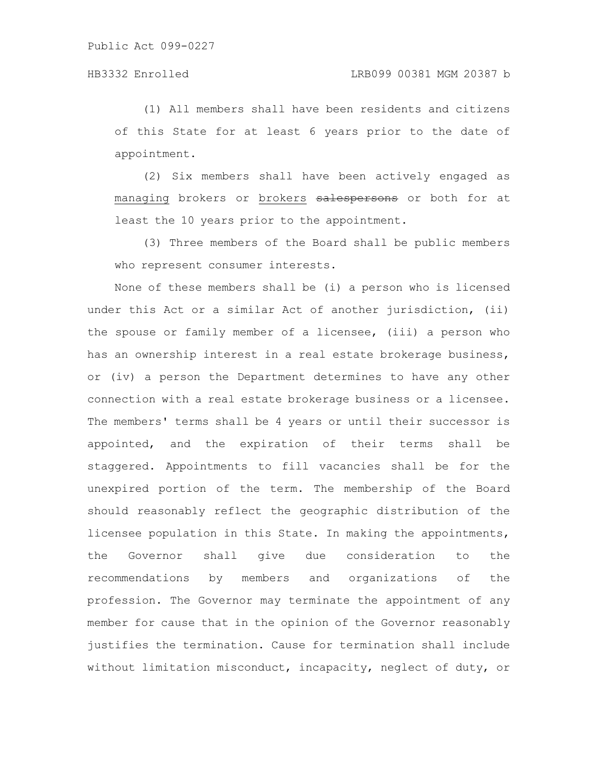(1) All members shall have been residents and citizens of this State for at least 6 years prior to the date of appointment.

(2) Six members shall have been actively engaged as managing brokers or brokers salespersons or both for at least the 10 years prior to the appointment.

(3) Three members of the Board shall be public members who represent consumer interests.

None of these members shall be (i) a person who is licensed under this Act or a similar Act of another jurisdiction, (ii) the spouse or family member of a licensee, (iii) a person who has an ownership interest in a real estate brokerage business, or (iv) a person the Department determines to have any other connection with a real estate brokerage business or a licensee. The members' terms shall be 4 years or until their successor is appointed, and the expiration of their terms shall be staggered. Appointments to fill vacancies shall be for the unexpired portion of the term. The membership of the Board should reasonably reflect the geographic distribution of the licensee population in this State. In making the appointments, the Governor shall give due consideration to the recommendations by members and organizations of the profession. The Governor may terminate the appointment of any member for cause that in the opinion of the Governor reasonably justifies the termination. Cause for termination shall include without limitation misconduct, incapacity, neglect of duty, or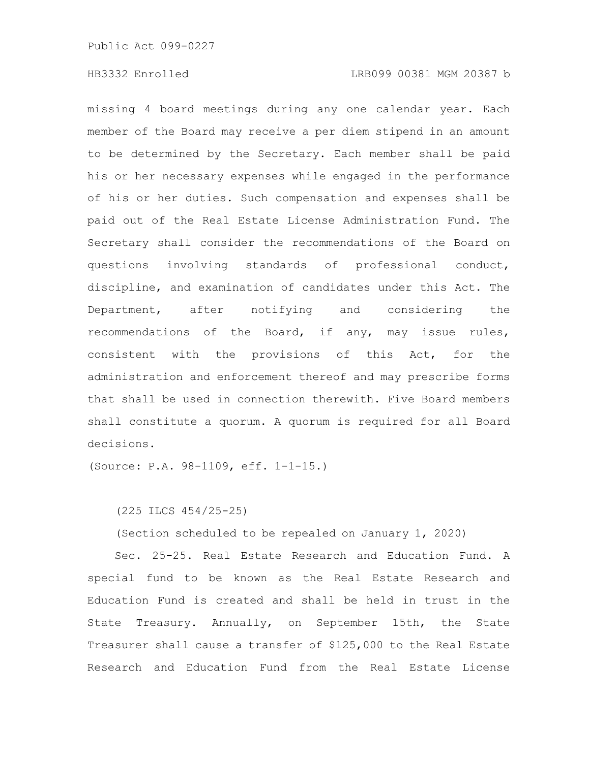missing 4 board meetings during any one calendar year. Each member of the Board may receive a per diem stipend in an amount to be determined by the Secretary. Each member shall be paid his or her necessary expenses while engaged in the performance of his or her duties. Such compensation and expenses shall be paid out of the Real Estate License Administration Fund. The Secretary shall consider the recommendations of the Board on questions involving standards of professional conduct, discipline, and examination of candidates under this Act. The Department, after notifying and considering the recommendations of the Board, if any, may issue rules, consistent with the provisions of this Act, for the administration and enforcement thereof and may prescribe forms that shall be used in connection therewith. Five Board members shall constitute a quorum. A quorum is required for all Board decisions.

(Source: P.A. 98-1109, eff. 1-1-15.)

(225 ILCS 454/25-25)

(Section scheduled to be repealed on January 1, 2020)

Sec. 25-25. Real Estate Research and Education Fund. A special fund to be known as the Real Estate Research and Education Fund is created and shall be held in trust in the State Treasury. Annually, on September 15th, the State Treasurer shall cause a transfer of \$125,000 to the Real Estate Research and Education Fund from the Real Estate License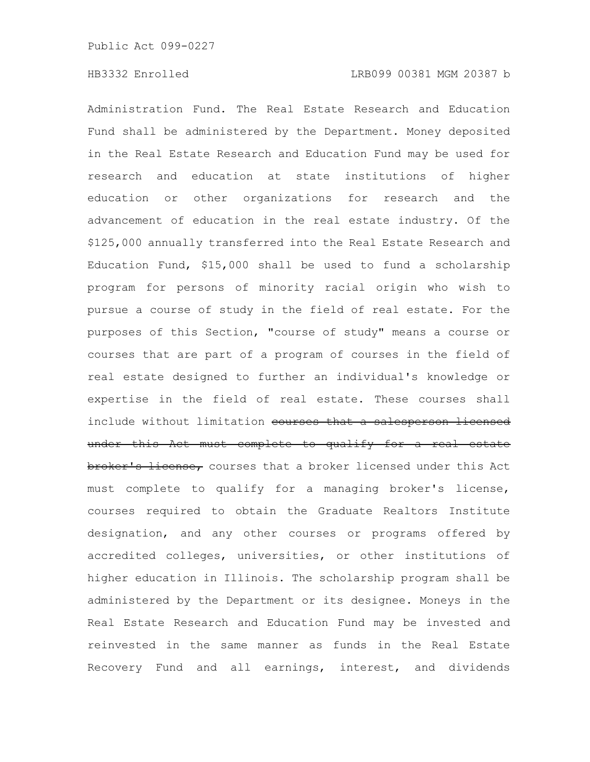Administration Fund. The Real Estate Research and Education Fund shall be administered by the Department. Money deposited in the Real Estate Research and Education Fund may be used for research and education at state institutions of higher education or other organizations for research and the advancement of education in the real estate industry. Of the \$125,000 annually transferred into the Real Estate Research and Education Fund, \$15,000 shall be used to fund a scholarship program for persons of minority racial origin who wish to pursue a course of study in the field of real estate. For the purposes of this Section, "course of study" means a course or courses that are part of a program of courses in the field of real estate designed to further an individual's knowledge or expertise in the field of real estate. These courses shall include without limitation courses that a salesperson licensed under this Act must complete to qualify for a real estate broker's license, courses that a broker licensed under this Act must complete to qualify for a managing broker's license, courses required to obtain the Graduate Realtors Institute designation, and any other courses or programs offered by accredited colleges, universities, or other institutions of higher education in Illinois. The scholarship program shall be administered by the Department or its designee. Moneys in the Real Estate Research and Education Fund may be invested and reinvested in the same manner as funds in the Real Estate Recovery Fund and all earnings, interest, and dividends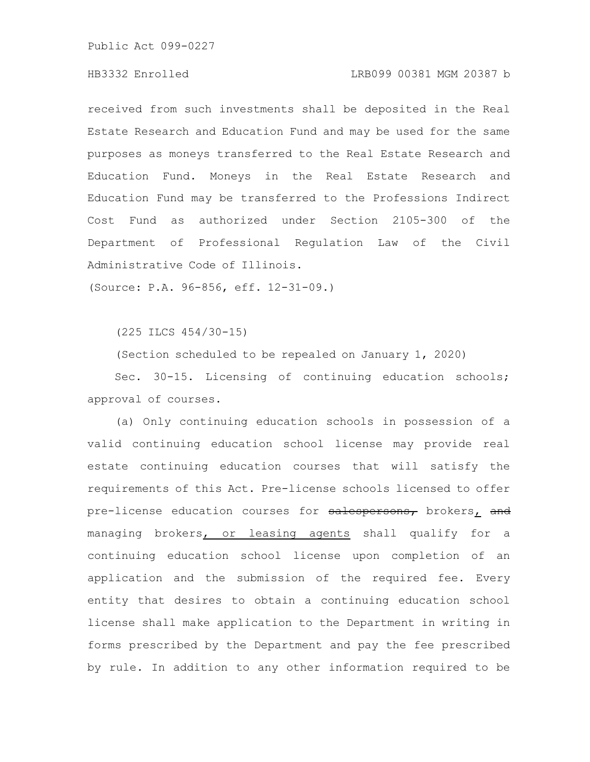## HB3332 Enrolled LRB099 00381 MGM 20387 b

received from such investments shall be deposited in the Real Estate Research and Education Fund and may be used for the same purposes as moneys transferred to the Real Estate Research and Education Fund. Moneys in the Real Estate Research and Education Fund may be transferred to the Professions Indirect Cost Fund as authorized under Section 2105-300 of the Department of Professional Regulation Law of the Civil Administrative Code of Illinois.

(Source: P.A. 96-856, eff. 12-31-09.)

(225 ILCS 454/30-15)

(Section scheduled to be repealed on January 1, 2020)

Sec. 30-15. Licensing of continuing education schools; approval of courses.

(a) Only continuing education schools in possession of a valid continuing education school license may provide real estate continuing education courses that will satisfy the requirements of this Act. Pre-license schools licensed to offer pre-license education courses for salespersons, brokers, and managing brokers, or leasing agents shall qualify for a continuing education school license upon completion of an application and the submission of the required fee. Every entity that desires to obtain a continuing education school license shall make application to the Department in writing in forms prescribed by the Department and pay the fee prescribed by rule. In addition to any other information required to be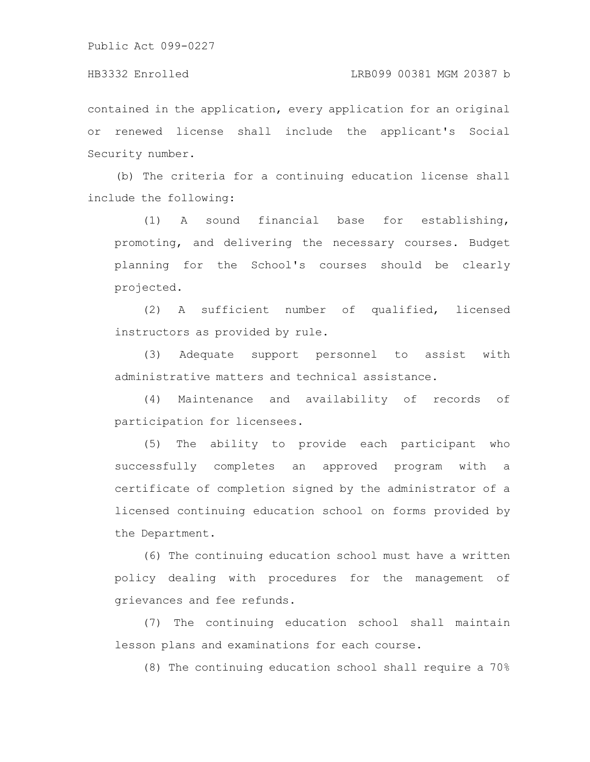contained in the application, every application for an original or renewed license shall include the applicant's Social Security number.

(b) The criteria for a continuing education license shall include the following:

(1) A sound financial base for establishing, promoting, and delivering the necessary courses. Budget planning for the School's courses should be clearly projected.

(2) A sufficient number of qualified, licensed instructors as provided by rule.

(3) Adequate support personnel to assist with administrative matters and technical assistance.

(4) Maintenance and availability of records of participation for licensees.

(5) The ability to provide each participant who successfully completes an approved program with a certificate of completion signed by the administrator of a licensed continuing education school on forms provided by the Department.

(6) The continuing education school must have a written policy dealing with procedures for the management of grievances and fee refunds.

(7) The continuing education school shall maintain lesson plans and examinations for each course.

(8) The continuing education school shall require a 70%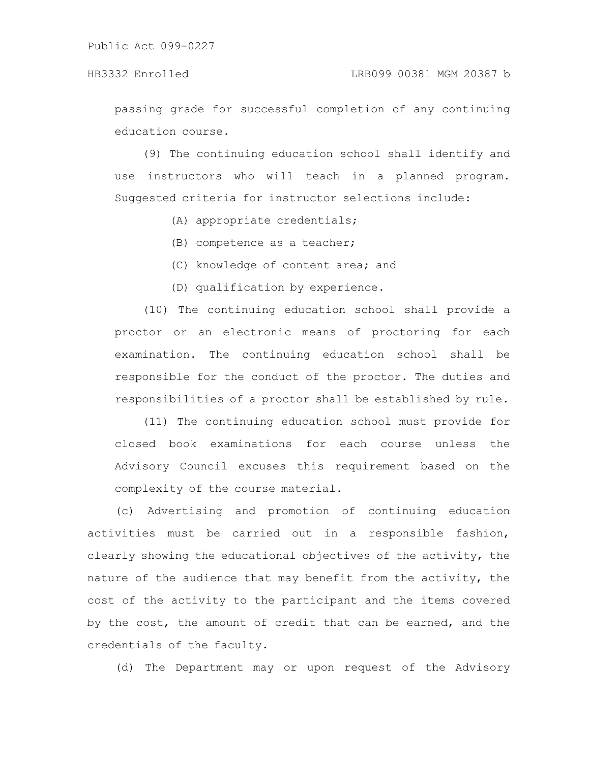passing grade for successful completion of any continuing education course.

(9) The continuing education school shall identify and use instructors who will teach in a planned program. Suggested criteria for instructor selections include:

- (A) appropriate credentials;
- (B) competence as a teacher;
- (C) knowledge of content area; and
- (D) qualification by experience.

(10) The continuing education school shall provide a proctor or an electronic means of proctoring for each examination. The continuing education school shall be responsible for the conduct of the proctor. The duties and responsibilities of a proctor shall be established by rule.

(11) The continuing education school must provide for closed book examinations for each course unless the Advisory Council excuses this requirement based on the complexity of the course material.

(c) Advertising and promotion of continuing education activities must be carried out in a responsible fashion, clearly showing the educational objectives of the activity, the nature of the audience that may benefit from the activity, the cost of the activity to the participant and the items covered by the cost, the amount of credit that can be earned, and the credentials of the faculty.

(d) The Department may or upon request of the Advisory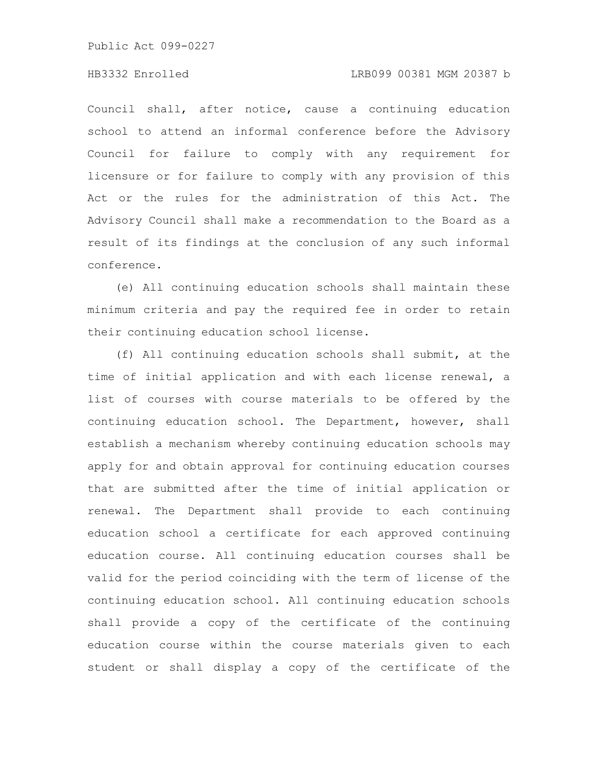## HB3332 Enrolled LRB099 00381 MGM 20387 b

Council shall, after notice, cause a continuing education school to attend an informal conference before the Advisory Council for failure to comply with any requirement for licensure or for failure to comply with any provision of this Act or the rules for the administration of this Act. The Advisory Council shall make a recommendation to the Board as a result of its findings at the conclusion of any such informal conference.

(e) All continuing education schools shall maintain these minimum criteria and pay the required fee in order to retain their continuing education school license.

(f) All continuing education schools shall submit, at the time of initial application and with each license renewal, a list of courses with course materials to be offered by the continuing education school. The Department, however, shall establish a mechanism whereby continuing education schools may apply for and obtain approval for continuing education courses that are submitted after the time of initial application or renewal. The Department shall provide to each continuing education school a certificate for each approved continuing education course. All continuing education courses shall be valid for the period coinciding with the term of license of the continuing education school. All continuing education schools shall provide a copy of the certificate of the continuing education course within the course materials given to each student or shall display a copy of the certificate of the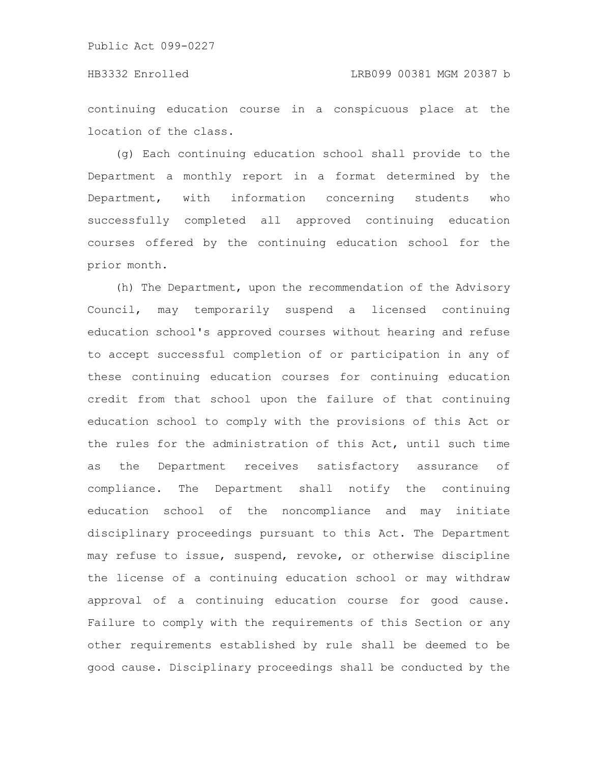## HB3332 Enrolled LRB099 00381 MGM 20387 b

continuing education course in a conspicuous place at the location of the class.

(g) Each continuing education school shall provide to the Department a monthly report in a format determined by the Department, with information concerning students who successfully completed all approved continuing education courses offered by the continuing education school for the prior month.

(h) The Department, upon the recommendation of the Advisory Council, may temporarily suspend a licensed continuing education school's approved courses without hearing and refuse to accept successful completion of or participation in any of these continuing education courses for continuing education credit from that school upon the failure of that continuing education school to comply with the provisions of this Act or the rules for the administration of this Act, until such time as the Department receives satisfactory assurance of compliance. The Department shall notify the continuing education school of the noncompliance and may initiate disciplinary proceedings pursuant to this Act. The Department may refuse to issue, suspend, revoke, or otherwise discipline the license of a continuing education school or may withdraw approval of a continuing education course for good cause. Failure to comply with the requirements of this Section or any other requirements established by rule shall be deemed to be good cause. Disciplinary proceedings shall be conducted by the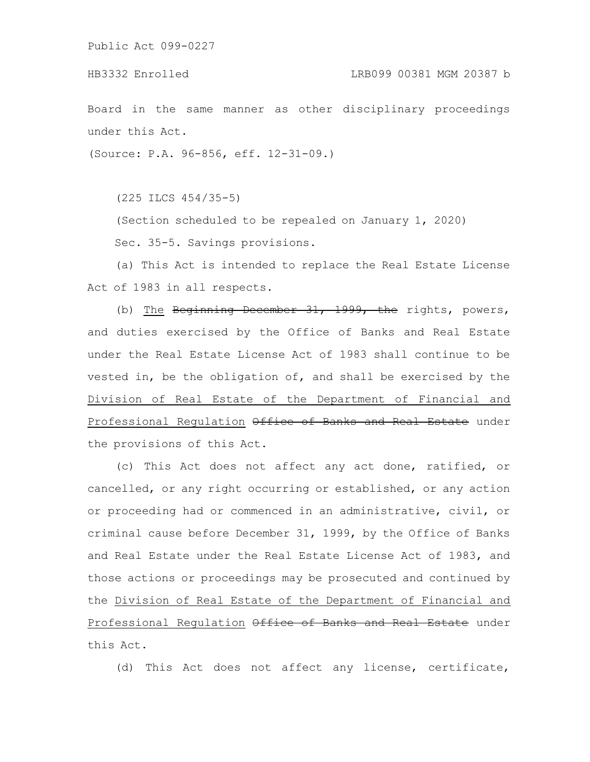Board in the same manner as other disciplinary proceedings under this Act.

(Source: P.A. 96-856, eff. 12-31-09.)

(225 ILCS 454/35-5)

(Section scheduled to be repealed on January 1, 2020) Sec. 35-5. Savings provisions.

(a) This Act is intended to replace the Real Estate License Act of 1983 in all respects.

(b) The Beginning December 31, 1999, the rights, powers, and duties exercised by the Office of Banks and Real Estate under the Real Estate License Act of 1983 shall continue to be vested in, be the obligation of, and shall be exercised by the Division of Real Estate of the Department of Financial and Professional Regulation Office of Banks and Real Estate under the provisions of this Act.

(c) This Act does not affect any act done, ratified, or cancelled, or any right occurring or established, or any action or proceeding had or commenced in an administrative, civil, or criminal cause before December 31, 1999, by the Office of Banks and Real Estate under the Real Estate License Act of 1983, and those actions or proceedings may be prosecuted and continued by the Division of Real Estate of the Department of Financial and Professional Regulation Office of Banks and Real Estate under this Act.

(d) This Act does not affect any license, certificate,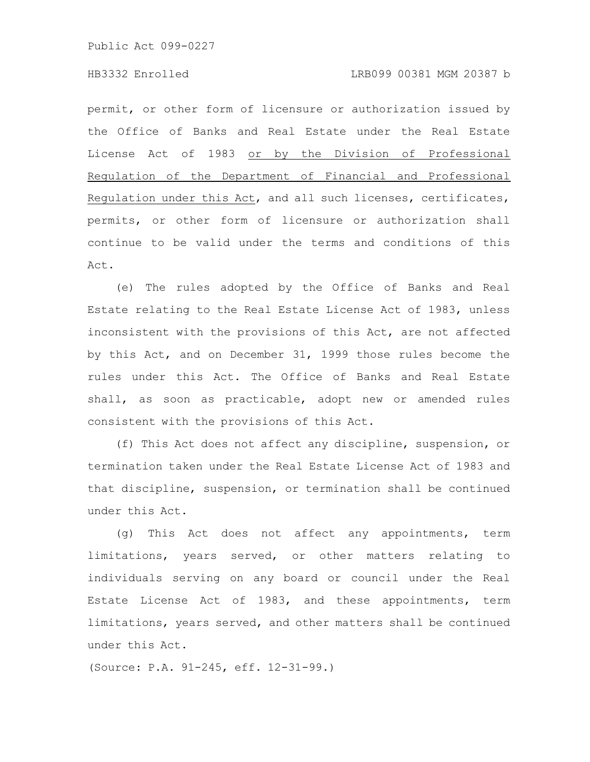permit, or other form of licensure or authorization issued by the Office of Banks and Real Estate under the Real Estate License Act of 1983 or by the Division of Professional Regulation of the Department of Financial and Professional Regulation under this Act, and all such licenses, certificates, permits, or other form of licensure or authorization shall continue to be valid under the terms and conditions of this Act.

(e) The rules adopted by the Office of Banks and Real Estate relating to the Real Estate License Act of 1983, unless inconsistent with the provisions of this Act, are not affected by this Act, and on December 31, 1999 those rules become the rules under this Act. The Office of Banks and Real Estate shall, as soon as practicable, adopt new or amended rules consistent with the provisions of this Act.

(f) This Act does not affect any discipline, suspension, or termination taken under the Real Estate License Act of 1983 and that discipline, suspension, or termination shall be continued under this Act.

(g) This Act does not affect any appointments, term limitations, years served, or other matters relating to individuals serving on any board or council under the Real Estate License Act of 1983, and these appointments, term limitations, years served, and other matters shall be continued under this Act.

(Source: P.A. 91-245, eff. 12-31-99.)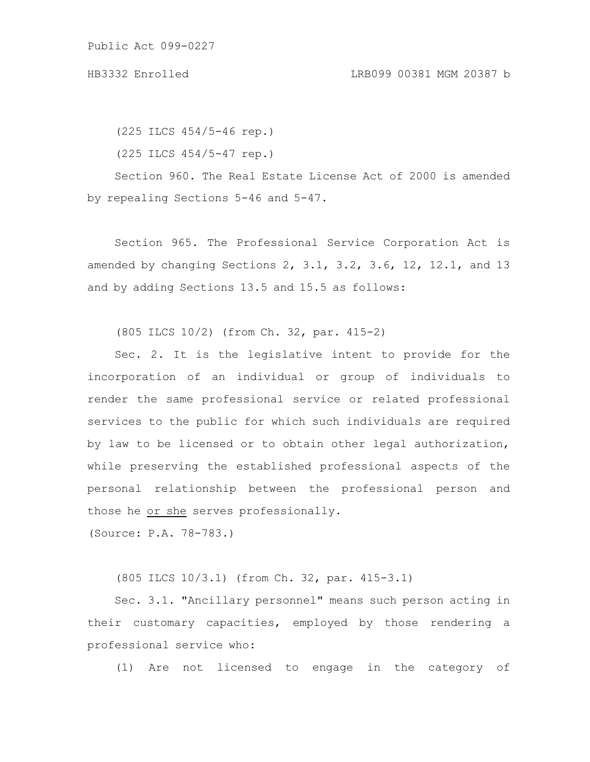(225 ILCS 454/5-46 rep.)

(225 ILCS 454/5-47 rep.)

Section 960. The Real Estate License Act of 2000 is amended by repealing Sections 5-46 and 5-47.

Section 965. The Professional Service Corporation Act is amended by changing Sections 2, 3.1, 3.2, 3.6, 12, 12.1, and 13 and by adding Sections 13.5 and 15.5 as follows:

(805 ILCS 10/2) (from Ch. 32, par. 415-2)

Sec. 2. It is the legislative intent to provide for the incorporation of an individual or group of individuals to render the same professional service or related professional services to the public for which such individuals are required by law to be licensed or to obtain other legal authorization, while preserving the established professional aspects of the personal relationship between the professional person and those he or she serves professionally.

(Source: P.A. 78-783.)

(805 ILCS 10/3.1) (from Ch. 32, par. 415-3.1)

Sec. 3.1. "Ancillary personnel" means such person acting in their customary capacities, employed by those rendering a professional service who:

(1) Are not licensed to engage in the category of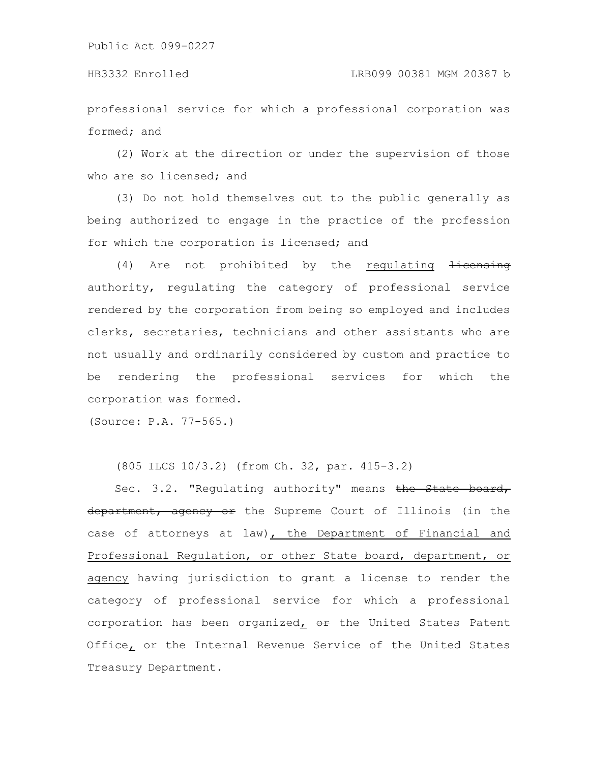professional service for which a professional corporation was formed; and

(2) Work at the direction or under the supervision of those who are so licensed; and

(3) Do not hold themselves out to the public generally as being authorized to engage in the practice of the profession for which the corporation is licensed; and

 $(4)$  Are not prohibited by the requlating  $\frac{1}{1}$ authority, regulating the category of professional service rendered by the corporation from being so employed and includes clerks, secretaries, technicians and other assistants who are not usually and ordinarily considered by custom and practice to be rendering the professional services for which the corporation was formed.

(Source: P.A. 77-565.)

(805 ILCS 10/3.2) (from Ch. 32, par. 415-3.2)

Sec. 3.2. "Regulating authority" means the State board, department, agency or the Supreme Court of Illinois (in the case of attorneys at law), the Department of Financial and Professional Regulation, or other State board, department, or agency having jurisdiction to grant a license to render the category of professional service for which a professional corporation has been organized,  $\Theta$  the United States Patent Office, or the Internal Revenue Service of the United States Treasury Department.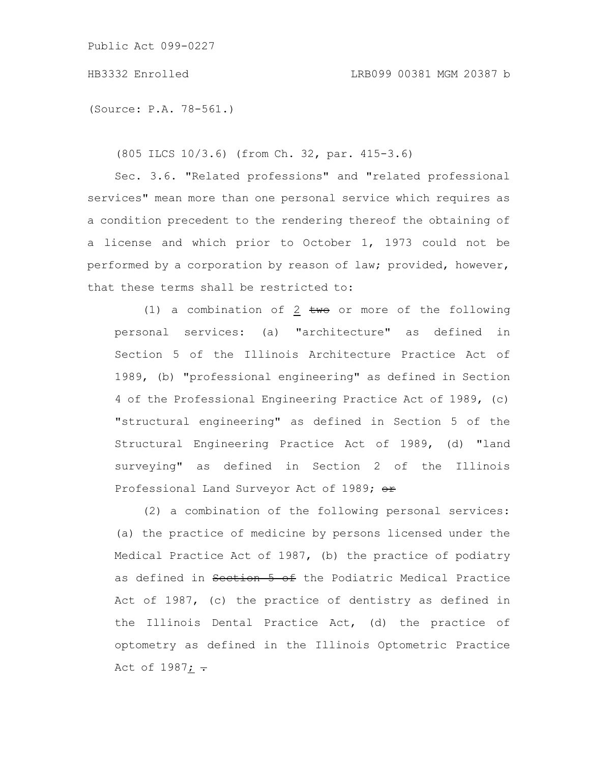(Source: P.A. 78-561.)

(805 ILCS 10/3.6) (from Ch. 32, par. 415-3.6)

Sec. 3.6. "Related professions" and "related professional services" mean more than one personal service which requires as a condition precedent to the rendering thereof the obtaining of a license and which prior to October 1, 1973 could not be performed by a corporation by reason of law; provided, however, that these terms shall be restricted to:

(1) a combination of 2  $t$ we or more of the following personal services: (a) "architecture" as defined in Section 5 of the Illinois Architecture Practice Act of 1989, (b) "professional engineering" as defined in Section 4 of the Professional Engineering Practice Act of 1989, (c) "structural engineering" as defined in Section 5 of the Structural Engineering Practice Act of 1989, (d) "land surveying" as defined in Section 2 of the Illinois Professional Land Surveyor Act of 1989; or

(2) a combination of the following personal services: (a) the practice of medicine by persons licensed under the Medical Practice Act of 1987, (b) the practice of podiatry as defined in Section 5 of the Podiatric Medical Practice Act of 1987, (c) the practice of dentistry as defined in the Illinois Dental Practice Act, (d) the practice of optometry as defined in the Illinois Optometric Practice Act of 1987;  $\div$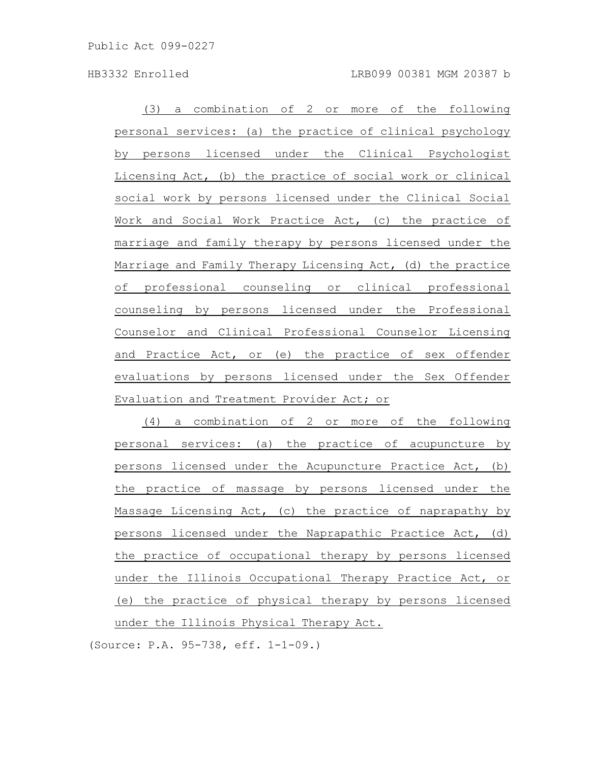(3) a combination of 2 or more of the following personal services: (a) the practice of clinical psychology by persons licensed under the Clinical Psychologist Licensing Act, (b) the practice of social work or clinical social work by persons licensed under the Clinical Social Work and Social Work Practice Act, (c) the practice of marriage and family therapy by persons licensed under the Marriage and Family Therapy Licensing Act, (d) the practice of professional counseling or clinical professional counseling by persons licensed under the Professional Counselor and Clinical Professional Counselor Licensing and Practice Act, or (e) the practice of sex offender evaluations by persons licensed under the Sex Offender Evaluation and Treatment Provider Act; or

(4) a combination of 2 or more of the following personal services: (a) the practice of acupuncture by persons licensed under the Acupuncture Practice Act, (b) the practice of massage by persons licensed under the Massage Licensing Act, (c) the practice of naprapathy by persons licensed under the Naprapathic Practice Act, (d) the practice of occupational therapy by persons licensed under the Illinois Occupational Therapy Practice Act, or (e) the practice of physical therapy by persons licensed under the Illinois Physical Therapy Act.

(Source: P.A. 95-738, eff. 1-1-09.)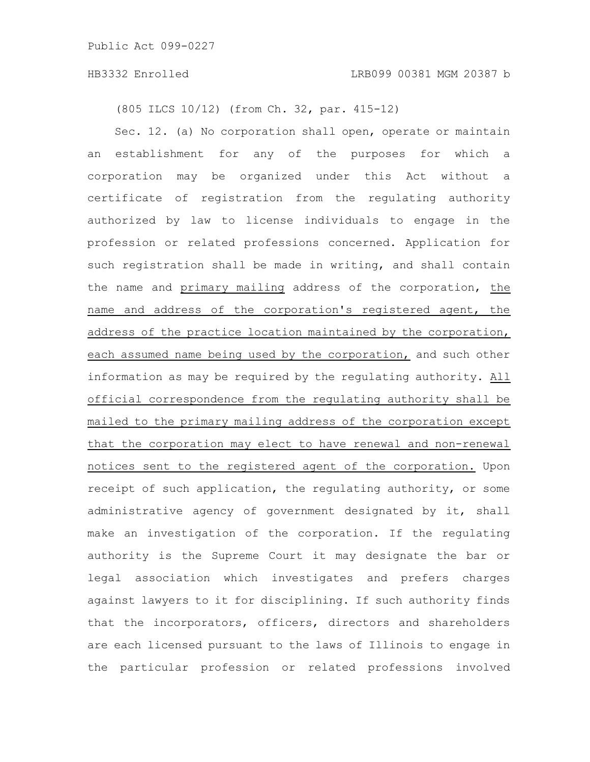(805 ILCS 10/12) (from Ch. 32, par. 415-12)

Sec. 12. (a) No corporation shall open, operate or maintain an establishment for any of the purposes for which a corporation may be organized under this Act without a certificate of registration from the regulating authority authorized by law to license individuals to engage in the profession or related professions concerned. Application for such registration shall be made in writing, and shall contain the name and primary mailing address of the corporation, the name and address of the corporation's registered agent, the address of the practice location maintained by the corporation, each assumed name being used by the corporation, and such other information as may be required by the regulating authority. All official correspondence from the regulating authority shall be mailed to the primary mailing address of the corporation except that the corporation may elect to have renewal and non-renewal notices sent to the registered agent of the corporation. Upon receipt of such application, the regulating authority, or some administrative agency of government designated by it, shall make an investigation of the corporation. If the regulating authority is the Supreme Court it may designate the bar or legal association which investigates and prefers charges against lawyers to it for disciplining. If such authority finds that the incorporators, officers, directors and shareholders are each licensed pursuant to the laws of Illinois to engage in the particular profession or related professions involved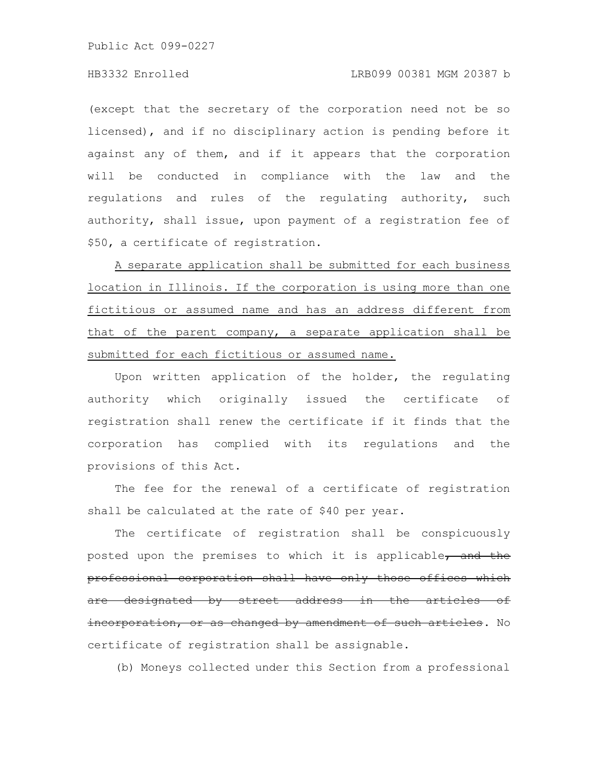(except that the secretary of the corporation need not be so licensed), and if no disciplinary action is pending before it against any of them, and if it appears that the corporation will be conducted in compliance with the law and the regulations and rules of the regulating authority, such authority, shall issue, upon payment of a registration fee of \$50, a certificate of registration.

A separate application shall be submitted for each business location in Illinois. If the corporation is using more than one fictitious or assumed name and has an address different from that of the parent company, a separate application shall be submitted for each fictitious or assumed name.

Upon written application of the holder, the regulating authority which originally issued the certificate of registration shall renew the certificate if it finds that the corporation has complied with its regulations and the provisions of this Act.

The fee for the renewal of a certificate of registration shall be calculated at the rate of \$40 per year.

The certificate of registration shall be conspicuously posted upon the premises to which it is applicable, and the professional corporation shall have only those offices which are designated by street address in the articles of incorporation, or as changed by amendment of such articles. No certificate of registration shall be assignable.

(b) Moneys collected under this Section from a professional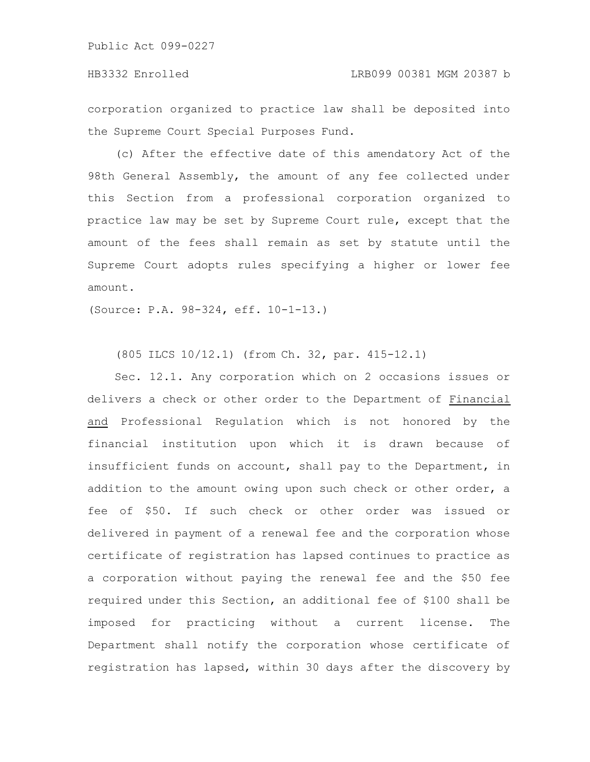corporation organized to practice law shall be deposited into the Supreme Court Special Purposes Fund.

(c) After the effective date of this amendatory Act of the 98th General Assembly, the amount of any fee collected under this Section from a professional corporation organized to practice law may be set by Supreme Court rule, except that the amount of the fees shall remain as set by statute until the Supreme Court adopts rules specifying a higher or lower fee amount.

(Source: P.A. 98-324, eff. 10-1-13.)

(805 ILCS 10/12.1) (from Ch. 32, par. 415-12.1)

Sec. 12.1. Any corporation which on 2 occasions issues or delivers a check or other order to the Department of Financial and Professional Regulation which is not honored by the financial institution upon which it is drawn because of insufficient funds on account, shall pay to the Department, in addition to the amount owing upon such check or other order, a fee of \$50. If such check or other order was issued or delivered in payment of a renewal fee and the corporation whose certificate of registration has lapsed continues to practice as a corporation without paying the renewal fee and the \$50 fee required under this Section, an additional fee of \$100 shall be imposed for practicing without a current license. The Department shall notify the corporation whose certificate of registration has lapsed, within 30 days after the discovery by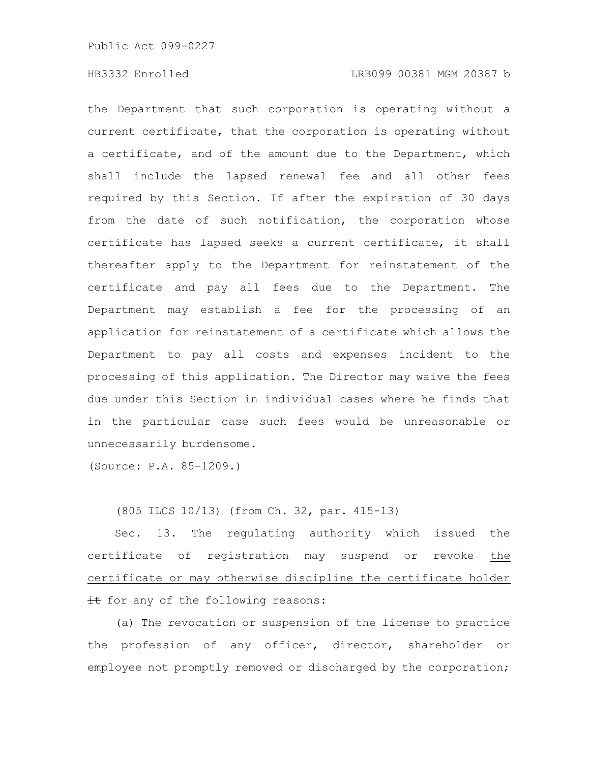the Department that such corporation is operating without a current certificate, that the corporation is operating without a certificate, and of the amount due to the Department, which shall include the lapsed renewal fee and all other fees required by this Section. If after the expiration of 30 days from the date of such notification, the corporation whose certificate has lapsed seeks a current certificate, it shall thereafter apply to the Department for reinstatement of the certificate and pay all fees due to the Department. The Department may establish a fee for the processing of an application for reinstatement of a certificate which allows the Department to pay all costs and expenses incident to the processing of this application. The Director may waive the fees due under this Section in individual cases where he finds that in the particular case such fees would be unreasonable or unnecessarily burdensome.

(Source: P.A. 85-1209.)

(805 ILCS 10/13) (from Ch. 32, par. 415-13)

Sec. 13. The regulating authority which issued the certificate of registration may suspend or revoke the certificate or may otherwise discipline the certificate holder it for any of the following reasons:

(a) The revocation or suspension of the license to practice the profession of any officer, director, shareholder or employee not promptly removed or discharged by the corporation;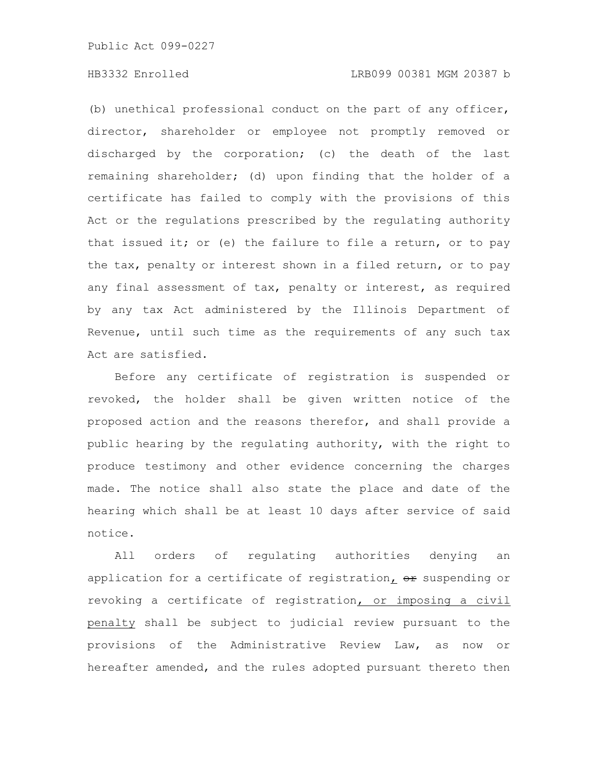## HB3332 Enrolled LRB099 00381 MGM 20387 b

(b) unethical professional conduct on the part of any officer, director, shareholder or employee not promptly removed or discharged by the corporation; (c) the death of the last remaining shareholder; (d) upon finding that the holder of a certificate has failed to comply with the provisions of this Act or the regulations prescribed by the regulating authority that issued it; or (e) the failure to file a return, or to pay the tax, penalty or interest shown in a filed return, or to pay any final assessment of tax, penalty or interest, as required by any tax Act administered by the Illinois Department of Revenue, until such time as the requirements of any such tax Act are satisfied.

Before any certificate of registration is suspended or revoked, the holder shall be given written notice of the proposed action and the reasons therefor, and shall provide a public hearing by the regulating authority, with the right to produce testimony and other evidence concerning the charges made. The notice shall also state the place and date of the hearing which shall be at least 10 days after service of said notice.

All orders of regulating authorities denying an application for a certificate of registration,  $\theta$ r suspending or revoking a certificate of registration, or imposing a civil penalty shall be subject to judicial review pursuant to the provisions of the Administrative Review Law, as now or hereafter amended, and the rules adopted pursuant thereto then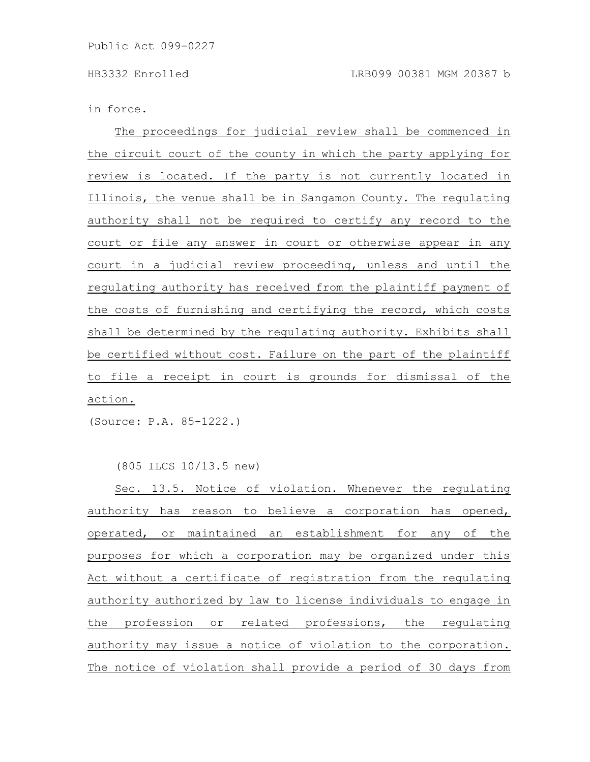in force.

The proceedings for judicial review shall be commenced in the circuit court of the county in which the party applying for review is located. If the party is not currently located in Illinois, the venue shall be in Sangamon County. The regulating authority shall not be required to certify any record to the court or file any answer in court or otherwise appear in any court in a judicial review proceeding, unless and until the regulating authority has received from the plaintiff payment of the costs of furnishing and certifying the record, which costs shall be determined by the regulating authority. Exhibits shall be certified without cost. Failure on the part of the plaintiff to file a receipt in court is grounds for dismissal of the action.

(Source: P.A. 85-1222.)

## (805 ILCS 10/13.5 new)

Sec. 13.5. Notice of violation. Whenever the regulating authority has reason to believe a corporation has opened, operated, or maintained an establishment for any of the purposes for which a corporation may be organized under this Act without a certificate of registration from the regulating authority authorized by law to license individuals to engage in the profession or related professions, the regulating authority may issue a notice of violation to the corporation. The notice of violation shall provide a period of 30 days from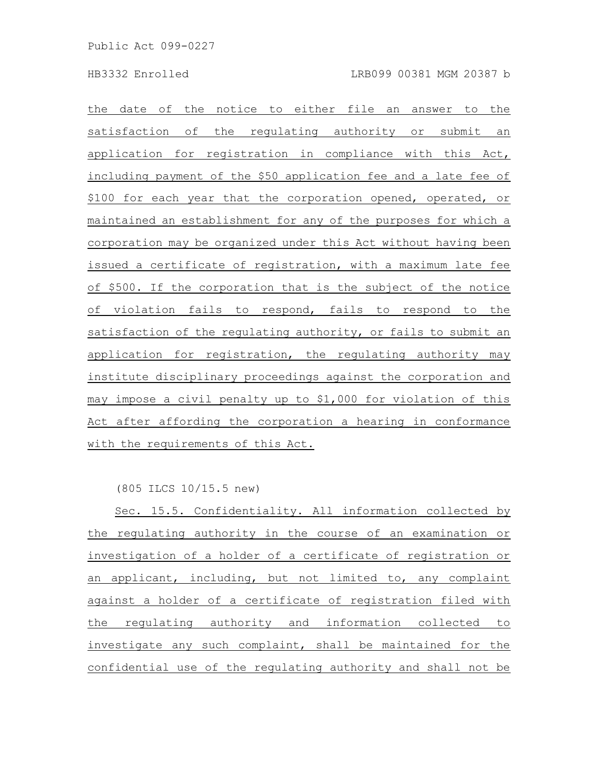the date of the notice to either file an answer to the satisfaction of the regulating authority or submit an application for registration in compliance with this Act, including payment of the \$50 application fee and a late fee of \$100 for each year that the corporation opened, operated, or maintained an establishment for any of the purposes for which a corporation may be organized under this Act without having been issued a certificate of registration, with a maximum late fee of \$500. If the corporation that is the subject of the notice of violation fails to respond, fails to respond to the satisfaction of the regulating authority, or fails to submit an application for registration, the regulating authority may institute disciplinary proceedings against the corporation and may impose a civil penalty up to \$1,000 for violation of this Act after affording the corporation a hearing in conformance with the requirements of this Act.

(805 ILCS 10/15.5 new)

Sec. 15.5. Confidentiality. All information collected by the regulating authority in the course of an examination or investigation of a holder of a certificate of registration or an applicant, including, but not limited to, any complaint against a holder of a certificate of registration filed with the regulating authority and information collected to investigate any such complaint, shall be maintained for the confidential use of the regulating authority and shall not be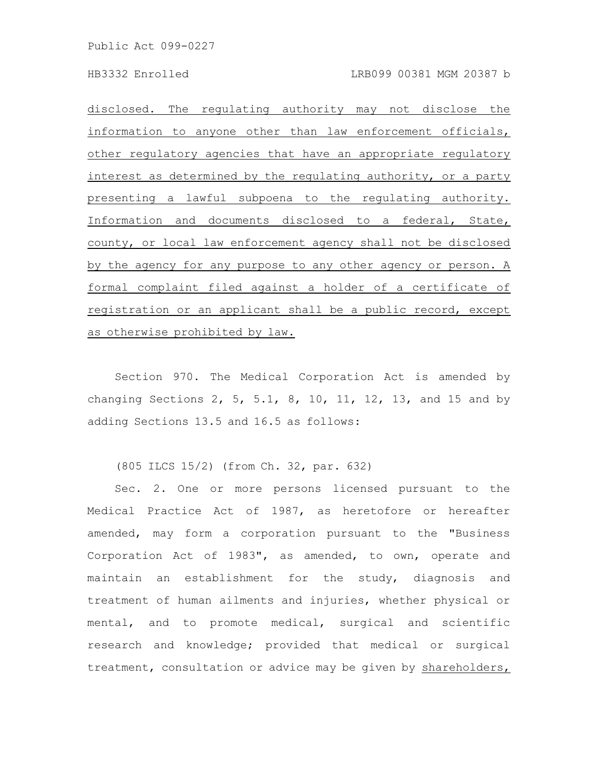disclosed. The regulating authority may not disclose the information to anyone other than law enforcement officials, other regulatory agencies that have an appropriate regulatory interest as determined by the regulating authority, or a party presenting a lawful subpoena to the regulating authority. Information and documents disclosed to a federal, State, county, or local law enforcement agency shall not be disclosed by the agency for any purpose to any other agency or person.  $A$ formal complaint filed against a holder of a certificate of registration or an applicant shall be a public record, except as otherwise prohibited by law.

Section 970. The Medical Corporation Act is amended by changing Sections 2, 5, 5.1, 8, 10, 11, 12, 13, and 15 and by adding Sections 13.5 and 16.5 as follows:

(805 ILCS 15/2) (from Ch. 32, par. 632)

Sec. 2. One or more persons licensed pursuant to the Medical Practice Act of 1987, as heretofore or hereafter amended, may form a corporation pursuant to the "Business Corporation Act of 1983", as amended, to own, operate and maintain an establishment for the study, diagnosis and treatment of human ailments and injuries, whether physical or mental, and to promote medical, surgical and scientific research and knowledge; provided that medical or surgical treatment, consultation or advice may be given by shareholders,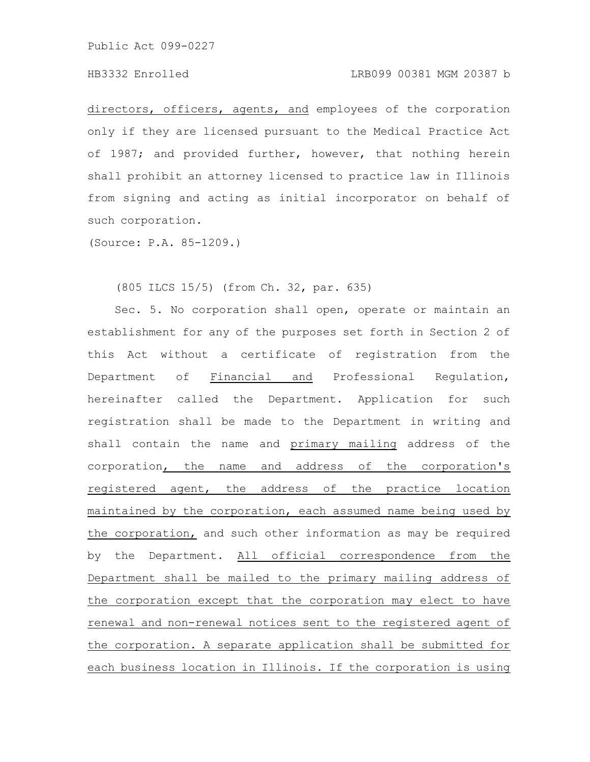# HB3332 Enrolled LRB099 00381 MGM 20387 b

directors, officers, agents, and employees of the corporation only if they are licensed pursuant to the Medical Practice Act of 1987; and provided further, however, that nothing herein shall prohibit an attorney licensed to practice law in Illinois from signing and acting as initial incorporator on behalf of such corporation.

(Source: P.A. 85-1209.)

(805 ILCS 15/5) (from Ch. 32, par. 635)

Sec. 5. No corporation shall open, operate or maintain an establishment for any of the purposes set forth in Section 2 of this Act without a certificate of registration from the Department of Financial and Professional Regulation, hereinafter called the Department. Application for such registration shall be made to the Department in writing and shall contain the name and primary mailing address of the corporation, the name and address of the corporation's registered agent, the address of the practice location maintained by the corporation, each assumed name being used by the corporation, and such other information as may be required by the Department. All official correspondence from the Department shall be mailed to the primary mailing address of the corporation except that the corporation may elect to have renewal and non-renewal notices sent to the registered agent of the corporation. A separate application shall be submitted for each business location in Illinois. If the corporation is using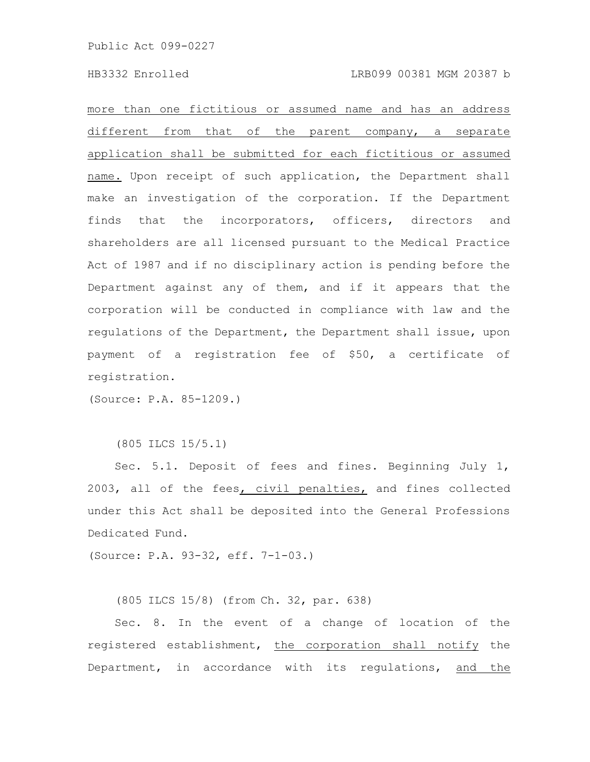more than one fictitious or assumed name and has an address different from that of the parent company, a separate application shall be submitted for each fictitious or assumed name. Upon receipt of such application, the Department shall make an investigation of the corporation. If the Department finds that the incorporators, officers, directors and shareholders are all licensed pursuant to the Medical Practice Act of 1987 and if no disciplinary action is pending before the Department against any of them, and if it appears that the corporation will be conducted in compliance with law and the regulations of the Department, the Department shall issue, upon payment of a registration fee of \$50, a certificate of registration.

(Source: P.A. 85-1209.)

(805 ILCS 15/5.1)

Sec. 5.1. Deposit of fees and fines. Beginning July 1, 2003, all of the fees, civil penalties, and fines collected under this Act shall be deposited into the General Professions Dedicated Fund.

(Source: P.A. 93-32, eff. 7-1-03.)

(805 ILCS 15/8) (from Ch. 32, par. 638)

Sec. 8. In the event of a change of location of the registered establishment, the corporation shall notify the Department, in accordance with its regulations, and the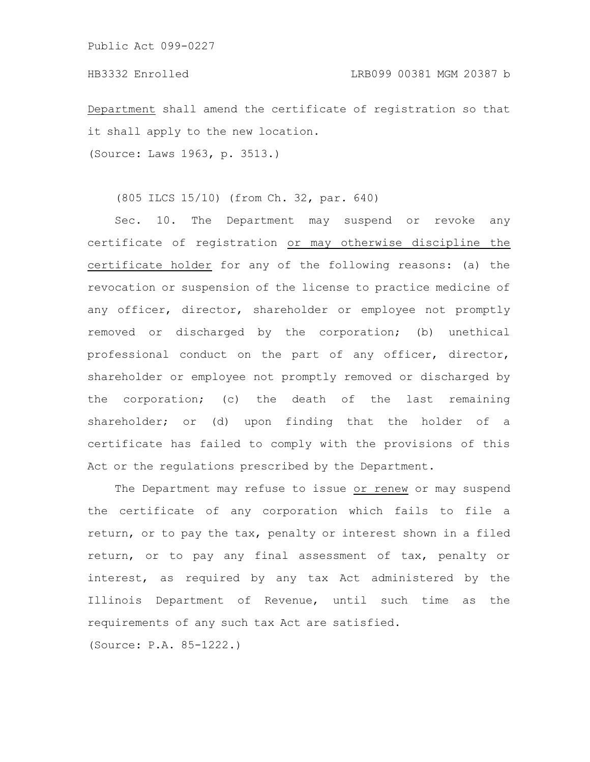Department shall amend the certificate of registration so that it shall apply to the new location.

(Source: Laws 1963, p. 3513.)

(805 ILCS 15/10) (from Ch. 32, par. 640)

Sec. 10. The Department may suspend or revoke any certificate of registration or may otherwise discipline the certificate holder for any of the following reasons: (a) the revocation or suspension of the license to practice medicine of any officer, director, shareholder or employee not promptly removed or discharged by the corporation; (b) unethical professional conduct on the part of any officer, director, shareholder or employee not promptly removed or discharged by the corporation; (c) the death of the last remaining shareholder; or (d) upon finding that the holder of a certificate has failed to comply with the provisions of this Act or the regulations prescribed by the Department.

The Department may refuse to issue or renew or may suspend the certificate of any corporation which fails to file a return, or to pay the tax, penalty or interest shown in a filed return, or to pay any final assessment of tax, penalty or interest, as required by any tax Act administered by the Illinois Department of Revenue, until such time as the requirements of any such tax Act are satisfied.

(Source: P.A. 85-1222.)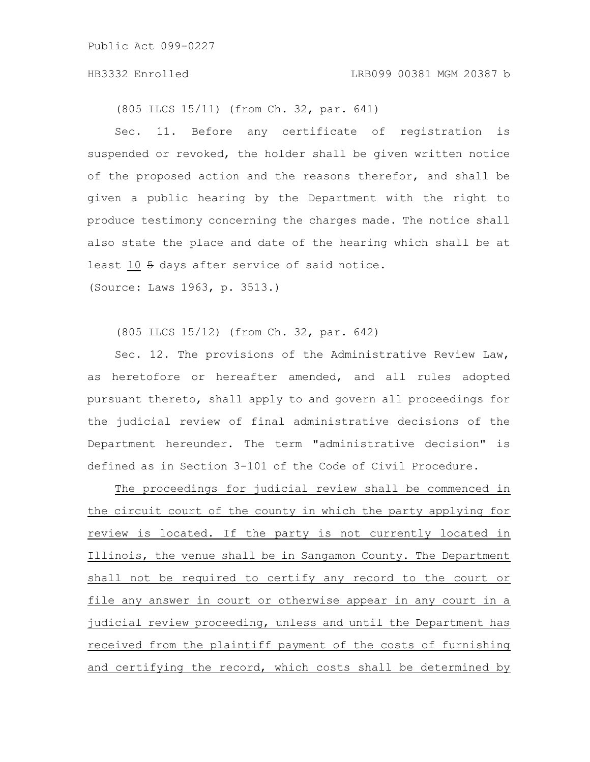## HB3332 Enrolled LRB099 00381 MGM 20387 b

(805 ILCS 15/11) (from Ch. 32, par. 641)

Sec. 11. Before any certificate of registration is suspended or revoked, the holder shall be given written notice of the proposed action and the reasons therefor, and shall be given a public hearing by the Department with the right to produce testimony concerning the charges made. The notice shall also state the place and date of the hearing which shall be at least 10 5 days after service of said notice.

(Source: Laws 1963, p. 3513.)

(805 ILCS 15/12) (from Ch. 32, par. 642)

Sec. 12. The provisions of the Administrative Review Law, as heretofore or hereafter amended, and all rules adopted pursuant thereto, shall apply to and govern all proceedings for the judicial review of final administrative decisions of the Department hereunder. The term "administrative decision" is defined as in Section 3-101 of the Code of Civil Procedure.

The proceedings for judicial review shall be commenced in the circuit court of the county in which the party applying for review is located. If the party is not currently located in Illinois, the venue shall be in Sangamon County. The Department shall not be required to certify any record to the court or file any answer in court or otherwise appear in any court in a judicial review proceeding, unless and until the Department has received from the plaintiff payment of the costs of furnishing and certifying the record, which costs shall be determined by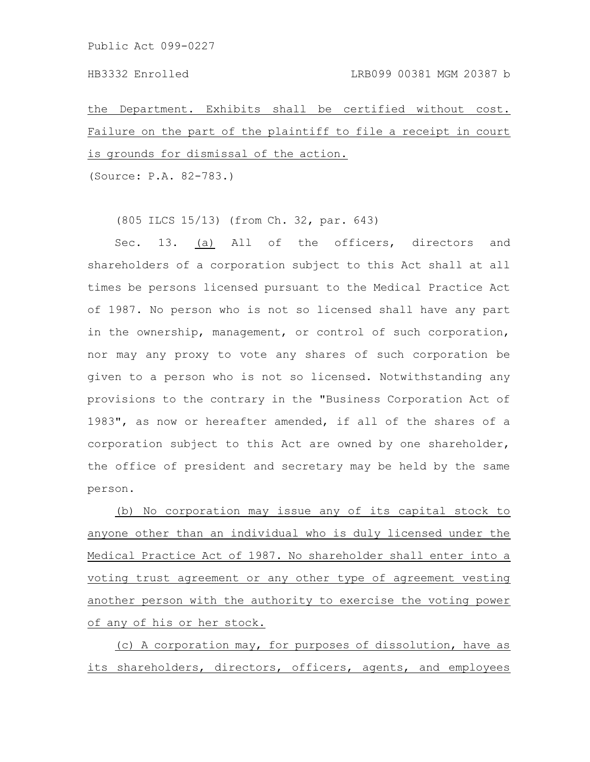the Department. Exhibits shall be certified without cost. Failure on the part of the plaintiff to file a receipt in court is grounds for dismissal of the action.

(Source: P.A. 82-783.)

(805 ILCS 15/13) (from Ch. 32, par. 643)

Sec. 13. (a) All of the officers, directors and shareholders of a corporation subject to this Act shall at all times be persons licensed pursuant to the Medical Practice Act of 1987. No person who is not so licensed shall have any part in the ownership, management, or control of such corporation, nor may any proxy to vote any shares of such corporation be given to a person who is not so licensed. Notwithstanding any provisions to the contrary in the "Business Corporation Act of 1983", as now or hereafter amended, if all of the shares of a corporation subject to this Act are owned by one shareholder, the office of president and secretary may be held by the same person.

(b) No corporation may issue any of its capital stock to anyone other than an individual who is duly licensed under the Medical Practice Act of 1987. No shareholder shall enter into a voting trust agreement or any other type of agreement vesting another person with the authority to exercise the voting power of any of his or her stock.

(c) A corporation may, for purposes of dissolution, have as its shareholders, directors, officers, agents, and employees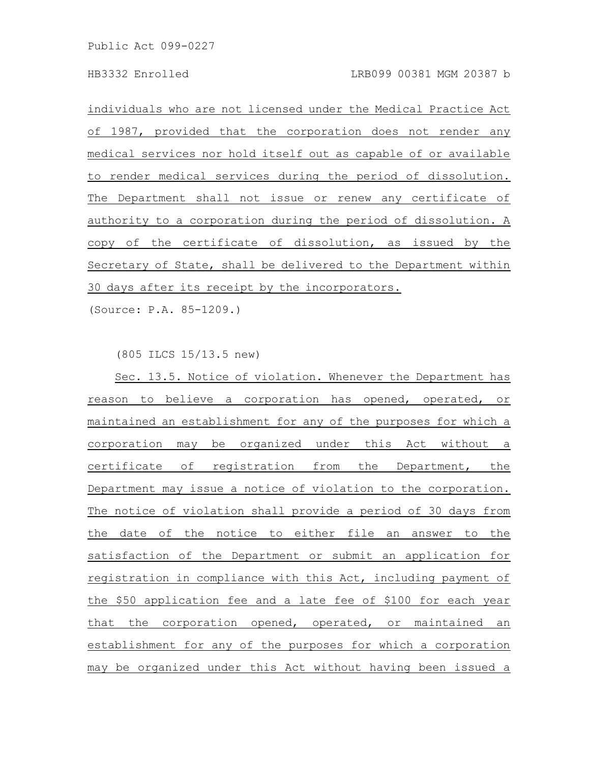individuals who are not licensed under the Medical Practice Act of 1987, provided that the corporation does not render any medical services nor hold itself out as capable of or available to render medical services during the period of dissolution. The Department shall not issue or renew any certificate of authority to a corporation during the period of dissolution. A copy of the certificate of dissolution, as issued by the Secretary of State, shall be delivered to the Department within 30 days after its receipt by the incorporators.

(Source: P.A. 85-1209.)

(805 ILCS 15/13.5 new)

Sec. 13.5. Notice of violation. Whenever the Department has reason to believe a corporation has opened, operated, or maintained an establishment for any of the purposes for which a corporation may be organized under this Act without a certificate of registration from the Department, the Department may issue a notice of violation to the corporation. The notice of violation shall provide a period of 30 days from the date of the notice to either file an answer to the satisfaction of the Department or submit an application for registration in compliance with this Act, including payment of the \$50 application fee and a late fee of \$100 for each year that the corporation opened, operated, or maintained an establishment for any of the purposes for which a corporation may be organized under this Act without having been issued a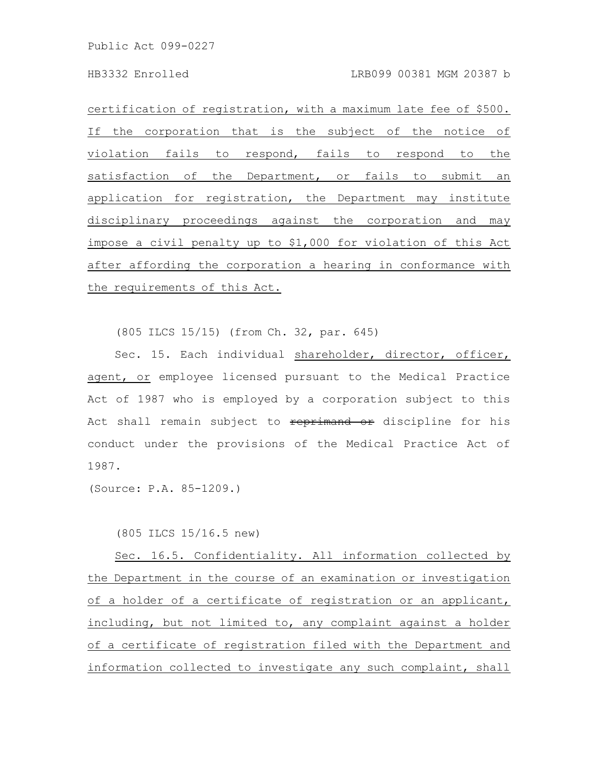certification of registration, with a maximum late fee of \$500. If the corporation that is the subject of the notice of violation fails to respond, fails to respond to the satisfaction of the Department, or fails to submit an application for registration, the Department may institute disciplinary proceedings against the corporation and may impose a civil penalty up to \$1,000 for violation of this Act after affording the corporation a hearing in conformance with the requirements of this Act.

(805 ILCS 15/15) (from Ch. 32, par. 645)

Sec. 15. Each individual shareholder, director, officer, agent, or employee licensed pursuant to the Medical Practice Act of 1987 who is employed by a corporation subject to this Act shall remain subject to reprimand or discipline for his conduct under the provisions of the Medical Practice Act of 1987.

(Source: P.A. 85-1209.)

(805 ILCS 15/16.5 new)

Sec. 16.5. Confidentiality. All information collected by the Department in the course of an examination or investigation of a holder of a certificate of registration or an applicant, including, but not limited to, any complaint against a holder of a certificate of registration filed with the Department and information collected to investigate any such complaint, shall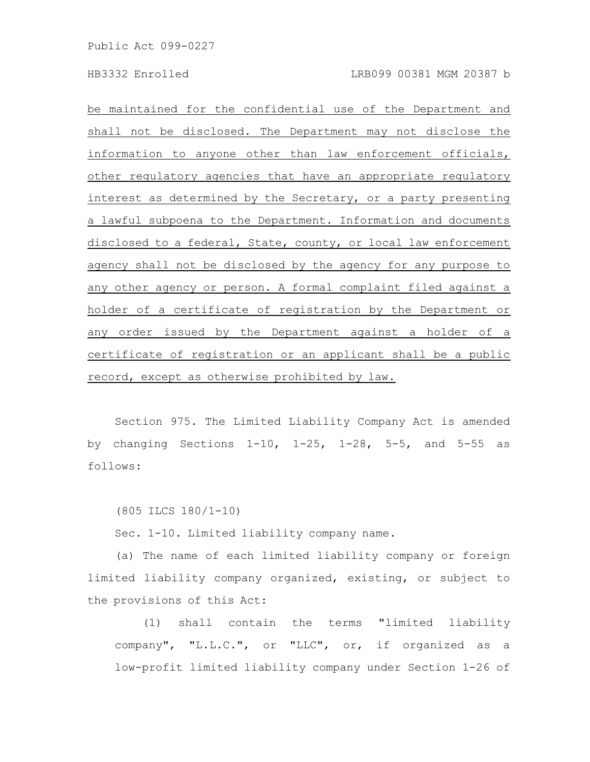be maintained for the confidential use of the Department and shall not be disclosed. The Department may not disclose the information to anyone other than law enforcement officials, other regulatory agencies that have an appropriate regulatory interest as determined by the Secretary, or a party presenting a lawful subpoena to the Department. Information and documents disclosed to a federal, State, county, or local law enforcement agency shall not be disclosed by the agency for any purpose to any other agency or person. A formal complaint filed against a holder of a certificate of registration by the Department or any order issued by the Department against a holder of a certificate of registration or an applicant shall be a public record, except as otherwise prohibited by law.

Section 975. The Limited Liability Company Act is amended by changing Sections 1-10, 1-25, 1-28, 5-5, and 5-55 as follows:

(805 ILCS 180/1-10)

Sec. 1-10. Limited liability company name.

(a) The name of each limited liability company or foreign limited liability company organized, existing, or subject to the provisions of this Act:

(1) shall contain the terms "limited liability company", "L.L.C.", or "LLC", or, if organized as a low-profit limited liability company under Section 1-26 of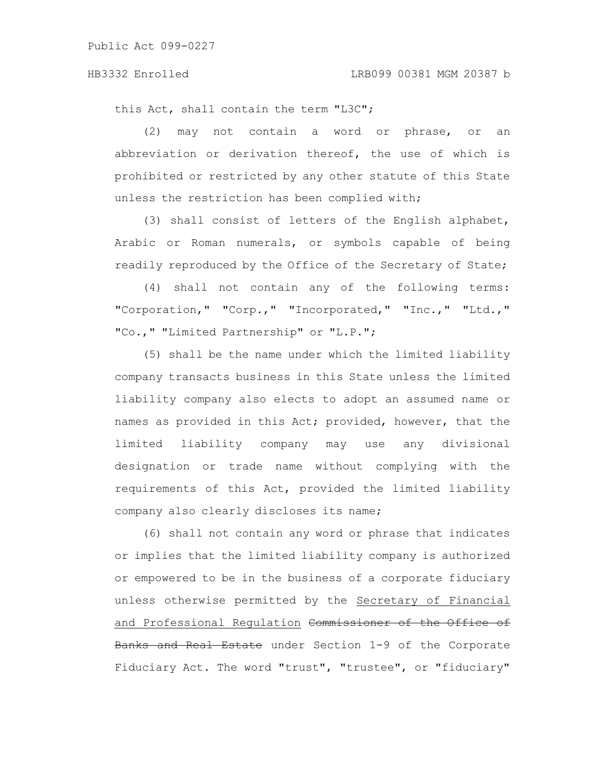this Act, shall contain the term "L3C";

(2) may not contain a word or phrase, or an abbreviation or derivation thereof, the use of which is prohibited or restricted by any other statute of this State unless the restriction has been complied with;

(3) shall consist of letters of the English alphabet, Arabic or Roman numerals, or symbols capable of being readily reproduced by the Office of the Secretary of State;

(4) shall not contain any of the following terms: "Corporation," "Corp.," "Incorporated," "Inc.," "Ltd.," "Co.," "Limited Partnership" or "L.P.";

(5) shall be the name under which the limited liability company transacts business in this State unless the limited liability company also elects to adopt an assumed name or names as provided in this Act; provided, however, that the limited liability company may use any divisional designation or trade name without complying with the requirements of this Act, provided the limited liability company also clearly discloses its name;

(6) shall not contain any word or phrase that indicates or implies that the limited liability company is authorized or empowered to be in the business of a corporate fiduciary unless otherwise permitted by the Secretary of Financial and Professional Regulation Commissioner of the Office of Banks and Real Estate under Section 1-9 of the Corporate Fiduciary Act. The word "trust", "trustee", or "fiduciary"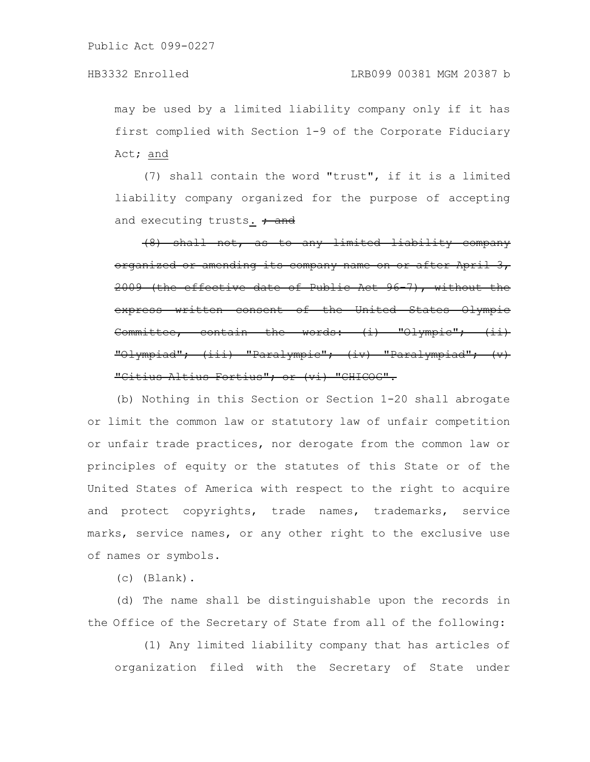## HB3332 Enrolled LRB099 00381 MGM 20387 b

may be used by a limited liability company only if it has first complied with Section 1-9 of the Corporate Fiduciary Act; and

(7) shall contain the word "trust", if it is a limited liability company organized for the purpose of accepting and executing trusts.  $\frac{1}{1}$  and

(8) shall not, as to any limited liability organized or amending its company name on or after April 2009 (the effective date of Public Act 96-7), without the express written consent of the United States Olympic  $Commit tree$ , contain the words:  $(i)$ "Olympiad"; (iii) "Paralympic"; (iv) "Paralympiad"; (v) "Citius Altius Fortius"; or (vi) "CHICOG".

(b) Nothing in this Section or Section 1-20 shall abrogate or limit the common law or statutory law of unfair competition or unfair trade practices, nor derogate from the common law or principles of equity or the statutes of this State or of the United States of America with respect to the right to acquire and protect copyrights, trade names, trademarks, service marks, service names, or any other right to the exclusive use of names or symbols.

(c) (Blank).

(d) The name shall be distinguishable upon the records in the Office of the Secretary of State from all of the following:

(1) Any limited liability company that has articles of organization filed with the Secretary of State under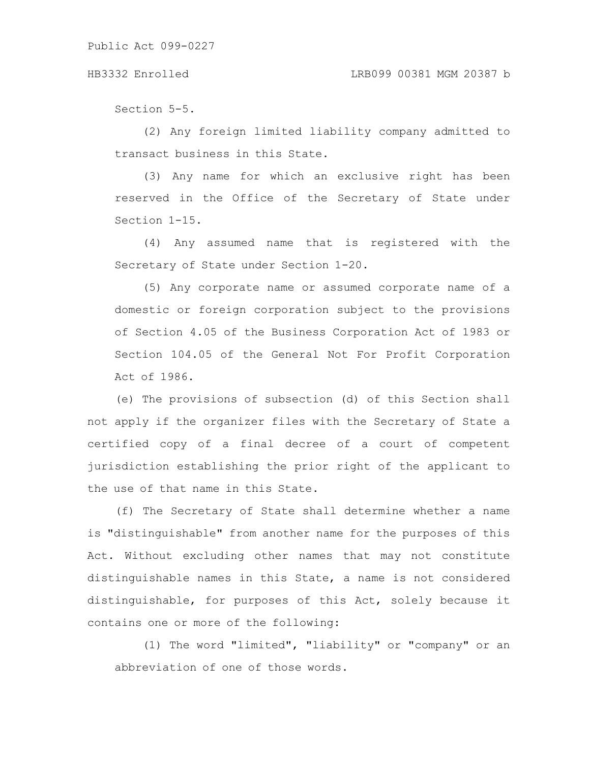### HB3332 Enrolled LRB099 00381 MGM 20387 b

Section 5-5.

(2) Any foreign limited liability company admitted to transact business in this State.

(3) Any name for which an exclusive right has been reserved in the Office of the Secretary of State under Section 1-15.

(4) Any assumed name that is registered with the Secretary of State under Section 1-20.

(5) Any corporate name or assumed corporate name of a domestic or foreign corporation subject to the provisions of Section 4.05 of the Business Corporation Act of 1983 or Section 104.05 of the General Not For Profit Corporation Act of 1986.

(e) The provisions of subsection (d) of this Section shall not apply if the organizer files with the Secretary of State a certified copy of a final decree of a court of competent jurisdiction establishing the prior right of the applicant to the use of that name in this State.

(f) The Secretary of State shall determine whether a name is "distinguishable" from another name for the purposes of this Act. Without excluding other names that may not constitute distinguishable names in this State, a name is not considered distinguishable, for purposes of this Act, solely because it contains one or more of the following:

(1) The word "limited", "liability" or "company" or an abbreviation of one of those words.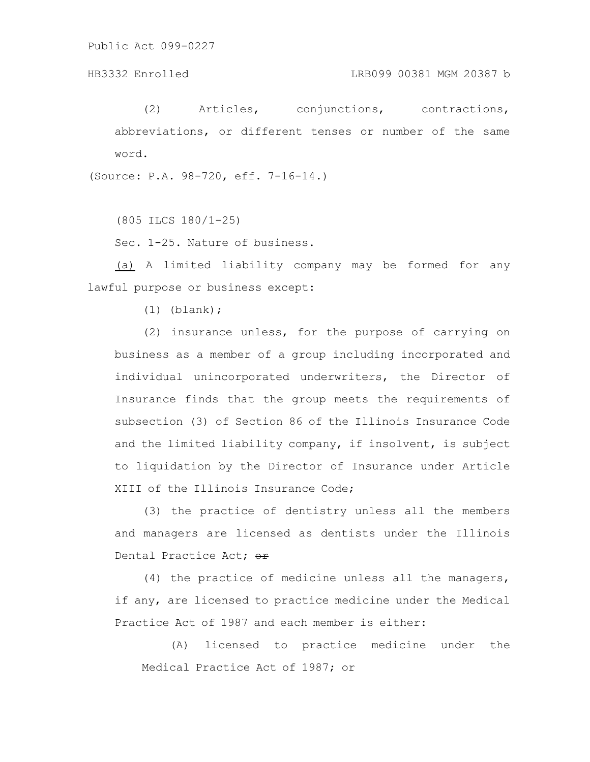HB3332 Enrolled LRB099 00381 MGM 20387 b

(2) Articles, conjunctions, contractions, abbreviations, or different tenses or number of the same word.

(Source: P.A. 98-720, eff. 7-16-14.)

(805 ILCS 180/1-25)

Sec. 1-25. Nature of business.

(a) A limited liability company may be formed for any lawful purpose or business except:

(1) (blank);

(2) insurance unless, for the purpose of carrying on business as a member of a group including incorporated and individual unincorporated underwriters, the Director of Insurance finds that the group meets the requirements of subsection (3) of Section 86 of the Illinois Insurance Code and the limited liability company, if insolvent, is subject to liquidation by the Director of Insurance under Article XIII of the Illinois Insurance Code;

(3) the practice of dentistry unless all the members and managers are licensed as dentists under the Illinois Dental Practice Act; or

(4) the practice of medicine unless all the managers, if any, are licensed to practice medicine under the Medical Practice Act of 1987 and each member is either:

(A) licensed to practice medicine under the Medical Practice Act of 1987; or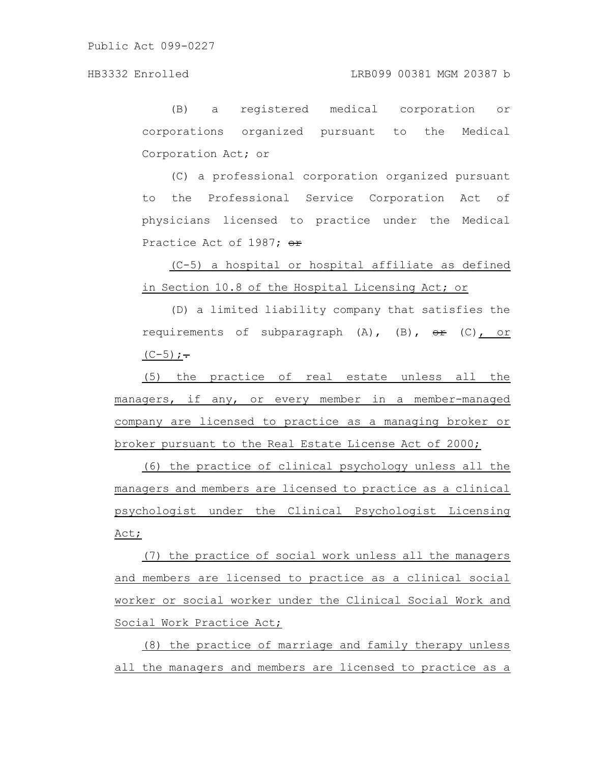(B) a registered medical corporation or corporations organized pursuant to the Medical Corporation Act; or

(C) a professional corporation organized pursuant to the Professional Service Corporation Act of physicians licensed to practice under the Medical Practice Act of 1987; or

(C-5) a hospital or hospital affiliate as defined in Section 10.8 of the Hospital Licensing Act; or

(D) a limited liability company that satisfies the requirements of subparagraph  $(A)$ ,  $(B)$ ,  $\theta$   $\hat{F}$  (C), or  $(C-5); -$ 

(5) the practice of real estate unless all the managers, if any, or every member in a member-managed company are licensed to practice as a managing broker or broker pursuant to the Real Estate License Act of 2000;

(6) the practice of clinical psychology unless all the managers and members are licensed to practice as a clinical psychologist under the Clinical Psychologist Licensing Act;

(7) the practice of social work unless all the managers and members are licensed to practice as a clinical social worker or social worker under the Clinical Social Work and Social Work Practice Act;

(8) the practice of marriage and family therapy unless all the managers and members are licensed to practice as a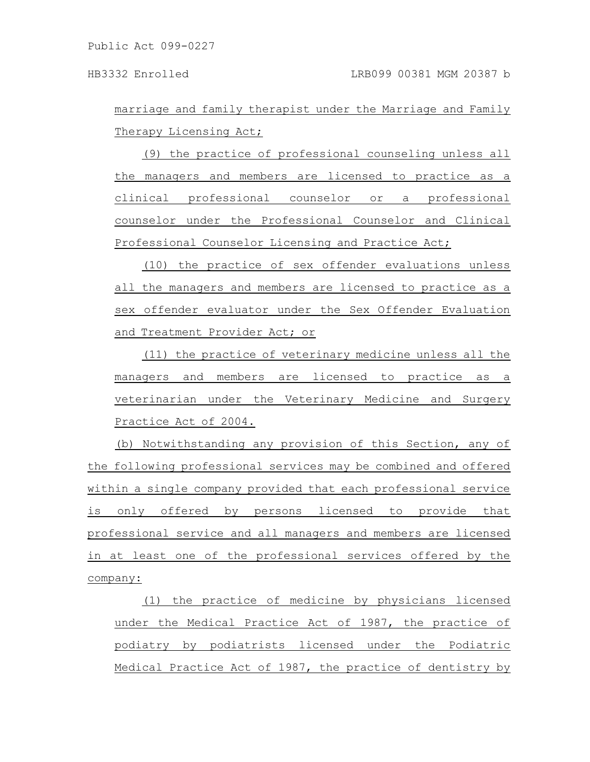marriage and family therapist under the Marriage and Family Therapy Licensing Act;

(9) the practice of professional counseling unless all the managers and members are licensed to practice as a clinical professional counselor or a professional counselor under the Professional Counselor and Clinical Professional Counselor Licensing and Practice Act;

(10) the practice of sex offender evaluations unless all the managers and members are licensed to practice as a sex offender evaluator under the Sex Offender Evaluation and Treatment Provider Act; or

(11) the practice of veterinary medicine unless all the managers and members are licensed to practice as a veterinarian under the Veterinary Medicine and Surgery Practice Act of 2004.

(b) Notwithstanding any provision of this Section, any of the following professional services may be combined and offered within a single company provided that each professional service is only offered by persons licensed to provide that professional service and all managers and members are licensed in at least one of the professional services offered by the company:

(1) the practice of medicine by physicians licensed under the Medical Practice Act of 1987, the practice of podiatry by podiatrists licensed under the Podiatric Medical Practice Act of 1987, the practice of dentistry by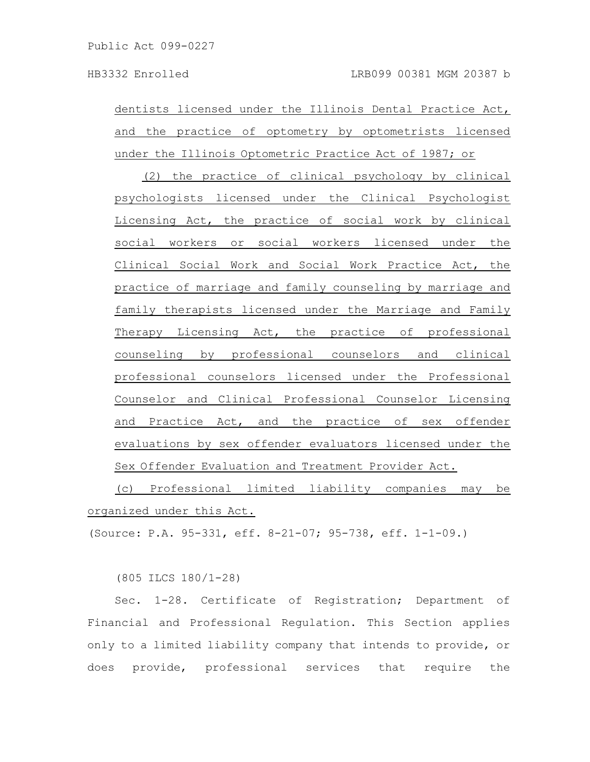dentists licensed under the Illinois Dental Practice Act, and the practice of optometry by optometrists licensed under the Illinois Optometric Practice Act of 1987; or

(2) the practice of clinical psychology by clinical psychologists licensed under the Clinical Psychologist Licensing Act, the practice of social work by clinical social workers or social workers licensed under the Clinical Social Work and Social Work Practice Act, the practice of marriage and family counseling by marriage and family therapists licensed under the Marriage and Family Therapy Licensing Act, the practice of professional counseling by professional counselors and clinical professional counselors licensed under the Professional Counselor and Clinical Professional Counselor Licensing and Practice Act, and the practice of sex offender evaluations by sex offender evaluators licensed under the Sex Offender Evaluation and Treatment Provider Act.

(c) Professional limited liability companies may be organized under this Act.

(Source: P.A. 95-331, eff. 8-21-07; 95-738, eff. 1-1-09.)

(805 ILCS 180/1-28)

Sec. 1-28. Certificate of Registration; Department of Financial and Professional Regulation. This Section applies only to a limited liability company that intends to provide, or does provide, professional services that require the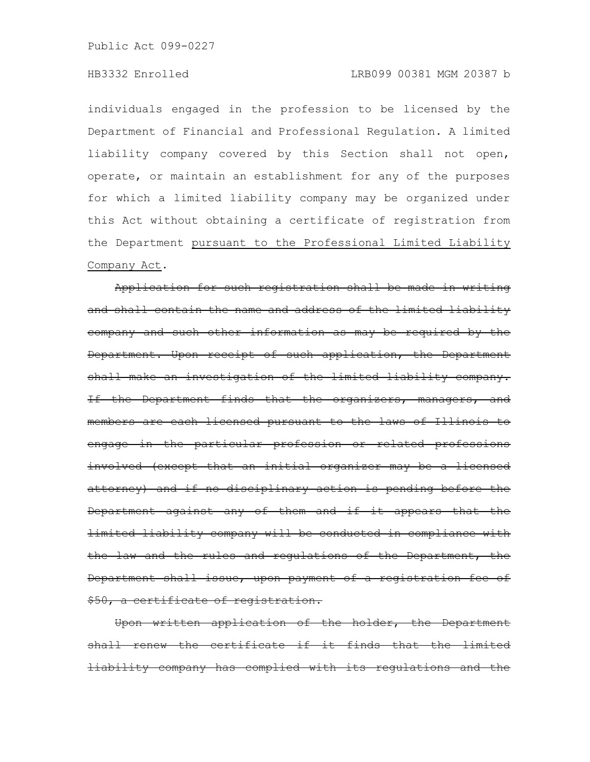individuals engaged in the profession to be licensed by the Department of Financial and Professional Regulation. A limited liability company covered by this Section shall not open, operate, or maintain an establishment for any of the purposes for which a limited liability company may be organized under this Act without obtaining a certificate of registration from the Department pursuant to the Professional Limited Liability Company Act.

Application for such registration shall be made in writing and shall contain the name and address of the limited liability company and such other information as may be required by the Department. Upon receipt of such application, the Department shall make an investigation of the limited liability company. If the Department finds that the organizers, managers, and members are each licensed pursuant to the laws of Illinois to engage in the particular profession or related professions involved (except that an initial organizer may be a licensed attorney) and if no disciplinary action is pending before the Department against any of them and if it appears that the limited liability company will be conducted in compliance with the law and the rules and regulations of the Department, the Department shall issue, upon payment of a registration fee of \$50, a certificate of registration.

Upon written application of the holder, the Department shall renew the certificate if it finds that the limited liability company has complied with its requlations and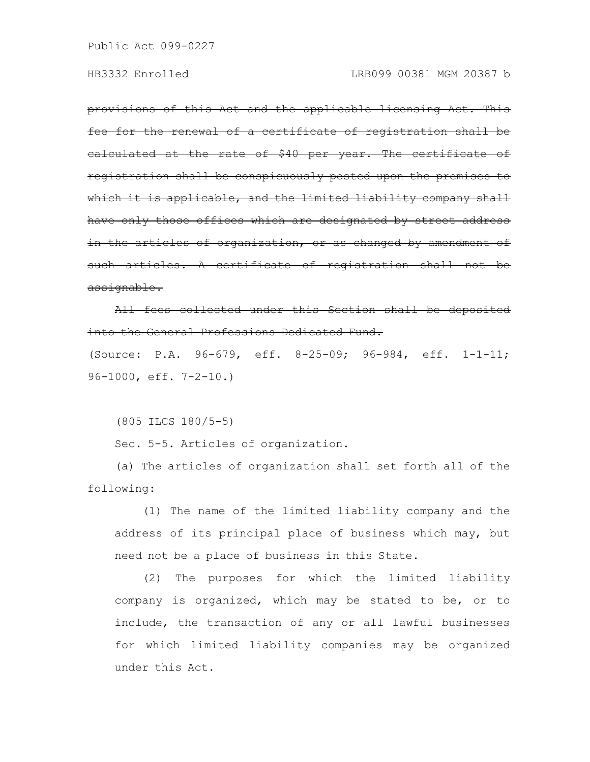provisions of this Act and the applicable licensing Act. This fee for the renewal of a certificate of registration shall be calculated at the rate of \$40 per year. The certificate of registration shall be conspicuously posted upon the premi which it is applicable, and the limited liability company shall have only those offices which are designated by street address in the articles of organization, or as changed by amendment of such articles. A certificate of registrat assignable.

All fees collected under this Section shall into the General Professions Dedicated Fund.

(Source: P.A. 96-679, eff. 8-25-09; 96-984, eff. 1-1-11; 96-1000, eff. 7-2-10.)

(805 ILCS 180/5-5)

Sec. 5-5. Articles of organization.

(a) The articles of organization shall set forth all of the following:

(1) The name of the limited liability company and the address of its principal place of business which may, but need not be a place of business in this State.

(2) The purposes for which the limited liability company is organized, which may be stated to be, or to include, the transaction of any or all lawful businesses for which limited liability companies may be organized under this Act.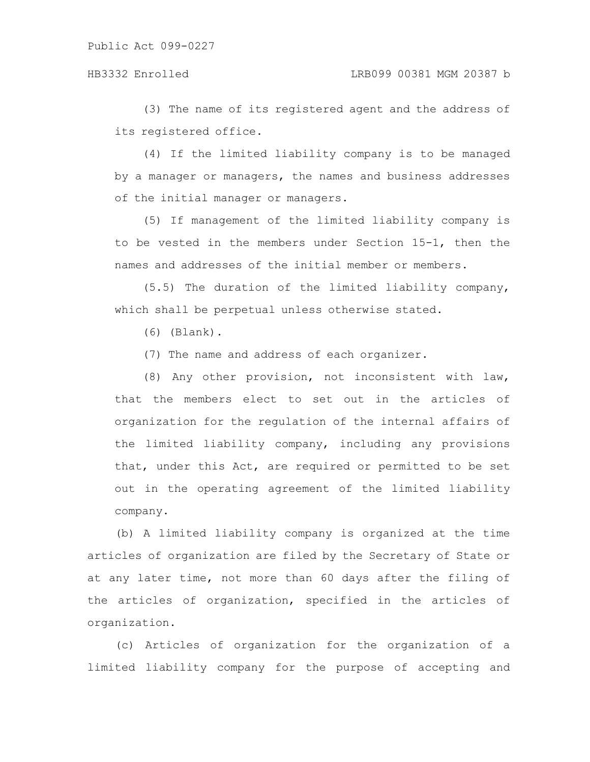(3) The name of its registered agent and the address of its registered office.

(4) If the limited liability company is to be managed by a manager or managers, the names and business addresses of the initial manager or managers.

(5) If management of the limited liability company is to be vested in the members under Section 15-1, then the names and addresses of the initial member or members.

(5.5) The duration of the limited liability company, which shall be perpetual unless otherwise stated.

(6) (Blank).

(7) The name and address of each organizer.

(8) Any other provision, not inconsistent with law, that the members elect to set out in the articles of organization for the regulation of the internal affairs of the limited liability company, including any provisions that, under this Act, are required or permitted to be set out in the operating agreement of the limited liability company.

(b) A limited liability company is organized at the time articles of organization are filed by the Secretary of State or at any later time, not more than 60 days after the filing of the articles of organization, specified in the articles of organization.

(c) Articles of organization for the organization of a limited liability company for the purpose of accepting and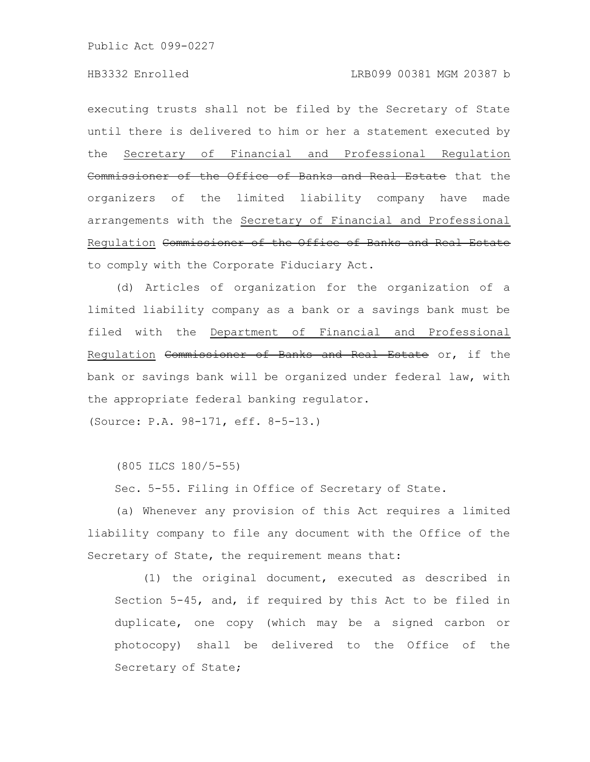executing trusts shall not be filed by the Secretary of State until there is delivered to him or her a statement executed by the Secretary of Financial and Professional Regulation one<del>r of the Office of Banks and Real Estate</del> that the organizers of the limited liability company have made arrangements with the Secretary of Financial and Professional Regulation Commissioner of the Office of Banks and Real Estate to comply with the Corporate Fiduciary Act.

(d) Articles of organization for the organization of a limited liability company as a bank or a savings bank must be filed with the Department of Financial and Professional Regulation Commissioner of Banks and Real Estate or, if the bank or savings bank will be organized under federal law, with the appropriate federal banking regulator.

(Source: P.A. 98-171, eff. 8-5-13.)

(805 ILCS 180/5-55)

Sec. 5-55. Filing in Office of Secretary of State.

(a) Whenever any provision of this Act requires a limited liability company to file any document with the Office of the Secretary of State, the requirement means that:

(1) the original document, executed as described in Section 5-45, and, if required by this Act to be filed in duplicate, one copy (which may be a signed carbon or photocopy) shall be delivered to the Office of the Secretary of State;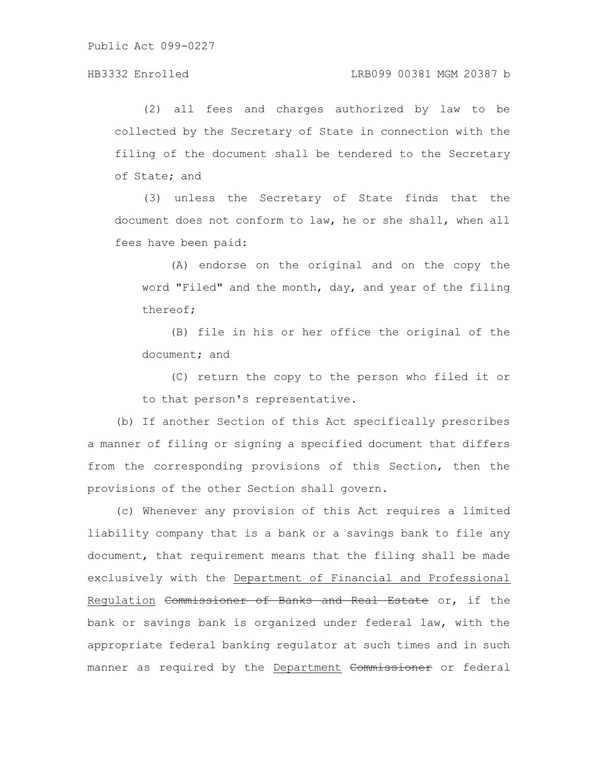Public Act 099-0227

## HB3332 Enrolled LRB099 00381 MGM 20387 b

(2) all fees and charges authorized by law to be collected by the Secretary of State in connection with the filing of the document shall be tendered to the Secretary of State; and

(3) unless the Secretary of State finds that the document does not conform to law, he or she shall, when all fees have been paid:

(A) endorse on the original and on the copy the word "Filed" and the month, day, and year of the filing thereof;

(B) file in his or her office the original of the document; and

(C) return the copy to the person who filed it or to that person's representative.

(b) If another Section of this Act specifically prescribes a manner of filing or signing a specified document that differs from the corresponding provisions of this Section, then the provisions of the other Section shall govern.

(c) Whenever any provision of this Act requires a limited liability company that is a bank or a savings bank to file any document, that requirement means that the filing shall be made exclusively with the Department of Financial and Professional Regulation Commissioner of Banks and Real Estate or, if the bank or savings bank is organized under federal law, with the appropriate federal banking regulator at such times and in such manner as required by the Department Commissioner or federal